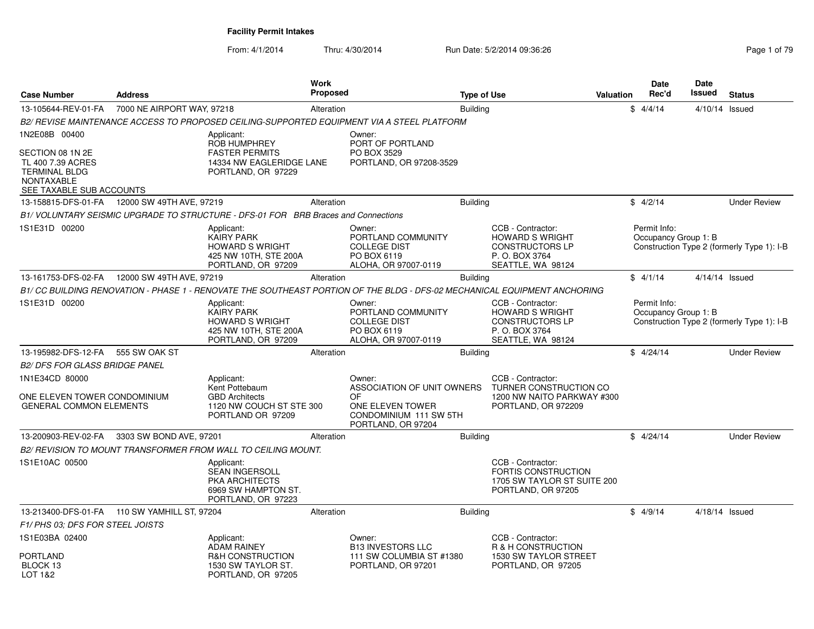| <b>Case Number</b>                                                                                                              | <b>Address</b>                                 |                                                                                                          | <b>Work</b><br><b>Proposed</b> |                                                                                            | <b>Type of Use</b> |                                                                                                                          | <b>Valuation</b> | <b>Date</b><br>Rec'd                 | Date<br>Issued   | <b>Status</b>                              |
|---------------------------------------------------------------------------------------------------------------------------------|------------------------------------------------|----------------------------------------------------------------------------------------------------------|--------------------------------|--------------------------------------------------------------------------------------------|--------------------|--------------------------------------------------------------------------------------------------------------------------|------------------|--------------------------------------|------------------|--------------------------------------------|
| 13-105644-REV-01-FA                                                                                                             | 7000 NE AIRPORT WAY, 97218                     |                                                                                                          | Alteration                     |                                                                                            | <b>Building</b>    |                                                                                                                          |                  | \$4/4/14                             | 4/10/14 Issued   |                                            |
|                                                                                                                                 |                                                |                                                                                                          |                                | B2/ REVISE MAINTENANCE ACCESS TO PROPOSED CEILING-SUPPORTED EQUIPMENT VIA A STEEL PLATFORM |                    |                                                                                                                          |                  |                                      |                  |                                            |
| 1N2E08B 00400<br>SECTION 08 1N 2E<br>TL 400 7.39 ACRES<br><b>TERMINAL BLDG</b><br><b>NONTAXABLE</b><br>SEE TAXABLE SUB ACCOUNTS |                                                | Applicant:<br>ROB HUMPHREY<br><b>FASTER PERMITS</b><br>14334 NW EAGLERIDGE LANE<br>PORTLAND, OR 97229    |                                | Owner:<br>PORT OF PORTLAND<br>PO BOX 3529<br>PORTLAND, OR 97208-3529                       |                    |                                                                                                                          |                  |                                      |                  |                                            |
|                                                                                                                                 | 13-158815-DFS-01-FA   12000 SW 49TH AVE, 97219 |                                                                                                          | Alteration                     |                                                                                            | Building           |                                                                                                                          |                  | \$4/2/14                             |                  | <b>Under Review</b>                        |
|                                                                                                                                 |                                                | B1/ VOLUNTARY SEISMIC UPGRADE TO STRUCTURE - DFS-01 FOR BRB Braces and Connections                       |                                |                                                                                            |                    |                                                                                                                          |                  |                                      |                  |                                            |
| 1S1E31D 00200                                                                                                                   |                                                | Applicant:<br><b>KAIRY PARK</b><br><b>HOWARD S WRIGHT</b><br>425 NW 10TH, STE 200A<br>PORTLAND, OR 97209 |                                | Owner:<br>PORTLAND COMMUNITY<br><b>COLLEGE DIST</b><br>PO BOX 6119<br>ALOHA, OR 97007-0119 |                    | CCB - Contractor:<br><b>HOWARD S WRIGHT</b><br><b>CONSTRUCTORS LP</b><br>P.O. BOX 3764<br>SEATTLE, WA 98124              |                  | Permit Info:<br>Occupancy Group 1: B |                  | Construction Type 2 (formerly Type 1): I-B |
| 13-161753-DFS-02-FA                                                                                                             | 12000 SW 49TH AVE, 97219                       |                                                                                                          | Alteration                     |                                                                                            | <b>Building</b>    |                                                                                                                          |                  | \$4/1/14                             | $4/14/14$ Issued |                                            |
|                                                                                                                                 |                                                |                                                                                                          |                                |                                                                                            |                    | B1/CC BUILDING RENOVATION - PHASE 1 - RENOVATE THE SOUTHEAST PORTION OF THE BLDG - DFS-02 MECHANICAL EQUIPMENT ANCHORING |                  |                                      |                  |                                            |
| 1S1E31D 00200                                                                                                                   |                                                | Applicant:<br><b>KAIRY PARK</b><br>HOWARD S WRIGHT<br>425 NW 10TH, STE 200A<br>PORTLAND, OR 97209        |                                | Owner:<br>PORTLAND COMMUNITY<br><b>COLLEGE DIST</b><br>PO BOX 6119<br>ALOHA, OR 97007-0119 |                    | CCB - Contractor:<br><b>HOWARD S WRIGHT</b><br><b>CONSTRUCTORS LP</b><br>P. O. BOX 3764<br>SEATTLE, WA 98124             |                  | Permit Info:<br>Occupancy Group 1: B |                  | Construction Type 2 (formerly Type 1): I-B |
| 13-195982-DFS-12-FA                                                                                                             | 555 SW OAK ST                                  |                                                                                                          | Alteration                     |                                                                                            | <b>Building</b>    |                                                                                                                          |                  | \$4/24/14                            |                  | <b>Under Review</b>                        |
| <b>B2/ DFS FOR GLASS BRIDGE PANEL</b>                                                                                           |                                                |                                                                                                          |                                |                                                                                            |                    |                                                                                                                          |                  |                                      |                  |                                            |
| 1N1E34CD 80000                                                                                                                  |                                                | Applicant:<br>Kent Pottebaum                                                                             |                                | Owner:<br>ASSOCIATION OF UNIT OWNERS<br>OF                                                 |                    | CCB - Contractor:<br>TURNER CONSTRUCTION CO                                                                              |                  |                                      |                  |                                            |
| ONE ELEVEN TOWER CONDOMINIUM<br><b>GENERAL COMMON ELEMENTS</b>                                                                  |                                                | <b>GBD Architects</b><br>1120 NW COUCH ST STE 300<br>PORTLAND OR 97209                                   |                                | ONE ELEVEN TOWER<br>CONDOMINIUM 111 SW 5TH<br>PORTLAND, OR 97204                           |                    | 1200 NW NAITO PARKWAY #300<br>PORTLAND, OR 972209                                                                        |                  |                                      |                  |                                            |
| 13-200903-REV-02-FA                                                                                                             | 3303 SW BOND AVE, 97201                        |                                                                                                          | Alteration                     |                                                                                            | <b>Building</b>    |                                                                                                                          |                  | \$4/24/14                            |                  | <b>Under Review</b>                        |
|                                                                                                                                 |                                                | B2/ REVISION TO MOUNT TRANSFORMER FROM WALL TO CEILING MOUNT.                                            |                                |                                                                                            |                    |                                                                                                                          |                  |                                      |                  |                                            |
| 1S1E10AC 00500                                                                                                                  |                                                | Applicant:<br><b>SEAN INGERSOLL</b><br>PKA ARCHITECTS<br>6969 SW HAMPTON ST.<br>PORTLAND, OR 97223       |                                |                                                                                            |                    | CCB - Contractor:<br>FORTIS CONSTRUCTION<br>1705 SW TAYLOR ST SUITE 200<br>PORTLAND, OR 97205                            |                  |                                      |                  |                                            |
|                                                                                                                                 | 13-213400-DFS-01-FA 110 SW YAMHILL ST, 97204   |                                                                                                          | Alteration                     |                                                                                            | <b>Building</b>    |                                                                                                                          |                  | \$4/9/14                             | 4/18/14 Issued   |                                            |
| F1/ PHS 03; DFS FOR STEEL JOISTS                                                                                                |                                                |                                                                                                          |                                |                                                                                            |                    |                                                                                                                          |                  |                                      |                  |                                            |
| 1S1E03BA 02400                                                                                                                  |                                                | Applicant:<br><b>ADAM RAINEY</b>                                                                         |                                | Owner:<br><b>B13 INVESTORS LLC</b>                                                         |                    | CCB - Contractor:<br>R & H CONSTRUCTION                                                                                  |                  |                                      |                  |                                            |
| PORTLAND<br>BLOCK 13<br>LOT 1&2                                                                                                 |                                                | <b>R&amp;H CONSTRUCTION</b><br>1530 SW TAYLOR ST.<br>PORTLAND, OR 97205                                  |                                | 111 SW COLUMBIA ST #1380<br>PORTLAND, OR 97201                                             |                    | 1530 SW TAYLOR STREET<br>PORTLAND, OR 97205                                                                              |                  |                                      |                  |                                            |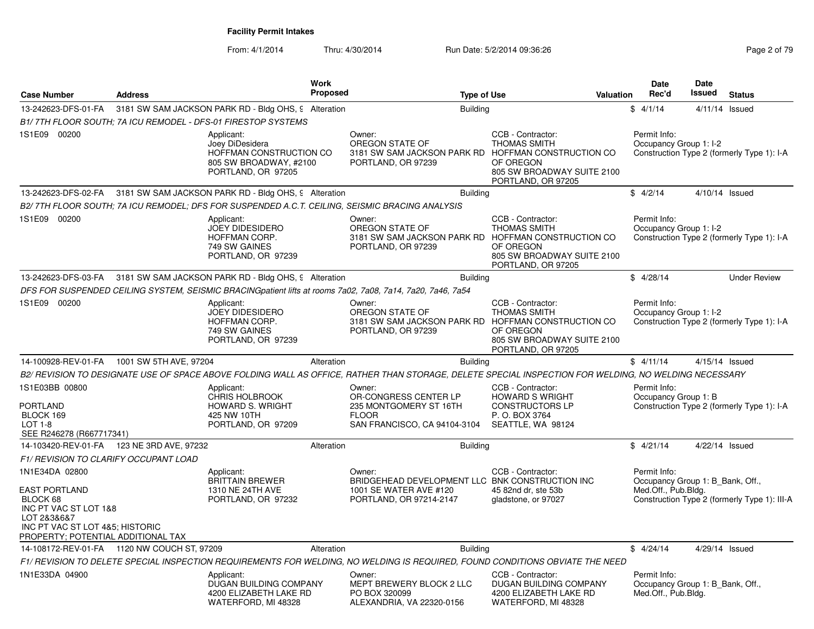| <b>Case Number</b>                                                                                                                                                  | <b>Address</b>         |                                                                                                          | Work<br><b>Proposed</b> |                                                                                                                | <b>Type of Use</b> | Valuation                                                                                                                                                        | <b>Date</b><br>Rec'd                                                    | <b>Date</b><br>Issued | <b>Status</b>                                |
|---------------------------------------------------------------------------------------------------------------------------------------------------------------------|------------------------|----------------------------------------------------------------------------------------------------------|-------------------------|----------------------------------------------------------------------------------------------------------------|--------------------|------------------------------------------------------------------------------------------------------------------------------------------------------------------|-------------------------------------------------------------------------|-----------------------|----------------------------------------------|
| 13-242623-DFS-01-FA                                                                                                                                                 |                        | 3181 SW SAM JACKSON PARK RD - Bldg OHS, 9 Alteration                                                     |                         |                                                                                                                | <b>Building</b>    |                                                                                                                                                                  | \$4/1/14                                                                | 4/11/14               | Issued                                       |
|                                                                                                                                                                     |                        | B1/ 7TH FLOOR SOUTH: 7A ICU REMODEL - DFS-01 FIRESTOP SYSTEMS                                            |                         |                                                                                                                |                    |                                                                                                                                                                  |                                                                         |                       |                                              |
| 1S1E09 00200                                                                                                                                                        |                        | Applicant:<br>Joey DiDesidera<br>HOFFMAN CONSTRUCTION CO<br>805 SW BROADWAY, #2100<br>PORTLAND, OR 97205 |                         | Owner:<br>OREGON STATE OF<br>PORTLAND, OR 97239                                                                |                    | CCB - Contractor:<br><b>THOMAS SMITH</b><br>3181 SW SAM JACKSON PARK RD HOFFMAN CONSTRUCTION CO<br>OF OREGON<br>805 SW BROADWAY SUITE 2100<br>PORTLAND, OR 97205 | Permit Info:<br>Occupancy Group 1: I-2                                  |                       | Construction Type 2 (formerly Type 1): I-A   |
| 13-242623-DFS-02-FA                                                                                                                                                 |                        | 3181 SW SAM JACKSON PARK RD - Bldg OHS, 9 Alteration                                                     |                         |                                                                                                                | <b>Building</b>    |                                                                                                                                                                  | \$4/2/14                                                                |                       | 4/10/14 Issued                               |
|                                                                                                                                                                     |                        |                                                                                                          |                         | B2/ 7TH FLOOR SOUTH; 7A ICU REMODEL; DFS FOR SUSPENDED A.C.T. CEILING, SEISMIC BRACING ANALYSIS                |                    |                                                                                                                                                                  |                                                                         |                       |                                              |
| 1S1E09 00200                                                                                                                                                        |                        | Applicant:<br><b>JOEY DIDESIDERO</b><br>HOFFMAN CORP.<br>749 SW GAINES<br>PORTLAND, OR 97239             |                         | Owner:<br>OREGON STATE OF<br>PORTLAND, OR 97239                                                                |                    | CCB - Contractor:<br><b>THOMAS SMITH</b><br>3181 SW SAM JACKSON PARK RD HOFFMAN CONSTRUCTION CO<br>OF OREGON<br>805 SW BROADWAY SUITE 2100<br>PORTLAND, OR 97205 | Permit Info:<br>Occupancy Group 1: I-2                                  |                       | Construction Type 2 (formerly Type 1): I-A   |
| 13-242623-DFS-03-FA                                                                                                                                                 |                        | 3181 SW SAM JACKSON PARK RD - Bldg OHS, 9 Alteration                                                     |                         |                                                                                                                | <b>Building</b>    |                                                                                                                                                                  | \$4/28/14                                                               |                       | <b>Under Review</b>                          |
|                                                                                                                                                                     |                        |                                                                                                          |                         | DFS FOR SUSPENDED CEILING SYSTEM, SEISMIC BRACINGpatient lifts at rooms 7a02, 7a08, 7a14, 7a20, 7a46, 7a54     |                    |                                                                                                                                                                  |                                                                         |                       |                                              |
| 1S1E09 00200                                                                                                                                                        |                        | Applicant:<br>JOEY DIDESIDERO<br>HOFFMAN CORP.<br>749 SW GAINES<br>PORTLAND, OR 97239                    |                         | Owner:<br>OREGON STATE OF<br>PORTLAND, OR 97239                                                                |                    | CCB - Contractor:<br><b>THOMAS SMITH</b><br>3181 SW SAM JACKSON PARK RD HOFFMAN CONSTRUCTION CO<br>OF OREGON<br>805 SW BROADWAY SUITE 2100<br>PORTLAND, OR 97205 | Permit Info:<br>Occupancy Group 1: I-2                                  |                       | Construction Type 2 (formerly Type 1): I-A   |
| 14-100928-REV-01-FA                                                                                                                                                 | 1001 SW 5TH AVE, 97204 |                                                                                                          | Alteration              |                                                                                                                | <b>Building</b>    |                                                                                                                                                                  | \$4/11/14                                                               |                       | 4/15/14 Issued                               |
|                                                                                                                                                                     |                        |                                                                                                          |                         |                                                                                                                |                    | B2/ REVISION TO DESIGNATE USE OF SPACE ABOVE FOLDING WALL AS OFFICE, RATHER THAN STORAGE, DELETE SPECIAL INSPECTION FOR WELDING, NO WELDING NECESSARY            |                                                                         |                       |                                              |
| 1S1E03BB 00800<br>PORTLAND<br>BLOCK 169<br>LOT 1-8<br>SEE R246278 (R667717341)                                                                                      |                        | Applicant:<br>CHRIS HOLBROOK<br>HOWARD S. WRIGHT<br>425 NW 10TH<br>PORTLAND, OR 97209                    |                         | Owner:<br>OR-CONGRESS CENTER LP<br>235 MONTGOMERY ST 16TH<br><b>FLOOR</b><br>SAN FRANCISCO, CA 94104-3104      |                    | CCB - Contractor:<br><b>HOWARD S WRIGHT</b><br><b>CONSTRUCTORS LP</b><br>P. O. BOX 3764<br>SEATTLE, WA 98124                                                     | Permit Info:<br>Occupancy Group 1: B                                    |                       | Construction Type 2 (formerly Type 1): I-A   |
| 14-103420-REV-01-FA                                                                                                                                                 | 123 NE 3RD AVE, 97232  |                                                                                                          | Alteration              |                                                                                                                | <b>Building</b>    |                                                                                                                                                                  | \$4/21/14                                                               |                       | 4/22/14 Issued                               |
| <b>F1/ REVISION TO CLARIFY OCCUPANT LOAD</b>                                                                                                                        |                        |                                                                                                          |                         |                                                                                                                |                    |                                                                                                                                                                  |                                                                         |                       |                                              |
| 1N1E34DA 02800<br><b>EAST PORTLAND</b><br>BLOCK 68<br>INC PT VAC ST LOT 1&8<br>LOT 2&3&6&7<br>INC PT VAC ST LOT 4&5; HISTORIC<br>PROPERTY; POTENTIAL ADDITIONAL TAX |                        | Applicant:<br><b>BRITTAIN BREWER</b><br>1310 NE 24TH AVE<br>PORTLAND, OR 97232                           |                         | Owner:<br>BRIDGEHEAD DEVELOPMENT LLC BNK CONSTRUCTION INC<br>1001 SE WATER AVE #120<br>PORTLAND, OR 97214-2147 |                    | CCB - Contractor:<br>45 82nd dr. ste 53b<br>gladstone, or 97027                                                                                                  | Permit Info:<br>Occupancy Group 1: B Bank, Off.,<br>Med.Off., Pub.Bldg. |                       | Construction Type 2 (formerly Type 1): III-A |
| 14-108172-REV-01-FA 1120 NW COUCH ST, 97209                                                                                                                         |                        |                                                                                                          | Alteration              |                                                                                                                | <b>Building</b>    |                                                                                                                                                                  | \$4/24/14                                                               |                       | 4/29/14 Issued                               |
|                                                                                                                                                                     |                        |                                                                                                          |                         |                                                                                                                |                    | F1/ REVISION TO DELETE SPECIAL INSPECTION REQUIREMENTS FOR WELDING. NO WELDING IS REQUIRED, FOUND CONDITIONS OBVIATE THE NEED                                    |                                                                         |                       |                                              |
| 1N1E33DA 04900                                                                                                                                                      |                        | Applicant:<br>DUGAN BUILDING COMPANY<br>4200 ELIZABETH LAKE RD<br>WATERFORD, MI 48328                    |                         | Owner:<br>MEPT BREWERY BLOCK 2 LLC<br>PO BOX 320099<br>ALEXANDRIA, VA 22320-0156                               |                    | CCB - Contractor:<br><b>DUGAN BUILDING COMPANY</b><br>4200 ELIZABETH LAKE RD<br>WATERFORD, MI 48328                                                              | Permit Info:<br>Occupancy Group 1: B Bank, Off.,<br>Med.Off., Pub.Bldg. |                       |                                              |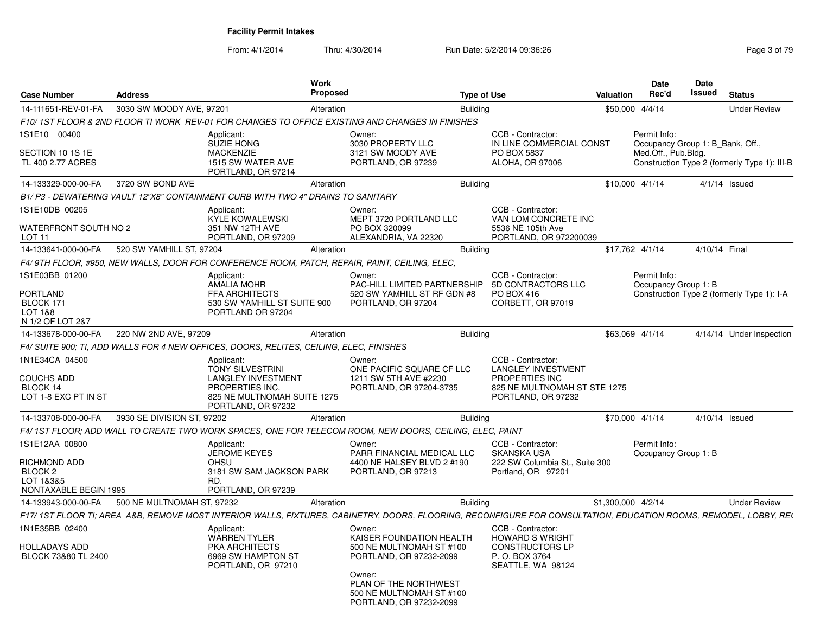| <b>Case Number</b>                                                      | <b>Address</b>             |                                                                                                                                     | Work<br>Proposed |                                                                                                                                                                   | <b>Type of Use</b>                                                                                                     | Valuation          | Date<br>Rec'd                        | Date<br><b>Issued</b><br><b>Status</b>       |
|-------------------------------------------------------------------------|----------------------------|-------------------------------------------------------------------------------------------------------------------------------------|------------------|-------------------------------------------------------------------------------------------------------------------------------------------------------------------|------------------------------------------------------------------------------------------------------------------------|--------------------|--------------------------------------|----------------------------------------------|
| 14-111651-REV-01-FA                                                     | 3030 SW MOODY AVE, 97201   |                                                                                                                                     | Alteration       |                                                                                                                                                                   | Building                                                                                                               |                    | \$50,000 4/4/14                      | <b>Under Review</b>                          |
|                                                                         |                            |                                                                                                                                     |                  | F10/1ST FLOOR & 2ND FLOOR TI WORK REV-01 FOR CHANGES TO OFFICE EXISTING AND CHANGES IN FINISHES                                                                   |                                                                                                                        |                    |                                      |                                              |
| 1S1E10 00400                                                            |                            | Applicant:<br>SUZIE HONG                                                                                                            |                  | Owner:<br>3030 PROPERTY LLC                                                                                                                                       | CCB - Contractor:<br>IN LINE COMMERCIAL CONST                                                                          |                    | Permit Info:                         | Occupancy Group 1: B Bank, Off.,             |
| SECTION 10 1S 1E<br>TL 400 2.77 ACRES                                   |                            | <b>MACKENZIE</b><br>1515 SW WATER AVE<br>PORTLAND, OR 97214                                                                         |                  | 3121 SW MOODY AVE<br>PORTLAND, OR 97239                                                                                                                           | PO BOX 5837<br><b>ALOHA, OR 97006</b>                                                                                  |                    | Med.Off., Pub.Bldg.                  | Construction Type 2 (formerly Type 1): III-B |
| 14-133329-000-00-FA                                                     | 3720 SW BOND AVE           |                                                                                                                                     | Alteration       |                                                                                                                                                                   | <b>Building</b>                                                                                                        |                    | $$10.000$ 4/1/14                     | $4/1/14$ Issued                              |
|                                                                         |                            | B1/ P3 - DEWATERING VAULT 12"X8" CONTAINMENT CURB WITH TWO 4" DRAINS TO SANITARY                                                    |                  |                                                                                                                                                                   |                                                                                                                        |                    |                                      |                                              |
| 1S1E10DB 00205                                                          |                            | Applicant:<br><b>KYLE KOWALEWSKI</b>                                                                                                |                  | Owner:<br>MEPT 3720 PORTLAND LLC                                                                                                                                  | CCB - Contractor:<br>VAN LOM CONCRETE INC                                                                              |                    |                                      |                                              |
| WATERFRONT SOUTH NO 2<br>LOT <sub>11</sub>                              |                            | 351 NW 12TH AVE<br>PORTLAND, OR 97209                                                                                               |                  | PO BOX 320099<br>ALEXANDRIA, VA 22320                                                                                                                             | 5536 NE 105th Ave<br>PORTLAND, OR 972200039                                                                            |                    |                                      |                                              |
| 14-133641-000-00-FA                                                     | 520 SW YAMHILL ST, 97204   |                                                                                                                                     | Alteration       |                                                                                                                                                                   | <b>Building</b>                                                                                                        |                    | \$17,762 4/1/14                      | 4/10/14 Final                                |
|                                                                         |                            |                                                                                                                                     |                  | F4/9TH FLOOR, #950, NEW WALLS, DOOR FOR CONFERENCE ROOM, PATCH, REPAIR, PAINT, CEILING, ELEC,                                                                     |                                                                                                                        |                    |                                      |                                              |
| 1S1E03BB 01200<br>PORTLAND                                              |                            | Applicant:<br><b>AMALIA MOHR</b><br><b>FFA ARCHITECTS</b>                                                                           |                  | Owner:<br>PAC-HILL LIMITED PARTNERSHIP<br>520 SW YAMHILL ST RF GDN #8                                                                                             | CCB - Contractor:<br>5D CONTRACTORS LLC<br>PO BOX 416                                                                  |                    | Permit Info:<br>Occupancy Group 1: B | Construction Type 2 (formerly Type 1): I-A   |
| BLOCK 171<br>LOT 1&8                                                    |                            | 530 SW YAMHILL ST SUITE 900<br>PORTLAND OR 97204                                                                                    |                  | PORTLAND, OR 97204                                                                                                                                                | CORBETT, OR 97019                                                                                                      |                    |                                      |                                              |
| N 1/2 OF LOT 2&7                                                        |                            |                                                                                                                                     |                  |                                                                                                                                                                   |                                                                                                                        |                    |                                      |                                              |
| 14-133678-000-00-FA                                                     | 220 NW 2ND AVE, 97209      |                                                                                                                                     | Alteration       |                                                                                                                                                                   | <b>Building</b>                                                                                                        |                    | \$63,069 4/1/14                      | 4/14/14 Under Inspection                     |
|                                                                         |                            | F4/ SUITE 900; TI, ADD WALLS FOR 4 NEW OFFICES, DOORS, RELITES, CEILING, ELEC, FINISHES                                             |                  |                                                                                                                                                                   |                                                                                                                        |                    |                                      |                                              |
| 1N1E34CA 04500<br><b>COUCHS ADD</b><br>BLOCK 14<br>LOT 1-8 EXC PT IN ST |                            | Applicant:<br>TONY SILVESTRINI<br><b>LANGLEY INVESTMENT</b><br>PROPERTIES INC.<br>825 NE MULTNOMAH SUITE 1275<br>PORTLAND, OR 97232 |                  | Owner:<br>ONE PACIFIC SQUARE CF LLC<br>1211 SW 5TH AVE #2230<br>PORTLAND, OR 97204-3735                                                                           | CCB - Contractor:<br><b>LANGLEY INVESTMENT</b><br>PROPERTIES INC<br>825 NE MULTNOMAH ST STE 1275<br>PORTLAND, OR 97232 |                    |                                      |                                              |
| 14-133708-000-00-FA                                                     | 3930 SE DIVISION ST. 97202 |                                                                                                                                     | Alteration       |                                                                                                                                                                   | <b>Building</b>                                                                                                        |                    | \$70,000 4/1/14                      | 4/10/14 Issued                               |
|                                                                         |                            |                                                                                                                                     |                  | F4/ 1ST FLOOR: ADD WALL TO CREATE TWO WORK SPACES. ONE FOR TELECOM ROOM. NEW DOORS. CEILING. ELEC. PAINT                                                          |                                                                                                                        |                    |                                      |                                              |
| 1S1E12AA 00800                                                          |                            | Applicant:<br><b>JEROME KEYES</b>                                                                                                   |                  | Owner:<br>PARR FINANCIAL MEDICAL LLC                                                                                                                              | CCB - Contractor:<br><b>SKANSKA USA</b>                                                                                |                    | Permit Info:<br>Occupancy Group 1: B |                                              |
| RICHMOND ADD<br>BLOCK <sub>2</sub><br>LOT 1&3&5                         |                            | <b>OHSU</b><br>3181 SW SAM JACKSON PARK<br>RD.                                                                                      |                  | 4400 NE HALSEY BLVD 2 #190<br>PORTLAND, OR 97213                                                                                                                  | 222 SW Columbia St., Suite 300<br>Portland, OR 97201                                                                   |                    |                                      |                                              |
| NONTAXABLE BEGIN 1995                                                   |                            | PORTLAND, OR 97239                                                                                                                  |                  |                                                                                                                                                                   |                                                                                                                        |                    |                                      |                                              |
| 14-133943-000-00-FA                                                     | 500 NE MULTNOMAH ST, 97232 |                                                                                                                                     | Alteration       |                                                                                                                                                                   | <b>Building</b>                                                                                                        | \$1,300,000 4/2/14 |                                      | <b>Under Review</b>                          |
|                                                                         |                            |                                                                                                                                     |                  | F17/ 1ST FLOOR TI; AREA A&B, REMOVE MOST INTERIOR WALLS, FIXTURES, CABINETRY, DOORS, FLOORING, RECONFIGURE FOR CONSULTATION, EDUCATION ROOMS, REMODEL, LOBBY, RE( |                                                                                                                        |                    |                                      |                                              |
| 1N1E35BB 02400                                                          |                            | Applicant:<br><b>WARREN TYLER</b>                                                                                                   |                  | Owner:<br>KAISER FOUNDATION HEALTH                                                                                                                                | CCB - Contractor:<br><b>HOWARD S WRIGHT</b>                                                                            |                    |                                      |                                              |
| <b>HOLLADAYS ADD</b><br>BLOCK 73&80 TL 2400                             |                            | PKA ARCHITECTS<br>6969 SW HAMPTON ST<br>PORTLAND, OR 97210                                                                          |                  | 500 NE MULTNOMAH ST #100<br>PORTLAND, OR 97232-2099                                                                                                               | <b>CONSTRUCTORS LP</b><br>P. O. BOX 3764<br>SEATTLE, WA 98124                                                          |                    |                                      |                                              |
|                                                                         |                            |                                                                                                                                     |                  | Owner:<br>PLAN OF THE NORTHWEST<br>500 NE MULTNOMAH ST #100<br>PORTLAND, OR 97232-2099                                                                            |                                                                                                                        |                    |                                      |                                              |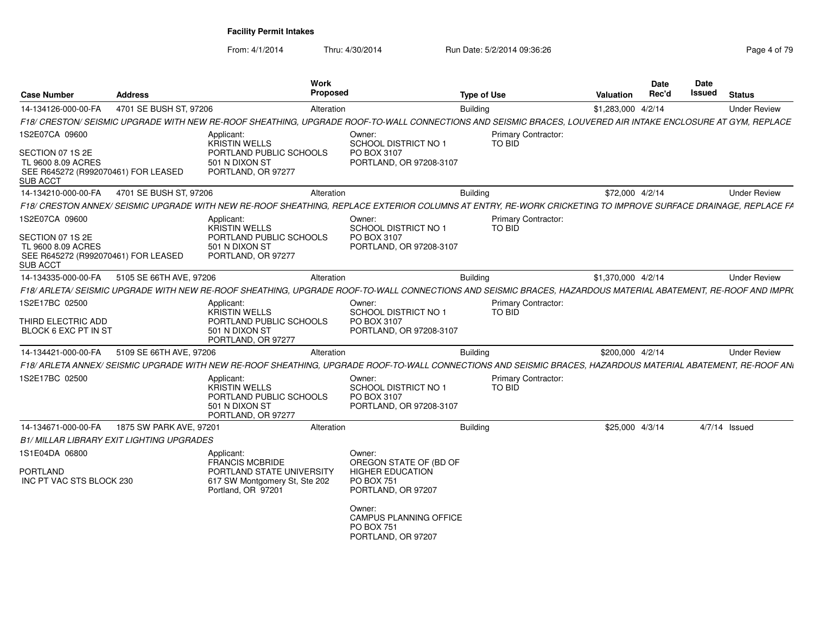From: 4/1/2014

| <b>Case Number</b>                                                                                                 | <b>Address</b>                            |                                                                                                       | Work<br><b>Proposed</b>                                                                                                                                       | <b>Type of Use</b> |                                      | Valuation          | <b>Date</b><br>Rec'd | Date<br>Issued | <b>Status</b>       |  |
|--------------------------------------------------------------------------------------------------------------------|-------------------------------------------|-------------------------------------------------------------------------------------------------------|---------------------------------------------------------------------------------------------------------------------------------------------------------------|--------------------|--------------------------------------|--------------------|----------------------|----------------|---------------------|--|
| 14-134126-000-00-FA                                                                                                | 4701 SE BUSH ST, 97206                    |                                                                                                       | Alteration                                                                                                                                                    | Building           |                                      | \$1,283,000 4/2/14 |                      |                | <b>Under Review</b> |  |
|                                                                                                                    |                                           |                                                                                                       | F18/ CRESTON/ SEISMIC UPGRADE WITH NEW RE-ROOF SHEATHING. UPGRADE ROOF-TO-WALL CONNECTIONS AND SEISMIC BRACES. LOUVERED AIR INTAKE ENCLOSURE AT GYM. REPLACE  |                    |                                      |                    |                      |                |                     |  |
| 1S2E07CA 09600<br>SECTION 07 1S 2E<br>TL 9600 8.09 ACRES<br>SEE R645272 (R992070461) FOR LEASED                    |                                           | Applicant<br>KRISTIN WELLS<br>PORTLAND PUBLIC SCHOOLS<br>501 N DIXON ST<br>PORTLAND, OR 97277         | Owner:<br>SCHOOL DISTRICT NO 1<br>PO BOX 3107<br>PORTLAND, OR 97208-3107                                                                                      |                    | <b>Primary Contractor:</b><br>TO BID |                    |                      |                |                     |  |
| SUB ACCT                                                                                                           |                                           |                                                                                                       |                                                                                                                                                               |                    |                                      |                    |                      |                |                     |  |
| 14-134210-000-00-FA                                                                                                | 4701 SE BUSH ST, 97206                    |                                                                                                       | Alteration                                                                                                                                                    | <b>Building</b>    |                                      | \$72,000 4/2/14    |                      |                | <b>Under Review</b> |  |
|                                                                                                                    |                                           |                                                                                                       | F18/ CRESTON ANNEX/ SEISMIC UPGRADE WITH NEW RE-ROOF SHEATHING, REPLACE EXTERIOR COLUMNS AT ENTRY, RE-WORK CRICKETING TO IMPROVE SURFACE DRAINAGE, REPLACE FA |                    |                                      |                    |                      |                |                     |  |
| 1S2E07CA 09600<br>SECTION 07 1S 2E<br>TL 9600 8.09 ACRES<br>SEE R645272 (R992070461) FOR LEASED<br><b>SUB ACCT</b> |                                           | Applicant:<br>KRISTIN WELLS<br>PORTLAND PUBLIC SCHOOLS<br>501 N DIXON ST<br>PORTLAND, OR 97277        | Owner:<br>SCHOOL DISTRICT NO 1<br>PO BOX 3107<br>PORTLAND, OR 97208-3107                                                                                      |                    | <b>Primary Contractor:</b><br>TO BID |                    |                      |                |                     |  |
| 14-134335-000-00-FA                                                                                                | 5105 SE 66TH AVE, 97206                   |                                                                                                       | Alteration                                                                                                                                                    | Building           |                                      | \$1,370,000 4/2/14 |                      |                | <b>Under Review</b> |  |
|                                                                                                                    |                                           |                                                                                                       | F18/ ARLETA/ SEISMIC UPGRADE WITH NEW RE-ROOF SHEATHING, UPGRADE ROOF-TO-WALL CONNECTIONS AND SEISMIC BRACES, HAZARDOUS MATERIAL ABATEMENT, RE-ROOF AND IMPR( |                    |                                      |                    |                      |                |                     |  |
| 1S2E17BC 02500<br>THIRD ELECTRIC ADD<br>BLOCK 6 EXC PT IN ST                                                       |                                           | Applicant:<br><b>KRISTIN WELLS</b><br>PORTLAND PUBLIC SCHOOLS<br>501 N DIXON ST<br>PORTLAND, OR 97277 | Owner:<br><b>SCHOOL DISTRICT NO 1</b><br>PO BOX 3107<br>PORTLAND, OR 97208-3107                                                                               |                    | <b>Primary Contractor:</b><br>TO BID |                    |                      |                |                     |  |
| 14-134421-000-00-FA                                                                                                | 5109 SE 66TH AVE, 97206                   |                                                                                                       | Alteration                                                                                                                                                    | <b>Building</b>    |                                      | \$200,000 4/2/14   |                      |                | <b>Under Review</b> |  |
|                                                                                                                    |                                           |                                                                                                       | F18/ ARLETA ANNEX/ SEISMIC UPGRADE WITH NEW RE-ROOF SHEATHING, UPGRADE ROOF-TO-WALL CONNECTIONS AND SEISMIC BRACES, HAZARDOUS MATERIAL ABATEMENT, RE-ROOF ANI |                    |                                      |                    |                      |                |                     |  |
| 1S2E17BC 02500                                                                                                     |                                           | Applicant<br><b>KRISTIN WELLS</b><br>PORTLAND PUBLIC SCHOOLS<br>501 N DIXON ST<br>PORTLAND, OR 97277  | Owner:<br><b>SCHOOL DISTRICT NO 1</b><br>PO BOX 3107<br>PORTLAND, OR 97208-3107                                                                               |                    | <b>Primary Contractor:</b><br>TO BID |                    |                      |                |                     |  |
| 14-134671-000-00-FA                                                                                                | 1875 SW PARK AVE, 97201                   |                                                                                                       | Alteration                                                                                                                                                    | <b>Building</b>    |                                      | \$25,000 4/3/14    |                      |                | $4/7/14$ Issued     |  |
|                                                                                                                    | B1/ MILLAR LIBRARY EXIT LIGHTING UPGRADES |                                                                                                       |                                                                                                                                                               |                    |                                      |                    |                      |                |                     |  |
| 1S1E04DA 06800<br><b>PORTLAND</b>                                                                                  |                                           | Applicant:<br><b>FRANCIS MCBRIDE</b><br>PORTLAND STATE UNIVERSITY                                     | Owner:<br>OREGON STATE OF (BD OF<br><b>HIGHER EDUCATION</b>                                                                                                   |                    |                                      |                    |                      |                |                     |  |
| INC PT VAC STS BLOCK 230                                                                                           |                                           | 617 SW Montgomery St, Ste 202<br>Portland, OR 97201                                                   | <b>PO BOX 751</b><br>PORTLAND, OR 97207                                                                                                                       |                    |                                      |                    |                      |                |                     |  |
|                                                                                                                    |                                           |                                                                                                       | Owner:<br><b>CAMPUS PLANNING OFFICE</b><br>PO BOX 751<br>PORTLAND, OR 97207                                                                                   |                    |                                      |                    |                      |                |                     |  |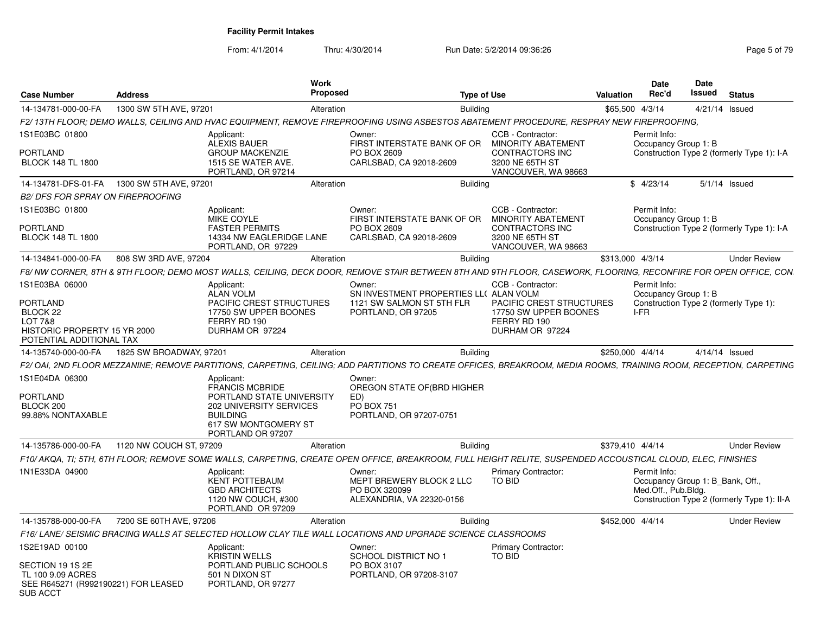| <b>Case Number</b>                                                                                                       | <b>Address</b>          | Work<br><b>Proposed</b>                                                                                                                                             |                                                                                                     | <b>Type of Use</b> |                                                                                                                 | <b>Valuation</b> | <b>Date</b><br>Rec'd                                                    | Date<br>Issued   | <b>Status</b>                               |
|--------------------------------------------------------------------------------------------------------------------------|-------------------------|---------------------------------------------------------------------------------------------------------------------------------------------------------------------|-----------------------------------------------------------------------------------------------------|--------------------|-----------------------------------------------------------------------------------------------------------------|------------------|-------------------------------------------------------------------------|------------------|---------------------------------------------|
| 14-134781-000-00-FA                                                                                                      | 1300 SW 5TH AVE, 97201  | Alteration                                                                                                                                                          |                                                                                                     | <b>Building</b>    |                                                                                                                 | \$65,500 4/3/14  |                                                                         | $4/21/14$ Issued |                                             |
|                                                                                                                          |                         | F2/ 13TH FLOOR: DEMO WALLS. CEILING AND HVAC EQUIPMENT. REMOVE FIREPROOFING USING ASBESTOS ABATEMENT PROCEDURE. RESPRAY NEW FIREPROOFING                            |                                                                                                     |                    |                                                                                                                 |                  |                                                                         |                  |                                             |
| 1S1E03BC 01800<br><b>PORTLAND</b><br><b>BLOCK 148 TL 1800</b>                                                            |                         | Applicant:<br>ALEXIS BAUER<br><b>GROUP MACKENZIE</b><br>1515 SE WATER AVE.                                                                                          | Owner:<br>FIRST INTERSTATE BANK OF OR<br>PO BOX 2609<br>CARLSBAD, CA 92018-2609                     |                    | <b>CCB - Contractor</b><br><b>MINORITY ABATEMENT</b><br>CONTRACTORS INC<br>3200 NE 65TH ST                      |                  | Permit Info:<br>Occupancy Group 1: B                                    |                  | Construction Type 2 (formerly Type 1): I-A  |
|                                                                                                                          |                         | PORTLAND, OR 97214                                                                                                                                                  |                                                                                                     |                    | VANCOUVER, WA 98663                                                                                             |                  |                                                                         |                  |                                             |
|                                                                                                                          |                         | Alteration                                                                                                                                                          |                                                                                                     | <b>Building</b>    |                                                                                                                 |                  | \$4/23/14                                                               |                  | $5/1/14$ Issued                             |
| <b>B2/ DFS FOR SPRAY ON FIREPROOFING</b>                                                                                 |                         |                                                                                                                                                                     |                                                                                                     |                    |                                                                                                                 |                  |                                                                         |                  |                                             |
| 1S1E03BC 01800<br><b>PORTLAND</b><br><b>BLOCK 148 TL 1800</b>                                                            |                         | Applicant:<br>MIKE COYLE<br><b>FASTER PERMITS</b><br>14334 NW EAGLERIDGE LANE                                                                                       | Owner:<br>FIRST INTERSTATE BANK OF OR<br>PO BOX 2609<br>CARLSBAD, CA 92018-2609                     |                    | CCB - Contractor:<br><b>MINORITY ABATEMENT</b><br>CONTRACTORS INC<br>3200 NE 65TH ST                            |                  | Permit Info:<br>Occupancy Group 1: B                                    |                  | Construction Type 2 (formerly Type 1): I-A  |
|                                                                                                                          |                         | PORTLAND, OR 97229                                                                                                                                                  |                                                                                                     |                    | VANCOUVER, WA 98663                                                                                             |                  |                                                                         |                  |                                             |
| 14-134841-000-00-FA                                                                                                      | 808 SW 3RD AVE, 97204   | Alteration                                                                                                                                                          |                                                                                                     | <b>Building</b>    |                                                                                                                 | \$313,000 4/3/14 |                                                                         |                  | <b>Under Review</b>                         |
|                                                                                                                          |                         | F8/ NW CORNER, 8TH & 9TH FLOOR; DEMO MOST WALLS, CEILING, DECK DOOR, REMOVE STAIR BETWEEN 8TH AND 9TH FLOOR, CASEWORK, FLOORING, RECONFIRE FOR OPEN OFFICE, CON.    |                                                                                                     |                    |                                                                                                                 |                  |                                                                         |                  |                                             |
| 1S1E03BA 06000<br>PORTLAND<br>BLOCK 22<br><b>LOT 7&amp;8</b><br>HISTORIC PROPERTY 15 YR 2000<br>POTENTIAL ADDITIONAL TAX |                         | Applicant:<br><b>ALAN VOLM</b><br><b>PACIFIC CREST STRUCTURES</b><br>17750 SW UPPER BOONES<br>FERRY RD 190<br>DURHAM OR 97224                                       | Owner:<br>SN INVESTMENT PROPERTIES LL( ALAN VOLM<br>1121 SW SALMON ST 5TH FLR<br>PORTLAND, OR 97205 |                    | CCB - Contractor<br><b>PACIFIC CREST STRUCTURES</b><br>17750 SW UPPER BOONES<br>FERRY RD 190<br>DURHAM OR 97224 |                  | Permit Info:<br>Occupancy Group 1: B<br>I-FR                            |                  | Construction Type 2 (formerly Type 1):      |
| 14-135740-000-00-FA                                                                                                      | 1825 SW BROADWAY, 97201 | Alteration                                                                                                                                                          |                                                                                                     | <b>Building</b>    |                                                                                                                 | \$250.000 4/4/14 |                                                                         | 4/14/14 Issued   |                                             |
|                                                                                                                          |                         |                                                                                                                                                                     |                                                                                                     |                    |                                                                                                                 |                  |                                                                         |                  |                                             |
|                                                                                                                          |                         | F2/ OAI, 2ND FLOOR MEZZANINE; REMOVE PARTITIONS, CARPETING, CEILING; ADD PARTITIONS TO CREATE OFFICES, BREAKROOM, MEDIA ROOMS, TRAINING ROOM, RECEPTION, CARPETING  |                                                                                                     |                    |                                                                                                                 |                  |                                                                         |                  |                                             |
| 1S1E04DA 06300<br>PORTLAND<br>BLOCK 200<br>99.88% NONTAXABLE                                                             |                         | Applicant:<br><b>FRANCIS MCBRIDE</b><br>PORTLAND STATE UNIVERSITY<br><b>202 UNIVERSITY SERVICES</b><br><b>BUILDING</b><br>617 SW MONTGOMERY ST<br>PORTLAND OR 97207 | Owner:<br>OREGON STATE OF (BRD HIGHER<br>ED)<br>PO BOX 751<br>PORTLAND, OR 97207-0751               |                    |                                                                                                                 |                  |                                                                         |                  |                                             |
| 14-135786-000-00-FA                                                                                                      | 1120 NW COUCH ST, 97209 | Alteration                                                                                                                                                          |                                                                                                     | <b>Building</b>    |                                                                                                                 | \$379.410 4/4/14 |                                                                         |                  | <b>Under Review</b>                         |
|                                                                                                                          |                         | F10/ AKQA, TI; 5TH, 6TH FLOOR; REMOVE SOME WALLS, CARPETING, CREATE OPEN OFFICE, BREAKROOM, FULL HEIGHT RELITE, SUSPENDED ACCOUSTICAL CLOUD, ELEC, FINISHES         |                                                                                                     |                    |                                                                                                                 |                  |                                                                         |                  |                                             |
| 1N1E33DA 04900                                                                                                           |                         | Applicant:<br><b>KENT POTTEBAUM</b><br><b>GBD ARCHITECTS</b><br>1120 NW COUCH, #300<br>PORTLAND OR 97209                                                            | Owner:<br>MEPT BREWERY BLOCK 2 LLC<br>PO BOX 320099<br>ALEXANDRIA, VA 22320-0156                    | TO BID             | <b>Primary Contractor:</b>                                                                                      |                  | Permit Info:<br>Occupancy Group 1: B Bank, Off.,<br>Med.Off., Pub.Bldg. |                  | Construction Type 2 (formerly Type 1): II-A |
| 14-135788-000-00-FA                                                                                                      | 7200 SE 60TH AVE, 97206 | Alteration                                                                                                                                                          |                                                                                                     | <b>Building</b>    |                                                                                                                 | \$452,000 4/4/14 |                                                                         |                  | <b>Under Review</b>                         |
|                                                                                                                          |                         | F16/ LANE/ SEISMIC BRACING WALLS AT SELECTED HOLLOW CLAY TILE WALL LOCATIONS AND UPGRADE SCIENCE CLASSROOMS                                                         |                                                                                                     |                    |                                                                                                                 |                  |                                                                         |                  |                                             |
| 1S2E19AD 00100                                                                                                           |                         | Applicant:<br><b>KRISTIN WELLS</b>                                                                                                                                  | Owner:<br><b>SCHOOL DISTRICT NO 1</b>                                                               | <b>TO BID</b>      | Primary Contractor:                                                                                             |                  |                                                                         |                  |                                             |
| SECTION 19 1S 2E<br>TL 100 9.09 ACRES<br>SEE R645271 (R992190221) FOR LEASED<br>SUB ACCT                                 |                         | PORTLAND PUBLIC SCHOOLS<br>501 N DIXON ST<br>PORTLAND, OR 97277                                                                                                     | PO BOX 3107<br>PORTLAND, OR 97208-3107                                                              |                    |                                                                                                                 |                  |                                                                         |                  |                                             |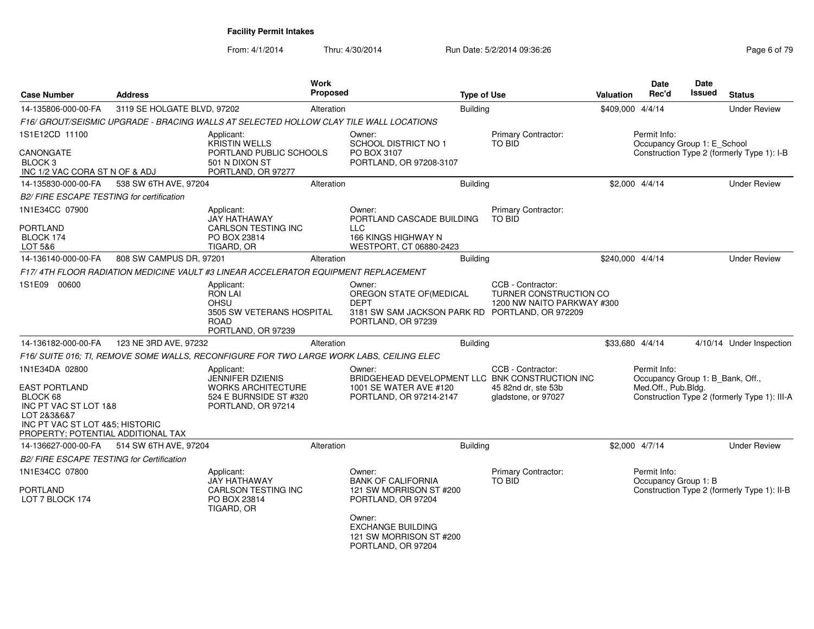| <b>Case Number</b>                                                                                            | <b>Address</b>              |                                                                                                               | Work<br><b>Proposed</b> |                                                                                                                                                                             | <b>Type of Use</b> |                                                                           | <b>Valuation</b> | <b>Date</b><br>Rec'd                                                    | <b>Date</b><br><b>Issued</b> | <b>Status</b>                                |
|---------------------------------------------------------------------------------------------------------------|-----------------------------|---------------------------------------------------------------------------------------------------------------|-------------------------|-----------------------------------------------------------------------------------------------------------------------------------------------------------------------------|--------------------|---------------------------------------------------------------------------|------------------|-------------------------------------------------------------------------|------------------------------|----------------------------------------------|
| 14-135806-000-00-FA                                                                                           | 3119 SE HOLGATE BLVD, 97202 |                                                                                                               | Alteration              |                                                                                                                                                                             | Building           |                                                                           | \$409,000 4/4/14 |                                                                         |                              | <b>Under Review</b>                          |
|                                                                                                               |                             | F16/ GROUT/SEISMIC UPGRADE - BRACING WALLS AT SELECTED HOLLOW CLAY TILE WALL LOCATIONS                        |                         |                                                                                                                                                                             |                    |                                                                           |                  |                                                                         |                              |                                              |
| 1S1E12CD 11100                                                                                                |                             | Applicant:<br>KRISTIN WELLS                                                                                   |                         | Owner:<br>SCHOOL DISTRICT NO 1                                                                                                                                              |                    | Primary Contractor:<br>TO BID                                             |                  | Permit Info:<br>Occupancy Group 1: E_School                             |                              |                                              |
| CANONGATE<br>BLOCK <sub>3</sub><br>INC 1/2 VAC CORA ST N OF & ADJ                                             |                             | PORTLAND PUBLIC SCHOOLS<br>501 N DIXON ST<br>PORTLAND, OR 97277                                               |                         | PO BOX 3107<br>PORTLAND, OR 97208-3107                                                                                                                                      |                    |                                                                           |                  |                                                                         |                              | Construction Type 2 (formerly Type 1): I-B   |
| 14-135830-000-00-FA                                                                                           | 538 SW 6TH AVE, 97204       |                                                                                                               | Alteration              |                                                                                                                                                                             | <b>Building</b>    |                                                                           |                  | \$2,000 4/4/14                                                          |                              | <b>Under Review</b>                          |
| B2/ FIRE ESCAPE TESTING for certification                                                                     |                             |                                                                                                               |                         |                                                                                                                                                                             |                    |                                                                           |                  |                                                                         |                              |                                              |
| 1N1E34CC 07900                                                                                                |                             | Applicant:<br>JAY HATHAWAY                                                                                    |                         | Owner:<br>PORTLAND CASCADE BUILDING                                                                                                                                         |                    | Primary Contractor:<br><b>TO BID</b>                                      |                  |                                                                         |                              |                                              |
| <b>PORTLAND</b><br>BLOCK 174<br>LOT 5&6                                                                       |                             | CARLSON TESTING INC<br>PO BOX 23814<br>TIGARD, OR                                                             |                         | <b>LLC</b><br>166 KINGS HIGHWAY N<br>WESTPORT, CT 06880-2423                                                                                                                |                    |                                                                           |                  |                                                                         |                              |                                              |
| 14-136140-000-00-FA                                                                                           | 808 SW CAMPUS DR, 97201     |                                                                                                               | Alteration              |                                                                                                                                                                             | <b>Building</b>    |                                                                           | \$240,000 4/4/14 |                                                                         |                              | <b>Under Review</b>                          |
|                                                                                                               |                             | F17/4TH FLOOR RADIATION MEDICINE VAULT #3 LINEAR ACCELERATOR EQUIPMENT REPLACEMENT                            |                         |                                                                                                                                                                             |                    |                                                                           |                  |                                                                         |                              |                                              |
| 1S1E09 00600                                                                                                  |                             | Applicant:<br><b>RON LAI</b><br><b>OHSU</b><br>3505 SW VETERANS HOSPITAL<br><b>ROAD</b><br>PORTLAND, OR 97239 |                         | Owner:<br>OREGON STATE OF (MEDICAL<br><b>DEPT</b><br>3181 SW SAM JACKSON PARK RD PORTLAND, OR 972209<br>PORTLAND, OR 97239                                                  |                    | CCB - Contractor:<br>TURNER CONSTRUCTION CO<br>1200 NW NAITO PARKWAY #300 |                  |                                                                         |                              |                                              |
| 14-136182-000-00-FA                                                                                           | 123 NE 3RD AVE, 97232       |                                                                                                               | Alteration              |                                                                                                                                                                             | <b>Building</b>    |                                                                           | \$33,680 4/4/14  |                                                                         |                              | 4/10/14 Under Inspection                     |
|                                                                                                               |                             | F16/ SUITE 016; TI, REMOVE SOME WALLS, RECONFIGURE FOR TWO LARGE WORK LABS, CEILING ELEC                      |                         |                                                                                                                                                                             |                    |                                                                           |                  |                                                                         |                              |                                              |
| 1N1E34DA 02800<br><b>EAST PORTLAND</b><br>BLOCK 68                                                            |                             | Applicant:<br><b>JENNIFER DZIENIS</b><br>WORKS ARCHITECTURE<br>524 E BURNSIDE ST #320                         |                         | Owner:<br>BRIDGEHEAD DEVELOPMENT LLC BNK CONSTRUCTION INC<br>1001 SE WATER AVE #120<br>PORTLAND, OR 97214-2147                                                              |                    | CCB - Contractor:<br>45 82nd dr. ste 53b<br>gladstone, or 97027           |                  | Permit Info:<br>Occupancy Group 1: B_Bank, Off.,<br>Med.Off., Pub.Bldg. |                              | Construction Type 2 (formerly Type 1): III-A |
| INC PT VAC ST LOT 1&8<br>LOT 2&3&6&7<br>INC PT VAC ST LOT 4&5; HISTORIC<br>PROPERTY; POTENTIAL ADDITIONAL TAX |                             | PORTLAND, OR 97214                                                                                            |                         |                                                                                                                                                                             |                    |                                                                           |                  |                                                                         |                              |                                              |
| 14-136627-000-00-FA                                                                                           | 514 SW 6TH AVE, 97204       |                                                                                                               | Alteration              |                                                                                                                                                                             | Building           |                                                                           |                  | \$2,000 4/7/14                                                          |                              | <b>Under Review</b>                          |
| B2/ FIRE ESCAPE TESTING for Certification                                                                     |                             |                                                                                                               |                         |                                                                                                                                                                             |                    |                                                                           |                  |                                                                         |                              |                                              |
| 1N1E34CC 07800<br><b>PORTLAND</b><br>LOT 7 BLOCK 174                                                          |                             | Applicant:<br>JAY HATHAWAY<br><b>CARLSON TESTING INC</b><br>PO BOX 23814<br>TIGARD, OR                        |                         | Owner:<br><b>BANK OF CALIFORNIA</b><br>121 SW MORRISON ST #200<br>PORTLAND, OR 97204<br>Owner:<br><b>EXCHANGE BUILDING</b><br>121 SW MORRISON ST #200<br>PORTLAND, OR 97204 |                    | Primary Contractor:<br>TO BID                                             |                  | Permit Info:<br>Occupancy Group 1: B                                    |                              | Construction Type 2 (formerly Type 1): II-B  |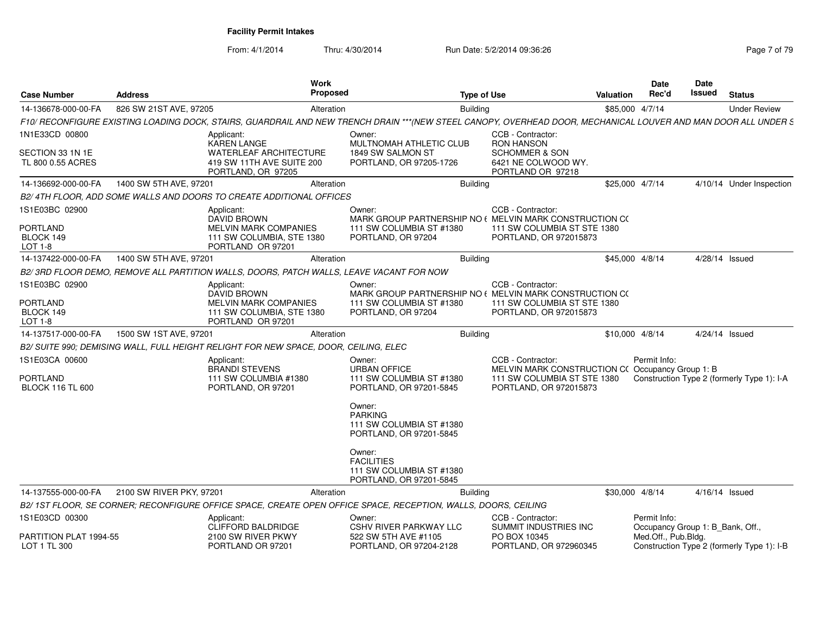From: 4/1/2014

| <b>Case Number</b>                         | <b>Address</b>           | Work<br><b>Proposed</b>                                                                                                                                        |                                                                                    | <b>Type of Use</b>                                                                                       | <b>Valuation</b> | Date<br>Rec'd                                    | Date<br><b>Issued</b> | <b>Status</b>                              |
|--------------------------------------------|--------------------------|----------------------------------------------------------------------------------------------------------------------------------------------------------------|------------------------------------------------------------------------------------|----------------------------------------------------------------------------------------------------------|------------------|--------------------------------------------------|-----------------------|--------------------------------------------|
| 14-136678-000-00-FA                        | 826 SW 21ST AVE, 97205   | Alteration                                                                                                                                                     | <b>Building</b>                                                                    |                                                                                                          |                  | \$85,000 4/7/14                                  |                       | <b>Under Review</b>                        |
|                                            |                          | F10/ RECONFIGURE EXISTING LOADING DOCK, STAIRS, GUARDRAIL AND NEW TRENCH DRAIN ***(NEW STEEL CANOPY, OVERHEAD DOOR, MECHANICAL LOUVER AND MAN DOOR ALL UNDER S |                                                                                    |                                                                                                          |                  |                                                  |                       |                                            |
| 1N1E33CD 00800                             |                          | Applicant:<br><b>KAREN LANGE</b>                                                                                                                               | Owner:<br>MULTNOMAH ATHLETIC CLUB                                                  | CCB - Contractor:<br><b>RON HANSON</b>                                                                   |                  |                                                  |                       |                                            |
| SECTION 33 1N 1E<br>TL 800 0.55 ACRES      |                          | WATERLEAF ARCHITECTURE<br>419 SW 11TH AVE SUITE 200<br>PORTLAND, OR 97205                                                                                      | 1849 SW SALMON ST<br>PORTLAND, OR 97205-1726                                       | <b>SCHOMMER &amp; SON</b><br>6421 NE COLWOOD WY.<br>PORTLAND OR 97218                                    |                  |                                                  |                       |                                            |
| 14-136692-000-00-FA                        | 1400 SW 5TH AVE, 97201   | Alteration                                                                                                                                                     | <b>Building</b>                                                                    |                                                                                                          |                  | \$25,000 4/7/14                                  |                       | 4/10/14 Under Inspection                   |
|                                            |                          | B2/4TH FLOOR, ADD SOME WALLS AND DOORS TO CREATE ADDITIONAL OFFICES                                                                                            |                                                                                    |                                                                                                          |                  |                                                  |                       |                                            |
| 1S1E03BC 02900                             |                          | Applicant:<br><b>DAVID BROWN</b>                                                                                                                               | Owner:<br>MARK GROUP PARTNERSHIP NO (MELVIN MARK CONSTRUCTION CO                   | CCB - Contractor:                                                                                        |                  |                                                  |                       |                                            |
| <b>PORTLAND</b><br>BLOCK 149<br>LOT 1-8    |                          | <b>MELVIN MARK COMPANIES</b><br>111 SW COLUMBIA, STE 1380<br>PORTLAND OR 97201                                                                                 | 111 SW COLUMBIA ST #1380<br>PORTLAND, OR 97204                                     | 111 SW COLUMBIA ST STE 1380<br>PORTLAND, OR 972015873                                                    |                  |                                                  |                       |                                            |
| 14-137422-000-00-FA                        | 1400 SW 5TH AVE, 97201   | Alteration                                                                                                                                                     | <b>Building</b>                                                                    |                                                                                                          |                  | \$45,000 4/8/14                                  |                       | 4/28/14 Issued                             |
|                                            |                          | B2/3RD FLOOR DEMO, REMOVE ALL PARTITION WALLS, DOORS, PATCH WALLS, LEAVE VACANT FOR NOW                                                                        |                                                                                    |                                                                                                          |                  |                                                  |                       |                                            |
| 1S1E03BC 02900                             |                          | Applicant:<br>DAVID BROWN                                                                                                                                      | Owner:<br>MARK GROUP PARTNERSHIP NO (MELVIN MARK CONSTRUCTION CO                   | CCB - Contractor:                                                                                        |                  |                                                  |                       |                                            |
| <b>PORTLAND</b>                            |                          | MELVIN MARK COMPANIES                                                                                                                                          | 111 SW COLUMBIA ST #1380                                                           | 111 SW COLUMBIA ST STE 1380                                                                              |                  |                                                  |                       |                                            |
| BLOCK 149<br>LOT 1-8                       |                          | 111 SW COLUMBIA, STE 1380<br>PORTLAND OR 97201                                                                                                                 | PORTLAND, OR 97204                                                                 | PORTLAND, OR 972015873                                                                                   |                  |                                                  |                       |                                            |
| 14-137517-000-00-FA                        | 1500 SW 1ST AVE, 97201   | Alteration                                                                                                                                                     | <b>Building</b>                                                                    |                                                                                                          |                  | \$10,000 4/8/14                                  |                       | 4/24/14 Issued                             |
|                                            |                          | B2/ SUITE 990; DEMISING WALL, FULL HEIGHT RELIGHT FOR NEW SPACE, DOOR, CEILING, ELEC                                                                           |                                                                                    |                                                                                                          |                  |                                                  |                       |                                            |
| 1S1E03CA 00600                             |                          | Applicant:                                                                                                                                                     | Owner:                                                                             | CCB - Contractor:                                                                                        |                  | Permit Info:                                     |                       |                                            |
| <b>PORTLAND</b><br><b>BLOCK 116 TL 600</b> |                          | <b>BRANDI STEVENS</b><br>111 SW COLUMBIA #1380<br>PORTLAND, OR 97201                                                                                           | <b>URBAN OFFICE</b><br>111 SW COLUMBIA ST #1380<br>PORTLAND, OR 97201-5845         | MELVIN MARK CONSTRUCTION C(Occupancy Group 1: B<br>111 SW COLUMBIA ST STE 1380<br>PORTLAND, OR 972015873 |                  |                                                  |                       | Construction Type 2 (formerly Type 1): I-A |
|                                            |                          |                                                                                                                                                                | Owner:<br><b>PARKING</b><br>111 SW COLUMBIA ST #1380<br>PORTLAND, OR 97201-5845    |                                                                                                          |                  |                                                  |                       |                                            |
|                                            |                          |                                                                                                                                                                | Owner:<br><b>FACILITIES</b><br>111 SW COLUMBIA ST #1380<br>PORTLAND, OR 97201-5845 |                                                                                                          |                  |                                                  |                       |                                            |
| 14-137555-000-00-FA                        | 2100 SW RIVER PKY, 97201 | Alteration                                                                                                                                                     | <b>Building</b>                                                                    |                                                                                                          |                  | \$30,000 4/8/14                                  |                       | 4/16/14 Issued                             |
|                                            |                          | B2/ 1ST FLOOR. SE CORNER: RECONFIGURE OFFICE SPACE. CREATE OPEN OFFICE SPACE. RECEPTION. WALLS. DOORS. CEILING                                                 |                                                                                    |                                                                                                          |                  |                                                  |                       |                                            |
| 1S1E03CD 00300                             |                          | Applicant:<br><b>CLIFFORD BALDRIDGE</b>                                                                                                                        | Owner:<br><b>CSHV RIVER PARKWAY LLC</b>                                            | CCB - Contractor:<br>SUMMIT INDUSTRIES INC                                                               |                  | Permit Info:<br>Occupancy Group 1: B Bank, Off., |                       |                                            |
| PARTITION PLAT 1994-55<br>LOT 1 TL 300     |                          | 2100 SW RIVER PKWY<br>PORTLAND OR 97201                                                                                                                        | 522 SW 5TH AVE #1105<br>PORTLAND, OR 97204-2128                                    | PO BOX 10345<br>PORTLAND, OR 972960345                                                                   |                  | Med.Off., Pub.Bldg.                              |                       | Construction Type 2 (formerly Type 1): I-B |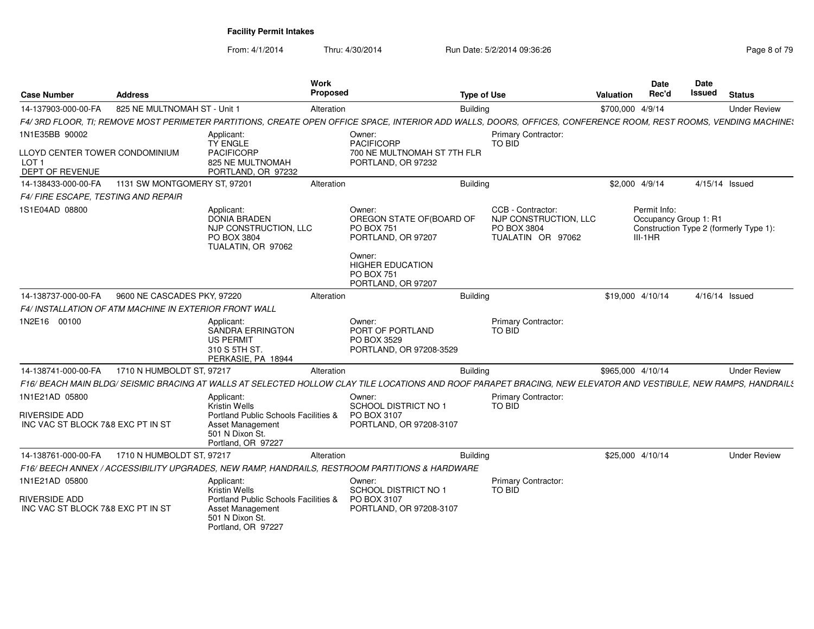From: 4/1/2014

| <b>Case Number</b>                                                    | <b>Address</b>                                                |                                                                                                   | <b>Work</b><br>Proposed |                                                                                                                                                                 | <b>Type of Use</b> |                                                                                | <b>Valuation</b>  | <b>Date</b><br>Rec'd                               | Date<br><b>Issued</b> | <b>Status</b>                          |
|-----------------------------------------------------------------------|---------------------------------------------------------------|---------------------------------------------------------------------------------------------------|-------------------------|-----------------------------------------------------------------------------------------------------------------------------------------------------------------|--------------------|--------------------------------------------------------------------------------|-------------------|----------------------------------------------------|-----------------------|----------------------------------------|
| 14-137903-000-00-FA                                                   | 825 NE MULTNOMAH ST - Unit 1                                  |                                                                                                   | Alteration              |                                                                                                                                                                 | Buildina           |                                                                                | \$700,000 4/9/14  |                                                    |                       | <b>Under Review</b>                    |
|                                                                       |                                                               |                                                                                                   |                         | F4/3RD FLOOR, TI; REMOVE MOST PERIMETER PARTITIONS, CREATE OPEN OFFICE SPACE, INTERIOR ADD WALLS, DOORS, OFFICES, CONFERENCE ROOM, REST ROOMS, VENDING MACHINE: |                    |                                                                                |                   |                                                    |                       |                                        |
| 1N1E35BB 90002                                                        |                                                               | Applicant:<br><b>TY ENGLE</b>                                                                     |                         | Owner:<br><b>PACIFICORP</b>                                                                                                                                     |                    | <b>Primary Contractor:</b><br><b>TO BID</b>                                    |                   |                                                    |                       |                                        |
| LLOYD CENTER TOWER CONDOMINIUM<br>LOT <sub>1</sub><br>DEPT OF REVENUE |                                                               | <b>PACIFICORP</b><br>825 NE MULTNOMAH<br>PORTLAND, OR 97232                                       |                         | 700 NE MULTNOMAH ST 7TH FLR<br>PORTLAND, OR 97232                                                                                                               |                    |                                                                                |                   |                                                    |                       |                                        |
| 14-138433-000-00-FA                                                   | 1131 SW MONTGOMERY ST, 97201                                  |                                                                                                   | Alteration              |                                                                                                                                                                 | <b>Building</b>    |                                                                                | \$2,000 4/9/14    |                                                    | 4/15/14 Issued        |                                        |
| F4/ FIRE ESCAPE, TESTING AND REPAIR                                   |                                                               |                                                                                                   |                         |                                                                                                                                                                 |                    |                                                                                |                   |                                                    |                       |                                        |
| 1S1E04AD 08800                                                        |                                                               | Applicant:<br><b>DONIA BRADEN</b><br>NJP CONSTRUCTION, LLC<br>PO BOX 3804<br>TUALATIN, OR 97062   |                         | Owner:<br>OREGON STATE OF (BOARD OF<br><b>PO BOX 751</b><br>PORTLAND, OR 97207                                                                                  |                    | CCB - Contractor:<br>NJP CONSTRUCTION, LLC<br>PO BOX 3804<br>TUALATIN OR 97062 |                   | Permit Info:<br>Occupancy Group 1: R1<br>$III-1HR$ |                       | Construction Type 2 (formerly Type 1): |
|                                                                       |                                                               |                                                                                                   |                         | Owner:<br><b>HIGHER EDUCATION</b><br><b>PO BOX 751</b><br>PORTLAND, OR 97207                                                                                    |                    |                                                                                |                   |                                                    |                       |                                        |
| 14-138737-000-00-FA                                                   | 9600 NE CASCADES PKY, 97220                                   |                                                                                                   | Alteration              |                                                                                                                                                                 | Building           |                                                                                | \$19,000 4/10/14  |                                                    | 4/16/14 Issued        |                                        |
|                                                                       | <b>F4/ INSTALLATION OF ATM MACHINE IN EXTERIOR FRONT WALL</b> |                                                                                                   |                         |                                                                                                                                                                 |                    |                                                                                |                   |                                                    |                       |                                        |
| 1N2E16 00100                                                          |                                                               | Applicant:<br><b>SANDRA ERRINGTON</b><br><b>US PERMIT</b><br>310 S 5TH ST.<br>PERKASIE, PA 18944  |                         | Owner:<br>PORT OF PORTLAND<br>PO BOX 3529<br>PORTLAND, OR 97208-3529                                                                                            |                    | Primary Contractor:<br>TO BID                                                  |                   |                                                    |                       |                                        |
| 14-138741-000-00-FA                                                   | 1710 N HUMBOLDT ST, 97217                                     |                                                                                                   | Alteration              |                                                                                                                                                                 | <b>Building</b>    |                                                                                | \$965,000 4/10/14 |                                                    |                       | <b>Under Review</b>                    |
|                                                                       |                                                               |                                                                                                   |                         | F16/BEACH MAIN BLDG/SEISMIC BRACING AT WALLS AT SELECTED HOLLOW CLAY TILE LOCATIONS AND ROOF PARAPET BRACING, NEW ELEVATOR AND VESTIBULE, NEW RAMPS, HANDRAILS  |                    |                                                                                |                   |                                                    |                       |                                        |
| 1N1E21AD 05800                                                        |                                                               | Applicant:<br>Kristin Wells                                                                       |                         | Owner:<br><b>SCHOOL DISTRICT NO 1</b>                                                                                                                           |                    | <b>Primary Contractor:</b><br>TO BID                                           |                   |                                                    |                       |                                        |
| <b>RIVERSIDE ADD</b><br>INC VAC ST BLOCK 7&8 EXC PT IN ST             |                                                               | Portland Public Schools Facilities &<br>Asset Management<br>501 N Dixon St.<br>Portland, OR 97227 |                         | PO BOX 3107<br>PORTLAND, OR 97208-3107                                                                                                                          |                    |                                                                                |                   |                                                    |                       |                                        |
| 14-138761-000-00-FA                                                   | 1710 N HUMBOLDT ST, 97217                                     |                                                                                                   | Alteration              |                                                                                                                                                                 | <b>Building</b>    |                                                                                | \$25,000 4/10/14  |                                                    |                       | <b>Under Review</b>                    |
|                                                                       |                                                               |                                                                                                   |                         | F16/ BEECH ANNEX / ACCESSIBILITY UPGRADES, NEW RAMP, HANDRAILS, RESTROOM PARTITIONS & HARDWARE                                                                  |                    |                                                                                |                   |                                                    |                       |                                        |
| 1N1E21AD 05800                                                        |                                                               | Applicant:<br><b>Kristin Wells</b>                                                                |                         | Owner:<br>SCHOOL DISTRICT NO 1                                                                                                                                  |                    | <b>Primary Contractor:</b><br>TO BID                                           |                   |                                                    |                       |                                        |
| RIVERSIDE ADD<br>INC VAC ST BLOCK 7&8 EXC PT IN ST                    |                                                               | Portland Public Schools Facilities &<br>Asset Management<br>501 N Dixon St.<br>Portland, OR 97227 |                         | PO BOX 3107<br>PORTLAND, OR 97208-3107                                                                                                                          |                    |                                                                                |                   |                                                    |                       |                                        |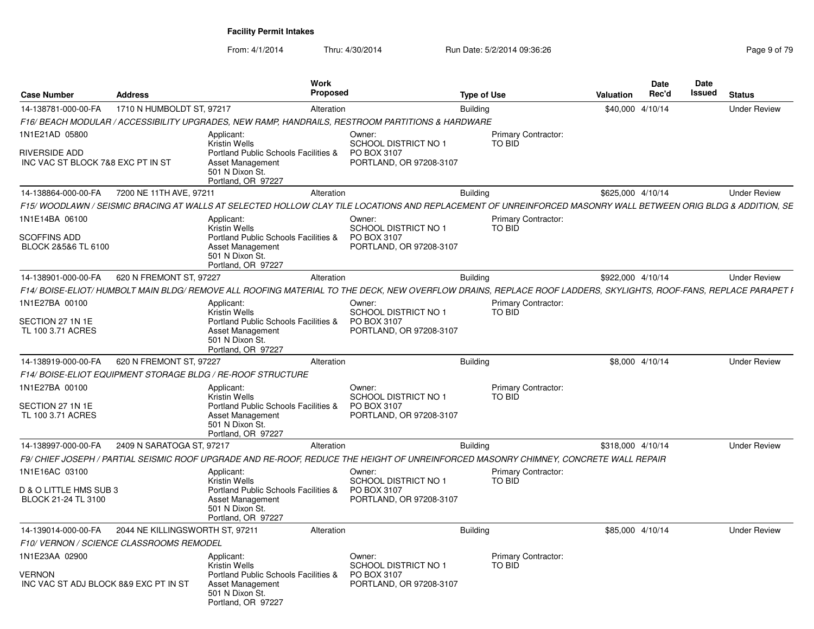| <b>Case Number</b>                                     | <b>Address</b>                          |                                                                                                                                                                  | Work<br>Proposed |                                                                       | <b>Type of Use</b> |                                      | <b>Valuation</b>  | <b>Date</b><br>Rec'd | <b>Date</b><br><b>Issued</b> | <b>Status</b>       |
|--------------------------------------------------------|-----------------------------------------|------------------------------------------------------------------------------------------------------------------------------------------------------------------|------------------|-----------------------------------------------------------------------|--------------------|--------------------------------------|-------------------|----------------------|------------------------------|---------------------|
| 14-138781-000-00-FA                                    | 1710 N HUMBOLDT ST, 97217               |                                                                                                                                                                  | Alteration       |                                                                       | <b>Building</b>    |                                      | \$40,000 4/10/14  |                      |                              | <b>Under Review</b> |
|                                                        |                                         | F16/ BEACH MODULAR / ACCESSIBILITY UPGRADES, NEW RAMP, HANDRAILS, RESTROOM PARTITIONS & HARDWARE                                                                 |                  |                                                                       |                    |                                      |                   |                      |                              |                     |
| 1N1E21AD 05800<br><b>RIVERSIDE ADD</b>                 |                                         | Applicant:<br><b>Kristin Wells</b><br>Portland Public Schools Facilities &                                                                                       |                  | Owner:<br><b>SCHOOL DISTRICT NO 1</b><br>PO BOX 3107                  |                    | <b>Primary Contractor:</b><br>TO BID |                   |                      |                              |                     |
| INC VAC ST BLOCK 7&8 EXC PT IN ST                      |                                         | <b>Asset Management</b><br>501 N Dixon St.<br>Portland, OR 97227                                                                                                 |                  | PORTLAND, OR 97208-3107                                               |                    |                                      |                   |                      |                              |                     |
| 14-138864-000-00-FA                                    | 7200 NE 11TH AVE, 97211                 |                                                                                                                                                                  | Alteration       |                                                                       | <b>Building</b>    |                                      | \$625,000 4/10/14 |                      |                              | <b>Under Review</b> |
|                                                        |                                         | F15/ WOODLAWN / SEISMIC BRACING AT WALLS AT SELECTED HOLLOW CLAY TILE LOCATIONS AND REPLACEMENT OF UNREINFORCED MASONRY WALL BETWEEN ORIG BLDG & ADDITION. SE    |                  |                                                                       |                    |                                      |                   |                      |                              |                     |
| 1N1E14BA 06100                                         |                                         | Applicant:<br><b>Kristin Wells</b>                                                                                                                               |                  | Owner:<br>SCHOOL DISTRICT NO 1                                        |                    | <b>Primary Contractor:</b><br>TO BID |                   |                      |                              |                     |
| <b>SCOFFINS ADD</b><br>BLOCK 2&5&6 TL 6100             |                                         | <b>Portland Public Schools Facilities &amp;</b><br><b>Asset Management</b><br>501 N Dixon St.<br>Portland, OR 97227                                              |                  | PO BOX 3107<br>PORTLAND, OR 97208-3107                                |                    |                                      |                   |                      |                              |                     |
| 14-138901-000-00-FA                                    | 620 N FREMONT ST, 97227                 |                                                                                                                                                                  | Alteration       |                                                                       | <b>Building</b>    |                                      | \$922,000 4/10/14 |                      |                              | <b>Under Review</b> |
|                                                        |                                         | F14/ BOISE-ELIOT/ HUMBOLT MAIN BLDG/ REMOVE ALL ROOFING MATERIAL TO THE DECK, NEW OVERFLOW DRAINS, REPLACE ROOF LADDERS, SKYLIGHTS, ROOF-FANS, REPLACE PARAPET I |                  |                                                                       |                    |                                      |                   |                      |                              |                     |
| 1N1E27BA 00100                                         |                                         | Applicant:<br><b>Kristin Wells</b>                                                                                                                               |                  | Owner:<br>SCHOOL DISTRICT NO 1                                        |                    | <b>Primary Contractor:</b><br>TO BID |                   |                      |                              |                     |
| SECTION 27 1N 1E<br>TL 100 3.71 ACRES                  |                                         | Portland Public Schools Facilities &<br>Asset Management<br>501 N Dixon St.<br>Portland, OR 97227                                                                |                  | PO BOX 3107<br>PORTLAND, OR 97208-3107                                |                    |                                      |                   |                      |                              |                     |
| 14-138919-000-00-FA                                    | 620 N FREMONT ST, 97227                 |                                                                                                                                                                  | Alteration       |                                                                       | <b>Building</b>    |                                      | \$8,000 4/10/14   |                      |                              | <b>Under Review</b> |
|                                                        |                                         | F14/ BOISE-ELIOT EQUIPMENT STORAGE BLDG / RE-ROOF STRUCTURE                                                                                                      |                  |                                                                       |                    |                                      |                   |                      |                              |                     |
| 1N1E27BA 00100                                         |                                         | Applicant:                                                                                                                                                       |                  | Owner:                                                                |                    | <b>Primary Contractor:</b>           |                   |                      |                              |                     |
| SECTION 27 1N 1E<br>TL 100 3.71 ACRES                  |                                         | <b>Kristin Wells</b><br>Portland Public Schools Facilities &<br>Asset Management<br>501 N Dixon St.<br>Portland, OR 97227                                        |                  | <b>SCHOOL DISTRICT NO 1</b><br>PO BOX 3107<br>PORTLAND, OR 97208-3107 |                    | TO BID                               |                   |                      |                              |                     |
| 14-138997-000-00-FA                                    | 2409 N SARATOGA ST. 97217               |                                                                                                                                                                  | Alteration       |                                                                       | <b>Building</b>    |                                      | \$318,000 4/10/14 |                      |                              | <b>Under Review</b> |
|                                                        |                                         | F9/ CHIEF JOSEPH / PARTIAL SEISMIC ROOF UPGRADE AND RE-ROOF. REDUCE THE HEIGHT OF UNREINFORCED MASONRY CHIMNEY, CONCRETE WALL REPAIR                             |                  |                                                                       |                    |                                      |                   |                      |                              |                     |
| 1N1E16AC 03100                                         |                                         | Applicant:<br><b>Kristin Wells</b>                                                                                                                               |                  | Owner:<br><b>SCHOOL DISTRICT NO 1</b>                                 |                    | <b>Primary Contractor:</b><br>TO BID |                   |                      |                              |                     |
| D & O LITTLE HMS SUB 3<br>BLOCK 21-24 TL 3100          |                                         | Portland Public Schools Facilities &<br><b>Asset Management</b><br>501 N Dixon St.<br>Portland, OR 97227                                                         |                  | PO BOX 3107<br>PORTLAND, OR 97208-3107                                |                    |                                      |                   |                      |                              |                     |
| 14-139014-000-00-FA                                    | 2044 NE KILLINGSWORTH ST. 97211         |                                                                                                                                                                  | Alteration       |                                                                       | <b>Building</b>    |                                      | \$85,000 4/10/14  |                      |                              | <b>Under Review</b> |
|                                                        | F10/VERNON / SCIENCE CLASSROOMS REMODEL |                                                                                                                                                                  |                  |                                                                       |                    |                                      |                   |                      |                              |                     |
| 1N1E23AA 02900                                         |                                         | Applicant:<br><b>Kristin Wells</b>                                                                                                                               |                  | Owner:<br><b>SCHOOL DISTRICT NO 1</b>                                 |                    | Primary Contractor:<br>TO BID        |                   |                      |                              |                     |
| <b>VERNON</b><br>INC VAC ST ADJ BLOCK 8&9 EXC PT IN ST |                                         | Portland Public Schools Facilities &<br><b>Asset Management</b><br>501 N Dixon St.<br>Portland, OR 97227                                                         |                  | PO BOX 3107<br>PORTLAND, OR 97208-3107                                |                    |                                      |                   |                      |                              |                     |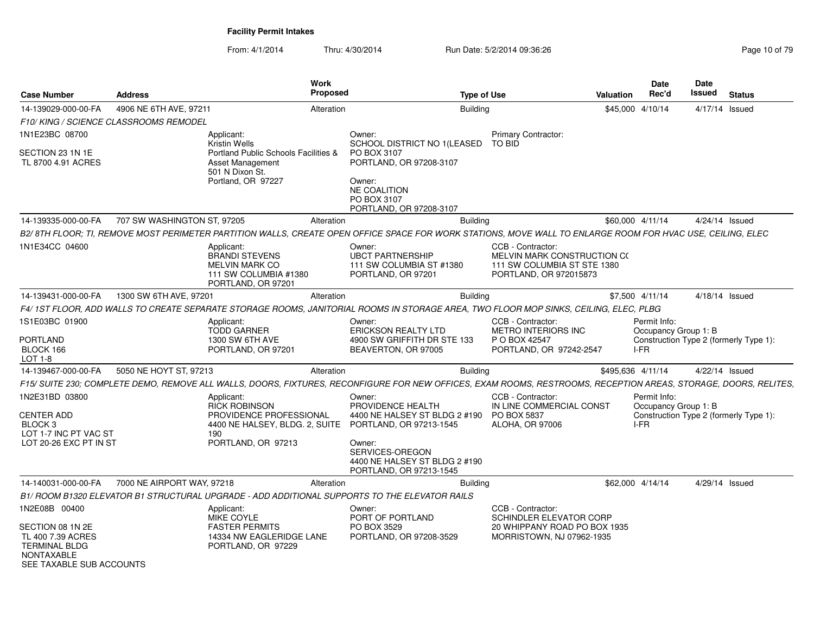| <b>Case Number</b>                                                                                             | <b>Address</b>              | <b>Work</b><br>Proposed                                                                                                                                         |                                                                                                                                                                                  | <b>Type of Use</b>                                                                                        | Valuation         | <b>Date</b><br>Rec'd                         | <b>Date</b><br><b>Issued</b> | <b>Status</b>                          |
|----------------------------------------------------------------------------------------------------------------|-----------------------------|-----------------------------------------------------------------------------------------------------------------------------------------------------------------|----------------------------------------------------------------------------------------------------------------------------------------------------------------------------------|-----------------------------------------------------------------------------------------------------------|-------------------|----------------------------------------------|------------------------------|----------------------------------------|
| 14-139029-000-00-FA                                                                                            | 4906 NE 6TH AVE, 97211      | Alteration                                                                                                                                                      |                                                                                                                                                                                  | <b>Building</b>                                                                                           | \$45,000          | 4/10/14                                      | 4/17/14 Issued               |                                        |
| F10/KING / SCIENCE CLASSROOMS REMODEL                                                                          |                             |                                                                                                                                                                 |                                                                                                                                                                                  |                                                                                                           |                   |                                              |                              |                                        |
| 1N1E23BC 08700                                                                                                 |                             | Applicant:<br>Kristin Wells                                                                                                                                     | Owner:<br>SCHOOL DISTRICT NO 1(LEASED                                                                                                                                            | Primary Contractor:<br><b>TO BID</b>                                                                      |                   |                                              |                              |                                        |
| SECTION 23 1N 1E<br>TL 8700 4.91 ACRES                                                                         |                             | Portland Public Schools Facilities &<br>Asset Management<br>501 N Dixon St.<br>Portland, OR 97227                                                               | PO BOX 3107<br>PORTLAND, OR 97208-3107<br>Owner:<br><b>NE COALITION</b><br>PO BOX 3107<br>PORTLAND, OR 97208-3107                                                                |                                                                                                           |                   |                                              |                              |                                        |
| 14-139335-000-00-FA                                                                                            | 707 SW WASHINGTON ST, 97205 | Alteration                                                                                                                                                      | <b>Building</b>                                                                                                                                                                  |                                                                                                           | \$60,000 4/11/14  |                                              |                              | 4/24/14 Issued                         |
|                                                                                                                |                             | B2/8TH FLOOR; TI, REMOVE MOST PERIMETER PARTITION WALLS, CREATE OPEN OFFICE SPACE FOR WORK STATIONS, MOVE WALL TO ENLARGE ROOM FOR HVAC USE, CEILING, ELEC      |                                                                                                                                                                                  |                                                                                                           |                   |                                              |                              |                                        |
| 1N1E34CC 04600                                                                                                 |                             | Applicant:<br><b>BRANDI STEVENS</b><br><b>MELVIN MARK CO</b><br>111 SW COLUMBIA #1380<br>PORTLAND, OR 97201                                                     | Owner:<br><b>UBCT PARTNERSHIP</b><br>111 SW COLUMBIA ST #1380<br>PORTLAND, OR 97201                                                                                              | CCB - Contractor:<br>MELVIN MARK CONSTRUCTION CO<br>111 SW COLUMBIA ST STE 1380<br>PORTLAND, OR 972015873 |                   |                                              |                              |                                        |
| 14-139431-000-00-FA                                                                                            | 1300 SW 6TH AVE, 97201      | Alteration                                                                                                                                                      |                                                                                                                                                                                  | <b>Building</b>                                                                                           |                   | \$7,500 4/11/14                              | 4/18/14 Issued               |                                        |
|                                                                                                                |                             | F4/ 1ST FLOOR, ADD WALLS TO CREATE SEPARATE STORAGE ROOMS, JANITORIAL ROOMS IN STORAGE AREA, TWO FLOOR MOP SINKS, CEILING, ELEC, PLBG                           |                                                                                                                                                                                  |                                                                                                           |                   |                                              |                              |                                        |
| 1S1E03BC 01900<br><b>PORTLAND</b><br>BLOCK 166                                                                 |                             | Applicant:<br><b>TODD GARNER</b><br><b>1300 SW 6TH AVE</b><br>PORTLAND, OR 97201                                                                                | Owner:<br><b>ERICKSON REALTY LTD</b><br>4900 SW GRIFFITH DR STE 133<br>BEAVERTON, OR 97005                                                                                       | CCB - Contractor:<br><b>METRO INTERIORS INC</b><br>P O BOX 42547<br>PORTLAND, OR 97242-2547               |                   | Permit Info:<br>Occupancy Group 1: B<br>I-FR |                              | Construction Type 2 (formerly Type 1): |
| LOT 1-8                                                                                                        |                             |                                                                                                                                                                 |                                                                                                                                                                                  |                                                                                                           |                   |                                              |                              |                                        |
| 14-139467-000-00-FA                                                                                            | 5050 NE HOYT ST, 97213      | Alteration                                                                                                                                                      |                                                                                                                                                                                  | <b>Building</b>                                                                                           | \$495,636 4/11/14 |                                              |                              | 4/22/14 Issued                         |
|                                                                                                                |                             | F15/ SUITE 230; COMPLETE DEMO, REMOVE ALL WALLS, DOORS, FIXTURES, RECONFIGURE FOR NEW OFFICES, EXAM ROOMS, RESTROOMS, RECEPTION AREAS, STORAGE, DOORS, RELITES, |                                                                                                                                                                                  |                                                                                                           |                   |                                              |                              |                                        |
| 1N2E31BD 03800<br><b>CENTER ADD</b><br>BLOCK <sub>3</sub><br>LOT 1-7 INC PT VAC ST<br>LOT 20-26 EXC PT IN ST   |                             | Applicant:<br><b>RICK ROBINSON</b><br>PROVIDENCE PROFESSIONAL<br>4400 NE HALSEY, BLDG. 2, SUITE<br>190<br>PORTLAND, OR 97213                                    | Owner:<br>PROVIDENCE HEALTH<br>4400 NE HALSEY ST BLDG 2 #190<br>PORTLAND, OR 97213-1545<br>Owner:<br>SERVICES-OREGON<br>4400 NE HALSEY ST BLDG 2 #190<br>PORTLAND, OR 97213-1545 | CCB - Contractor:<br>IN LINE COMMERCIAL CONST<br>PO BOX 5837<br><b>ALOHA, OR 97006</b>                    |                   | Permit Info:<br>Occupancy Group 1: B<br>I-FR |                              | Construction Type 2 (formerly Type 1): |
| 14-140031-000-00-FA                                                                                            | 7000 NE AIRPORT WAY, 97218  | Alteration                                                                                                                                                      | <b>Building</b>                                                                                                                                                                  |                                                                                                           |                   | \$62,000 4/14/14                             |                              | 4/29/14 Issued                         |
|                                                                                                                |                             | B1/ ROOM B1320 ELEVATOR B1 STRUCTURAL UPGRADE - ADD ADDITIONAL SUPPORTS TO THE ELEVATOR RAILS                                                                   |                                                                                                                                                                                  |                                                                                                           |                   |                                              |                              |                                        |
| 1N2E08B 00400                                                                                                  |                             | Applicant:<br>MIKE COYLE<br><b>FASTER PERMITS</b>                                                                                                               | Owner:<br>PORT OF PORTLAND<br>PO BOX 3529                                                                                                                                        | CCB - Contractor:<br>SCHINDLER ELEVATOR CORP                                                              |                   |                                              |                              |                                        |
| SECTION 08 1N 2E<br>TL 400 7.39 ACRES<br><b>TERMINAL BLDG</b><br><b>NONTAXABLE</b><br>SEE TAXABLE SUB ACCOUNTS |                             | 14334 NW EAGLERIDGE LANE<br>PORTLAND, OR 97229                                                                                                                  | PORTLAND, OR 97208-3529                                                                                                                                                          | 20 WHIPPANY ROAD PO BOX 1935<br>MORRISTOWN, NJ 07962-1935                                                 |                   |                                              |                              |                                        |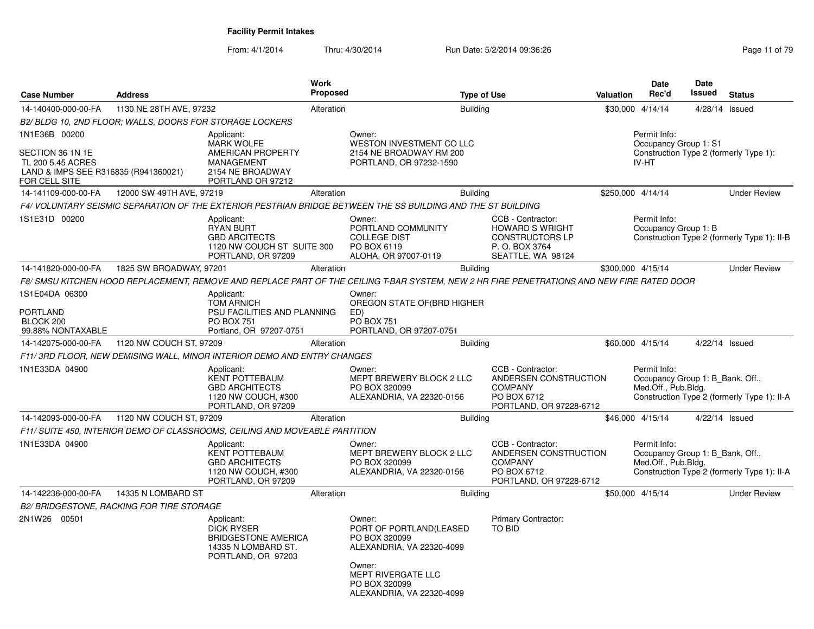| 1130 NE 28TH AVE, 97232<br>B2/ BLDG 10, 2ND FLOOR; WALLS, DOORS FOR STORAGE LOCKERS |                                                                                                           | Alteration                                                                                                                                             |                                                                                            |                                                                                                                                                                         |                                                                                                                                                                                                                                                                                         |                                                                                                                                                                                                             |                                                                                                      |                                                                                                                                                             |                                                                                                                                                                                                                                                                                                                                                                                                                                                                                                                     |
|-------------------------------------------------------------------------------------|-----------------------------------------------------------------------------------------------------------|--------------------------------------------------------------------------------------------------------------------------------------------------------|--------------------------------------------------------------------------------------------|-------------------------------------------------------------------------------------------------------------------------------------------------------------------------|-----------------------------------------------------------------------------------------------------------------------------------------------------------------------------------------------------------------------------------------------------------------------------------------|-------------------------------------------------------------------------------------------------------------------------------------------------------------------------------------------------------------|------------------------------------------------------------------------------------------------------|-------------------------------------------------------------------------------------------------------------------------------------------------------------|---------------------------------------------------------------------------------------------------------------------------------------------------------------------------------------------------------------------------------------------------------------------------------------------------------------------------------------------------------------------------------------------------------------------------------------------------------------------------------------------------------------------|
|                                                                                     |                                                                                                           |                                                                                                                                                        |                                                                                            | <b>Building</b>                                                                                                                                                         |                                                                                                                                                                                                                                                                                         |                                                                                                                                                                                                             | \$30,000 4/14/14                                                                                     | 4/28/14 Issued                                                                                                                                              |                                                                                                                                                                                                                                                                                                                                                                                                                                                                                                                     |
|                                                                                     |                                                                                                           |                                                                                                                                                        |                                                                                            |                                                                                                                                                                         |                                                                                                                                                                                                                                                                                         |                                                                                                                                                                                                             |                                                                                                      |                                                                                                                                                             |                                                                                                                                                                                                                                                                                                                                                                                                                                                                                                                     |
| LAND & IMPS SEE R316835 (R941360021)                                                | Applicant:<br>MARK WOLFE<br>AMERICAN PROPERTY<br>MANAGEMENT<br>2154 NE BROADWAY<br>PORTLAND OR 97212      |                                                                                                                                                        | Owner:<br>WESTON INVESTMENT CO LLC                                                         |                                                                                                                                                                         |                                                                                                                                                                                                                                                                                         |                                                                                                                                                                                                             | Permit Info:<br>Occupancy Group 1: S1                                                                |                                                                                                                                                             |                                                                                                                                                                                                                                                                                                                                                                                                                                                                                                                     |
|                                                                                     |                                                                                                           | Alteration                                                                                                                                             |                                                                                            |                                                                                                                                                                         |                                                                                                                                                                                                                                                                                         |                                                                                                                                                                                                             |                                                                                                      |                                                                                                                                                             | <b>Under Review</b>                                                                                                                                                                                                                                                                                                                                                                                                                                                                                                 |
|                                                                                     |                                                                                                           |                                                                                                                                                        |                                                                                            |                                                                                                                                                                         |                                                                                                                                                                                                                                                                                         |                                                                                                                                                                                                             |                                                                                                      |                                                                                                                                                             |                                                                                                                                                                                                                                                                                                                                                                                                                                                                                                                     |
|                                                                                     | Applicant:<br><b>RYAN BURT</b><br><b>GBD ARCITECTS</b><br>PORTLAND, OR 97209                              |                                                                                                                                                        | Owner:<br>PORTLAND COMMUNITY<br><b>COLLEGE DIST</b><br>PO BOX 6119<br>ALOHA, OR 97007-0119 |                                                                                                                                                                         | CCB - Contractor:<br><b>HOWARD S WRIGHT</b><br>CONSTRUCTORS LP<br>P.O. BOX 3764<br>SEATTLE, WA 98124                                                                                                                                                                                    |                                                                                                                                                                                                             |                                                                                                      |                                                                                                                                                             |                                                                                                                                                                                                                                                                                                                                                                                                                                                                                                                     |
|                                                                                     |                                                                                                           | Alteration                                                                                                                                             |                                                                                            |                                                                                                                                                                         |                                                                                                                                                                                                                                                                                         |                                                                                                                                                                                                             |                                                                                                      |                                                                                                                                                             | <b>Under Review</b>                                                                                                                                                                                                                                                                                                                                                                                                                                                                                                 |
|                                                                                     |                                                                                                           |                                                                                                                                                        |                                                                                            |                                                                                                                                                                         |                                                                                                                                                                                                                                                                                         |                                                                                                                                                                                                             |                                                                                                      |                                                                                                                                                             |                                                                                                                                                                                                                                                                                                                                                                                                                                                                                                                     |
|                                                                                     | Applicant:<br><b>TOM ARNICH</b>                                                                           |                                                                                                                                                        | Owner:                                                                                     |                                                                                                                                                                         |                                                                                                                                                                                                                                                                                         |                                                                                                                                                                                                             |                                                                                                      |                                                                                                                                                             |                                                                                                                                                                                                                                                                                                                                                                                                                                                                                                                     |
|                                                                                     | <b>PO BOX 751</b><br>Portland, OR 97207-0751                                                              |                                                                                                                                                        | ED)<br><b>PO BOX 751</b><br>PORTLAND, OR 97207-0751                                        |                                                                                                                                                                         |                                                                                                                                                                                                                                                                                         |                                                                                                                                                                                                             |                                                                                                      |                                                                                                                                                             |                                                                                                                                                                                                                                                                                                                                                                                                                                                                                                                     |
|                                                                                     |                                                                                                           | Alteration                                                                                                                                             |                                                                                            |                                                                                                                                                                         |                                                                                                                                                                                                                                                                                         |                                                                                                                                                                                                             |                                                                                                      |                                                                                                                                                             |                                                                                                                                                                                                                                                                                                                                                                                                                                                                                                                     |
|                                                                                     |                                                                                                           |                                                                                                                                                        |                                                                                            |                                                                                                                                                                         |                                                                                                                                                                                                                                                                                         |                                                                                                                                                                                                             |                                                                                                      |                                                                                                                                                             |                                                                                                                                                                                                                                                                                                                                                                                                                                                                                                                     |
|                                                                                     | Applicant:<br><b>KENT POTTEBAUM</b><br><b>GBD ARCHITECTS</b><br>1120 NW COUCH, #300<br>PORTLAND, OR 97209 |                                                                                                                                                        | Owner:<br>PO BOX 320099                                                                    |                                                                                                                                                                         | CCB - Contractor:<br><b>COMPANY</b><br>PO BOX 6712                                                                                                                                                                                                                                      |                                                                                                                                                                                                             |                                                                                                      |                                                                                                                                                             |                                                                                                                                                                                                                                                                                                                                                                                                                                                                                                                     |
|                                                                                     |                                                                                                           | Alteration                                                                                                                                             |                                                                                            |                                                                                                                                                                         |                                                                                                                                                                                                                                                                                         |                                                                                                                                                                                                             |                                                                                                      |                                                                                                                                                             |                                                                                                                                                                                                                                                                                                                                                                                                                                                                                                                     |
|                                                                                     |                                                                                                           |                                                                                                                                                        |                                                                                            |                                                                                                                                                                         |                                                                                                                                                                                                                                                                                         |                                                                                                                                                                                                             |                                                                                                      |                                                                                                                                                             |                                                                                                                                                                                                                                                                                                                                                                                                                                                                                                                     |
|                                                                                     | Applicant:<br><b>KENT POTTEBAUM</b><br><b>GBD ARCHITECTS</b><br>1120 NW COUCH, #300<br>PORTLAND, OR 97209 |                                                                                                                                                        | Owner:<br>PO BOX 320099                                                                    |                                                                                                                                                                         | CCB - Contractor:<br><b>COMPANY</b><br>PO BOX 6712                                                                                                                                                                                                                                      |                                                                                                                                                                                                             |                                                                                                      |                                                                                                                                                             |                                                                                                                                                                                                                                                                                                                                                                                                                                                                                                                     |
| 14335 N LOMBARD ST                                                                  |                                                                                                           | Alteration                                                                                                                                             |                                                                                            |                                                                                                                                                                         |                                                                                                                                                                                                                                                                                         |                                                                                                                                                                                                             |                                                                                                      |                                                                                                                                                             | <b>Under Review</b>                                                                                                                                                                                                                                                                                                                                                                                                                                                                                                 |
|                                                                                     |                                                                                                           |                                                                                                                                                        |                                                                                            |                                                                                                                                                                         |                                                                                                                                                                                                                                                                                         |                                                                                                                                                                                                             |                                                                                                      |                                                                                                                                                             |                                                                                                                                                                                                                                                                                                                                                                                                                                                                                                                     |
|                                                                                     | Applicant:<br>DICK RYSER<br>14335 N LOMBARD ST.<br>PORTLAND, OR 97203                                     |                                                                                                                                                        | Owner:<br>PO BOX 320099<br>Owner:<br>MEPT RIVERGATE LLC                                    |                                                                                                                                                                         | Primary Contractor:<br><b>TO BID</b>                                                                                                                                                                                                                                                    |                                                                                                                                                                                                             |                                                                                                      |                                                                                                                                                             |                                                                                                                                                                                                                                                                                                                                                                                                                                                                                                                     |
|                                                                                     |                                                                                                           | 12000 SW 49TH AVE, 97219<br>1825 SW BROADWAY, 97201<br>1120 NW COUCH ST, 97209<br>1120 NW COUCH ST, 97209<br>B2/ BRIDGESTONE, RACKING FOR TIRE STORAGE | 1120 NW COUCH ST SUITE 300<br>PSU FACILITIES AND PLANNING<br><b>BRIDGESTONE AMERICA</b>    | F11/3RD FLOOR, NEW DEMISING WALL, MINOR INTERIOR DEMO AND ENTRY CHANGES<br>F11/ SUITE 450, INTERIOR DEMO OF CLASSROOMS, CEILING AND MOVEABLE PARTITION<br>PO BOX 320099 | 2154 NE BROADWAY RM 200<br>PORTLAND, OR 97232-1590<br>OREGON STATE OF(BRD HIGHER<br>MEPT BREWERY BLOCK 2 LLC<br>ALEXANDRIA, VA 22320-0156<br>MEPT BREWERY BLOCK 2 LLC<br>ALEXANDRIA, VA 22320-0156<br>PORT OF PORTLAND(LEASED<br>ALEXANDRIA, VA 22320-4099<br>ALEXANDRIA, VA 22320-4099 | <b>Building</b><br>F4/ VOLUNTARY SEISMIC SEPARATION OF THE EXTERIOR PESTRIAN BRIDGE BETWEEN THE SS BUILDING AND THE ST BUILDING<br><b>Building</b><br><b>Building</b><br><b>Building</b><br><b>Building</b> | ANDERSEN CONSTRUCTION<br>PORTLAND, OR 97228-6712<br>ANDERSEN CONSTRUCTION<br>PORTLAND, OR 97228-6712 | IV-HT<br>\$250,000 4/14/14<br>Permit Info:<br>\$300.000 4/15/14<br>\$60,000 4/15/14<br>Permit Info:<br>\$46,000 4/15/14<br>Permit Info:<br>\$50,000 4/15/14 | Construction Type 2 (formerly Type 1):<br>Occupancy Group 1: B<br>Construction Type 2 (formerly Type 1): II-B<br>F8/ SMSU KITCHEN HOOD REPLACEMENT, REMOVE AND REPLACE PART OF THE CEILING T-BAR SYSTEM, NEW 2 HR FIRE PENETRATIONS AND NEW FIRE RATED DOOR<br>4/22/14 Issued<br>Occupancy Group 1: B_Bank, Off.,<br>Med.Off., Pub.Bldg.<br>Construction Type 2 (formerly Type 1): II-A<br>4/22/14 Issued<br>Occupancy Group 1: B_Bank, Off.,<br>Med.Off., Pub.Bldg.<br>Construction Type 2 (formerly Type 1): II-A |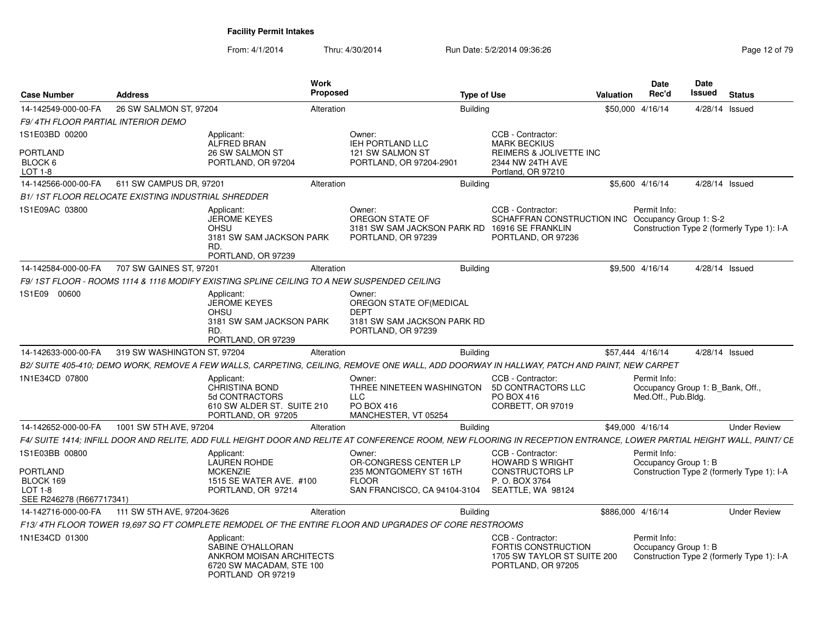| <b>Case Number</b>                                          | <b>Address</b>                                            | <b>Work</b>                                                                                                                                                          | <b>Proposed</b>                                                                         | <b>Type of Use</b> |                                                                                                                                               | Valuation         | <b>Date</b><br>Rec'd                                                    | Date<br><b>Issued</b> | <b>Status</b>                              |
|-------------------------------------------------------------|-----------------------------------------------------------|----------------------------------------------------------------------------------------------------------------------------------------------------------------------|-----------------------------------------------------------------------------------------|--------------------|-----------------------------------------------------------------------------------------------------------------------------------------------|-------------------|-------------------------------------------------------------------------|-----------------------|--------------------------------------------|
| 14-142549-000-00-FA                                         | 26 SW SALMON ST, 97204                                    |                                                                                                                                                                      | Alteration                                                                              | <b>Building</b>    |                                                                                                                                               | \$50,000 4/16/14  |                                                                         | 4/28/14 Issued        |                                            |
| <b>F9/4TH FLOOR PARTIAL INTERIOR DEMO</b>                   |                                                           |                                                                                                                                                                      |                                                                                         |                    |                                                                                                                                               |                   |                                                                         |                       |                                            |
| 1S1E03BD 00200                                              |                                                           | Applicant:<br><b>ALFRED BRAN</b>                                                                                                                                     | Owner:<br><b>IEH PORTLAND LLC</b>                                                       |                    | CCB - Contractor:<br><b>MARK BECKIUS</b>                                                                                                      |                   |                                                                         |                       |                                            |
| <b>PORTLAND</b><br>BLOCK 6<br>LOT 1-8                       |                                                           | 26 SW SALMON ST<br>PORTLAND, OR 97204                                                                                                                                | 121 SW SALMON ST<br>PORTLAND, OR 97204-2901                                             |                    | REIMERS & JOLIVETTE INC<br>2344 NW 24TH AVE<br>Portland, OR 97210                                                                             |                   |                                                                         |                       |                                            |
| 14-142566-000-00-FA                                         | 611 SW CAMPUS DR, 97201                                   |                                                                                                                                                                      | Alteration                                                                              | <b>Building</b>    |                                                                                                                                               |                   | \$5,600 4/16/14                                                         | 4/28/14 Issued        |                                            |
|                                                             | <b>B1/1ST FLOOR RELOCATE EXISTING INDUSTRIAL SHREDDER</b> |                                                                                                                                                                      |                                                                                         |                    |                                                                                                                                               |                   |                                                                         |                       |                                            |
| 1S1E09AC 03800                                              |                                                           | Applicant:<br>JEROME KEYES<br><b>OHSU</b><br>3181 SW SAM JACKSON PARK<br>RD.<br>PORTLAND, OR 97239                                                                   | Owner:<br>OREGON STATE OF<br>PORTLAND, OR 97239                                         |                    | CCB - Contractor:<br>SCHAFFRAN CONSTRUCTION INC Occupancy Group 1: S-2<br>3181 SW SAM JACKSON PARK RD 16916 SE FRANKLIN<br>PORTLAND, OR 97236 |                   | Permit Info:                                                            |                       | Construction Type 2 (formerly Type 1): I-A |
| 14-142584-000-00-FA                                         | 707 SW GAINES ST, 97201                                   |                                                                                                                                                                      | Alteration                                                                              | <b>Building</b>    |                                                                                                                                               |                   | \$9,500 4/16/14                                                         | $4/28/14$ Issued      |                                            |
|                                                             |                                                           | F9/ 1ST FLOOR - ROOMS 1114 & 1116 MODIFY EXISTING SPLINE CEILING TO A NEW SUSPENDED CEILING                                                                          |                                                                                         |                    |                                                                                                                                               |                   |                                                                         |                       |                                            |
| 1S1E09 00600                                                |                                                           | Applicant:<br><b>JEROME KEYES</b><br>OHSU                                                                                                                            | Owner:<br>OREGON STATE OF (MEDICAL<br><b>DEPT</b>                                       |                    |                                                                                                                                               |                   |                                                                         |                       |                                            |
|                                                             |                                                           | 3181 SW SAM JACKSON PARK<br>RD.<br>PORTLAND, OR 97239                                                                                                                | 3181 SW SAM JACKSON PARK RD<br>PORTLAND, OR 97239                                       |                    |                                                                                                                                               |                   |                                                                         |                       |                                            |
| 14-142633-000-00-FA                                         | 319 SW WASHINGTON ST, 97204                               |                                                                                                                                                                      | Alteration                                                                              | <b>Building</b>    |                                                                                                                                               | \$57.444 4/16/14  |                                                                         | 4/28/14 Issued        |                                            |
|                                                             |                                                           | B2/ SUITE 405-410; DEMO WORK, REMOVE A FEW WALLS, CARPETING, CEILING, REMOVE ONE WALL, ADD DOORWAY IN HALLWAY, PATCH AND PAINT, NEW CARPET                           |                                                                                         |                    |                                                                                                                                               |                   |                                                                         |                       |                                            |
| 1N1E34CD 07800                                              |                                                           | Applicant:<br><b>CHRISTINA BOND</b><br>5d CONTRACTORS<br>610 SW ALDER ST. SUITE 210<br>PORTLAND, OR 97205                                                            | Owner:<br>THREE NINETEEN WASHINGTON<br><b>LLC</b><br>PO BOX 416<br>MANCHESTER, VT 05254 |                    | CCB - Contractor:<br>5D CONTRACTORS LLC<br>PO BOX 416<br>CORBETT, OR 97019                                                                    |                   | Permit Info:<br>Occupancy Group 1: B Bank, Off.,<br>Med.Off., Pub.Bldg. |                       |                                            |
| 14-142652-000-00-FA                                         | 1001 SW 5TH AVE, 97204                                    |                                                                                                                                                                      | Alteration                                                                              | <b>Building</b>    |                                                                                                                                               | \$49,000 4/16/14  |                                                                         |                       | <b>Under Review</b>                        |
|                                                             |                                                           | F4/ SUITE 1414; INFILL DOOR AND RELITE, ADD FULL HEIGHT DOOR AND RELITE AT CONFERENCE ROOM, NEW FLOORING IN RECEPTION ENTRANCE, LOWER PARTIAL HEIGHT WALL, PAINT/ CE |                                                                                         |                    |                                                                                                                                               |                   |                                                                         |                       |                                            |
| 1S1E03BB 00800<br><b>PORTLAND</b><br>BLOCK 169<br>$LOT 1-8$ |                                                           | Applicant:<br><b>LAUREN ROHDE</b><br><b>MCKENZIE</b><br>1515 SE WATER AVE. #100                                                                                      | Owner:<br>OR-CONGRESS CENTER LP<br>235 MONTGOMERY ST 16TH<br><b>FLOOR</b>               |                    | CCB - Contractor:<br><b>HOWARD S WRIGHT</b><br><b>CONSTRUCTORS LP</b><br>P. O. BOX 3764                                                       |                   | Permit Info:<br>Occupancy Group 1: B                                    |                       | Construction Type 2 (formerly Type 1): I-A |
| SEE R246278 (R667717341)                                    |                                                           | PORTLAND, OR 97214                                                                                                                                                   | SAN FRANCISCO, CA 94104-3104                                                            |                    | SEATTLE, WA 98124                                                                                                                             |                   |                                                                         |                       |                                            |
| 14-142716-000-00-FA                                         | 111 SW 5TH AVE, 97204-3626                                |                                                                                                                                                                      | Alteration                                                                              | <b>Building</b>    |                                                                                                                                               | \$886,000 4/16/14 |                                                                         |                       | <b>Under Review</b>                        |
|                                                             |                                                           | F13/4TH FLOOR TOWER 19,697 SQ FT COMPLETE REMODEL OF THE ENTIRE FLOOR AND UPGRADES OF CORE RESTROOMS                                                                 |                                                                                         |                    |                                                                                                                                               |                   |                                                                         |                       |                                            |
| 1N1E34CD 01300                                              |                                                           | Applicant:<br>SABINE O'HALLORAN<br>ANKROM MOISAN ARCHITECTS<br>6720 SW MACADAM, STE 100<br>PORTLAND OR 97219                                                         |                                                                                         |                    | CCB - Contractor:<br><b>FORTIS CONSTRUCTION</b><br>1705 SW TAYLOR ST SUITE 200<br>PORTLAND, OR 97205                                          |                   | Permit Info:<br>Occupancy Group 1: B                                    |                       | Construction Type 2 (formerly Type 1): I-A |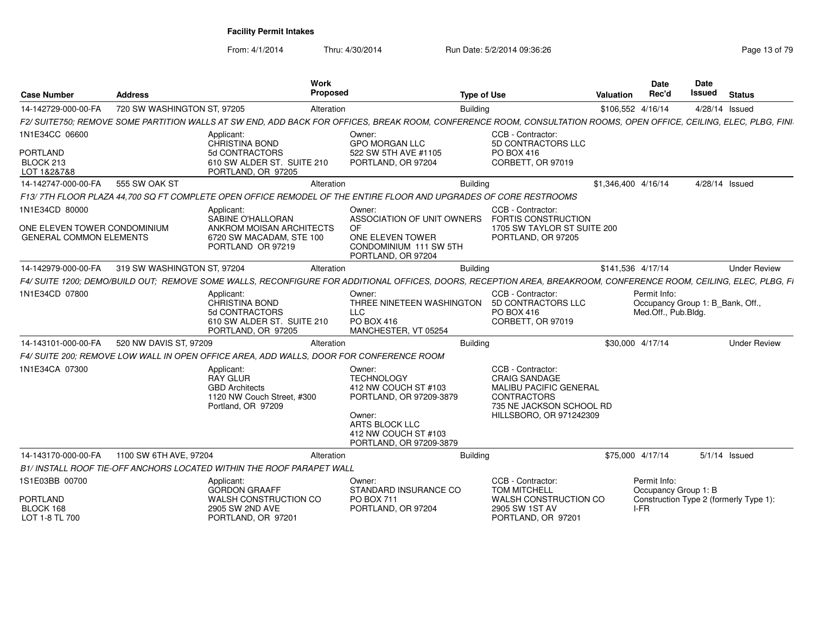| <b>Case Number</b>                                                               | <b>Address</b>              | Work<br><b>Proposed</b>                                                                                                                                            |                                                                                                                                                               | <b>Type of Use</b>                                                                                                                                      | <b>Valuation</b>    | <b>Date</b><br>Rec'd                                                    | <b>Date</b><br><b>Issued</b> | <b>Status</b>                          |
|----------------------------------------------------------------------------------|-----------------------------|--------------------------------------------------------------------------------------------------------------------------------------------------------------------|---------------------------------------------------------------------------------------------------------------------------------------------------------------|---------------------------------------------------------------------------------------------------------------------------------------------------------|---------------------|-------------------------------------------------------------------------|------------------------------|----------------------------------------|
| 14-142729-000-00-FA                                                              | 720 SW WASHINGTON ST, 97205 | Alteration                                                                                                                                                         |                                                                                                                                                               | <b>Building</b>                                                                                                                                         | \$106,552 4/16/14   |                                                                         | 4/28/14 Issued               |                                        |
|                                                                                  |                             | F2/ SUITE750; REMOVE SOME PARTITION WALLS AT SW END, ADD BACK FOR OFFICES, BREAK ROOM, CONFERENCE ROOM, CONSULTATION ROOMS, OPEN OFFICE, CEILING, ELEC, PLBG, FINI |                                                                                                                                                               |                                                                                                                                                         |                     |                                                                         |                              |                                        |
| 1N1E34CC 06600<br><b>PORTLAND</b><br>BLOCK 213<br>LOT 1&2&7&8                    |                             | Applicant:<br><b>CHRISTINA BOND</b><br>5d CONTRACTORS<br>610 SW ALDER ST. SUITE 210<br>PORTLAND, OR 97205                                                          | Owner:<br><b>GPO MORGAN LLC</b><br>522 SW 5TH AVE #1105<br>PORTLAND, OR 97204                                                                                 | CCB - Contractor:<br>5D CONTRACTORS LLC<br>PO BOX 416<br>CORBETT, OR 97019                                                                              |                     |                                                                         |                              |                                        |
| 14-142747-000-00-FA                                                              | 555 SW OAK ST               | Alteration                                                                                                                                                         |                                                                                                                                                               | <b>Building</b>                                                                                                                                         | \$1,346,400 4/16/14 |                                                                         | 4/28/14 Issued               |                                        |
|                                                                                  |                             | F13/7TH FLOOR PLAZA 44.700 SQ FT COMPLETE OPEN OFFICE REMODEL OF THE ENTIRE FLOOR AND UPGRADES OF CORE RESTROOMS                                                   |                                                                                                                                                               |                                                                                                                                                         |                     |                                                                         |                              |                                        |
| 1N1E34CD 80000<br>ONE ELEVEN TOWER CONDOMINIUM<br><b>GENERAL COMMON ELEMENTS</b> |                             | Applicant:<br>SABINE O'HALLORAN<br>ANKROM MOISAN ARCHITECTS<br>6720 SW MACADAM, STE 100<br>PORTLAND OR 97219                                                       | Owner:<br>ASSOCIATION OF UNIT OWNERS<br><b>OF</b><br>ONE ELEVEN TOWER<br>CONDOMINIUM 111 SW 5TH<br>PORTLAND, OR 97204                                         | CCB - Contractor:<br><b>FORTIS CONSTRUCTION</b><br>1705 SW TAYLOR ST SUITE 200<br>PORTLAND, OR 97205                                                    |                     |                                                                         |                              |                                        |
| 14-142979-000-00-FA                                                              | 319 SW WASHINGTON ST, 97204 | Alteration                                                                                                                                                         |                                                                                                                                                               | <b>Building</b>                                                                                                                                         | \$141,536 4/17/14   |                                                                         |                              | <b>Under Review</b>                    |
|                                                                                  |                             | F4/ SUITE 1200; DEMO/BUILD OUT; REMOVE SOME WALLS, RECONFIGURE FOR ADDITIONAL OFFICES, DOORS, RECEPTION AREA, BREAKROOM, CONFERENCE ROOM, CEILING, ELEC, PLBG, FI  |                                                                                                                                                               |                                                                                                                                                         |                     |                                                                         |                              |                                        |
| 1N1E34CD 07800                                                                   |                             | Applicant:<br><b>CHRISTINA BOND</b><br>5d CONTRACTORS<br>610 SW ALDER ST. SUITE 210<br>PORTLAND, OR 97205                                                          | Owner:<br>THREE NINETEEN WASHINGTON<br><b>LLC</b><br>PO BOX 416<br>MANCHESTER, VT 05254                                                                       | CCB - Contractor:<br>5D CONTRACTORS LLC<br>PO BOX 416<br>CORBETT, OR 97019                                                                              |                     | Permit Info:<br>Occupancy Group 1: B_Bank, Off.,<br>Med.Off., Pub.Bldg. |                              |                                        |
| 14-143101-000-00-FA                                                              | 520 NW DAVIS ST, 97209      | Alteration                                                                                                                                                         |                                                                                                                                                               | <b>Building</b>                                                                                                                                         | \$30,000 4/17/14    |                                                                         |                              | <b>Under Review</b>                    |
|                                                                                  |                             | F4/ SUITE 200; REMOVE LOW WALL IN OPEN OFFICE AREA, ADD WALLS, DOOR FOR CONFERENCE ROOM                                                                            |                                                                                                                                                               |                                                                                                                                                         |                     |                                                                         |                              |                                        |
| 1N1E34CA 07300                                                                   |                             | Applicant:<br><b>RAY GLUR</b><br><b>GBD Architects</b><br>1120 NW Couch Street, #300<br>Portland, OR 97209                                                         | Owner:<br><b>TECHNOLOGY</b><br>412 NW COUCH ST #103<br>PORTLAND, OR 97209-3879<br>Owner:<br>ARTS BLOCK LLC<br>412 NW COUCH ST #103<br>PORTLAND, OR 97209-3879 | CCB - Contractor:<br><b>CRAIG SANDAGE</b><br><b>MALIBU PACIFIC GENERAL</b><br><b>CONTRACTORS</b><br>735 NE JACKSON SCHOOL RD<br>HILLSBORO, OR 971242309 |                     |                                                                         |                              |                                        |
| 14-143170-000-00-FA                                                              | 1100 SW 6TH AVE, 97204      | Alteration                                                                                                                                                         |                                                                                                                                                               | <b>Building</b>                                                                                                                                         | \$75,000 4/17/14    |                                                                         |                              | $5/1/14$ Issued                        |
|                                                                                  |                             | B1/ INSTALL ROOF TIE-OFF ANCHORS LOCATED WITHIN THE ROOF PARAPET WALL                                                                                              |                                                                                                                                                               |                                                                                                                                                         |                     |                                                                         |                              |                                        |
| 1S1E03BB 00700                                                                   |                             | Applicant:<br><b>GORDON GRAAFF</b>                                                                                                                                 | Owner:<br>STANDARD INSURANCE CO                                                                                                                               | CCB - Contractor:<br>TOM MITCHELL                                                                                                                       |                     | Permit Info:<br>Occupancy Group 1: B                                    |                              |                                        |
| <b>PORTLAND</b><br>BLOCK 168<br>LOT 1-8 TL 700                                   |                             | WALSH CONSTRUCTION CO<br>2905 SW 2ND AVE<br>PORTLAND, OR 97201                                                                                                     | <b>PO BOX 711</b><br>PORTLAND, OR 97204                                                                                                                       | WALSH CONSTRUCTION CO<br>2905 SW 1ST AV<br>PORTLAND, OR 97201                                                                                           |                     | $I-FR$                                                                  |                              | Construction Type 2 (formerly Type 1): |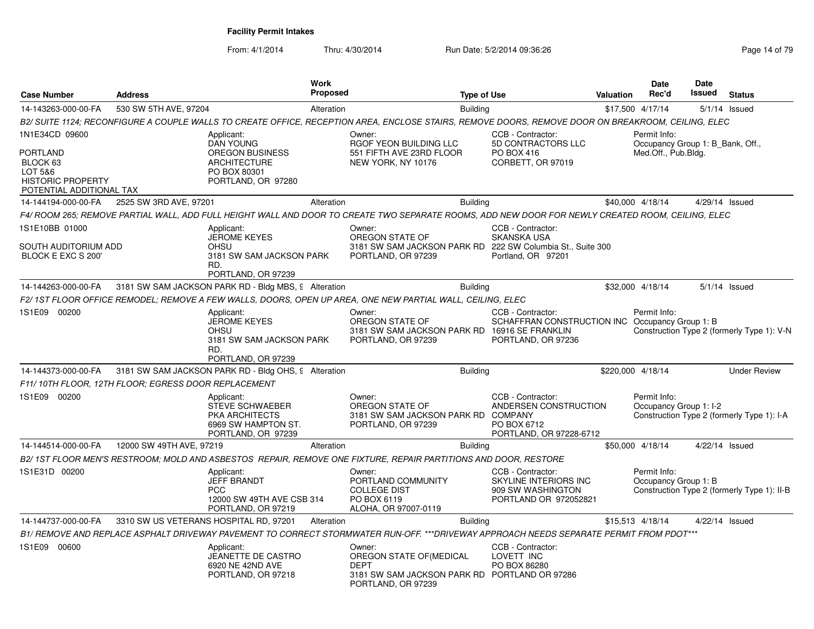| <b>Case Number</b>                                                                                        | <b>Address</b>                         | Work                                                                                                                                               | <b>Proposed</b> |                                                                                                                          | <b>Type of Use</b> |                                                                                                 | Valuation | Date<br>Rec'd                                                           | Date<br>Issued | <b>Status</b>                               |
|-----------------------------------------------------------------------------------------------------------|----------------------------------------|----------------------------------------------------------------------------------------------------------------------------------------------------|-----------------|--------------------------------------------------------------------------------------------------------------------------|--------------------|-------------------------------------------------------------------------------------------------|-----------|-------------------------------------------------------------------------|----------------|---------------------------------------------|
| 14-143263-000-00-FA                                                                                       | 530 SW 5TH AVE, 97204                  |                                                                                                                                                    | Alteration      |                                                                                                                          | <b>Building</b>    |                                                                                                 |           | \$17,500 4/17/14                                                        |                | $5/1/14$ Issued                             |
|                                                                                                           |                                        | B2/ SUITE 1124: RECONFIGURE A COUPLE WALLS TO CREATE OFFICE, RECEPTION AREA, ENCLOSE STAIRS, REMOVE DOORS, REMOVE DOOR ON BREAKROOM, CEILING, ELEC |                 |                                                                                                                          |                    |                                                                                                 |           |                                                                         |                |                                             |
| 1N1E34CD 09600<br>PORTLAND<br>BLOCK 63<br>LOT 5&6<br><b>HISTORIC PROPERTY</b><br>POTENTIAL ADDITIONAL TAX |                                        | Applicant:<br><b>DAN YOUNG</b><br><b>OREGON BUSINESS</b><br><b>ARCHITECTURE</b><br>PO BOX 80301<br>PORTLAND, OR 97280                              |                 | Owner:<br>RGOF YEON BUILDING LLC<br>551 FIFTH AVE 23RD FLOOR<br>NEW YORK, NY 10176                                       |                    | CCB - Contractor:<br>5D CONTRACTORS LLC<br>PO BOX 416<br>CORBETT, OR 97019                      |           | Permit Info:<br>Occupancy Group 1: B_Bank, Off.,<br>Med.Off., Pub.Bldg. |                |                                             |
| 14-144194-000-00-FA                                                                                       | 2525 SW 3RD AVE, 97201                 |                                                                                                                                                    | Alteration      |                                                                                                                          | <b>Building</b>    |                                                                                                 |           | \$40,000 4/18/14                                                        | 4/29/14 Issued |                                             |
|                                                                                                           |                                        | F4/ ROOM 265; REMOVE PARTIAL WALL, ADD FULL HEIGHT WALL AND DOOR TO CREATE TWO SEPARATE ROOMS, ADD NEW DOOR FOR NEWLY CREATED ROOM, CEILING, ELEC  |                 |                                                                                                                          |                    |                                                                                                 |           |                                                                         |                |                                             |
| 1S1E10BB 01000<br>SOUTH AUDITORIUM ADD<br>BLOCK E EXC S 200'                                              |                                        | Applicant:<br><b>JEROME KEYES</b><br>OHSU<br>3181 SW SAM JACKSON PARK<br>RD.<br>PORTLAND, OR 97239                                                 |                 | Owner:<br>OREGON STATE OF<br>3181 SW SAM JACKSON PARK RD 222 SW Columbia St., Suite 300<br>PORTLAND, OR 97239            |                    | CCB - Contractor:<br><b>SKANSKA USA</b><br>Portland, OR 97201                                   |           |                                                                         |                |                                             |
| 14-144263-000-00-FA                                                                                       |                                        | 3181 SW SAM JACKSON PARK RD - Bldg MBS, 9 Alteration                                                                                               |                 |                                                                                                                          | <b>Building</b>    |                                                                                                 |           | \$32,000 4/18/14                                                        |                | $5/1/14$ Issued                             |
|                                                                                                           |                                        | F2/ 1ST FLOOR OFFICE REMODEL; REMOVE A FEW WALLS, DOORS, OPEN UP AREA, ONE NEW PARTIAL WALL, CEILING, ELEC                                         |                 |                                                                                                                          |                    |                                                                                                 |           |                                                                         |                |                                             |
| 1S1E09 00200                                                                                              |                                        | Applicant:<br><b>JEROME KEYES</b><br>OHSU<br>3181 SW SAM JACKSON PARK<br>RD.<br>PORTLAND, OR 97239                                                 |                 | Owner:<br>OREGON STATE OF<br>3181 SW SAM JACKSON PARK RD 16916 SE FRANKLIN<br>PORTLAND, OR 97239                         |                    | CCB - Contractor:<br>SCHAFFRAN CONSTRUCTION INC Occupancy Group 1: B<br>PORTLAND, OR 97236      |           | Permit Info:                                                            |                | Construction Type 2 (formerly Type 1): V-N  |
| 14-144373-000-00-FA                                                                                       |                                        | 3181 SW SAM JACKSON PARK RD - Bldg OHS, 9 Alteration                                                                                               |                 |                                                                                                                          | <b>Building</b>    |                                                                                                 |           | \$220,000 4/18/14                                                       |                | <b>Under Review</b>                         |
| F11/ 10TH FLOOR, 12TH FLOOR; EGRESS DOOR REPLACEMENT                                                      |                                        |                                                                                                                                                    |                 |                                                                                                                          |                    |                                                                                                 |           |                                                                         |                |                                             |
| 1S1E09 00200                                                                                              |                                        | Applicant:<br><b>STEVE SCHWAEBER</b><br><b>PKA ARCHITECTS</b><br>6969 SW HAMPTON ST.<br>PORTLAND, OR 97239                                         |                 | Owner:<br>OREGON STATE OF<br>3181 SW SAM JACKSON PARK RD COMPANY<br>PORTLAND, OR 97239                                   |                    | CCB - Contractor:<br>ANDERSEN CONSTRUCTION<br>PO BOX 6712<br>PORTLAND, OR 97228-6712            |           | Permit Info:<br>Occupancy Group 1: I-2                                  |                | Construction Type 2 (formerly Type 1): I-A  |
| 14-144514-000-00-FA                                                                                       | 12000 SW 49TH AVE, 97219               |                                                                                                                                                    | Alteration      |                                                                                                                          | <b>Building</b>    |                                                                                                 |           | \$50,000 4/18/14                                                        | 4/22/14 Issued |                                             |
|                                                                                                           |                                        | B2/ 1ST FLOOR MEN'S RESTROOM: MOLD AND ASBESTOS  REPAIR, REMOVE ONE FIXTURE, REPAIR PARTITIONS AND DOOR, RESTORE                                   |                 |                                                                                                                          |                    |                                                                                                 |           |                                                                         |                |                                             |
| 1S1E31D 00200                                                                                             |                                        | Applicant:<br><b>JEFF BRANDT</b><br>PCC<br>12000 SW 49TH AVE CSB 314<br>PORTLAND, OR 97219                                                         |                 | Owner:<br>PORTLAND COMMUNITY<br><b>COLLEGE DIST</b><br>PO BOX 6119<br>ALOHA, OR 97007-0119                               |                    | CCB - Contractor:<br><b>SKYLINE INTERIORS INC</b><br>909 SW WASHINGTON<br>PORTLAND OR 972052821 |           | Permit Info:<br>Occupancy Group 1: B                                    |                | Construction Type 2 (formerly Type 1): II-B |
| 14-144737-000-00-FA                                                                                       | 3310 SW US VETERANS HOSPITAL RD, 97201 | Alteration                                                                                                                                         |                 |                                                                                                                          | <b>Building</b>    |                                                                                                 |           | \$15,513 4/18/14                                                        | 4/22/14 Issued |                                             |
|                                                                                                           |                                        | B1/ REMOVE AND REPLACE ASPHALT DRIVEWAY PAVEMENT TO CORRECT STORMWATER RUN-OFF. ***DRIVEWAY APPROACH NEEDS SEPARATE PERMIT FROM PDOT***            |                 |                                                                                                                          |                    |                                                                                                 |           |                                                                         |                |                                             |
| 1S1E09 00600                                                                                              |                                        | Applicant:<br>JEANETTE DE CASTRO<br>6920 NE 42ND AVE<br>PORTLAND, OR 97218                                                                         |                 | Owner:<br>OREGON STATE OF (MEDICAL<br><b>DEPT</b><br>3181 SW SAM JACKSON PARK RD PORTLAND OR 97286<br>PORTLAND, OR 97239 |                    | CCB - Contractor:<br>LOVETT INC<br>PO BOX 86280                                                 |           |                                                                         |                |                                             |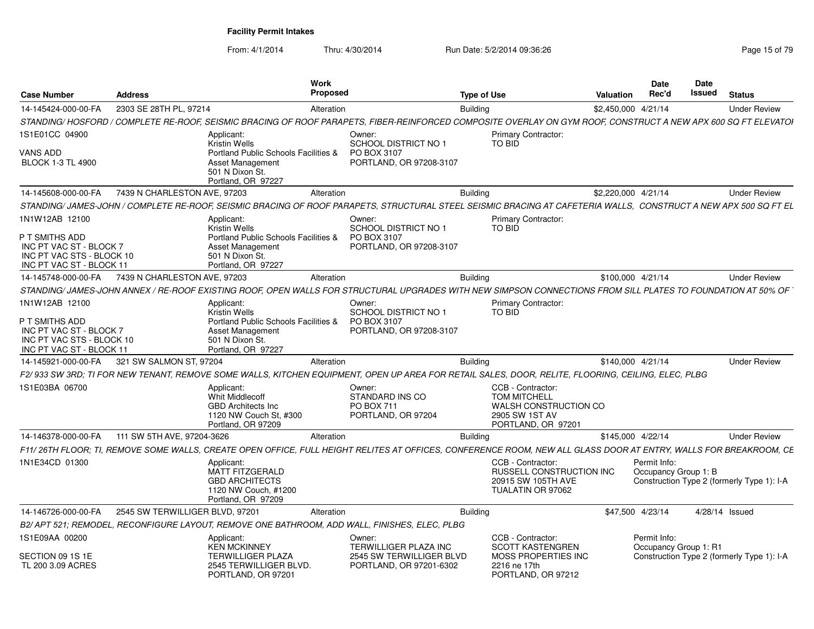| <b>Case Number</b>                                                                                 | <b>Address</b>                  |                                                                                                             | Work<br>Proposed |                                                                                                                                                                  | <b>Type of Use</b> |                                                                                                           | <b>Valuation</b> | <b>Date</b><br>Rec'd                  | <b>Date</b><br><b>Issued</b> | <b>Status</b>                              |
|----------------------------------------------------------------------------------------------------|---------------------------------|-------------------------------------------------------------------------------------------------------------|------------------|------------------------------------------------------------------------------------------------------------------------------------------------------------------|--------------------|-----------------------------------------------------------------------------------------------------------|------------------|---------------------------------------|------------------------------|--------------------------------------------|
| 14-145424-000-00-FA                                                                                | 2303 SE 28TH PL, 97214          |                                                                                                             | Alteration       |                                                                                                                                                                  | <b>Building</b>    |                                                                                                           |                  | \$2,450,000 4/21/14                   |                              | <b>Under Review</b>                        |
|                                                                                                    |                                 |                                                                                                             |                  | STANDING/ HOSFORD / COMPLETE RE-ROOF. SEISMIC BRACING OF ROOF PARAPETS. FIBER-REINFORCED COMPOSITE OVERLAY ON GYM ROOF. CONSTRUCT A NEW APX 600 SQ FT ELEVATOI   |                    |                                                                                                           |                  |                                       |                              |                                            |
| 1S1E01CC 04900                                                                                     |                                 | Applicant:<br><b>Kristin Wells</b>                                                                          |                  | Owner:<br><b>SCHOOL DISTRICT NO 1</b>                                                                                                                            |                    | Primary Contractor:<br>TO BID                                                                             |                  |                                       |                              |                                            |
| VANS ADD<br><b>BLOCK 1-3 TL 4900</b>                                                               |                                 | Portland Public Schools Facilities &<br>Asset Management<br>501 N Dixon St.<br>Portland, OR 97227           |                  | PO BOX 3107<br>PORTLAND, OR 97208-3107                                                                                                                           |                    |                                                                                                           |                  |                                       |                              |                                            |
| 14-145608-000-00-FA                                                                                | 7439 N CHARLESTON AVE, 97203    |                                                                                                             | Alteration       |                                                                                                                                                                  | <b>Building</b>    |                                                                                                           |                  | \$2.220.000 4/21/14                   |                              | <b>Under Review</b>                        |
|                                                                                                    |                                 |                                                                                                             |                  | STANDING/JAMES-JOHN / COMPLETE RE-ROOF. SEISMIC BRACING OF ROOF PARAPETS. STRUCTURAL STEEL SEISMIC BRACING AT CAFETERIA WALLS. CONSTRUCT A NEW APX 500 SQ FT EL  |                    |                                                                                                           |                  |                                       |                              |                                            |
| 1N1W12AB 12100                                                                                     |                                 | Applicant:<br><b>Kristin Wells</b>                                                                          |                  | Owner:<br><b>SCHOOL DISTRICT NO 1</b>                                                                                                                            |                    | <b>Primary Contractor:</b><br><b>TO BID</b>                                                               |                  |                                       |                              |                                            |
| P T SMITHS ADD<br>INC PT VAC ST - BLOCK 7<br>INC PT VAC STS - BLOCK 10<br>INC PT VAC ST - BLOCK 11 |                                 | Portland Public Schools Facilities &<br>Asset Management<br>501 N Dixon St.<br>Portland, OR 97227           |                  | PO BOX 3107<br>PORTLAND, OR 97208-3107                                                                                                                           |                    |                                                                                                           |                  |                                       |                              |                                            |
| 14-145748-000-00-FA                                                                                | 7439 N CHARLESTON AVE, 97203    |                                                                                                             | Alteration       |                                                                                                                                                                  | <b>Building</b>    |                                                                                                           |                  | \$100,000 4/21/14                     |                              | <b>Under Review</b>                        |
|                                                                                                    |                                 |                                                                                                             |                  | STANDING/JAMES-JOHN ANNEX / RE-ROOF EXISTING ROOF, OPEN WALLS FOR STRUCTURAL UPGRADES WITH NEW SIMPSON CONNECTIONS FROM SILL PLATES TO FOUNDATION AT 50% OF      |                    |                                                                                                           |                  |                                       |                              |                                            |
| 1N1W12AB 12100                                                                                     |                                 | Applicant:<br><b>Kristin Wells</b>                                                                          |                  | Owner:<br>SCHOOL DISTRICT NO 1                                                                                                                                   |                    | <b>Primary Contractor:</b><br>TO BID                                                                      |                  |                                       |                              |                                            |
| P T SMITHS ADD<br>INC PT VAC ST - BLOCK 7<br>INC PT VAC STS - BLOCK 10<br>INC PT VAC ST - BLOCK 11 |                                 | Portland Public Schools Facilities &<br>Asset Management<br>501 N Dixon St.<br>Portland, OR 97227           |                  | PO BOX 3107<br>PORTLAND, OR 97208-3107                                                                                                                           |                    |                                                                                                           |                  |                                       |                              |                                            |
| 14-145921-000-00-FA                                                                                | 321 SW SALMON ST. 97204         |                                                                                                             | Alteration       |                                                                                                                                                                  | Buildina           |                                                                                                           |                  | \$140,000 4/21/14                     |                              | <b>Under Review</b>                        |
|                                                                                                    |                                 |                                                                                                             |                  | F2/933 SW 3RD; TI FOR NEW TENANT, REMOVE SOME WALLS, KITCHEN EQUIPMENT, OPEN UP AREA FOR RETAIL SALES, DOOR, RELITE, FLOORING, CEILING, ELEC, PLBG               |                    |                                                                                                           |                  |                                       |                              |                                            |
| 1S1E03BA 06700                                                                                     |                                 | Applicant:<br>Whit Middlecoff<br><b>GBD Architects Inc.</b><br>1120 NW Couch St, #300<br>Portland, OR 97209 |                  | Owner:<br>STANDARD INS CO<br><b>PO BOX 711</b><br>PORTLAND, OR 97204                                                                                             |                    | CCB - Contractor:<br><b>TOM MITCHELL</b><br>WALSH CONSTRUCTION CO<br>2905 SW 1ST AV<br>PORTLAND, OR 97201 |                  |                                       |                              |                                            |
| 14-146378-000-00-FA                                                                                | 111 SW 5TH AVE, 97204-3626      |                                                                                                             | Alteration       |                                                                                                                                                                  | <b>Building</b>    |                                                                                                           |                  | \$145,000 4/22/14                     |                              | <b>Under Review</b>                        |
|                                                                                                    |                                 |                                                                                                             |                  | F11/26TH FLOOR: TI. REMOVE SOME WALLS. CREATE OPEN OFFICE. FULL HEIGHT RELITES AT OFFICES. CONFERENCE ROOM. NEW ALL GLASS DOOR AT ENTRY. WALLS FOR BREAKROOM. CE |                    |                                                                                                           |                  |                                       |                              |                                            |
| 1N1E34CD 01300                                                                                     |                                 | Applicant:<br>MATT FITZGERALD<br><b>GBD ARCHITECTS</b><br>1120 NW Couch, #1200<br>Portland, OR 97209        |                  |                                                                                                                                                                  |                    | CCB - Contractor:<br><b>RUSSELL CONSTRUCTION INC</b><br>20915 SW 105TH AVE<br>TUALATIN OR 97062           |                  | Permit Info:<br>Occupancy Group 1: B  |                              | Construction Type 2 (formerly Type 1): I-A |
| 14-146726-000-00-FA                                                                                | 2545 SW TERWILLIGER BLVD, 97201 |                                                                                                             | Alteration       |                                                                                                                                                                  | Buildina           |                                                                                                           |                  | \$47,500 4/23/14                      | 4/28/14 Issued               |                                            |
|                                                                                                    |                                 |                                                                                                             |                  | B2/APT 521: REMODEL. RECONFIGURE LAYOUT. REMOVE ONE BATHROOM. ADD WALL. FINISHES. ELEC. PLBG                                                                     |                    |                                                                                                           |                  |                                       |                              |                                            |
| 1S1E09AA 00200                                                                                     |                                 | Applicant:<br><b>KEN MCKINNEY</b>                                                                           |                  | Owner:<br>TERWILLIGER PLAZA INC                                                                                                                                  |                    | CCB - Contractor:<br><b>SCOTT KASTENGREN</b>                                                              |                  | Permit Info:<br>Occupancy Group 1: R1 |                              |                                            |
| SECTION 09 1S 1E<br>TL 200 3.09 ACRES                                                              |                                 | <b>TERWILLIGER PLAZA</b><br>2545 TERWILLIGER BLVD.<br>PORTLAND, OR 97201                                    |                  | 2545 SW TERWILLIGER BLVD<br>PORTLAND, OR 97201-6302                                                                                                              |                    | <b>MOSS PROPERTIES INC</b><br>2216 ne 17th<br>PORTLAND, OR 97212                                          |                  |                                       |                              | Construction Type 2 (formerly Type 1): I-A |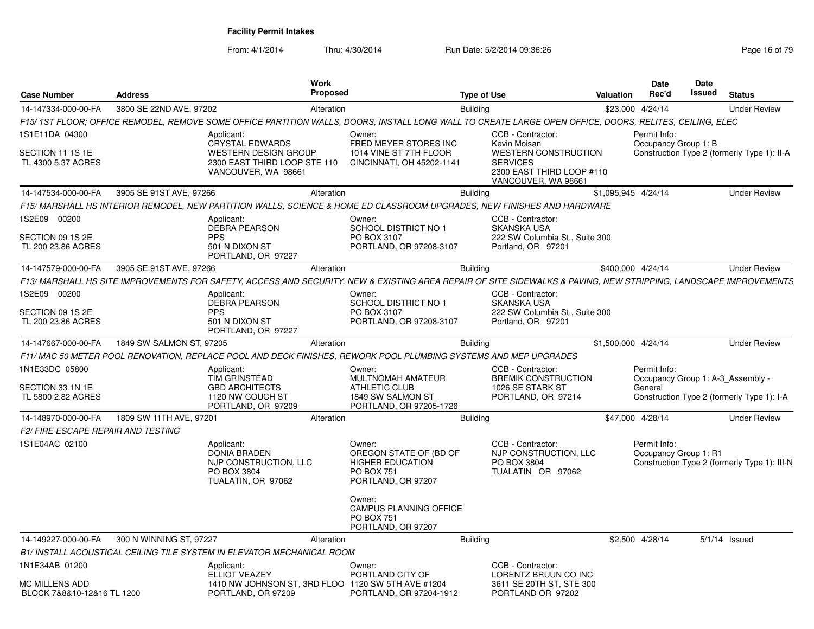| <b>Case Number</b>                                  | <b>Address</b>           | <b>Work</b><br>Proposed                                                                                                                                          |                                                                                                        | <b>Type of Use</b> |                                                                                                                    | <b>Valuation</b>    | <b>Date</b><br>Rec'd                              | Date<br>Issued | <b>Status</b>                                |
|-----------------------------------------------------|--------------------------|------------------------------------------------------------------------------------------------------------------------------------------------------------------|--------------------------------------------------------------------------------------------------------|--------------------|--------------------------------------------------------------------------------------------------------------------|---------------------|---------------------------------------------------|----------------|----------------------------------------------|
| 14-147334-000-00-FA                                 | 3800 SE 22ND AVE, 97202  | Alteration                                                                                                                                                       |                                                                                                        | <b>Building</b>    |                                                                                                                    |                     | \$23,000 4/24/14                                  |                | <b>Under Review</b>                          |
|                                                     |                          | F15/ 1ST FLOOR; OFFICE REMODEL, REMOVE SOME OFFICE PARTITION WALLS, DOORS, INSTALL LONG WALL TO CREATE LARGE OPEN OFFICE, DOORS, RELITES, CEILING, ELEC          |                                                                                                        |                    |                                                                                                                    |                     |                                                   |                |                                              |
| 1S1E11DA 04300                                      |                          | Applicant:                                                                                                                                                       | Owner:                                                                                                 |                    | CCB - Contractor:                                                                                                  |                     | Permit Info:                                      |                |                                              |
| SECTION 11 1S 1E<br>TL 4300 5.37 ACRES              |                          | <b>CRYSTAL EDWARDS</b><br><b>WESTERN DESIGN GROUP</b><br>2300 EAST THIRD LOOP STE 110<br>VANCOUVER, WA 98661                                                     | FRED MEYER STORES INC<br>1014 VINE ST 7TH FLOOR<br>CINCINNATI, OH 45202-1141                           |                    | Kevin Moisan<br><b>WESTERN CONSTRUCTION</b><br><b>SERVICES</b><br>2300 EAST THIRD LOOP #110<br>VANCOUVER, WA 98661 |                     | Occupancy Group 1: B                              |                | Construction Type 2 (formerly Type 1): II-A  |
| 14-147534-000-00-FA                                 | 3905 SE 91ST AVE, 97266  | Alteration                                                                                                                                                       |                                                                                                        | <b>Building</b>    |                                                                                                                    | \$1,095,945 4/24/14 |                                                   |                | <b>Under Review</b>                          |
|                                                     |                          | F15/ MARSHALL HS INTERIOR REMODEL, NEW PARTITION WALLS, SCIENCE & HOME ED CLASSROOM UPGRADES, NEW FINISHES AND HARDWARE                                          |                                                                                                        |                    |                                                                                                                    |                     |                                                   |                |                                              |
| 1S2E09 00200                                        |                          | Applicant:                                                                                                                                                       | Owner:                                                                                                 |                    | CCB - Contractor:                                                                                                  |                     |                                                   |                |                                              |
| SECTION 09 1S 2E<br>TL 200 23.86 ACRES              |                          | <b>DEBRA PEARSON</b><br><b>PPS</b><br>501 N DIXON ST<br>PORTLAND, OR 97227                                                                                       | <b>SCHOOL DISTRICT NO 1</b><br>PO BOX 3107<br>PORTLAND, OR 97208-3107                                  |                    | <b>SKANSKA USA</b><br>222 SW Columbia St., Suite 300<br>Portland, OR 97201                                         |                     |                                                   |                |                                              |
| 14-147579-000-00-FA                                 | 3905 SE 91ST AVE, 97266  | Alteration                                                                                                                                                       |                                                                                                        | <b>Building</b>    |                                                                                                                    |                     | \$400.000 4/24/14                                 |                | <b>Under Review</b>                          |
|                                                     |                          | F13/ MARSHALL HS SITE IMPROVEMENTS FOR SAFETY, ACCESS AND SECURITY, NEW & EXISTING AREA REPAIR OF SITE SIDEWALKS & PAVING, NEW STRIPPING, LANDSCAPE IMPROVEMENTS |                                                                                                        |                    |                                                                                                                    |                     |                                                   |                |                                              |
| 1S2E09 00200                                        |                          | Applicant:<br><b>DEBRA PEARSON</b>                                                                                                                               | Owner:<br><b>SCHOOL DISTRICT NO 1</b>                                                                  |                    | CCB - Contractor:<br><b>SKANSKA USA</b>                                                                            |                     |                                                   |                |                                              |
| SECTION 09 1S 2E<br>TL 200 23.86 ACRES              |                          | <b>PPS</b><br>501 N DIXON ST<br>PORTLAND, OR 97227                                                                                                               | PO BOX 3107<br>PORTLAND, OR 97208-3107                                                                 |                    | 222 SW Columbia St., Suite 300<br>Portland, OR 97201                                                               |                     |                                                   |                |                                              |
| 14-147667-000-00-FA                                 | 1849 SW SALMON ST, 97205 | Alteration                                                                                                                                                       |                                                                                                        | <b>Building</b>    |                                                                                                                    | \$1,500,000 4/24/14 |                                                   |                | <b>Under Review</b>                          |
|                                                     |                          | F11/MAC 50 METER POOL RENOVATION, REPLACE POOL AND DECK FINISHES, REWORK POOL PLUMBING SYSTEMS AND MEP UPGRADES                                                  |                                                                                                        |                    |                                                                                                                    |                     |                                                   |                |                                              |
| 1N1E33DC 05800                                      |                          | Applicant:<br>TIM GRINSTEAD                                                                                                                                      | Owner:<br>MULTNOMAH AMATEUR                                                                            |                    | CCB - Contractor:<br><b>BREMIK CONSTRUCTION</b>                                                                    |                     | Permit Info:<br>Occupancy Group 1: A-3 Assembly - |                |                                              |
| SECTION 33 1N 1E<br>TL 5800 2.82 ACRES              |                          | <b>GBD ARCHITECTS</b><br>1120 NW COUCH ST<br>PORTLAND, OR 97209                                                                                                  | <b>ATHLETIC CLUB</b><br>1849 SW SALMON ST<br>PORTLAND, OR 97205-1726                                   |                    | 1026 SE STARK ST<br>PORTLAND, OR 97214                                                                             |                     | General                                           |                | Construction Type 2 (formerly Type 1): I-A   |
| 14-148970-000-00-FA                                 | 1809 SW 11TH AVE, 97201  | Alteration                                                                                                                                                       |                                                                                                        | <b>Building</b>    |                                                                                                                    |                     | \$47,000 4/28/14                                  |                | <b>Under Review</b>                          |
| <b>F2/ FIRE ESCAPE REPAIR AND TESTING</b>           |                          |                                                                                                                                                                  |                                                                                                        |                    |                                                                                                                    |                     |                                                   |                |                                              |
| 1S1E04AC 02100                                      |                          | Applicant:<br><b>DONIA BRADEN</b><br>NJP CONSTRUCTION, LLC<br>PO BOX 3804<br>TUALATIN, OR 97062                                                                  | Owner:<br>OREGON STATE OF (BD OF<br><b>HIGHER EDUCATION</b><br><b>PO BOX 751</b><br>PORTLAND, OR 97207 |                    | CCB - Contractor:<br>NJP CONSTRUCTION, LLC<br>PO BOX 3804<br>TUALATIN OR 97062                                     |                     | Permit Info:<br>Occupancy Group 1: R1             |                | Construction Type 2 (formerly Type 1): III-N |
|                                                     |                          |                                                                                                                                                                  | Owner:<br>CAMPUS PLANNING OFFICE<br><b>PO BOX 751</b><br>PORTLAND, OR 97207                            |                    |                                                                                                                    |                     |                                                   |                |                                              |
| 14-149227-000-00-FA                                 | 300 N WINNING ST, 97227  | Alteration                                                                                                                                                       |                                                                                                        | <b>Building</b>    |                                                                                                                    |                     | \$2,500 4/28/14                                   |                | $5/1/14$ Issued                              |
|                                                     |                          | B1/ INSTALL ACOUSTICAL CEILING TILE SYSTEM IN ELEVATOR MECHANICAL ROOM                                                                                           |                                                                                                        |                    |                                                                                                                    |                     |                                                   |                |                                              |
| 1N1E34AB 01200                                      |                          | Applicant:<br><b>ELLIOT VEAZEY</b>                                                                                                                               | Owner:<br>PORTLAND CITY OF                                                                             |                    | CCB - Contractor:<br>LORENTZ BRUUN CO INC                                                                          |                     |                                                   |                |                                              |
| <b>MC MILLENS ADD</b><br>BLOCK 7&8&10-12&16 TL 1200 |                          | 1410 NW JOHNSON ST, 3RD FLOO 1120 SW 5TH AVE #1204<br>PORTLAND, OR 97209                                                                                         | PORTLAND, OR 97204-1912                                                                                |                    | 3611 SE 20TH ST, STE 300<br>PORTLAND OR 97202                                                                      |                     |                                                   |                |                                              |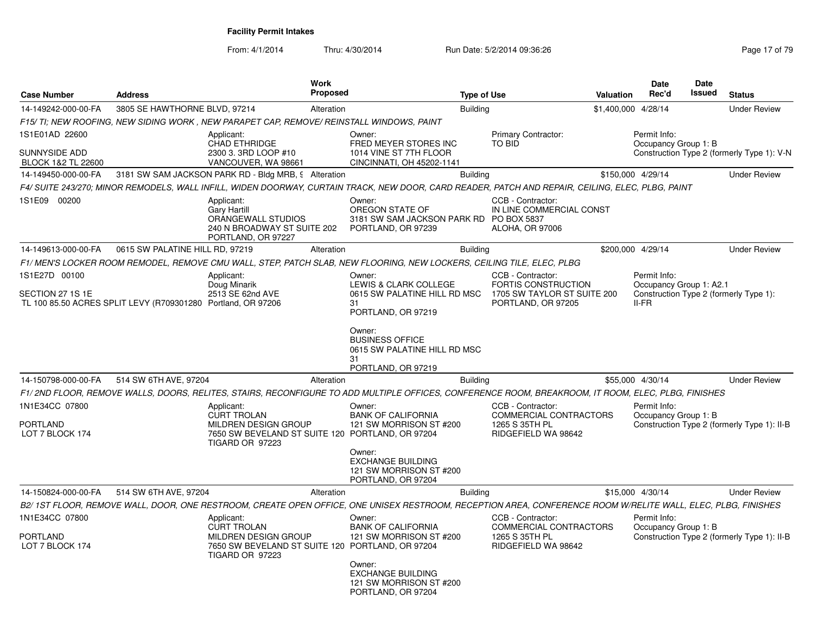| <b>Case Number</b>                                                               | <b>Address</b>                  |                                                                                                              | Work<br><b>Proposed</b> |                                                                                                                                                              | <b>Type of Use</b> |                                                                         | Valuation | <b>Date</b><br>Rec'd                    | Date<br>Issued | <b>Status</b>                               |
|----------------------------------------------------------------------------------|---------------------------------|--------------------------------------------------------------------------------------------------------------|-------------------------|--------------------------------------------------------------------------------------------------------------------------------------------------------------|--------------------|-------------------------------------------------------------------------|-----------|-----------------------------------------|----------------|---------------------------------------------|
| 14-149242-000-00-FA                                                              | 3805 SE HAWTHORNE BLVD, 97214   |                                                                                                              | Alteration              |                                                                                                                                                              | <b>Building</b>    |                                                                         |           | \$1,400,000 4/28/14                     |                | <b>Under Review</b>                         |
|                                                                                  |                                 | F15/TI; NEW ROOFING, NEW SIDING WORK, NEW PARAPET CAP, REMOVE/REINSTALL WINDOWS, PAINT                       |                         |                                                                                                                                                              |                    |                                                                         |           |                                         |                |                                             |
| 1S1E01AD 22600<br><b>SUNNYSIDE ADD</b><br>BLOCK 1&2 TL 22600                     |                                 | Applicant:<br><b>CHAD ETHRIDGE</b><br>2300 3. 3RD LOOP #10<br>VANCOUVER, WA 98661                            |                         | Owner:<br>FRED MEYER STORES INC<br>1014 VINE ST 7TH FLOOR<br>CINCINNATI, OH 45202-1141                                                                       |                    | Primary Contractor:<br><b>TO BID</b>                                    |           | Permit Info:<br>Occupancy Group 1: B    |                | Construction Type 2 (formerly Type 1): V-N  |
| 14-149450-000-00-FA                                                              |                                 | 3181 SW SAM JACKSON PARK RD - Bldg MRB, § Alteration                                                         |                         |                                                                                                                                                              | <b>Building</b>    |                                                                         |           | \$150,000 4/29/14                       |                | <b>Under Review</b>                         |
|                                                                                  |                                 |                                                                                                              |                         | F4/ SUITE 243/270; MINOR REMODELS, WALL INFILL, WIDEN DOORWAY, CURTAIN TRACK, NEW DOOR, CARD READER, PATCH AND REPAIR, CEILING, ELEC, PLBG, PAINT            |                    |                                                                         |           |                                         |                |                                             |
| 1S1E09 00200                                                                     |                                 | Applicant:<br><b>Gary Hartill</b><br>ORANGEWALL STUDIOS<br>240 N BROADWAY ST SUITE 202<br>PORTLAND, OR 97227 |                         | Owner:<br>OREGON STATE OF<br>3181 SW SAM JACKSON PARK RD PO BOX 5837<br>PORTLAND, OR 97239                                                                   |                    | CCB - Contractor:<br>IN LINE COMMERCIAL CONST<br><b>ALOHA, OR 97006</b> |           |                                         |                |                                             |
| 14-149613-000-00-FA                                                              | 0615 SW PALATINE HILL RD, 97219 |                                                                                                              | Alteration              |                                                                                                                                                              | <b>Building</b>    |                                                                         |           | \$200,000 4/29/14                       |                | <b>Under Review</b>                         |
|                                                                                  |                                 |                                                                                                              |                         | F1/MEN'S LOCKER ROOM REMODEL, REMOVE CMU WALL, STEP, PATCH SLAB, NEW FLOORING, NEW LOCKERS, CEILING TILE, ELEC, PLBG                                         |                    |                                                                         |           |                                         |                |                                             |
| 1S1E27D 00100                                                                    |                                 | Applicant:<br>Doug Minarik                                                                                   |                         | Owner:<br>LEWIS & CLARK COLLEGE                                                                                                                              |                    | CCB - Contractor:<br>FORTIS CONSTRUCTION                                |           | Permit Info:<br>Occupancy Group 1: A2.1 |                |                                             |
| SECTION 27 1S 1E<br>TL 100 85.50 ACRES SPLIT LEVY (R709301280 Portland, OR 97206 |                                 | 2513 SE 62nd AVE                                                                                             |                         | 0615 SW PALATINE HILL RD MSC<br>31<br>PORTLAND, OR 97219                                                                                                     |                    | 1705 SW TAYLOR ST SUITE 200<br>PORTLAND, OR 97205                       |           | $II-FR$                                 |                | Construction Type 2 (formerly Type 1):      |
|                                                                                  |                                 |                                                                                                              |                         | Owner:<br><b>BUSINESS OFFICE</b><br>0615 SW PALATINE HILL RD MSC<br>31<br>PORTLAND, OR 97219                                                                 |                    |                                                                         |           |                                         |                |                                             |
| 14-150798-000-00-FA                                                              | 514 SW 6TH AVE, 97204           |                                                                                                              | Alteration              |                                                                                                                                                              | <b>Building</b>    |                                                                         |           | \$55,000 4/30/14                        |                | <b>Under Review</b>                         |
|                                                                                  |                                 |                                                                                                              |                         | F1/2ND FLOOR, REMOVE WALLS, DOORS, RELITES, STAIRS, RECONFIGURE TO ADD MULTIPLE OFFICES, CONFERENCE ROOM, BREAKROOM, IT ROOM, ELEC, PLBG, FINISHES           |                    |                                                                         |           |                                         |                |                                             |
| 1N1E34CC 07800                                                                   |                                 | Applicant:<br><b>CURT TROLAN</b>                                                                             |                         | Owner:<br><b>BANK OF CALIFORNIA</b>                                                                                                                          |                    | CCB - Contractor:<br>COMMERCIAL CONTRACTORS                             |           | Permit Info:<br>Occupancy Group 1: B    |                |                                             |
| <b>PORTLAND</b><br>LOT 7 BLOCK 174                                               |                                 | MILDREN DESIGN GROUP<br>7650 SW BEVELAND ST SUITE 120 PORTLAND, OR 97204<br>TIGARD OR 97223                  |                         | 121 SW MORRISON ST #200                                                                                                                                      |                    | 1265 S 35TH PL<br>RIDGEFIELD WA 98642                                   |           |                                         |                | Construction Type 2 (formerly Type 1): II-B |
|                                                                                  |                                 |                                                                                                              |                         | Owner:<br><b>EXCHANGE BUILDING</b><br>121 SW MORRISON ST #200<br>PORTLAND, OR 97204                                                                          |                    |                                                                         |           |                                         |                |                                             |
| 14-150824-000-00-FA                                                              | 514 SW 6TH AVE, 97204           |                                                                                                              | Alteration              |                                                                                                                                                              | Building           |                                                                         |           | \$15,000 4/30/14                        |                | <b>Under Review</b>                         |
|                                                                                  |                                 |                                                                                                              |                         | B2/ 1ST FLOOR, REMOVE WALL, DOOR, ONE RESTROOM, CREATE OPEN OFFICE, ONE UNISEX RESTROOM, RECEPTION AREA, CONFERENCE ROOM W/RELITE WALL, ELEC, PLBG, FINISHES |                    |                                                                         |           |                                         |                |                                             |
| 1N1E34CC 07800                                                                   |                                 | Applicant:<br><b>CURT TROLAN</b>                                                                             |                         | Owner:<br><b>BANK OF CALIFORNIA</b>                                                                                                                          |                    | CCB - Contractor:<br>COMMERCIAL CONTRACTORS                             |           | Permit Info:<br>Occupancy Group 1: B    |                |                                             |
| <b>PORTLAND</b><br>LOT 7 BLOCK 174                                               |                                 | MILDREN DESIGN GROUP<br>7650 SW BEVELAND ST SUITE 120 PORTLAND, OR 97204<br>TIGARD OR 97223                  |                         | 121 SW MORRISON ST #200                                                                                                                                      |                    | 1265 S 35TH PL<br>RIDGEFIELD WA 98642                                   |           |                                         |                | Construction Type 2 (formerly Type 1): II-B |
|                                                                                  |                                 |                                                                                                              |                         | Owner:<br><b>EXCHANGE BUILDING</b><br>121 SW MORRISON ST #200<br>PORTLAND, OR 97204                                                                          |                    |                                                                         |           |                                         |                |                                             |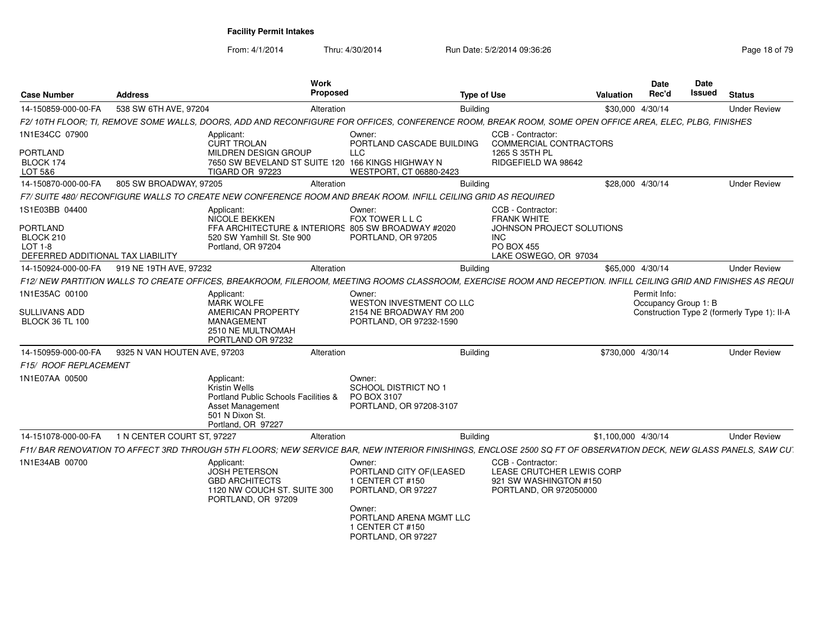| <b>Case Number</b>                                                                             | <b>Address</b>               | Work<br>Proposed                                                                                                                                                  |                                                                                                 | <b>Type of Use</b>                                                                                                               | <b>Valuation</b>    | Date<br>Rec'd                        | Date<br><b>Issued</b> | <b>Status</b>                               |
|------------------------------------------------------------------------------------------------|------------------------------|-------------------------------------------------------------------------------------------------------------------------------------------------------------------|-------------------------------------------------------------------------------------------------|----------------------------------------------------------------------------------------------------------------------------------|---------------------|--------------------------------------|-----------------------|---------------------------------------------|
| 14-150859-000-00-FA                                                                            | 538 SW 6TH AVE, 97204        | Alteration                                                                                                                                                        |                                                                                                 | <b>Building</b>                                                                                                                  | \$30,000 4/30/14    |                                      |                       | <b>Under Review</b>                         |
|                                                                                                |                              | F2/10TH FLOOR; TI, REMOVE SOME WALLS, DOORS, ADD AND RECONFIGURE FOR OFFICES, CONFERENCE ROOM, BREAK ROOM, SOME OPEN OFFICE AREA, ELEC, PLBG, FINISHES            |                                                                                                 |                                                                                                                                  |                     |                                      |                       |                                             |
| 1N1E34CC 07900<br>PORTLAND<br>BLOCK 174<br>LOT 5&6                                             |                              | Applicant:<br><b>CURT TROLAN</b><br>MILDREN DESIGN GROUP<br>7650 SW BEVELAND ST SUITE 120 166 KINGS HIGHWAY N<br>TIGARD OR 97223                                  | Owner:<br>PORTLAND CASCADE BUILDING<br><b>LLC</b><br>WESTPORT, CT 06880-2423                    | CCB - Contractor:<br>COMMERCIAL CONTRACTORS<br>1265 S 35TH PL<br>RIDGEFIELD WA 98642                                             |                     |                                      |                       |                                             |
| 14-150870-000-00-FA                                                                            | 805 SW BROADWAY, 97205       | Alteration                                                                                                                                                        |                                                                                                 | <b>Building</b>                                                                                                                  | \$28,000 4/30/14    |                                      |                       | <b>Under Review</b>                         |
|                                                                                                |                              | F7/ SUITE 480/ RECONFIGURE WALLS TO CREATE NEW CONFERENCE ROOM AND BREAK ROOM. INFILL CEILING GRID AS REQUIRED                                                    |                                                                                                 |                                                                                                                                  |                     |                                      |                       |                                             |
| 1S1E03BB 04400<br>PORTLAND<br>BLOCK 210<br><b>LOT 1-8</b><br>DEFERRED ADDITIONAL TAX LIABILITY |                              | Applicant:<br><b>NICOLE BEKKEN</b><br>FFA ARCHITECTURE & INTERIORS 805 SW BROADWAY #2020<br>520 SW Yamhill St. Ste 900<br>Portland, OR 97204                      | Owner:<br>FOX TOWER L L C<br>PORTLAND, OR 97205                                                 | CCB - Contractor:<br><b>FRANK WHITE</b><br>JOHNSON PROJECT SOLUTIONS<br><b>INC</b><br><b>PO BOX 455</b><br>LAKE OSWEGO, OR 97034 |                     |                                      |                       |                                             |
| 14-150924-000-00-FA                                                                            | 919 NE 19TH AVE, 97232       | Alteration                                                                                                                                                        |                                                                                                 | <b>Building</b>                                                                                                                  | \$65,000 4/30/14    |                                      |                       | <b>Under Review</b>                         |
|                                                                                                |                              | F12/ NEW PARTITION WALLS TO CREATE OFFICES, BREAKROOM, FILEROOM, MEETING ROOMS CLASSROOM, EXERCISE ROOM AND RECEPTION. INFILL CEILING GRID AND FINISHES AS REQUI  |                                                                                                 |                                                                                                                                  |                     |                                      |                       |                                             |
| 1N1E35AC 00100<br>SULLIVANS ADD<br><b>BLOCK 36 TL 100</b>                                      |                              | Applicant:<br><b>MARK WOLFE</b><br>AMERICAN PROPERTY<br><b>MANAGEMENT</b><br>2510 NE MULTNOMAH<br>PORTLAND OR 97232                                               | Owner:<br><b>WESTON INVESTMENT CO LLC</b><br>2154 NE BROADWAY RM 200<br>PORTLAND, OR 97232-1590 |                                                                                                                                  |                     | Permit Info:<br>Occupancy Group 1: B |                       | Construction Type 2 (formerly Type 1): II-A |
| 14-150959-000-00-FA<br>F15/ ROOF REPLACEMENT                                                   | 9325 N VAN HOUTEN AVE, 97203 | Alteration                                                                                                                                                        |                                                                                                 | <b>Building</b>                                                                                                                  | \$730,000 4/30/14   |                                      |                       | <b>Under Review</b>                         |
| 1N1E07AA 00500                                                                                 |                              | Applicant:<br><b>Kristin Wells</b><br>Portland Public Schools Facilities &<br>Asset Management<br>501 N Dixon St.<br>Portland, OR 97227                           | Owner:<br><b>SCHOOL DISTRICT NO 1</b><br>PO BOX 3107<br>PORTLAND, OR 97208-3107                 |                                                                                                                                  |                     |                                      |                       |                                             |
| 14-151078-000-00-FA                                                                            | 1 N CENTER COURT ST, 97227   | Alteration                                                                                                                                                        |                                                                                                 | <b>Building</b>                                                                                                                  | \$1,100,000 4/30/14 |                                      |                       | <b>Under Review</b>                         |
|                                                                                                |                              | F11/ BAR RENOVATION TO AFFECT 3RD THROUGH 5TH FLOORS; NEW SERVICE BAR, NEW INTERIOR FINISHINGS, ENCLOSE 2500 SQ FT OF OBSERVATION DECK, NEW GLASS PANELS, SAW CU. |                                                                                                 |                                                                                                                                  |                     |                                      |                       |                                             |
| 1N1E34AB 00700                                                                                 |                              | Applicant:<br><b>JOSH PETERSON</b><br><b>GBD ARCHITECTS</b><br>1120 NW COUCH ST. SUITE 300<br>PORTLAND, OR 97209                                                  | Owner:<br>PORTLAND CITY OF (LEASED<br>1 CENTER CT #150<br>PORTLAND, OR 97227                    | CCB - Contractor:<br>LEASE CRUTCHER LEWIS CORP<br>921 SW WASHINGTON #150<br>PORTLAND, OR 972050000                               |                     |                                      |                       |                                             |
|                                                                                                |                              |                                                                                                                                                                   | Owner:<br>PORTLAND ARENA MGMT LLC<br>1 CENTER CT #150<br>PORTLAND, OR 97227                     |                                                                                                                                  |                     |                                      |                       |                                             |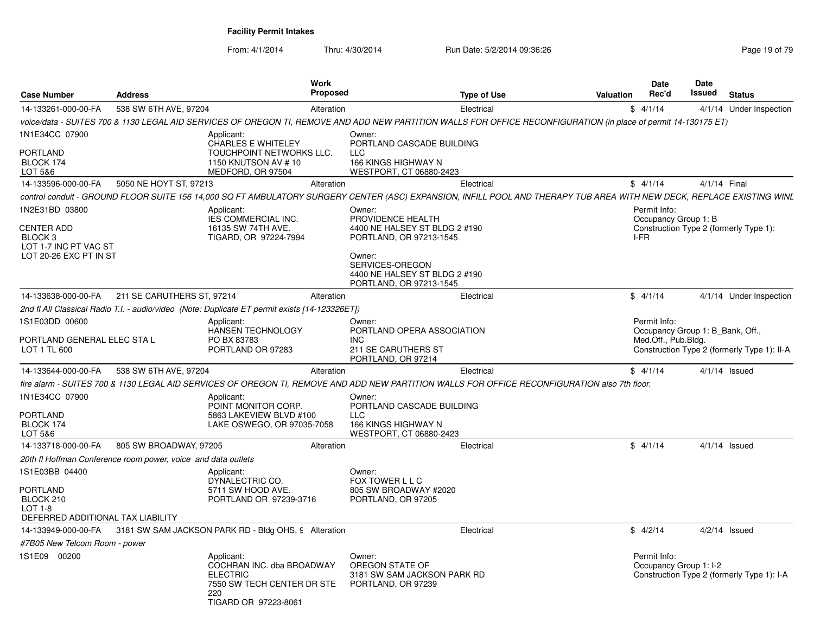| <b>Case Number</b>                                                                         | <b>Address</b>                                                                                                                                                         | Work<br><b>Proposed</b>                                                         |                                                                                                                        | <b>Type of Use</b> | <b>Valuation</b> | <b>Date</b><br>Rec'd                 | <b>Date</b><br>Issued            | <b>Status</b>                               |
|--------------------------------------------------------------------------------------------|------------------------------------------------------------------------------------------------------------------------------------------------------------------------|---------------------------------------------------------------------------------|------------------------------------------------------------------------------------------------------------------------|--------------------|------------------|--------------------------------------|----------------------------------|---------------------------------------------|
| 14-133261-000-00-FA                                                                        | 538 SW 6TH AVE, 97204                                                                                                                                                  | Alteration                                                                      |                                                                                                                        | Electrical         |                  | \$4/1/14                             |                                  | 4/1/14 Under Inspection                     |
|                                                                                            | voice/data - SUITES 700 & 1130 LEGAL AID SERVICES OF OREGON TI, REMOVE AND ADD NEW PARTITION WALLS FOR OFFICE RECONFIGURATION (in place of permit 14-130175 ET)        |                                                                                 |                                                                                                                        |                    |                  |                                      |                                  |                                             |
| 1N1E34CC 07900                                                                             | Applicant:                                                                                                                                                             | <b>CHARLES E WHITELEY</b>                                                       | Owner:<br>PORTLAND CASCADE BUILDING                                                                                    |                    |                  |                                      |                                  |                                             |
| PORTLAND<br>BLOCK 174<br>LOT 5&6                                                           |                                                                                                                                                                        | TOUCHPOINT NETWORKS LLC.<br>1150 KNUTSON AV #10<br>MEDFORD, OR 97504            | <b>LLC</b><br>166 KINGS HIGHWAY N<br>WESTPORT, CT 06880-2423                                                           |                    |                  |                                      |                                  |                                             |
| 14-133596-000-00-FA                                                                        | 5050 NE HOYT ST, 97213                                                                                                                                                 | Alteration                                                                      |                                                                                                                        | Electrical         |                  | \$4/1/14                             | 4/1/14 Final                     |                                             |
|                                                                                            | control conduit - GROUND FLOOR SUITE 156 14,000 SQ FT AMBULATORY SURGERY CENTER (ASC) EXPANSION, INFILL POOL AND THERAPY TUB AREA WITH NEW DECK, REPLACE EXISTING WINL |                                                                                 |                                                                                                                        |                    |                  |                                      |                                  |                                             |
| 1N2E31BD 03800                                                                             | Applicant:                                                                                                                                                             | IES COMMERCIAL INC.                                                             | Owner:<br>PROVIDENCE HEALTH                                                                                            |                    |                  | Permit Info:<br>Occupancy Group 1: B |                                  |                                             |
| <b>CENTER ADD</b><br>BLOCK <sub>3</sub><br>LOT 1-7 INC PT VAC ST<br>LOT 20-26 EXC PT IN ST |                                                                                                                                                                        | 16135 SW 74TH AVE.<br>TIGARD, OR 97224-7994                                     | 4400 NE HALSEY ST BLDG 2 #190<br>PORTLAND, OR 97213-1545<br>Owner:<br>SERVICES-OREGON<br>4400 NE HALSEY ST BLDG 2 #190 |                    |                  | I-FR                                 |                                  | Construction Type 2 (formerly Type 1):      |
| 14-133638-000-00-FA                                                                        | 211 SE CARUTHERS ST, 97214                                                                                                                                             | Alteration                                                                      | PORTLAND, OR 97213-1545                                                                                                | Electrical         |                  | \$4/1/14                             |                                  | 4/1/14 Under Inspection                     |
|                                                                                            |                                                                                                                                                                        |                                                                                 |                                                                                                                        |                    |                  |                                      |                                  |                                             |
| 1S1E03DD 00600                                                                             | 2nd fl All Classical Radio T.I. - audio/video (Note: Duplicate ET permit exists [14-123326ET])<br>Applicant:                                                           |                                                                                 | Owner:                                                                                                                 |                    |                  | Permit Info:                         |                                  |                                             |
| PORTLAND GENERAL ELEC STA L<br>LOT 1 TL 600                                                |                                                                                                                                                                        | <b>HANSEN TECHNOLOGY</b><br>PO BX 83783<br>PORTLAND OR 97283                    | PORTLAND OPERA ASSOCIATION<br>INC.<br>211 SE CARUTHERS ST                                                              |                    |                  | Med.Off., Pub.Bldg.                  | Occupancy Group 1: B Bank, Off., | Construction Type 2 (formerly Type 1): II-A |
|                                                                                            |                                                                                                                                                                        |                                                                                 | PORTLAND, OR 97214                                                                                                     |                    |                  |                                      |                                  |                                             |
| 14-133644-000-00-FA                                                                        | 538 SW 6TH AVE, 97204                                                                                                                                                  | Alteration                                                                      |                                                                                                                        | Electrical         |                  | \$4/1/14                             |                                  | $4/1/14$ Issued                             |
|                                                                                            | fire alarm - SUITES 700 & 1130 LEGAL AID SERVICES OF OREGON TI, REMOVE AND ADD NEW PARTITION WALLS FOR OFFICE RECONFIGURATION also 7th floor.                          |                                                                                 |                                                                                                                        |                    |                  |                                      |                                  |                                             |
| 1N1E34CC 07900<br>PORTLAND<br>BLOCK 174<br>LOT 5&6                                         | Applicant:                                                                                                                                                             | POINT MONITOR CORP.<br>5863 LAKEVIEW BLVD #100<br>LAKE OSWEGO, OR 97035-7058    | Owner:<br>PORTLAND CASCADE BUILDING<br><b>LLC</b><br>166 KINGS HIGHWAY N<br>WESTPORT, CT 06880-2423                    |                    |                  |                                      |                                  |                                             |
| 14-133718-000-00-FA                                                                        | 805 SW BROADWAY, 97205                                                                                                                                                 | Alteration                                                                      |                                                                                                                        | Electrical         |                  | \$4/1/14                             |                                  | $4/1/14$ Issued                             |
|                                                                                            | 20th fl Hoffman Conference room power, voice and data outlets                                                                                                          |                                                                                 |                                                                                                                        |                    |                  |                                      |                                  |                                             |
| 1S1E03BB 04400                                                                             | Applicant:                                                                                                                                                             | DYNALECTRIC CO.                                                                 | Owner:<br>FOX TOWER L L C                                                                                              |                    |                  |                                      |                                  |                                             |
| PORTLAND<br>BLOCK 210<br>$LOT 1-8$<br>DEFERRED ADDITIONAL TAX LIABILITY                    |                                                                                                                                                                        | 5711 SW HOOD AVE.<br>PORTLAND OR 97239-3716                                     | 805 SW BROADWAY #2020<br>PORTLAND, OR 97205                                                                            |                    |                  |                                      |                                  |                                             |
| 14-133949-000-00-FA                                                                        | 3181 SW SAM JACKSON PARK RD - Bldg OHS, 9 Alteration                                                                                                                   |                                                                                 |                                                                                                                        | Electrical         |                  | \$4/2/14                             |                                  | $4/2/14$ Issued                             |
| #7B05 New Telcom Room - power                                                              |                                                                                                                                                                        |                                                                                 |                                                                                                                        |                    |                  |                                      |                                  |                                             |
| 1S1E09 00200                                                                               | Applicant:<br><b>ELECTRIC</b><br>220                                                                                                                                   | COCHRAN INC. dba BROADWAY<br>7550 SW TECH CENTER DR STE<br>TIGARD OR 97223-8061 | Owner:<br>OREGON STATE OF<br>3181 SW SAM JACKSON PARK RD<br>PORTLAND, OR 97239                                         |                    |                  | Permit Info:                         | Occupancy Group 1: I-2           | Construction Type 2 (formerly Type 1): I-A  |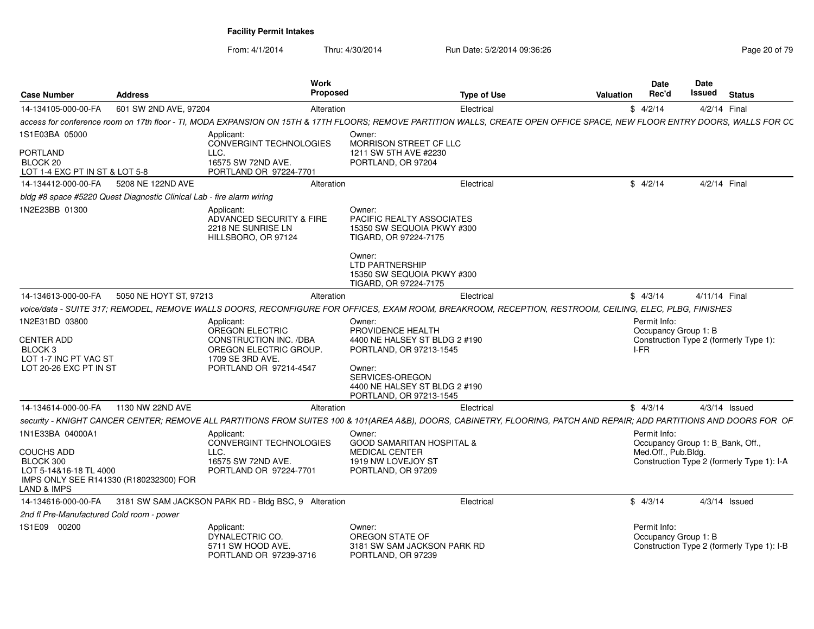| <b>Case Number</b>                                                                                           | <b>Address</b>                                                        | Work<br>Proposed                                                                                                                                                           |                                                                                                                                                                                       | <b>Type of Use</b> | Valuation | Date<br>Rec'd                                | Date<br>Issued<br><b>Status</b>                                                |
|--------------------------------------------------------------------------------------------------------------|-----------------------------------------------------------------------|----------------------------------------------------------------------------------------------------------------------------------------------------------------------------|---------------------------------------------------------------------------------------------------------------------------------------------------------------------------------------|--------------------|-----------|----------------------------------------------|--------------------------------------------------------------------------------|
| 14-134105-000-00-FA                                                                                          | 601 SW 2ND AVE, 97204                                                 | Alteration                                                                                                                                                                 |                                                                                                                                                                                       | Electrical         |           | \$4/2/14                                     | 4/2/14 Final                                                                   |
|                                                                                                              |                                                                       | access for conference room on 17th floor - TI, MODA EXPANSION ON 15TH & 17TH FLOORS; REMOVE PARTITION WALLS, CREATE OPEN OFFICE SPACE, NEW FLOOR ENTRY DOORS, WALLS FOR CC |                                                                                                                                                                                       |                    |           |                                              |                                                                                |
| 1S1E03BA 05000<br>PORTLAND<br>BLOCK 20<br>LOT 1-4 EXC PT IN ST & LOT 5-8                                     |                                                                       | Applicant:<br>CONVERGINT TECHNOLOGIES<br>LLC.<br>16575 SW 72ND AVE.<br>PORTLAND OR 97224-7701                                                                              | Owner:<br>MORRISON STREET CF LLC<br>1211 SW 5TH AVE #2230<br>PORTLAND, OR 97204                                                                                                       |                    |           |                                              |                                                                                |
| 14-134412-000-00-FA 5208 NE 122ND AVE                                                                        |                                                                       | Alteration                                                                                                                                                                 |                                                                                                                                                                                       | Electrical         |           | \$4/2/14                                     | 4/2/14 Final                                                                   |
|                                                                                                              | bldg #8 space #5220 Quest Diagnostic Clinical Lab - fire alarm wiring |                                                                                                                                                                            |                                                                                                                                                                                       |                    |           |                                              |                                                                                |
| 1N2E23BB 01300                                                                                               |                                                                       | Applicant:<br>ADVANCED SECURITY & FIRE<br>2218 NE SUNRISE LN<br>HILLSBORO, OR 97124                                                                                        | Owner:<br>PACIFIC REALTY ASSOCIATES<br>15350 SW SEQUOIA PKWY #300<br>TIGARD, OR 97224-7175<br>Owner:<br><b>LTD PARTNERSHIP</b><br>15350 SW SEQUOIA PKWY #300<br>TIGARD, OR 97224-7175 |                    |           |                                              |                                                                                |
| 14-134613-000-00-FA                                                                                          | 5050 NE HOYT ST, 97213                                                | Alteration                                                                                                                                                                 |                                                                                                                                                                                       | Electrical         |           | \$4/3/14                                     | 4/11/14 Final                                                                  |
|                                                                                                              |                                                                       | voice/data - SUITE 317; REMODEL, REMOVE WALLS DOORS, RECONFIGURE FOR OFFICES, EXAM ROOM, BREAKROOM, RECEPTION, RESTROOM, CEILING, ELEC, PLBG, FINISHES                     |                                                                                                                                                                                       |                    |           |                                              |                                                                                |
| 1N2E31BD 03800<br><b>CENTER ADD</b><br>BLOCK <sub>3</sub><br>LOT 1-7 INC PT VAC ST<br>LOT 20-26 EXC PT IN ST |                                                                       | Applicant:<br>OREGON ELECTRIC<br>CONSTRUCTION INC. /DBA<br>OREGON ELECTRIC GROUP.<br>1709 SE 3RD AVE.<br>PORTLAND OR 97214-4547                                            | Owner:<br>PROVIDENCE HEALTH<br>4400 NE HALSEY ST BLDG 2 #190<br>PORTLAND, OR 97213-1545<br>Owner:<br>SERVICES-OREGON<br>4400 NE HALSEY ST BLDG 2 #190<br>PORTLAND, OR 97213-1545      |                    |           | Permit Info:<br>Occupancy Group 1: B<br>I-FR | Construction Type 2 (formerly Type 1):                                         |
| 14-134614-000-00-FA 1130 NW 22ND AVE                                                                         |                                                                       | Alteration                                                                                                                                                                 |                                                                                                                                                                                       | Electrical         |           | \$4/3/14                                     | $4/3/14$ Issued                                                                |
|                                                                                                              |                                                                       | security - KNIGHT CANCER CENTER; REMOVE ALL PARTITIONS FROM SUITES 100 & 101(AREA A&B), DOORS, CABINETRY, FLOORING, PATCH AND REPAIR; ADD PARTITIONS AND DOORS FOR OF      |                                                                                                                                                                                       |                    |           |                                              |                                                                                |
| 1N1E33BA 04000A1<br><b>COUCHS ADD</b><br>BLOCK 300<br>LOT 5-14&16-18 TL 4000<br><b>LAND &amp; IMPS</b>       | IMPS ONLY SEE R141330 (R180232300) FOR                                | Applicant:<br>CONVERGINT TECHNOLOGIES<br>LLC.<br>16575 SW 72ND AVE.<br>PORTLAND OR 97224-7701                                                                              | Owner:<br><b>GOOD SAMARITAN HOSPITAL &amp;</b><br><b>MEDICAL CENTER</b><br>1919 NW LOVEJOY ST<br>PORTLAND, OR 97209                                                                   |                    |           | Permit Info:<br>Med.Off., Pub.Bldg.          | Occupancy Group 1: B_Bank, Off.,<br>Construction Type 2 (formerly Type 1): I-A |
|                                                                                                              |                                                                       | 14-134616-000-00-FA 3181 SW SAM JACKSON PARK RD - Bldg BSC, 9 Alteration                                                                                                   |                                                                                                                                                                                       | Electrical         |           | \$4/3/14                                     | $4/3/14$ Issued                                                                |
| 2nd fl Pre-Manufactured Cold room - power                                                                    |                                                                       |                                                                                                                                                                            |                                                                                                                                                                                       |                    |           |                                              |                                                                                |
| 1S1E09 00200                                                                                                 |                                                                       | Applicant:<br>DYNALECTRIC CO.<br>5711 SW HOOD AVE.<br>PORTLAND OR 97239-3716                                                                                               | Owner:<br>OREGON STATE OF<br>3181 SW SAM JACKSON PARK RD<br>PORTLAND, OR 97239                                                                                                        |                    |           | Permit Info:<br>Occupancy Group 1: B         | Construction Type 2 (formerly Type 1): I-B                                     |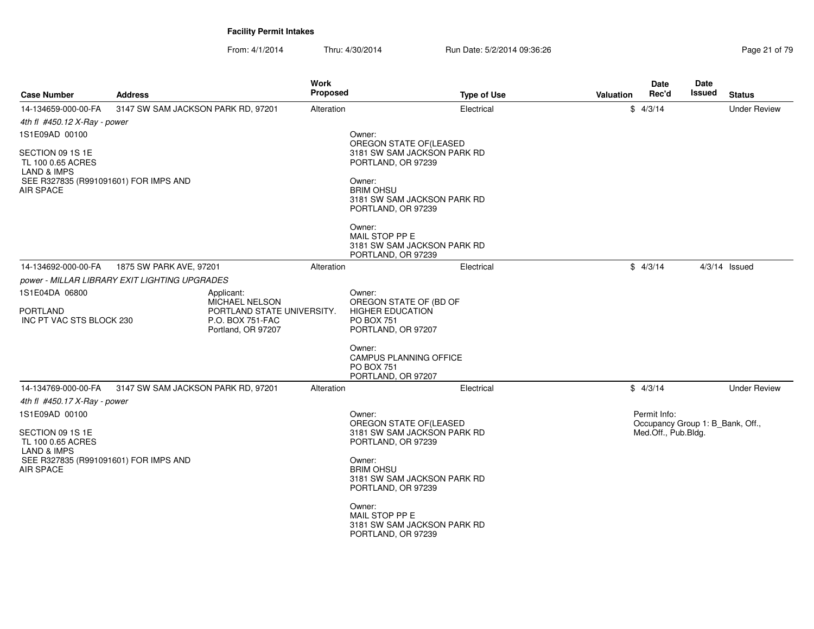| <b>Case Number</b>                                              | <b>Address</b>                                | <b>Work</b><br>Proposed    | <b>Type of Use</b>                                                                 | Valuation | Date<br>Rec'd                                    | Date<br>Issued | <b>Status</b>       |
|-----------------------------------------------------------------|-----------------------------------------------|----------------------------|------------------------------------------------------------------------------------|-----------|--------------------------------------------------|----------------|---------------------|
| 14-134659-000-00-FA<br>4th fl $\#450.12$ X-Ray - power          | 3147 SW SAM JACKSON PARK RD, 97201            | Alteration                 | Electrical                                                                         |           | \$4/3/14                                         |                | <b>Under Review</b> |
| 1S1E09AD 00100                                                  |                                               |                            | Owner:<br>OREGON STATE OF(LEASED                                                   |           |                                                  |                |                     |
| SECTION 09 1S 1E<br>TL 100 0.65 ACRES<br><b>LAND &amp; IMPS</b> |                                               |                            | 3181 SW SAM JACKSON PARK RD<br>PORTLAND, OR 97239                                  |           |                                                  |                |                     |
| SEE R327835 (R991091601) FOR IMPS AND<br><b>AIR SPACE</b>       |                                               |                            | Owner:<br><b>BRIM OHSU</b><br>3181 SW SAM JACKSON PARK RD<br>PORTLAND, OR 97239    |           |                                                  |                |                     |
|                                                                 |                                               |                            | Owner:<br>MAIL STOP PP E<br>3181 SW SAM JACKSON PARK RD<br>PORTLAND, OR 97239      |           |                                                  |                |                     |
| 14-134692-000-00-FA                                             | 1875 SW PARK AVE, 97201                       | Alteration                 | Electrical                                                                         |           | \$4/3/14                                         |                | $4/3/14$ Issued     |
|                                                                 | power - MILLAR LIBRARY EXIT LIGHTING UPGRADES |                            |                                                                                    |           |                                                  |                |                     |
| 1S1E04DA 06800                                                  | Applicant:<br>MICHAEL NELSON                  |                            | Owner:<br>OREGON STATE OF (BD OF                                                   |           |                                                  |                |                     |
| <b>PORTLAND</b><br>INC PT VAC STS BLOCK 230                     | P.O. BOX 751-FAC<br>Portland, OR 97207        | PORTLAND STATE UNIVERSITY. | <b>HIGHER EDUCATION</b><br><b>PO BOX 751</b><br>PORTLAND, OR 97207                 |           |                                                  |                |                     |
|                                                                 |                                               |                            | Owner:<br><b>CAMPUS PLANNING OFFICE</b><br><b>PO BOX 751</b><br>PORTLAND, OR 97207 |           |                                                  |                |                     |
| 14-134769-000-00-FA                                             | 3147 SW SAM JACKSON PARK RD, 97201            | Alteration                 | Electrical                                                                         |           | \$4/3/14                                         |                | <b>Under Review</b> |
| 4th fl #450.17 X-Ray - power<br>1S1E09AD 00100                  |                                               |                            | Owner:<br>OREGON STATE OF (LEASED                                                  |           | Permit Info:<br>Occupancy Group 1: B_Bank, Off., |                |                     |
| SECTION 09 1S 1E<br>TL 100 0.65 ACRES<br>LAND & IMPS            |                                               |                            | 3181 SW SAM JACKSON PARK RD<br>PORTLAND, OR 97239                                  |           | Med.Off., Pub.Bldg.                              |                |                     |
| SEE R327835 (R991091601) FOR IMPS AND<br><b>AIR SPACE</b>       |                                               |                            | Owner:<br><b>BRIM OHSU</b><br>3181 SW SAM JACKSON PARK RD<br>PORTLAND, OR 97239    |           |                                                  |                |                     |
|                                                                 |                                               |                            | Owner:<br>MAIL STOP PP E<br>3181 SW SAM JACKSON PARK RD<br>PORTLAND, OR 97239      |           |                                                  |                |                     |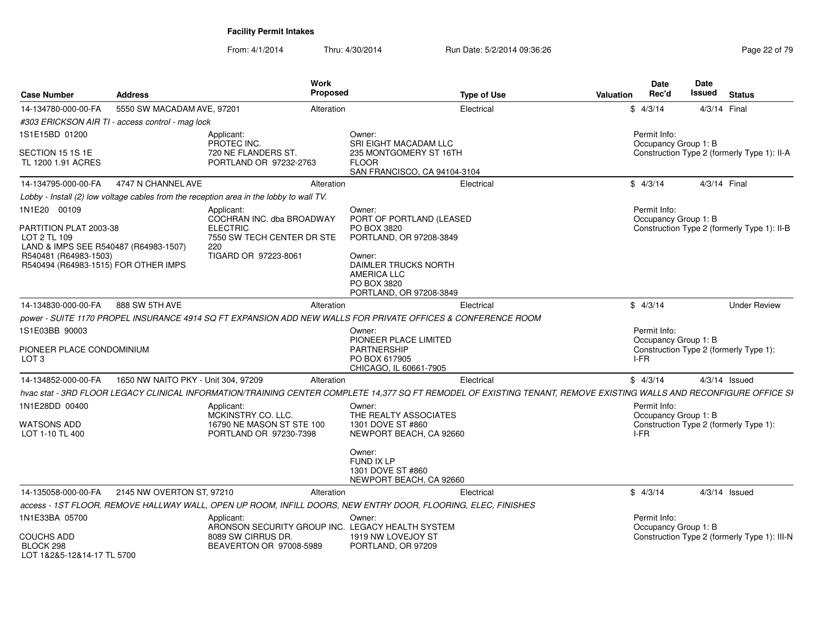| <b>Case Number</b>                                                                                                                                               | <b>Address</b>                                   | Work<br><b>Proposed</b>                                                                                                                                             |                                                                                                                                                                                | <b>Type of Use</b> | Valuation | <b>Date</b><br>Rec'd                 | Date<br>Issued | <b>Status</b>                                |
|------------------------------------------------------------------------------------------------------------------------------------------------------------------|--------------------------------------------------|---------------------------------------------------------------------------------------------------------------------------------------------------------------------|--------------------------------------------------------------------------------------------------------------------------------------------------------------------------------|--------------------|-----------|--------------------------------------|----------------|----------------------------------------------|
| 14-134780-000-00-FA                                                                                                                                              | 5550 SW MACADAM AVE, 97201                       | Alteration                                                                                                                                                          |                                                                                                                                                                                | Electrical         |           | \$4/3/14                             |                | 4/3/14 Final                                 |
|                                                                                                                                                                  | #303 ERICKSON AIR TI - access control - mag lock |                                                                                                                                                                     |                                                                                                                                                                                |                    |           |                                      |                |                                              |
| 1S1E15BD 01200                                                                                                                                                   |                                                  | Applicant:                                                                                                                                                          | Owner:                                                                                                                                                                         |                    |           | Permit Info:                         |                |                                              |
| SECTION 15 1S 1E<br>TL 1200 1.91 ACRES                                                                                                                           |                                                  | PROTEC INC.<br>720 NE FLANDERS ST.<br>PORTLAND OR 97232-2763                                                                                                        | SRI EIGHT MACADAM LLC<br>235 MONTGOMERY ST 16TH<br><b>FLOOR</b><br>SAN FRANCISCO, CA 94104-3104                                                                                |                    |           | Occupancy Group 1: B                 |                | Construction Type 2 (formerly Type 1): II-A  |
| 14-134795-000-00-FA                                                                                                                                              | 4747 N CHANNEL AVE                               | Alteration                                                                                                                                                          |                                                                                                                                                                                | Electrical         |           | \$4/3/14                             |                | 4/3/14 Final                                 |
|                                                                                                                                                                  |                                                  | Lobby - Install (2) low voltage cables from the reception area in the lobby to wall TV.                                                                             |                                                                                                                                                                                |                    |           |                                      |                |                                              |
| 1N1E20 00109<br>PARTITION PLAT 2003-38<br>LOT 2 TL 109<br>LAND & IMPS SEE R540487 (R64983-1507)<br>R540481 (R64983-1503)<br>R540494 (R64983-1515) FOR OTHER IMPS |                                                  | Applicant:<br>COCHRAN INC. dba BROADWAY<br><b>ELECTRIC</b><br>7550 SW TECH CENTER DR STE<br>220<br>TIGARD OR 97223-8061                                             | Owner:<br>PORT OF PORTLAND (LEASED<br>PO BOX 3820<br>PORTLAND, OR 97208-3849<br>Owner:<br>DAIMLER TRUCKS NORTH<br><b>AMERICA LLC</b><br>PO BOX 3820<br>PORTLAND, OR 97208-3849 |                    |           | Permit Info:<br>Occupancy Group 1: B |                | Construction Type 2 (formerly Type 1): II-B  |
| 14-134830-000-00-FA                                                                                                                                              | 888 SW 5TH AVE                                   | Alteration                                                                                                                                                          |                                                                                                                                                                                | Electrical         |           | \$4/3/14                             |                | <b>Under Review</b>                          |
|                                                                                                                                                                  |                                                  | power - SUITE 1170 PROPEL INSURANCE 4914 SQ FT EXPANSION ADD NEW WALLS FOR PRIVATE OFFICES & CONFERENCE ROOM                                                        |                                                                                                                                                                                |                    |           |                                      |                |                                              |
| 1S1E03BB 90003                                                                                                                                                   |                                                  |                                                                                                                                                                     | Owner:                                                                                                                                                                         |                    |           | Permit Info:                         |                |                                              |
| PIONEER PLACE CONDOMINIUM<br>LOT 3                                                                                                                               |                                                  |                                                                                                                                                                     | PIONEER PLACE LIMITED<br><b>PARTNERSHIP</b><br>PO BOX 617905<br>CHICAGO, IL 60661-7905                                                                                         |                    |           | Occupancy Group 1: B<br>I-FR         |                | Construction Type 2 (formerly Type 1):       |
| 14-134852-000-00-FA                                                                                                                                              | 1650 NW NAITO PKY - Unit 304, 97209              | Alteration                                                                                                                                                          |                                                                                                                                                                                | Electrical         |           | \$4/3/14                             |                | $4/3/14$ Issued                              |
|                                                                                                                                                                  |                                                  | hvac stat - 3RD FLOOR LEGACY CLINICAL INFORMATION/TRAINING CENTER COMPLETE 14,377 SQ FT REMODEL OF EXISTING TENANT, REMOVE EXISTING WALLS AND RECONFIGURE OFFICE SI |                                                                                                                                                                                |                    |           |                                      |                |                                              |
| 1N1E28DD 00400                                                                                                                                                   |                                                  | Applicant:<br>MCKINSTRY CO. LLC.                                                                                                                                    | Owner:<br>THE REALTY ASSOCIATES                                                                                                                                                |                    |           | Permit Info:<br>Occupancy Group 1: B |                |                                              |
| <b>WATSONS ADD</b><br>LOT 1-10 TL 400                                                                                                                            |                                                  | 16790 NE MASON ST STE 100<br>PORTLAND OR 97230-7398                                                                                                                 | 1301 DOVE ST #860<br>NEWPORT BEACH, CA 92660                                                                                                                                   |                    |           | I-FR                                 |                | Construction Type 2 (formerly Type 1):       |
|                                                                                                                                                                  |                                                  |                                                                                                                                                                     | Owner:<br>FUND IX LP<br>1301 DOVE ST #860<br>NEWPORT BEACH, CA 92660                                                                                                           |                    |           |                                      |                |                                              |
| 14-135058-000-00-FA                                                                                                                                              | 2145 NW OVERTON ST, 97210                        | Alteration                                                                                                                                                          |                                                                                                                                                                                | Electrical         |           | \$4/3/14                             |                | $4/3/14$ Issued                              |
|                                                                                                                                                                  |                                                  | access - 1ST FLOOR, REMOVE HALLWAY WALL, OPEN UP ROOM, INFILL DOORS, NEW ENTRY DOOR, FLOORING, ELEC, FINISHES                                                       |                                                                                                                                                                                |                    |           |                                      |                |                                              |
| 1N1E33BA 05700                                                                                                                                                   |                                                  | Applicant:<br>ARONSON SECURITY GROUP INC. LEGACY HEALTH SYSTEM                                                                                                      | Owner:                                                                                                                                                                         |                    |           | Permit Info:<br>Occupancy Group 1: B |                |                                              |
| <b>COUCHS ADD</b><br>BLOCK 298<br>LOT 1&2&5-12&14-17 TL 5700                                                                                                     |                                                  | 8089 SW CIRRUS DR.<br>BEAVERTON OR 97008-5989                                                                                                                       | 1919 NW LOVEJOY ST<br>PORTLAND, OR 97209                                                                                                                                       |                    |           |                                      |                | Construction Type 2 (formerly Type 1): III-N |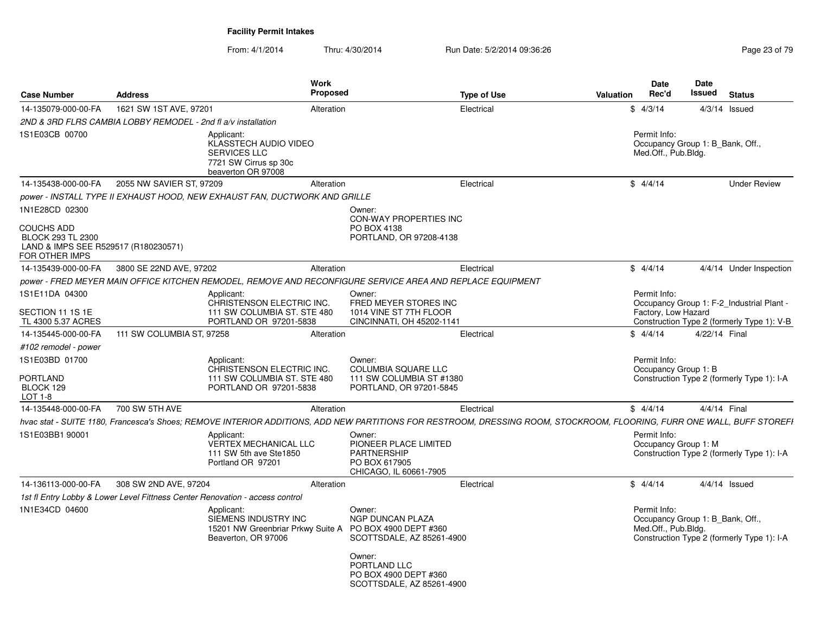| <b>Case Number</b>                                                                                                 | <b>Address</b>            | <b>Work</b><br>Proposed                                                                                                                                                |                                                                                                                                                | <b>Type of Use</b> | Valuation | Date<br>Rec'd                                                           | <b>Date</b><br>Issued | <b>Status</b>                              |
|--------------------------------------------------------------------------------------------------------------------|---------------------------|------------------------------------------------------------------------------------------------------------------------------------------------------------------------|------------------------------------------------------------------------------------------------------------------------------------------------|--------------------|-----------|-------------------------------------------------------------------------|-----------------------|--------------------------------------------|
| 14-135079-000-00-FA                                                                                                | 1621 SW 1ST AVE, 97201    | Alteration                                                                                                                                                             |                                                                                                                                                | Electrical         |           | \$4/3/14                                                                |                       | $4/3/14$ Issued                            |
| 2ND & 3RD FLRS CAMBIA LOBBY REMODEL - 2nd fl a/v installation                                                      |                           |                                                                                                                                                                        |                                                                                                                                                |                    |           |                                                                         |                       |                                            |
| 1S1E03CB 00700                                                                                                     |                           | Applicant:<br>KLASSTECH AUDIO VIDEO<br><b>SERVICES LLC</b><br>7721 SW Cirrus sp 30c<br>beaverton OR 97008                                                              |                                                                                                                                                |                    |           | Permit Info:<br>Occupancy Group 1: B_Bank, Off.,<br>Med.Off., Pub.Bldg. |                       |                                            |
| 14-135438-000-00-FA                                                                                                | 2055 NW SAVIER ST, 97209  | Alteration                                                                                                                                                             |                                                                                                                                                | Electrical         |           | \$4/4/14                                                                |                       | <b>Under Review</b>                        |
|                                                                                                                    |                           | power - INSTALL TYPE II EXHAUST HOOD, NEW EXHAUST FAN, DUCTWORK AND GRILLE                                                                                             |                                                                                                                                                |                    |           |                                                                         |                       |                                            |
| 1N1E28CD 02300<br><b>COUCHS ADD</b><br>BLOCK 293 TL 2300<br>LAND & IMPS SEE R529517 (R180230571)<br>FOR OTHER IMPS |                           |                                                                                                                                                                        | Owner:<br><b>CON-WAY PROPERTIES INC</b><br>PO BOX 4138<br>PORTLAND, OR 97208-4138                                                              |                    |           |                                                                         |                       |                                            |
| 14-135439-000-00-FA                                                                                                | 3800 SE 22ND AVE, 97202   | Alteration                                                                                                                                                             |                                                                                                                                                | Electrical         |           | \$4/4/14                                                                |                       | 4/4/14 Under Inspection                    |
|                                                                                                                    |                           | power - FRED MEYER MAIN OFFICE KITCHEN REMODEL, REMOVE AND RECONFIGURE SERVICE AREA AND REPLACE EQUIPMENT                                                              |                                                                                                                                                |                    |           |                                                                         |                       |                                            |
| 1S1E11DA 04300                                                                                                     |                           | Applicant:<br>CHRISTENSON ELECTRIC INC.                                                                                                                                | Owner:<br>FRED MEYER STORES INC                                                                                                                |                    |           | Permit Info:                                                            |                       | Occupancy Group 1: F-2 Industrial Plant -  |
| SECTION 11 1S 1E<br>TL 4300 5.37 ACRES                                                                             |                           | 111 SW COLUMBIA ST. STE 480<br>PORTLAND OR 97201-5838                                                                                                                  | 1014 VINE ST 7TH FLOOR<br>CINCINNATI, OH 45202-1141                                                                                            |                    |           | Factory, Low Hazard                                                     |                       | Construction Type 2 (formerly Type 1): V-B |
| 14-135445-000-00-FA                                                                                                | 111 SW COLUMBIA ST, 97258 | Alteration                                                                                                                                                             |                                                                                                                                                | Electrical         |           | \$4/4/14                                                                | 4/22/14 Final         |                                            |
| #102 remodel - power                                                                                               |                           |                                                                                                                                                                        |                                                                                                                                                |                    |           |                                                                         |                       |                                            |
| 1S1E03BD 01700<br>PORTLAND<br>BLOCK 129<br><b>LOT 1-8</b>                                                          |                           | Applicant:<br>CHRISTENSON ELECTRIC INC.<br>111 SW COLUMBIA ST. STE 480<br>PORTLAND OR 97201-5838                                                                       | Owner:<br>COLUMBIA SQUARE LLC<br>111 SW COLUMBIA ST #1380<br>PORTLAND, OR 97201-5845                                                           |                    |           | Permit Info:<br>Occupancy Group 1: B                                    |                       | Construction Type 2 (formerly Type 1): I-A |
| 14-135448-000-00-FA                                                                                                | 700 SW 5TH AVE            | Alteration                                                                                                                                                             |                                                                                                                                                | Electrical         |           | \$4/4/14                                                                | 4/4/14 Final          |                                            |
|                                                                                                                    |                           | hvac stat - SUITE 1180, Francesca's Shoes; REMOVE INTERIOR ADDITIONS, ADD NEW PARTITIONS FOR RESTROOM, DRESSING ROOM, STOCKROOM, FLOORING, FURR ONE WALL, BUFF STOREFI |                                                                                                                                                |                    |           |                                                                         |                       |                                            |
| 1S1E03BB1 90001                                                                                                    |                           | Applicant:<br>VERTEX MECHANICAL LLC<br>111 SW 5th ave Ste1850<br>Portland OR 97201                                                                                     | Owner:<br>PIONEER PLACE LIMITED<br><b>PARTNERSHIP</b><br>PO BOX 617905<br>CHICAGO, IL 60661-7905                                               |                    |           | Permit Info:<br>Occupancy Group 1: M                                    |                       | Construction Type 2 (formerly Type 1): I-A |
| 14-136113-000-00-FA                                                                                                | 308 SW 2ND AVE, 97204     | Alteration                                                                                                                                                             |                                                                                                                                                | Electrical         |           | \$4/4/14                                                                |                       | $4/4/14$ Issued                            |
|                                                                                                                    |                           | 1st fl Entry Lobby & Lower Level Fittness Center Renovation - access control                                                                                           |                                                                                                                                                |                    |           |                                                                         |                       |                                            |
| 1N1E34CD 04600                                                                                                     |                           | Applicant:<br>SIEMENS INDUSTRY INC<br>15201 NW Greenbriar Prkwy Suite A PO BOX 4900 DEPT #360<br>Beaverton, OR 97006                                                   | Owner:<br><b>NGP DUNCAN PLAZA</b><br>SCOTTSDALE, AZ 85261-4900<br>Owner:<br>PORTLAND LLC<br>PO BOX 4900 DEPT #360<br>SCOTTSDALE, AZ 85261-4900 |                    |           | Permit Info:<br>Occupancy Group 1: B Bank, Off.,<br>Med.Off., Pub.Bldg. |                       | Construction Type 2 (formerly Type 1): I-A |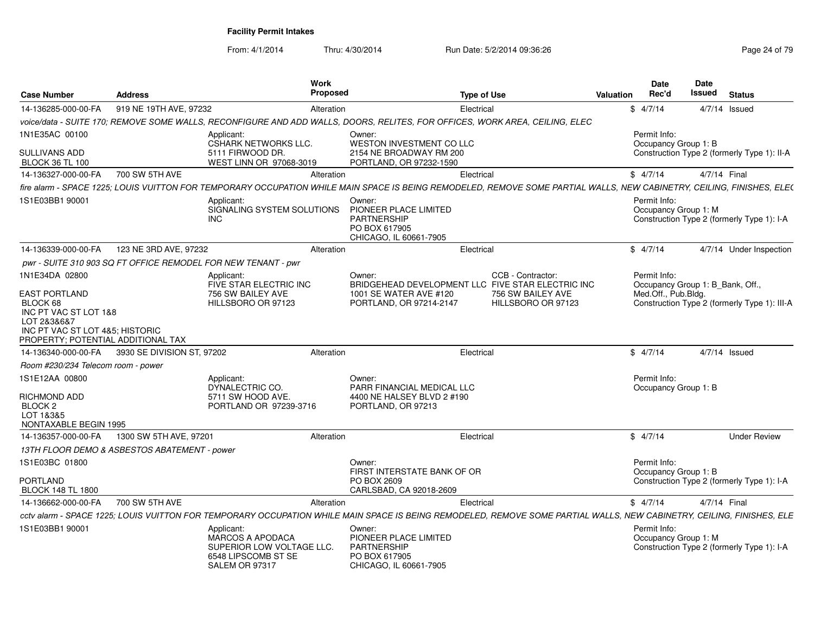| <b>Case Number</b>                                                                                                                                | <b>Address</b>                               | Work<br>Proposed                                                                                                                                                       |                                                                                                  | Type of Use                                                            | <b>Valuation</b> | Date<br>Rec'd                                    | Date<br><b>Issued</b>                       | <b>Status</b>                                |
|---------------------------------------------------------------------------------------------------------------------------------------------------|----------------------------------------------|------------------------------------------------------------------------------------------------------------------------------------------------------------------------|--------------------------------------------------------------------------------------------------|------------------------------------------------------------------------|------------------|--------------------------------------------------|---------------------------------------------|----------------------------------------------|
| 14-136285-000-00-FA                                                                                                                               | 919 NE 19TH AVE, 97232                       | Alteration                                                                                                                                                             |                                                                                                  | Electrical                                                             |                  | \$4/7/14                                         |                                             | $4/7/14$ Issued                              |
|                                                                                                                                                   |                                              | voice/data - SUITE 170; REMOVE SOME WALLS, RECONFIGURE AND ADD WALLS, DOORS, RELITES, FOR OFFICES, WORK AREA, CEILING, ELEC                                            |                                                                                                  |                                                                        |                  |                                                  |                                             |                                              |
| 1N1E35AC 00100                                                                                                                                    |                                              | Applicant:<br><b>CSHARK NETWORKS LLC.</b>                                                                                                                              | Owner:<br><b>WESTON INVESTMENT CO LLC</b>                                                        |                                                                        |                  | Permit Info:<br>Occupancy Group 1: B             |                                             |                                              |
| SULLIVANS ADD<br><b>BLOCK 36 TL 100</b>                                                                                                           |                                              | 5111 FIRWOOD DR.<br>WEST LINN OR 97068-3019                                                                                                                            | 2154 NE BROADWAY RM 200<br>PORTLAND, OR 97232-1590                                               |                                                                        |                  |                                                  | Construction Type 2 (formerly Type 1): II-A |                                              |
| 14-136327-000-00-FA                                                                                                                               | 700 SW 5TH AVE                               | Alteration                                                                                                                                                             |                                                                                                  | Electrical                                                             |                  | \$4/7/14                                         | 4/7/14 Final                                |                                              |
|                                                                                                                                                   |                                              | fire alarm - SPACE 1225; LOUIS VUITTON FOR TEMPORARY OCCUPATION WHILE MAIN SPACE IS BEING REMODELED, REMOVE SOME PARTIAL WALLS, NEW CABINETRY, CEILING, FINISHES, ELE( |                                                                                                  |                                                                        |                  |                                                  |                                             |                                              |
| 1S1E03BB1 90001                                                                                                                                   |                                              | Applicant:<br>SIGNALING SYSTEM SOLUTIONS<br><b>INC</b>                                                                                                                 | Owner:<br>PIONEER PLACE LIMITED<br>PARTNERSHIP<br>PO BOX 617905<br>CHICAGO, IL 60661-7905        |                                                                        |                  | Permit Info:<br>Occupancy Group 1: M             |                                             | Construction Type 2 (formerly Type 1): I-A   |
| 14-136339-000-00-FA                                                                                                                               | 123 NE 3RD AVE, 97232                        | Alteration                                                                                                                                                             |                                                                                                  | Electrical                                                             |                  | \$4/7/14                                         |                                             | 4/7/14 Under Inspection                      |
|                                                                                                                                                   |                                              | pwr - SUITE 310 903 SQ FT OFFICE REMODEL FOR NEW TENANT - pwr                                                                                                          |                                                                                                  |                                                                        |                  |                                                  |                                             |                                              |
| 1N1E34DA 02800                                                                                                                                    |                                              | Applicant:<br>FIVE STAR ELECTRIC INC                                                                                                                                   | Owner:                                                                                           | CCB - Contractor:<br>BRIDGEHEAD DEVELOPMENT LLC FIVE STAR ELECTRIC INC |                  | Permit Info:<br>Occupancy Group 1: B Bank, Off., |                                             |                                              |
| <b>EAST PORTLAND</b><br>BLOCK 68<br>INC PT VAC ST LOT 1&8<br>LOT 2&3&6&7<br>INC PT VAC ST LOT 4&5; HISTORIC<br>PROPERTY; POTENTIAL ADDITIONAL TAX |                                              | 756 SW BAILEY AVE<br>HILLSBORO OR 97123                                                                                                                                | 1001 SE WATER AVE #120<br>PORTLAND, OR 97214-2147                                                | 756 SW BAILEY AVE<br>HILLSBORO OR 97123                                |                  | Med.Off., Pub.Bldg.                              |                                             | Construction Type 2 (formerly Type 1): III-A |
| 14-136340-000-00-FA                                                                                                                               | 3930 SE DIVISION ST, 97202                   | Alteration                                                                                                                                                             |                                                                                                  | Electrical                                                             |                  | \$4/7/14                                         |                                             | $4/7/14$ Issued                              |
| Room #230/234 Telecom room - power                                                                                                                |                                              |                                                                                                                                                                        |                                                                                                  |                                                                        |                  |                                                  |                                             |                                              |
| 1S1E12AA 00800                                                                                                                                    |                                              | Applicant:<br>DYNALECTRIC CO.                                                                                                                                          | Owner:<br>PARR FINANCIAL MEDICAL LLC                                                             |                                                                        |                  | Permit Info:                                     | Occupancy Group 1: B                        |                                              |
| RICHMOND ADD<br>BLOCK <sub>2</sub><br>LOT 1&3&5<br>NONTAXABLE BEGIN 1995                                                                          |                                              | 5711 SW HOOD AVE.<br>PORTLAND OR 97239-3716                                                                                                                            | 4400 NE HALSEY BLVD 2 #190<br>PORTLAND, OR 97213                                                 |                                                                        |                  |                                                  |                                             |                                              |
| 14-136357-000-00-FA                                                                                                                               | 1300 SW 5TH AVE, 97201                       | Alteration                                                                                                                                                             |                                                                                                  | Electrical                                                             |                  | \$4/7/14                                         |                                             | <b>Under Review</b>                          |
|                                                                                                                                                   | 13TH FLOOR DEMO & ASBESTOS ABATEMENT - power |                                                                                                                                                                        |                                                                                                  |                                                                        |                  |                                                  |                                             |                                              |
| 1S1E03BC 01800                                                                                                                                    |                                              |                                                                                                                                                                        | Owner:                                                                                           |                                                                        |                  | Permit Info:                                     |                                             |                                              |
| PORTLAND<br><b>BLOCK 148 TL 1800</b>                                                                                                              |                                              |                                                                                                                                                                        | FIRST INTERSTATE BANK OF OR<br>PO BOX 2609<br>CARLSBAD, CA 92018-2609                            |                                                                        |                  | Occupancy Group 1: B                             |                                             | Construction Type 2 (formerly Type 1): I-A   |
| 14-136662-000-00-FA                                                                                                                               | 700 SW 5TH AVE                               | Alteration                                                                                                                                                             |                                                                                                  | Electrical                                                             |                  | \$4/7/14                                         | 4/7/14 Final                                |                                              |
|                                                                                                                                                   |                                              | cctv alarm - SPACE 1225; LOUIS VUITTON FOR TEMPORARY OCCUPATION WHILE MAIN SPACE IS BEING REMODELED, REMOVE SOME PARTIAL WALLS, NEW CABINETRY, CEILING, FINISHES, ELE  |                                                                                                  |                                                                        |                  |                                                  |                                             |                                              |
| 1S1E03BB1 90001                                                                                                                                   |                                              | Applicant:<br><b>MARCOS A APODACA</b><br>SUPERIOR LOW VOLTAGE LLC.<br>6548 LIPSCOMB ST SE<br>SALEM OR 97317                                                            | Owner:<br>PIONEER PLACE LIMITED<br><b>PARTNERSHIP</b><br>PO BOX 617905<br>CHICAGO, IL 60661-7905 |                                                                        |                  | Permit Info:<br>Occupancy Group 1: M             |                                             | Construction Type 2 (formerly Type 1): I-A   |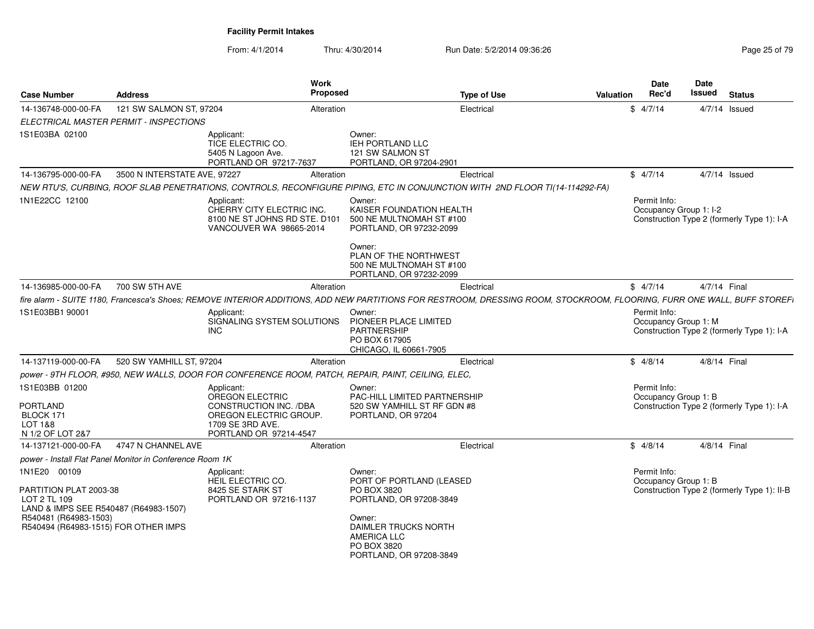| <b>Case Number</b>                                                                                                                                               | <b>Address</b>                                           | Work<br>Proposed                                                                                                                                                        |                                                                                                                                                                                | <b>Type of Use</b> | <b>Valuation</b> | <b>Date</b><br>Rec'd                   | Date<br><b>Issued</b> | <b>Status</b>                               |
|------------------------------------------------------------------------------------------------------------------------------------------------------------------|----------------------------------------------------------|-------------------------------------------------------------------------------------------------------------------------------------------------------------------------|--------------------------------------------------------------------------------------------------------------------------------------------------------------------------------|--------------------|------------------|----------------------------------------|-----------------------|---------------------------------------------|
| 14-136748-000-00-FA                                                                                                                                              | 121 SW SALMON ST, 97204                                  | Alteration                                                                                                                                                              |                                                                                                                                                                                | Electrical         |                  | \$4/7/14                               | $4/7/14$ Issued       |                                             |
|                                                                                                                                                                  | ELECTRICAL MASTER PERMIT - INSPECTIONS                   |                                                                                                                                                                         |                                                                                                                                                                                |                    |                  |                                        |                       |                                             |
| 1S1E03BA 02100                                                                                                                                                   |                                                          | Applicant:<br>TICE ELECTRIC CO.<br>5405 N Lagoon Ave.<br>PORTLAND OR 97217-7637                                                                                         | Owner:<br><b>IEH PORTLAND LLC</b><br>121 SW SALMON ST<br>PORTLAND, OR 97204-2901                                                                                               |                    |                  |                                        |                       |                                             |
| 14-136795-000-00-FA                                                                                                                                              | 3500 N INTERSTATE AVE, 97227                             | Alteration                                                                                                                                                              |                                                                                                                                                                                | Electrical         |                  | \$4/7/14                               | $4/7/14$ Issued       |                                             |
|                                                                                                                                                                  |                                                          | NEW RTU'S, CURBING, ROOF SLAB PENETRATIONS, CONTROLS, RECONFIGURE PIPING, ETC IN CONJUNCTION WITH 2ND FLOOR TI(14-114292-FA)                                            |                                                                                                                                                                                |                    |                  |                                        |                       |                                             |
| 1N1E22CC 12100                                                                                                                                                   |                                                          | Applicant:<br>CHERRY CITY ELECTRIC INC.<br>8100 NE ST JOHNS RD STE. D101<br>VANCOUVER WA 98665-2014                                                                     | Owner:<br>KAISER FOUNDATION HEALTH<br>500 NE MULTNOMAH ST #100<br>PORTLAND, OR 97232-2099<br>Owner:<br>PLAN OF THE NORTHWEST<br>500 NE MULTNOMAH ST #100                       |                    |                  | Permit Info:<br>Occupancy Group 1: I-2 |                       | Construction Type 2 (formerly Type 1): I-A  |
|                                                                                                                                                                  |                                                          |                                                                                                                                                                         | PORTLAND, OR 97232-2099                                                                                                                                                        |                    |                  |                                        |                       |                                             |
| 14-136985-000-00-FA                                                                                                                                              | 700 SW 5TH AVE                                           | Alteration                                                                                                                                                              |                                                                                                                                                                                | Electrical         |                  | \$4/7/14                               | 4/7/14 Final          |                                             |
|                                                                                                                                                                  |                                                          | fire alarm - SUITE 1180, Francesca's Shoes; REMOVE INTERIOR ADDITIONS, ADD NEW PARTITIONS FOR RESTROOM, DRESSING ROOM, STOCKROOM, FLOORING, FURR ONE WALL, BUFF STOREFI |                                                                                                                                                                                |                    |                  | Permit Info:                           |                       |                                             |
| 1S1E03BB1 90001                                                                                                                                                  |                                                          | Applicant:<br>SIGNALING SYSTEM SOLUTIONS<br><b>INC</b>                                                                                                                  | Owner:<br>PIONEER PLACE LIMITED<br><b>PARTNERSHIP</b><br>PO BOX 617905<br>CHICAGO, IL 60661-7905                                                                               |                    |                  | Occupancy Group 1: M                   |                       | Construction Type 2 (formerly Type 1): I-A  |
| 14-137119-000-00-FA                                                                                                                                              | 520 SW YAMHILL ST, 97204                                 | Alteration                                                                                                                                                              |                                                                                                                                                                                | Electrical         |                  | \$4/8/14                               | 4/8/14 Final          |                                             |
|                                                                                                                                                                  |                                                          | power - 9TH FLOOR, #950, NEW WALLS, DOOR FOR CONFERENCE ROOM, PATCH, REPAIR, PAINT, CEILING, ELEC,                                                                      |                                                                                                                                                                                |                    |                  |                                        |                       |                                             |
| 1S1E03BB 01200<br><b>PORTLAND</b><br>BLOCK 171<br>LOT 1&8<br>N 1/2 OF LOT 2&7                                                                                    |                                                          | Applicant:<br>OREGON ELECTRIC<br>CONSTRUCTION INC. /DBA<br>OREGON ELECTRIC GROUP.<br>1709 SE 3RD AVE.<br>PORTLAND OR 97214-4547                                         | Owner:<br>PAC-HILL LIMITED PARTNERSHIP<br>520 SW YAMHILL ST RF GDN #8<br>PORTLAND, OR 97204                                                                                    |                    |                  | Permit Info:<br>Occupancy Group 1: B   |                       | Construction Type 2 (formerly Type 1): I-A  |
| 14-137121-000-00-FA                                                                                                                                              | 4747 N CHANNEL AVE                                       | Alteration                                                                                                                                                              |                                                                                                                                                                                | Electrical         |                  | \$4/8/14                               | 4/8/14 Final          |                                             |
|                                                                                                                                                                  | power - Install Flat Panel Monitor in Conference Room 1K |                                                                                                                                                                         |                                                                                                                                                                                |                    |                  |                                        |                       |                                             |
| 1N1E20 00109<br>PARTITION PLAT 2003-38<br>LOT 2 TL 109<br>LAND & IMPS SEE R540487 (R64983-1507)<br>R540481 (R64983-1503)<br>R540494 (R64983-1515) FOR OTHER IMPS |                                                          | Applicant:<br>HEIL ELECTRIC CO.<br>8425 SE STARK ST<br>PORTLAND OR 97216-1137                                                                                           | Owner:<br>PORT OF PORTLAND (LEASED<br>PO BOX 3820<br>PORTLAND, OR 97208-3849<br>Owner:<br>DAIMLER TRUCKS NORTH<br><b>AMERICA LLC</b><br>PO BOX 3820<br>PORTLAND, OR 97208-3849 |                    |                  | Permit Info:<br>Occupancy Group 1: B   |                       | Construction Type 2 (formerly Type 1): II-B |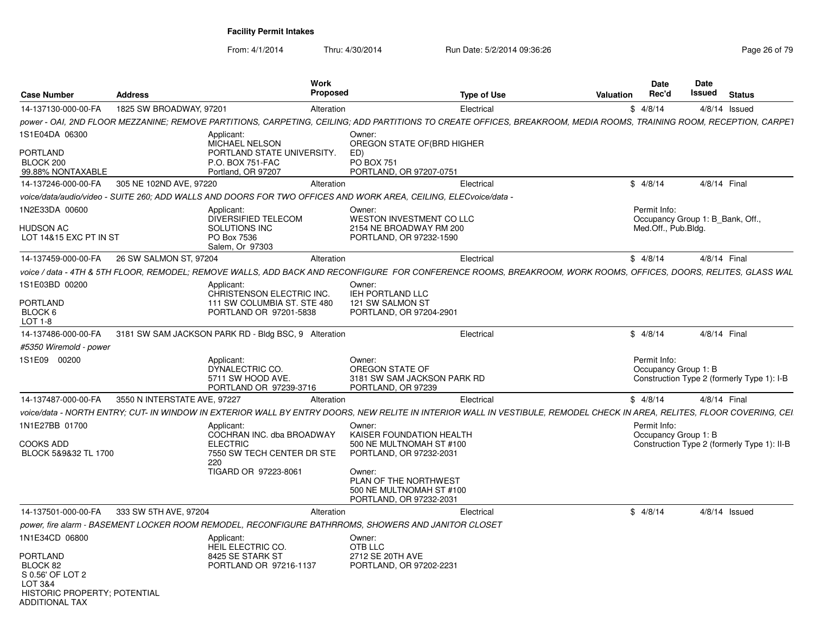From: 4/1/2014

| <b>Case Number</b>                                                                                                             | <b>Address</b>               | <b>Work</b><br>Proposed                                                                                                                                                  |                                                                                             | Type of Use | Valuation | Date<br>Rec'd                        | <b>Date</b><br>Issued            | <b>Status</b>                               |
|--------------------------------------------------------------------------------------------------------------------------------|------------------------------|--------------------------------------------------------------------------------------------------------------------------------------------------------------------------|---------------------------------------------------------------------------------------------|-------------|-----------|--------------------------------------|----------------------------------|---------------------------------------------|
| 14-137130-000-00-FA                                                                                                            | 1825 SW BROADWAY, 97201      | Alteration                                                                                                                                                               |                                                                                             | Electrical  |           | \$4/8/14                             |                                  | $4/8/14$ Issued                             |
|                                                                                                                                |                              | power - OAI, 2ND FLOOR MEZZANINE; REMOVE PARTITIONS, CARPETING, CEILING; ADD PARTITIONS TO CREATE OFFICES, BREAKROOM, MEDIA ROOMS, TRAINING ROOM, RECEPTION, CARPET      |                                                                                             |             |           |                                      |                                  |                                             |
| 1S1E04DA 06300<br><b>PORTLAND</b><br>BLOCK 200<br>99.88% NONTAXABLE                                                            |                              | Applicant:<br>MICHAEL NELSON<br>PORTLAND STATE UNIVERSITY.<br>P.O. BOX 751-FAC<br>Portland, OR 97207                                                                     | Owner:<br>OREGON STATE OF(BRD HIGHER<br>ED)<br><b>PO BOX 751</b><br>PORTLAND, OR 97207-0751 |             |           |                                      |                                  |                                             |
| 14-137246-000-00-FA                                                                                                            | 305 NE 102ND AVE, 97220      | Alteration                                                                                                                                                               |                                                                                             | Electrical  |           | \$4/8/14                             | 4/8/14 Final                     |                                             |
|                                                                                                                                |                              | voice/data/audio/video - SUITE 260; ADD WALLS AND DOORS FOR TWO OFFICES AND WORK AREA, CEILING, ELECvoice/data -                                                         |                                                                                             |             |           |                                      |                                  |                                             |
| 1N2E33DA 00600<br><b>HUDSON AC</b><br>LOT 14&15 EXC PT IN ST                                                                   |                              | Applicant:<br>DIVERSIFIED TELECOM<br>SOLUTIONS INC<br>PO Box 7536                                                                                                        | Owner:<br>WESTON INVESTMENT CO LLC<br>2154 NE BROADWAY RM 200<br>PORTLAND, OR 97232-1590    |             |           | Permit Info:<br>Med.Off., Pub.Bldg.  | Occupancy Group 1: B Bank, Off., |                                             |
|                                                                                                                                |                              | Salem, Or 97303                                                                                                                                                          |                                                                                             |             |           |                                      |                                  |                                             |
| 14-137459-000-00-FA                                                                                                            | 26 SW SALMON ST, 97204       | Alteration                                                                                                                                                               |                                                                                             | Electrical  |           | \$4/8/14                             | 4/8/14 Final                     |                                             |
|                                                                                                                                |                              | voice / data - 4TH & 5TH FLOOR, REMODEL; REMOVE WALLS, ADD BACK AND RECONFIGURE FOR CONFERENCE ROOMS, BREAKROOM, WORK ROOMS, OFFICES, DOORS, RELITES, GLASS WAL          |                                                                                             |             |           |                                      |                                  |                                             |
| 1S1E03BD 00200                                                                                                                 |                              | Applicant:<br>CHRISTENSON ELECTRIC INC.                                                                                                                                  | Owner:<br>IEH PORTLAND LLC                                                                  |             |           |                                      |                                  |                                             |
| <b>PORTLAND</b><br>BLOCK 6<br>LOT 1-8                                                                                          |                              | 111 SW COLUMBIA ST. STE 480<br>PORTLAND OR 97201-5838                                                                                                                    | 121 SW SALMON ST<br>PORTLAND, OR 97204-2901                                                 |             |           |                                      |                                  |                                             |
| 14-137486-000-00-FA                                                                                                            |                              | 3181 SW SAM JACKSON PARK RD - Bldg BSC, 9 Alteration                                                                                                                     |                                                                                             | Electrical  |           | \$4/8/14                             | 4/8/14 Final                     |                                             |
| #5350 Wiremold - power                                                                                                         |                              |                                                                                                                                                                          |                                                                                             |             |           |                                      |                                  |                                             |
| 1S1E09<br>00200                                                                                                                |                              | Applicant:<br>DYNALECTRIC CO.<br>5711 SW HOOD AVE.<br>PORTLAND OR 97239-3716                                                                                             | Owner:<br>OREGON STATE OF<br>3181 SW SAM JACKSON PARK RD<br>PORTLAND, OR 97239              |             |           | Permit Info:<br>Occupancy Group 1: B |                                  | Construction Type 2 (formerly Type 1): I-B  |
| 14-137487-000-00-FA                                                                                                            | 3550 N INTERSTATE AVE, 97227 | Alteration                                                                                                                                                               |                                                                                             | Electrical  |           | \$4/8/14                             | 4/8/14 Final                     |                                             |
|                                                                                                                                |                              | voice/data - NORTH ENTRY: CUT- IN WINDOW IN EXTERIOR WALL BY ENTRY DOORS. NEW RELITE IN INTERIOR WALL IN VESTIBULE. REMODEL CHECK IN AREA. RELITES. FLOOR COVERING. CEI. |                                                                                             |             |           |                                      |                                  |                                             |
| 1N1E27BB 01700<br><b>COOKS ADD</b><br>BLOCK 5&9&32 TL 1700                                                                     |                              | Applicant:<br>COCHRAN INC. dba BROADWAY<br><b>ELECTRIC</b><br>7550 SW TECH CENTER DR STE<br>220                                                                          | Owner:<br>KAISER FOUNDATION HEALTH<br>500 NE MULTNOMAH ST #100<br>PORTLAND, OR 97232-2031   |             |           | Permit Info:<br>Occupancy Group 1: B |                                  | Construction Type 2 (formerly Type 1): II-B |
|                                                                                                                                |                              | TIGARD OR 97223-8061                                                                                                                                                     | Owner:<br>PLAN OF THE NORTHWEST<br>500 NE MULTNOMAH ST #100<br>PORTLAND, OR 97232-2031      |             |           |                                      |                                  |                                             |
| 14-137501-000-00-FA                                                                                                            | 333 SW 5TH AVE, 97204        | Alteration                                                                                                                                                               |                                                                                             | Electrical  |           | \$4/8/14                             |                                  | $4/8/14$ Issued                             |
|                                                                                                                                |                              | power, fire alarm - BASEMENT LOCKER ROOM REMODEL, RECONFIGURE BATHRROMS, SHOWERS AND JANITOR CLOSET                                                                      |                                                                                             |             |           |                                      |                                  |                                             |
| 1N1E34CD 06800<br><b>PORTLAND</b><br>BLOCK 82<br>S 0.56' OF LOT 2<br>LOT 3&4<br>HISTORIC PROPERTY; POTENTIAL<br>ADDITIONAI TAX |                              | Applicant:<br>HEIL ELECTRIC CO.<br>8425 SE STARK ST<br>PORTLAND OR 97216-1137                                                                                            | Owner:<br>OTB LLC<br>2712 SE 20TH AVE<br>PORTLAND, OR 97202-2231                            |             |           |                                      |                                  |                                             |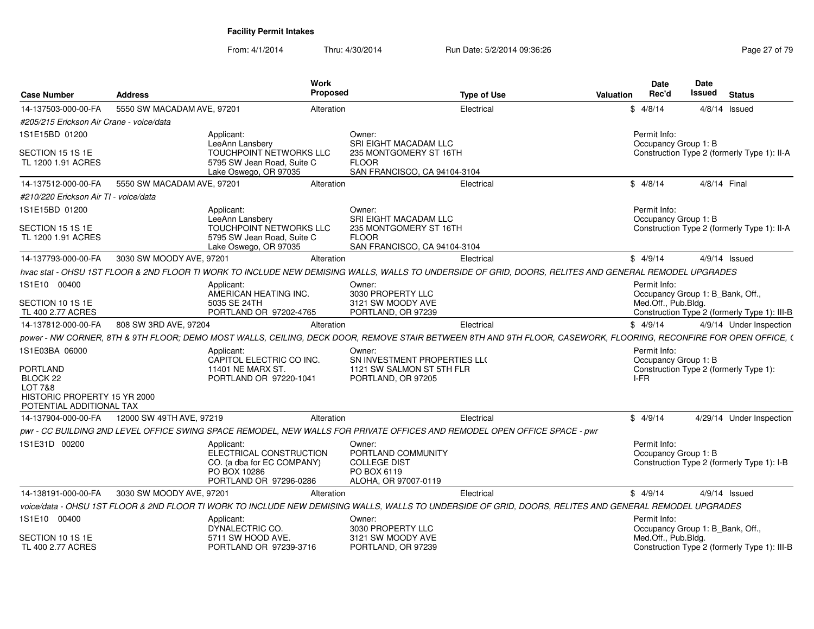| <b>Case Number</b>                       | <b>Address</b>             | Work<br>Proposed                                                                                                                                                  |                                                                                                 | <b>Type of Use</b> | <b>Date</b><br>Rec'd<br>Valuation    | <b>Date</b><br>Issued<br><b>Status</b>                                           |
|------------------------------------------|----------------------------|-------------------------------------------------------------------------------------------------------------------------------------------------------------------|-------------------------------------------------------------------------------------------------|--------------------|--------------------------------------|----------------------------------------------------------------------------------|
| 14-137503-000-00-FA                      | 5550 SW MACADAM AVE, 97201 | Alteration                                                                                                                                                        |                                                                                                 | Electrical         | \$4/8/14                             | $4/8/14$ Issued                                                                  |
| #205/215 Erickson Air Crane - voice/data |                            |                                                                                                                                                                   |                                                                                                 |                    |                                      |                                                                                  |
| 1S1E15BD 01200                           |                            | Applicant:<br>LeeAnn Lansbery                                                                                                                                     | Owner<br>SRI EIGHT MACADAM LLC                                                                  |                    | Permit Info:<br>Occupancy Group 1: B |                                                                                  |
| SECTION 15 1S 1E<br>TL 1200 1.91 ACRES   |                            | <b>TOUCHPOINT NETWORKS LLC</b><br>5795 SW Jean Road, Suite C<br>Lake Oswego, OR 97035                                                                             | 235 MONTGOMERY ST 16TH<br><b>FLOOR</b><br>SAN FRANCISCO, CA 94104-3104                          |                    |                                      | Construction Type 2 (formerly Type 1): II-A                                      |
| 14-137512-000-00-FA                      | 5550 SW MACADAM AVE, 97201 | Alteration                                                                                                                                                        |                                                                                                 | Electrical         | \$4/8/14                             | 4/8/14 Final                                                                     |
| #210/220 Erickson Air TI - voice/data    |                            |                                                                                                                                                                   |                                                                                                 |                    |                                      |                                                                                  |
| 1S1E15BD 01200                           |                            | Applicant:                                                                                                                                                        | Owner:                                                                                          |                    | Permit Info:                         |                                                                                  |
| SECTION 15 1S 1E<br>TL 1200 1.91 ACRES   |                            | LeeAnn Lansbery<br><b>TOUCHPOINT NETWORKS LLC</b><br>5795 SW Jean Road, Suite C<br>Lake Oswego, OR 97035                                                          | SRI EIGHT MACADAM LLC<br>235 MONTGOMERY ST 16TH<br><b>FLOOR</b><br>SAN FRANCISCO, CA 94104-3104 |                    | Occupancy Group 1: B                 | Construction Type 2 (formerly Type 1): II-A                                      |
| 14-137793-000-00-FA                      | 3030 SW MOODY AVE, 97201   | Alteration                                                                                                                                                        |                                                                                                 | Electrical         | \$4/9/14                             | $4/9/14$ Issued                                                                  |
|                                          |                            | hvac stat - OHSU 1ST FLOOR & 2ND FLOOR TI WORK TO INCLUDE NEW DEMISING WALLS, WALLS TO UNDERSIDE OF GRID, DOORS, RELITES AND GENERAL REMODEL UPGRADES             |                                                                                                 |                    |                                      |                                                                                  |
| 1S1E10 00400                             |                            | Applicant:                                                                                                                                                        | Owner:                                                                                          |                    | Permit Info:                         |                                                                                  |
| SECTION 10 1S 1E                         |                            | AMERICAN HEATING INC.<br>5035 SE 24TH                                                                                                                             | 3030 PROPERTY LLC<br>3121 SW MOODY AVE                                                          |                    | Med.Off., Pub.Bldg.                  | Occupancy Group 1: B_Bank, Off.,                                                 |
| TL 400 2.77 ACRES                        |                            | PORTLAND OR 97202-4765                                                                                                                                            | PORTLAND, OR 97239                                                                              |                    |                                      | Construction Type 2 (formerly Type 1): III-B                                     |
| 14-137812-000-00-FA                      | 808 SW 3RD AVE, 97204      | Alteration                                                                                                                                                        |                                                                                                 | Electrical         | \$4/9/14                             | 4/9/14 Under Inspection                                                          |
|                                          |                            | power - NW CORNER, 8TH & 9TH FLOOR; DEMO MOST WALLS, CEILING, DECK DOOR, REMOVE STAIR BETWEEN 8TH AND 9TH FLOOR, CASEWORK, FLOORING, RECONFIRE FOR OPEN OFFICE, ( |                                                                                                 |                    |                                      |                                                                                  |
| 1S1E03BA 06000                           |                            | Applicant:<br>CAPITOL ELECTRIC CO INC.                                                                                                                            | Owner<br>SN INVESTMENT PROPERTIES LLO                                                           |                    | Permit Info:                         |                                                                                  |
| <b>PORTLAND</b>                          |                            | 11401 NE MARX ST                                                                                                                                                  | 1121 SW SALMON ST 5TH FLR                                                                       |                    | Occupancy Group 1: B                 | Construction Type 2 (formerly Type 1):                                           |
| BLOCK 22                                 |                            | PORTLAND OR 97220-1041                                                                                                                                            | PORTLAND, OR 97205                                                                              |                    | I-FR                                 |                                                                                  |
| LOT 7&8<br>HISTORIC PROPERTY 15 YR 2000  |                            |                                                                                                                                                                   |                                                                                                 |                    |                                      |                                                                                  |
| POTENTIAL ADDITIONAL TAX                 |                            |                                                                                                                                                                   |                                                                                                 |                    |                                      |                                                                                  |
| 14-137904-000-00-FA                      | 12000 SW 49TH AVE, 97219   | Alteration                                                                                                                                                        |                                                                                                 | Electrical         | \$4/9/14                             | 4/29/14 Under Inspection                                                         |
|                                          |                            | pwr - CC BUILDING 2ND LEVEL OFFICE SWING SPACE REMODEL, NEW WALLS FOR PRIVATE OFFICES AND REMODEL OPEN OFFICE SPACE - pwr                                         |                                                                                                 |                    |                                      |                                                                                  |
| 1S1E31D 00200                            |                            | Applicant:<br>ELECTRICAL CONSTRUCTION<br>CO. (a dba for EC COMPANY)<br>PO BOX 10286<br>PORTLAND OR 97296-0286                                                     | Owner:<br>PORTLAND COMMUNITY<br><b>COLLEGE DIST</b><br>PO BOX 6119<br>ALOHA, OR 97007-0119      |                    | Permit Info:<br>Occupancy Group 1: B | Construction Type 2 (formerly Type 1): I-B                                       |
| 14-138191-000-00-FA                      | 3030 SW MOODY AVE, 97201   | Alteration                                                                                                                                                        |                                                                                                 | Electrical         | \$4/9/14                             | 4/9/14 Issued                                                                    |
|                                          |                            | voice/data - OHSU 1ST FLOOR & 2ND FLOOR TI WORK TO INCLUDE NEW DEMISING WALLS, WALLS TO UNDERSIDE OF GRID, DOORS, RELITES AND GENERAL REMODEL UPGRADES            |                                                                                                 |                    |                                      |                                                                                  |
| 1S1E10 00400                             |                            | Applicant:                                                                                                                                                        | Owner:                                                                                          |                    | Permit Info:                         |                                                                                  |
| SECTION 10 1S 1E<br>TL 400 2.77 ACRES    |                            | DYNALECTRIC CO.<br>5711 SW HOOD AVE.<br>PORTLAND OR 97239-3716                                                                                                    | 3030 PROPERTY LLC<br>3121 SW MOODY AVE<br>PORTLAND, OR 97239                                    |                    | Med.Off., Pub.Bldg.                  | Occupancy Group 1: B_Bank, Off.,<br>Construction Type 2 (formerly Type 1): III-B |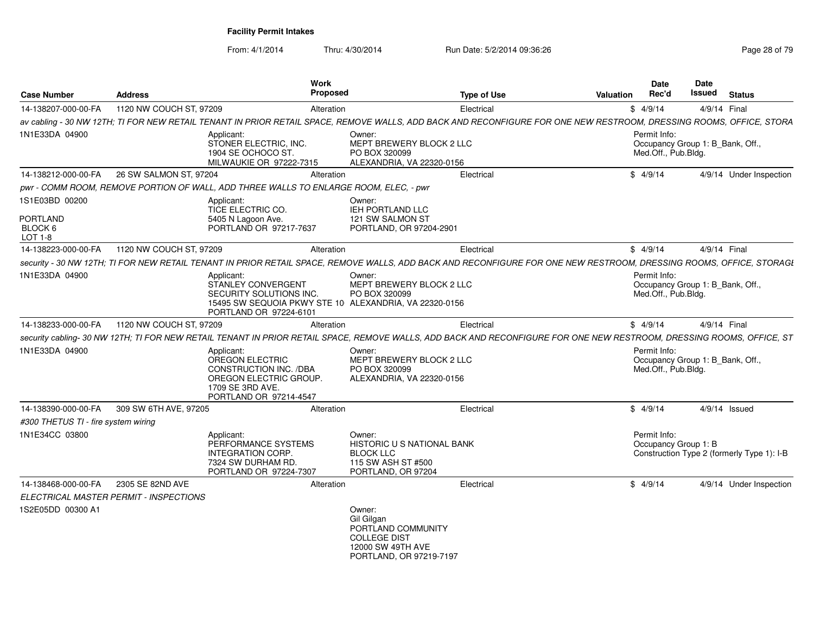| <b>Case Number</b>                               | <b>Address</b>                         | Work<br>Proposed                                                                                                                                                          | <b>Type of Use</b>                                                                                                                                                    | <b>Valuation</b> | <b>Date</b><br>Rec'd                 | Date<br>Issued | <b>Status</b>                              |
|--------------------------------------------------|----------------------------------------|---------------------------------------------------------------------------------------------------------------------------------------------------------------------------|-----------------------------------------------------------------------------------------------------------------------------------------------------------------------|------------------|--------------------------------------|----------------|--------------------------------------------|
| 14-138207-000-00-FA                              | 1120 NW COUCH ST, 97209                | Alteration                                                                                                                                                                | Electrical                                                                                                                                                            |                  | \$4/9/14                             |                | 4/9/14 Final                               |
|                                                  |                                        |                                                                                                                                                                           | av cabling - 30 NW 12TH; TI FOR NEW RETAIL TENANT IN PRIOR RETAIL SPACE, REMOVE WALLS, ADD BACK AND RECONFIGURE FOR ONE NEW RESTROOM, DRESSING ROOMS, OFFICE, STORA   |                  |                                      |                |                                            |
| 1N1E33DA 04900                                   | Applicant:                             | Owner:<br>STONER ELECTRIC, INC.<br>1904 SE OCHOCO ST.<br>PO BOX 320099<br>MILWAUKIE OR 97222-7315                                                                         | MEPT BREWERY BLOCK 2 LLC<br>ALEXANDRIA, VA 22320-0156                                                                                                                 |                  | Permit Info:<br>Med.Off., Pub.Bldg.  |                | Occupancy Group 1: B_Bank, Off.,           |
| 14-138212-000-00-FA                              | 26 SW SALMON ST, 97204                 | Alteration                                                                                                                                                                | Electrical                                                                                                                                                            |                  | \$4/9/14                             |                | 4/9/14 Under Inspection                    |
|                                                  |                                        | pwr - COMM ROOM, REMOVE PORTION OF WALL, ADD THREE WALLS TO ENLARGE ROOM, ELEC, - pwr                                                                                     |                                                                                                                                                                       |                  |                                      |                |                                            |
| 1S1E03BD 00200<br>PORTLAND<br>BLOCK 6<br>LOT 1-8 | Applicant:                             | Owner:<br>TICE ELECTRIC CO.<br>IEH PORTLAND LLC<br>5405 N Lagoon Ave.<br>121 SW SALMON ST<br>PORTLAND OR 97217-7637                                                       | PORTLAND, OR 97204-2901                                                                                                                                               |                  |                                      |                |                                            |
| 14-138223-000-00-FA                              | 1120 NW COUCH ST, 97209                | Alteration                                                                                                                                                                | Electrical                                                                                                                                                            |                  | \$4/9/14                             |                | 4/9/14 Final                               |
|                                                  |                                        |                                                                                                                                                                           | security - 30 NW 12TH; TI FOR NEW RETAIL TENANT IN PRIOR RETAIL SPACE, REMOVE WALLS, ADD BACK AND RECONFIGURE FOR ONE NEW RESTROOM, DRESSING ROOMS, OFFICE, STORAGI   |                  |                                      |                |                                            |
| 1N1E33DA 04900                                   | Applicant:                             | Owner:<br><b>STANLEY CONVERGENT</b><br>SECURITY SOLUTIONS INC.<br>PO BOX 320099<br>15495 SW SEQUOIA PKWY STE 10 ALEXANDRIA, VA 22320-0156<br>PORTLAND OR 97224-6101       | <b>MEPT BREWERY BLOCK 2 LLC</b>                                                                                                                                       |                  | Permit Info:<br>Med.Off., Pub.Bldg.  |                | Occupancy Group 1: B_Bank, Off.,           |
| 14-138233-000-00-FA                              | 1120 NW COUCH ST, 97209                | Alteration                                                                                                                                                                | Electrical                                                                                                                                                            |                  | \$4/9/14                             |                | 4/9/14 Final                               |
|                                                  |                                        |                                                                                                                                                                           | security cabling- 30 NW 12TH; TI FOR NEW RETAIL TENANT IN PRIOR RETAIL SPACE, REMOVE WALLS, ADD BACK AND RECONFIGURE FOR ONE NEW RESTROOM, DRESSING ROOMS, OFFICE, ST |                  |                                      |                |                                            |
| 1N1E33DA 04900                                   | Applicant:<br>1709 SE 3RD AVE.         | Owner:<br>OREGON ELECTRIC<br>CONSTRUCTION INC. /DBA<br>PO BOX 320099<br>OREGON ELECTRIC GROUP.<br>PORTLAND OR 97214-4547                                                  | MEPT BREWERY BLOCK 2 LLC<br>ALEXANDRIA, VA 22320-0156                                                                                                                 |                  | Permit Info:<br>Med.Off., Pub.Bldg.  |                | Occupancy Group 1: B_Bank, Off.,           |
| 14-138390-000-00-FA                              | 309 SW 6TH AVE, 97205                  | Alteration                                                                                                                                                                | Electrical                                                                                                                                                            |                  | \$4/9/14                             |                | 4/9/14 Issued                              |
| #300 THETUS TI - fire system wiring              |                                        |                                                                                                                                                                           |                                                                                                                                                                       |                  |                                      |                |                                            |
| 1N1E34CC 03800                                   | Applicant:                             | Owner:<br>PERFORMANCE SYSTEMS<br><b>INTEGRATION CORP.</b><br><b>BLOCK LLC</b><br>7324 SW DURHAM RD.<br>115 SW ASH ST #500<br>PORTLAND OR 97224-7307<br>PORTLAND, OR 97204 | <b>HISTORIC U S NATIONAL BANK</b>                                                                                                                                     |                  | Permit Info:<br>Occupancy Group 1: B |                | Construction Type 2 (formerly Type 1): I-B |
| 14-138468-000-00-FA                              | 2305 SE 82ND AVE                       | Alteration                                                                                                                                                                | Electrical                                                                                                                                                            |                  | \$4/9/14                             |                | 4/9/14 Under Inspection                    |
|                                                  | ELECTRICAL MASTER PERMIT - INSPECTIONS |                                                                                                                                                                           |                                                                                                                                                                       |                  |                                      |                |                                            |
| 1S2E05DD 00300 A1                                |                                        | Owner:<br>Gil Gilgan<br><b>COLLEGE DIST</b><br>12000 SW 49TH AVE                                                                                                          | PORTLAND COMMUNITY<br>PORTLAND, OR 97219-7197                                                                                                                         |                  |                                      |                |                                            |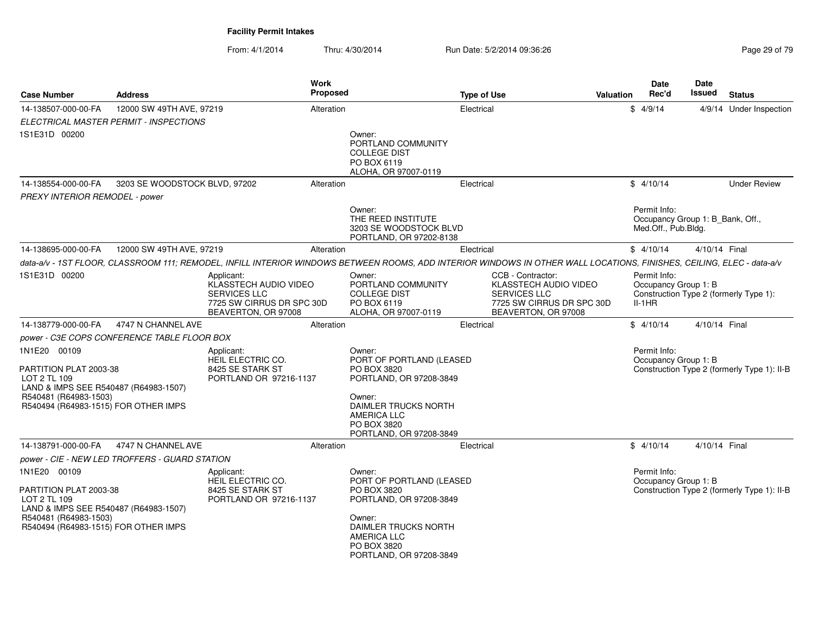From: 4/1/2014

| <b>Case Number</b>                                                                                                                                               | Address                       |                                                                                                                | <b>Work</b><br><b>Proposed</b> |                                                                                                                                                                                | <b>Type of Use</b> |                                                                                                                       | <b>Valuation</b> | Date<br>Rec'd                                    | Date<br>Issued                   | <b>Status</b>                               |
|------------------------------------------------------------------------------------------------------------------------------------------------------------------|-------------------------------|----------------------------------------------------------------------------------------------------------------|--------------------------------|--------------------------------------------------------------------------------------------------------------------------------------------------------------------------------|--------------------|-----------------------------------------------------------------------------------------------------------------------|------------------|--------------------------------------------------|----------------------------------|---------------------------------------------|
| 14-138507-000-00-FA                                                                                                                                              | 12000 SW 49TH AVE, 97219      |                                                                                                                | Alteration                     |                                                                                                                                                                                | Electrical         |                                                                                                                       |                  | \$4/9/14                                         |                                  | 4/9/14 Under Inspection                     |
| ELECTRICAL MASTER PERMIT - INSPECTIONS                                                                                                                           |                               |                                                                                                                |                                |                                                                                                                                                                                |                    |                                                                                                                       |                  |                                                  |                                  |                                             |
| 1S1E31D 00200                                                                                                                                                    |                               |                                                                                                                |                                | Owner:<br>PORTLAND COMMUNITY<br><b>COLLEGE DIST</b><br>PO BOX 6119<br>ALOHA, OR 97007-0119                                                                                     |                    |                                                                                                                       |                  |                                                  |                                  |                                             |
| 14-138554-000-00-FA                                                                                                                                              | 3203 SE WOODSTOCK BLVD, 97202 |                                                                                                                | Alteration                     |                                                                                                                                                                                | Electrical         |                                                                                                                       |                  | \$4/10/14                                        |                                  | <b>Under Review</b>                         |
| PREXY INTERIOR REMODEL - power                                                                                                                                   |                               |                                                                                                                |                                |                                                                                                                                                                                |                    |                                                                                                                       |                  |                                                  |                                  |                                             |
|                                                                                                                                                                  |                               |                                                                                                                |                                | Owner:<br>THE REED INSTITUTE<br>3203 SE WOODSTOCK BLVD<br>PORTLAND, OR 97202-8138                                                                                              |                    |                                                                                                                       |                  | Permit Info:<br>Med.Off., Pub.Bldg.              | Occupancy Group 1: B Bank, Off., |                                             |
| 14-138695-000-00-FA                                                                                                                                              | 12000 SW 49TH AVE, 97219      |                                                                                                                | Alteration                     |                                                                                                                                                                                | Electrical         |                                                                                                                       |                  | \$4/10/14                                        | 4/10/14 Final                    |                                             |
|                                                                                                                                                                  |                               |                                                                                                                |                                | data-a/v - 1ST FLOOR, CLASSROOM 111; REMODEL, INFILL INTERIOR WINDOWS BETWEEN ROOMS, ADD INTERIOR WINDOWS IN OTHER WALL LOCATIONS, FINISHES, CEILING, ELEC - data-a/v          |                    |                                                                                                                       |                  |                                                  |                                  |                                             |
| 1S1E31D 00200                                                                                                                                                    |                               | Applicant:<br>KLASSTECH AUDIO VIDEO<br><b>SERVICES LLC</b><br>7725 SW CIRRUS DR SPC 30D<br>BEAVERTON, OR 97008 |                                | Owner:<br>PORTLAND COMMUNITY<br><b>COLLEGE DIST</b><br>PO BOX 6119<br>ALOHA, OR 97007-0119                                                                                     |                    | CCB - Contractor:<br>KLASSTECH AUDIO VIDEO<br><b>SERVICES LLC</b><br>7725 SW CIRRUS DR SPC 30D<br>BEAVERTON, OR 97008 |                  | Permit Info:<br>Occupancy Group 1: B<br>$II-1HR$ |                                  | Construction Type 2 (formerly Type 1):      |
| 14-138779-000-00-FA                                                                                                                                              | 4747 N CHANNEL AVE            |                                                                                                                | Alteration                     |                                                                                                                                                                                | Electrical         |                                                                                                                       |                  | \$4/10/14                                        | 4/10/14 Final                    |                                             |
| <i>power - C3E COPS CONFERENCE TABLE FLOOR BOX</i>                                                                                                               |                               |                                                                                                                |                                |                                                                                                                                                                                |                    |                                                                                                                       |                  |                                                  |                                  |                                             |
| 1N1E20 00109<br>PARTITION PLAT 2003-38<br>LOT 2 TL 109<br>LAND & IMPS SEE R540487 (R64983-1507)<br>R540481 (R64983-1503)<br>R540494 (R64983-1515) FOR OTHER IMPS |                               | Applicant:<br>HEIL ELECTRIC CO.<br>8425 SE STARK ST<br>PORTLAND OR 97216-1137                                  |                                | Owner:<br>PORT OF PORTLAND (LEASED<br>PO BOX 3820<br>PORTLAND, OR 97208-3849<br>Owner:<br>DAIMLER TRUCKS NORTH<br>AMERICA LLC<br>PO BOX 3820<br>PORTLAND, OR 97208-3849        |                    |                                                                                                                       |                  | Permit Info:<br>Occupancy Group 1: B             |                                  | Construction Type 2 (formerly Type 1): II-B |
| 14-138791-000-00-FA                                                                                                                                              | 4747 N CHANNEL AVE            |                                                                                                                | Alteration                     |                                                                                                                                                                                | Electrical         |                                                                                                                       |                  | \$4/10/14                                        | 4/10/14 Final                    |                                             |
| power - CIE - NEW LED TROFFERS - GUARD STATION                                                                                                                   |                               |                                                                                                                |                                |                                                                                                                                                                                |                    |                                                                                                                       |                  |                                                  |                                  |                                             |
| 1N1E20 00109<br>PARTITION PLAT 2003-38<br>LOT 2 TL 109<br>LAND & IMPS SEE R540487 (R64983-1507)<br>R540481 (R64983-1503)<br>R540494 (R64983-1515) FOR OTHER IMPS |                               | Applicant:<br>HEIL ELECTRIC CO.<br>8425 SE STARK ST<br>PORTLAND OR 97216-1137                                  |                                | Owner:<br>PORT OF PORTLAND (LEASED<br>PO BOX 3820<br>PORTLAND, OR 97208-3849<br>Owner:<br>DAIMLER TRUCKS NORTH<br><b>AMERICA LLC</b><br>PO BOX 3820<br>PORTLAND, OR 97208-3849 |                    |                                                                                                                       |                  | Permit Info:<br>Occupancy Group 1: B             |                                  | Construction Type 2 (formerly Type 1): II-B |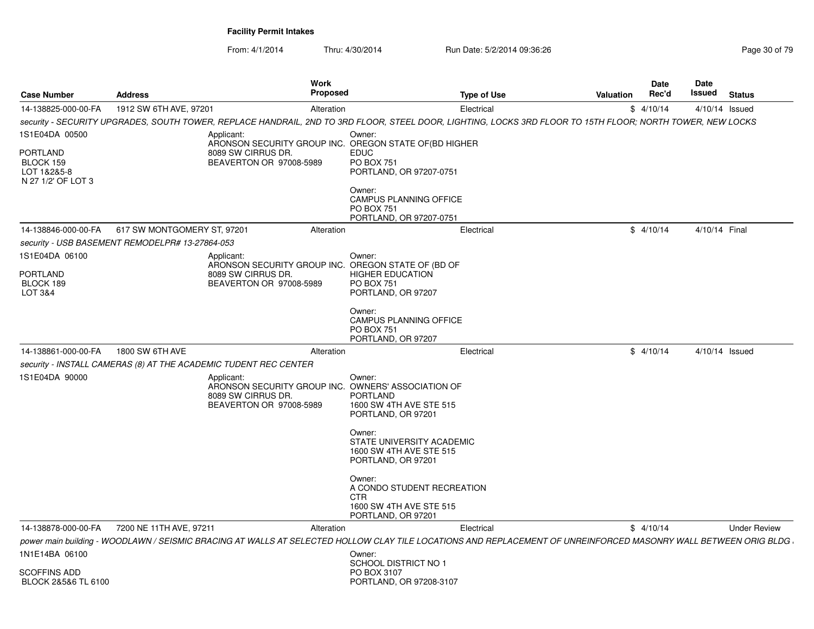| 1912 SW 6TH AVE, 97201<br>14-138825-000-00-FA<br>Alteration<br>Electrical<br>\$4/10/14<br>4/10/14 Issued<br>Owner:<br>Applicant:<br>ARONSON SECURITY GROUP INC. OREGON STATE OF (BD HIGHER<br>8089 SW CIRRUS DR.<br><b>EDUC</b><br>BEAVERTON OR 97008-5989<br><b>PO BOX 751</b><br>PORTLAND, OR 97207-0751<br>Owner:<br>CAMPUS PLANNING OFFICE<br>PO BOX 751<br>PORTLAND, OR 97207-0751<br>\$4/10/14<br>617 SW MONTGOMERY ST, 97201<br>Electrical<br>4/10/14 Final<br>Alteration<br>Applicant:<br>Owner:<br>ARONSON SECURITY GROUP INC. OREGON STATE OF (BD OF<br>8089 SW CIRRUS DR.<br><b>HIGHER EDUCATION</b><br>BEAVERTON OR 97008-5989<br>PO BOX 751<br>PORTLAND, OR 97207<br>Owner:<br>CAMPUS PLANNING OFFICE<br>PO BOX 751<br>PORTLAND, OR 97207<br>1800 SW 6TH AVE<br>\$4/10/14<br>4/10/14 Issued<br>Alteration<br>Electrical<br>Applicant:<br>Owner:<br>ARONSON SECURITY GROUP INC. OWNERS' ASSOCIATION OF<br>8089 SW CIRRUS DR.<br><b>PORTLAND</b><br>BEAVERTON OR 97008-5989<br>1600 SW 4TH AVE STE 515<br>PORTLAND, OR 97201<br>Owner:<br>STATE UNIVERSITY ACADEMIC<br>1600 SW 4TH AVE STE 515<br>PORTLAND, OR 97201<br>Owner:<br>A CONDO STUDENT RECREATION<br>CTR<br>1600 SW 4TH AVE STE 515 | <b>Case Number</b> | <b>Address</b> | <b>Work</b><br><b>Proposed</b> | <b>Type of Use</b> | Valuation | Date<br>Rec'd | Date<br>Issued | <b>Status</b>       |
|-----------------------------------------------------------------------------------------------------------------------------------------------------------------------------------------------------------------------------------------------------------------------------------------------------------------------------------------------------------------------------------------------------------------------------------------------------------------------------------------------------------------------------------------------------------------------------------------------------------------------------------------------------------------------------------------------------------------------------------------------------------------------------------------------------------------------------------------------------------------------------------------------------------------------------------------------------------------------------------------------------------------------------------------------------------------------------------------------------------------------------------------------------------------------------------------------------------|--------------------|----------------|--------------------------------|--------------------|-----------|---------------|----------------|---------------------|
| security - SECURITY UPGRADES, SOUTH TOWER, REPLACE HANDRAIL, 2ND TO 3RD FLOOR, STEEL DOOR, LIGHTING, LOCKS 3RD FLOOR TO 15TH FLOOR; NORTH TOWER, NEW LOCKS<br>1S1E04DA 00500<br>PORTLAND<br>BLOCK 159<br>LOT 1&2&5-8<br>N 27 1/2' OF LOT 3<br>14-138846-000-00-FA<br>security - USB BASEMENT REMODELPR# 13-27864-053<br>1S1E04DA 06100<br>PORTLAND<br>BLOCK 189<br>LOT 3&4<br>14-138861-000-00-FA<br>security - INSTALL CAMERAS (8) AT THE ACADEMIC TUDENT REC CENTER<br>1S1E04DA 90000                                                                                                                                                                                                                                                                                                                                                                                                                                                                                                                                                                                                                                                                                                                   |                    |                |                                |                    |           |               |                |                     |
|                                                                                                                                                                                                                                                                                                                                                                                                                                                                                                                                                                                                                                                                                                                                                                                                                                                                                                                                                                                                                                                                                                                                                                                                           |                    |                |                                |                    |           |               |                |                     |
|                                                                                                                                                                                                                                                                                                                                                                                                                                                                                                                                                                                                                                                                                                                                                                                                                                                                                                                                                                                                                                                                                                                                                                                                           |                    |                |                                |                    |           |               |                |                     |
|                                                                                                                                                                                                                                                                                                                                                                                                                                                                                                                                                                                                                                                                                                                                                                                                                                                                                                                                                                                                                                                                                                                                                                                                           |                    |                |                                |                    |           |               |                |                     |
|                                                                                                                                                                                                                                                                                                                                                                                                                                                                                                                                                                                                                                                                                                                                                                                                                                                                                                                                                                                                                                                                                                                                                                                                           |                    |                |                                |                    |           |               |                |                     |
|                                                                                                                                                                                                                                                                                                                                                                                                                                                                                                                                                                                                                                                                                                                                                                                                                                                                                                                                                                                                                                                                                                                                                                                                           |                    |                |                                |                    |           |               |                |                     |
|                                                                                                                                                                                                                                                                                                                                                                                                                                                                                                                                                                                                                                                                                                                                                                                                                                                                                                                                                                                                                                                                                                                                                                                                           |                    |                |                                |                    |           |               |                |                     |
|                                                                                                                                                                                                                                                                                                                                                                                                                                                                                                                                                                                                                                                                                                                                                                                                                                                                                                                                                                                                                                                                                                                                                                                                           |                    |                |                                |                    |           |               |                |                     |
|                                                                                                                                                                                                                                                                                                                                                                                                                                                                                                                                                                                                                                                                                                                                                                                                                                                                                                                                                                                                                                                                                                                                                                                                           |                    |                |                                |                    |           |               |                |                     |
|                                                                                                                                                                                                                                                                                                                                                                                                                                                                                                                                                                                                                                                                                                                                                                                                                                                                                                                                                                                                                                                                                                                                                                                                           |                    |                |                                |                    |           |               |                |                     |
| PORTLAND, OR 97201                                                                                                                                                                                                                                                                                                                                                                                                                                                                                                                                                                                                                                                                                                                                                                                                                                                                                                                                                                                                                                                                                                                                                                                        |                    |                |                                |                    |           |               |                |                     |
| 7200 NE 11TH AVE, 97211<br>14-138878-000-00-FA<br>Electrical<br>\$4/10/14<br>Alteration                                                                                                                                                                                                                                                                                                                                                                                                                                                                                                                                                                                                                                                                                                                                                                                                                                                                                                                                                                                                                                                                                                                   |                    |                |                                |                    |           |               |                | <b>Under Review</b> |
| power main building - WOODLAWN / SEISMIC BRACING AT WALLS AT SELECTED HOLLOW CLAY TILE LOCATIONS AND REPLACEMENT OF UNREINFORCED MASONRY WALL BETWEEN ORIG BLDG                                                                                                                                                                                                                                                                                                                                                                                                                                                                                                                                                                                                                                                                                                                                                                                                                                                                                                                                                                                                                                           |                    |                |                                |                    |           |               |                |                     |
| 1N1E14BA 06100<br>Owner:<br>SCHOOL DISTRICT NO 1<br>SCOFFINS ADD<br>PO BOX 3107<br>BLOCK 2&5&6 TL 6100<br>PORTLAND, OR 97208-3107                                                                                                                                                                                                                                                                                                                                                                                                                                                                                                                                                                                                                                                                                                                                                                                                                                                                                                                                                                                                                                                                         |                    |                |                                |                    |           |               |                |                     |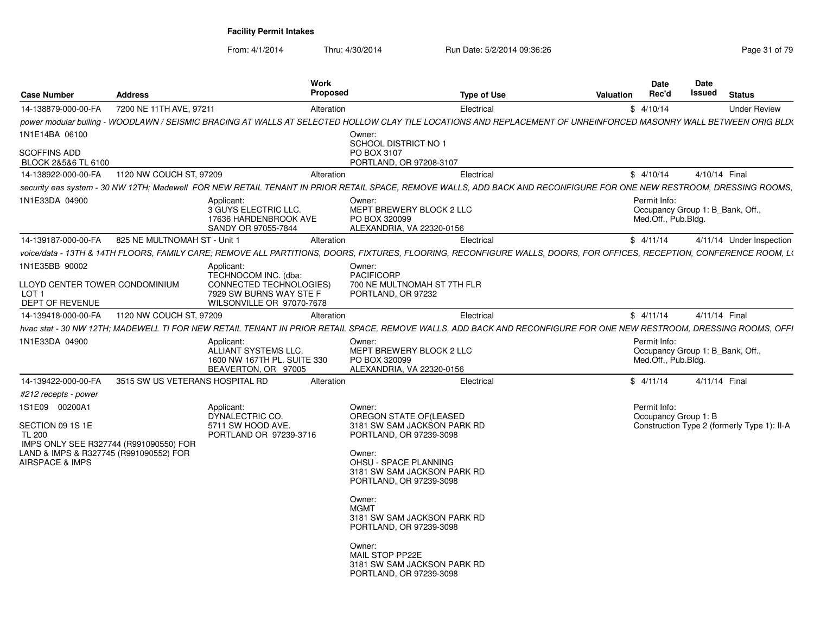| <b>Case Number</b>                                                                                | <b>Address</b>                  |                                                                                                         | <b>Work</b><br>Proposed |                                                                                     | <b>Type of Use</b>                                                                                                                                                    | <b>Valuation</b> | Date<br>Rec'd | Date<br>Issued                                          | <b>Status</b>                               |
|---------------------------------------------------------------------------------------------------|---------------------------------|---------------------------------------------------------------------------------------------------------|-------------------------|-------------------------------------------------------------------------------------|-----------------------------------------------------------------------------------------------------------------------------------------------------------------------|------------------|---------------|---------------------------------------------------------|---------------------------------------------|
| 14-138879-000-00-FA                                                                               | 7200 NE 11TH AVE, 97211         |                                                                                                         | Alteration              |                                                                                     | Electrical                                                                                                                                                            |                  | \$4/10/14     |                                                         | <b>Under Review</b>                         |
|                                                                                                   |                                 |                                                                                                         |                         |                                                                                     | power modular builing - WOODLAWN / SEISMIC BRACING AT WALLS AT SELECTED HOLLOW CLAY TILE LOCATIONS AND REPLACEMENT OF UNREINFORCED MASONRY WALL BETWEEN ORIG BLD(     |                  |               |                                                         |                                             |
| 1N1E14BA 06100                                                                                    |                                 |                                                                                                         |                         | Owner:<br><b>SCHOOL DISTRICT NO 1</b>                                               |                                                                                                                                                                       |                  |               |                                                         |                                             |
| <b>SCOFFINS ADD</b><br>BLOCK 2&5&6 TL 6100                                                        |                                 |                                                                                                         |                         | PO BOX 3107<br>PORTLAND, OR 97208-3107                                              |                                                                                                                                                                       |                  |               |                                                         |                                             |
| 14-138922-000-00-FA                                                                               | 1120 NW COUCH ST. 97209         |                                                                                                         | Alteration              |                                                                                     | Electrical                                                                                                                                                            |                  | \$4/10/14     |                                                         | 4/10/14 Final                               |
|                                                                                                   |                                 |                                                                                                         |                         |                                                                                     | security eas system - 30 NW 12TH; Madewell  FOR NEW RETAIL TENANT IN PRIOR RETAIL SPACE, REMOVE WALLS, ADD BACK AND RECONFIGURE FOR ONE NEW RESTROOM, DRESSING ROOMS, |                  |               |                                                         |                                             |
| 1N1E33DA 04900                                                                                    |                                 | Applicant:<br>3 GUYS ELECTRIC LLC.<br>17636 HARDENBROOK AVE<br>SANDY OR 97055-7844                      |                         | Owner:<br>MEPT BREWERY BLOCK 2 LLC<br>PO BOX 320099<br>ALEXANDRIA, VA 22320-0156    |                                                                                                                                                                       |                  | Permit Info:  | Occupancy Group 1: B Bank, Off.,<br>Med.Off., Pub.Bldg. |                                             |
| 14-139187-000-00-FA                                                                               | 825 NE MULTNOMAH ST - Unit 1    |                                                                                                         | Alteration              |                                                                                     | Electrical                                                                                                                                                            |                  | \$4/11/14     |                                                         | 4/11/14 Under Inspection                    |
|                                                                                                   |                                 |                                                                                                         |                         |                                                                                     | voice/data - 13TH & 14TH FLOORS, FAMILY CARE; REMOVE ALL PARTITIONS, DOORS, FIXTURES, FLOORING, RECONFIGURE WALLS, DOORS, FOR OFFICES, RECEPTION, CONFERENCE ROOM, LO |                  |               |                                                         |                                             |
| 1N1E35BB 90002                                                                                    |                                 | Applicant:                                                                                              |                         | Owner:                                                                              |                                                                                                                                                                       |                  |               |                                                         |                                             |
| LLOYD CENTER TOWER CONDOMINIUM<br>LOT <sub>1</sub><br>DEPT OF REVENUE                             |                                 | TECHNOCOM INC. (dba:<br>CONNECTED TECHNOLOGIES)<br>7929 SW BURNS WAY STE F<br>WILSONVILLE OR 97070-7678 |                         | <b>PACIFICORP</b><br>700 NE MULTNOMAH ST 7TH FLR<br>PORTLAND, OR 97232              |                                                                                                                                                                       |                  |               |                                                         |                                             |
| 14-139418-000-00-FA                                                                               | 1120 NW COUCH ST, 97209         |                                                                                                         | Alteration              |                                                                                     | Electrical                                                                                                                                                            |                  | \$4/11/14     |                                                         | 4/11/14 Final                               |
|                                                                                                   |                                 |                                                                                                         |                         |                                                                                     | hvac stat - 30 NW 12TH; MADEWELL TI FOR NEW RETAIL TENANT IN PRIOR RETAIL SPACE, REMOVE WALLS, ADD BACK AND RECONFIGURE FOR ONE NEW RESTROOM, DRESSING ROOMS, OFFI    |                  |               |                                                         |                                             |
| 1N1E33DA 04900                                                                                    |                                 | Applicant<br>ALLIANT SYSTEMS LLC.<br>1600 NW 167TH PL. SUITE 330<br>BEAVERTON, OR 97005                 |                         | Owner:<br>MEPT BREWERY BLOCK 2 LLC<br>PO BOX 320099<br>ALEXANDRIA, VA 22320-0156    |                                                                                                                                                                       |                  | Permit Info:  | Occupancy Group 1: B Bank, Off.,<br>Med.Off., Pub.Bldg. |                                             |
| 14-139422-000-00-FA                                                                               | 3515 SW US VETERANS HOSPITAL RD |                                                                                                         | Alteration              |                                                                                     | Electrical                                                                                                                                                            |                  | \$4/11/14     |                                                         | 4/11/14 Final                               |
| #212 recepts - power                                                                              |                                 |                                                                                                         |                         |                                                                                     |                                                                                                                                                                       |                  |               |                                                         |                                             |
| 1S1E09 00200A1<br>SECTION 09 1S 1E                                                                |                                 | Applicant:<br>DYNALECTRIC CO.<br>5711 SW HOOD AVE.                                                      |                         | Owner:<br>OREGON STATE OF (LEASED<br>3181 SW SAM JACKSON PARK RD                    |                                                                                                                                                                       |                  | Permit Info:  | Occupancy Group 1: B                                    | Construction Type 2 (formerly Type 1): II-A |
| <b>TL 200</b><br>IMPS ONLY SEE R327744 (R991090550) FOR<br>LAND & IMPS & R327745 (R991090552) FOR |                                 | PORTLAND OR 97239-3716                                                                                  |                         | PORTLAND, OR 97239-3098<br>Owner:                                                   |                                                                                                                                                                       |                  |               |                                                         |                                             |
| <b>AIRSPACE &amp; IMPS</b>                                                                        |                                 |                                                                                                         |                         | OHSU - SPACE PLANNING<br>3181 SW SAM JACKSON PARK RD<br>PORTLAND, OR 97239-3098     |                                                                                                                                                                       |                  |               |                                                         |                                             |
|                                                                                                   |                                 |                                                                                                         |                         | Owner:<br><b>MGMT</b><br>3181 SW SAM JACKSON PARK RD<br>PORTLAND, OR 97239-3098     |                                                                                                                                                                       |                  |               |                                                         |                                             |
|                                                                                                   |                                 |                                                                                                         |                         | Owner:<br>MAIL STOP PP22E<br>3181 SW SAM JACKSON PARK RD<br>PORTLAND, OR 97239-3098 |                                                                                                                                                                       |                  |               |                                                         |                                             |
|                                                                                                   |                                 |                                                                                                         |                         |                                                                                     |                                                                                                                                                                       |                  |               |                                                         |                                             |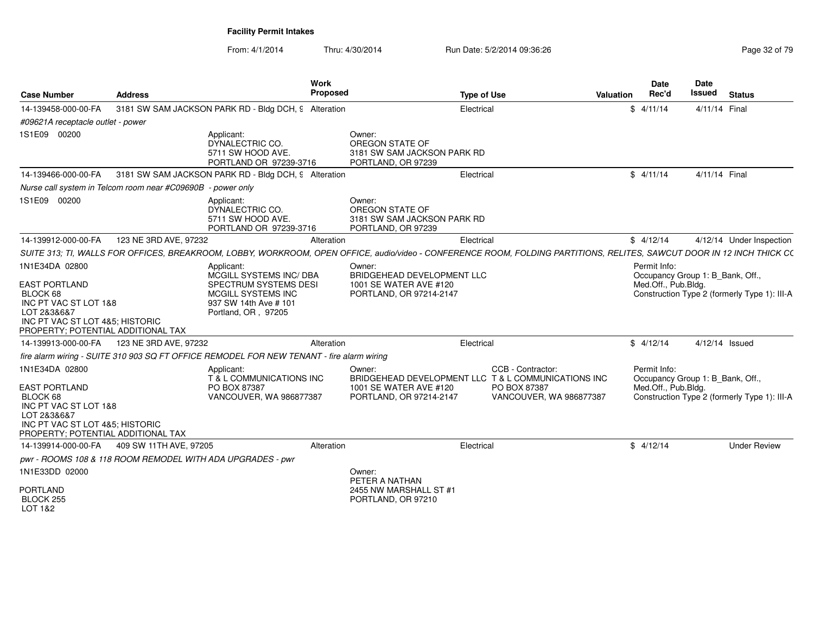| <b>Case Number</b>                                                                                                                                                  | <b>Address</b>                                              |                                                                                                                                      | Work<br><b>Proposed</b> |                                                                                           | <b>Type of Use</b>                                                                                                                                                     | Valuation | <b>Date</b><br>Rec'd                | Date<br><b>Issued</b>            | <b>Status</b>                                |
|---------------------------------------------------------------------------------------------------------------------------------------------------------------------|-------------------------------------------------------------|--------------------------------------------------------------------------------------------------------------------------------------|-------------------------|-------------------------------------------------------------------------------------------|------------------------------------------------------------------------------------------------------------------------------------------------------------------------|-----------|-------------------------------------|----------------------------------|----------------------------------------------|
| 14-139458-000-00-FA                                                                                                                                                 |                                                             | 3181 SW SAM JACKSON PARK RD - Bldg DCH, 9 Alteration                                                                                 |                         |                                                                                           | Electrical                                                                                                                                                             |           | \$4/11/14                           | 4/11/14 Final                    |                                              |
| #09621A receptacle outlet - power                                                                                                                                   |                                                             |                                                                                                                                      |                         |                                                                                           |                                                                                                                                                                        |           |                                     |                                  |                                              |
| 1S1E09 00200                                                                                                                                                        |                                                             | Applicant:<br>DYNALECTRIC CO.<br>5711 SW HOOD AVE.<br>PORTLAND OR 97239-3716                                                         |                         | Owner:<br>OREGON STATE OF<br>3181 SW SAM JACKSON PARK RD<br>PORTLAND, OR 97239            |                                                                                                                                                                        |           |                                     |                                  |                                              |
| 14-139466-000-00-FA                                                                                                                                                 |                                                             | 3181 SW SAM JACKSON PARK RD - Bldg DCH, 9 Alteration                                                                                 |                         |                                                                                           | Electrical                                                                                                                                                             |           | \$4/11/14                           | 4/11/14 Final                    |                                              |
|                                                                                                                                                                     | Nurse call system in Telcom room near #C09690B - power only |                                                                                                                                      |                         |                                                                                           |                                                                                                                                                                        |           |                                     |                                  |                                              |
| 1S1E09 00200                                                                                                                                                        |                                                             | Applicant:<br>DYNALECTRIC CO.<br>5711 SW HOOD AVE.<br>PORTLAND OR 97239-3716                                                         |                         | Owner:<br>OREGON STATE OF<br>3181 SW SAM JACKSON PARK RD<br>PORTLAND, OR 97239            |                                                                                                                                                                        |           |                                     |                                  |                                              |
| 14-139912-000-00-FA                                                                                                                                                 | 123 NE 3RD AVE, 97232                                       |                                                                                                                                      | Alteration              |                                                                                           | Electrical                                                                                                                                                             |           | \$4/12/14                           |                                  | 4/12/14 Under Inspection                     |
|                                                                                                                                                                     |                                                             |                                                                                                                                      |                         |                                                                                           | SUITE 313; TI, WALLS FOR OFFICES, BREAKROOM, LOBBY, WORKROOM, OPEN OFFICE, audio/video - CONFERENCE ROOM, FOLDING PARTITIONS, RELITES, SAWCUT DOOR IN 12 INCH THICK CO |           |                                     |                                  |                                              |
| 1N1E34DA 02800<br><b>EAST PORTLAND</b><br>BLOCK 68<br>INC PT VAC ST LOT 1&8<br>LOT 2&3&6&7<br>INC PT VAC ST LOT 4&5; HISTORIC<br>PROPERTY; POTENTIAL ADDITIONAL TAX |                                                             | Applicant:<br>MCGILL SYSTEMS INC/ DBA<br>SPECTRUM SYSTEMS DESI<br>MCGILL SYSTEMS INC<br>937 SW 14th Ave # 101<br>Portland, OR, 97205 |                         | Owner:<br>BRIDGEHEAD DEVELOPMENT LLC<br>1001 SE WATER AVE #120<br>PORTLAND, OR 97214-2147 |                                                                                                                                                                        |           | Permit Info:<br>Med.Off., Pub.Bldg. | Occupancy Group 1: B_Bank, Off., | Construction Type 2 (formerly Type 1): III-A |
| 14-139913-000-00-FA                                                                                                                                                 | 123 NE 3RD AVE, 97232                                       |                                                                                                                                      | Alteration              |                                                                                           | Electrical                                                                                                                                                             |           | \$4/12/14                           | 4/12/14 Issued                   |                                              |
|                                                                                                                                                                     |                                                             | fire alarm wiring - SUITE 310 903 SQ FT OFFICE REMODEL FOR NEW TENANT - fire alarm wiring                                            |                         |                                                                                           |                                                                                                                                                                        |           |                                     |                                  |                                              |
| 1N1E34DA 02800<br><b>EAST PORTLAND</b><br>BLOCK 68<br>INC PT VAC ST LOT 1&8<br>LOT 2&3&6&7<br>INC PT VAC ST LOT 4&5: HISTORIC<br>PROPERTY; POTENTIAL ADDITIONAL TAX |                                                             | Applicant:<br>T & L COMMUNICATIONS INC<br>PO BOX 87387<br>VANCOUVER, WA 986877387                                                    |                         | Owner:<br>1001 SE WATER AVE #120<br>PORTLAND, OR 97214-2147                               | CCB - Contractor:<br>BRIDGEHEAD DEVELOPMENT LLC T & L COMMUNICATIONS INC<br>PO BOX 87387<br>VANCOUVER, WA 986877387                                                    |           | Permit Info:<br>Med.Off., Pub.Bldg. | Occupancy Group 1: B_Bank, Off., | Construction Type 2 (formerly Type 1): III-A |
| 14-139914-000-00-FA                                                                                                                                                 | 409 SW 11TH AVE. 97205                                      |                                                                                                                                      | Alteration              |                                                                                           | Electrical                                                                                                                                                             |           | \$4/12/14                           |                                  | <b>Under Review</b>                          |
|                                                                                                                                                                     | pwr - ROOMS 108 & 118 ROOM REMODEL WITH ADA UPGRADES - pwr  |                                                                                                                                      |                         |                                                                                           |                                                                                                                                                                        |           |                                     |                                  |                                              |
| 1N1E33DD 02000                                                                                                                                                      |                                                             |                                                                                                                                      |                         | Owner:<br>PETER A NATHAN                                                                  |                                                                                                                                                                        |           |                                     |                                  |                                              |
| PORTLAND<br>BLOCK 255<br>LOT 1&2                                                                                                                                    |                                                             |                                                                                                                                      |                         | 2455 NW MARSHALL ST #1<br>PORTLAND, OR 97210                                              |                                                                                                                                                                        |           |                                     |                                  |                                              |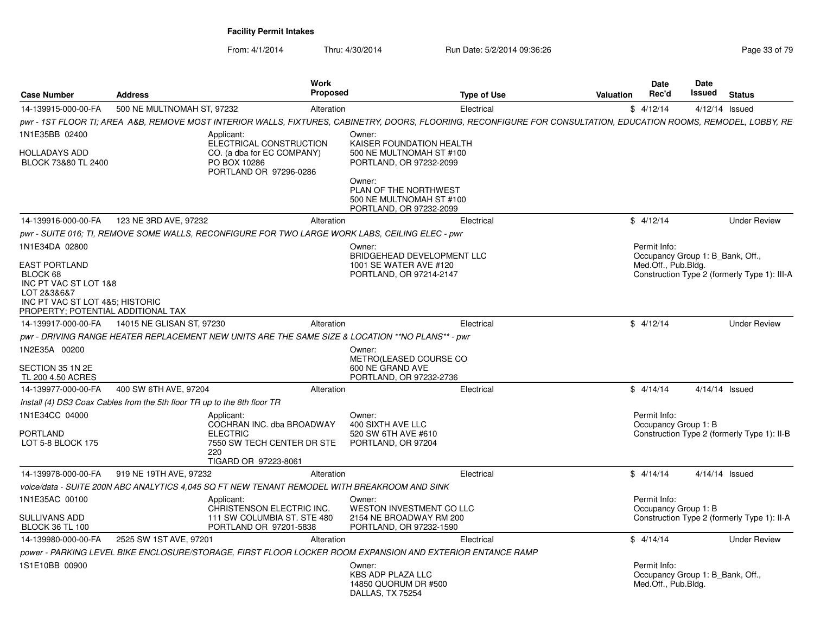| <b>Case Number</b>                                                                                                        | <b>Address</b>             | Work                                                                                                          | <b>Proposed</b> | <b>Type of Use</b>                                                                                                                                                | <b>Valuation</b> | <b>Date</b><br>Rec'd                                                    | Date<br>Issued | <b>Status</b>                                |
|---------------------------------------------------------------------------------------------------------------------------|----------------------------|---------------------------------------------------------------------------------------------------------------|-----------------|-------------------------------------------------------------------------------------------------------------------------------------------------------------------|------------------|-------------------------------------------------------------------------|----------------|----------------------------------------------|
| 14-139915-000-00-FA                                                                                                       | 500 NE MULTNOMAH ST, 97232 |                                                                                                               | Alteration      | Electrical                                                                                                                                                        |                  | \$4/12/14                                                               |                | $4/12/14$ Issued                             |
|                                                                                                                           |                            |                                                                                                               |                 | pwr - 1ST FLOOR TI; AREA A&B, REMOVE MOST INTERIOR WALLS, FIXTURES, CABINETRY, DOORS, FLOORING, RECONFIGURE FOR CONSULTATION, EDUCATION ROOMS, REMODEL, LOBBY, RE |                  |                                                                         |                |                                              |
| 1N1E35BB 02400<br><b>HOLLADAYS ADD</b><br>BLOCK 73&80 TL 2400                                                             |                            | Applicant:<br>ELECTRICAL CONSTRUCTION<br>CO. (a dba for EC COMPANY)<br>PO BOX 10286<br>PORTLAND OR 97296-0286 |                 | Owner:<br>KAISER FOUNDATION HEALTH<br>500 NE MULTNOMAH ST #100<br>PORTLAND, OR 97232-2099                                                                         |                  |                                                                         |                |                                              |
|                                                                                                                           |                            |                                                                                                               |                 | Owner:<br>PLAN OF THE NORTHWEST<br>500 NE MULTNOMAH ST #100<br>PORTLAND, OR 97232-2099                                                                            |                  |                                                                         |                |                                              |
| 14-139916-000-00-FA                                                                                                       | 123 NE 3RD AVE, 97232      |                                                                                                               | Alteration      | Electrical                                                                                                                                                        |                  | \$4/12/14                                                               |                | <b>Under Review</b>                          |
|                                                                                                                           |                            | pwr - SUITE 016; TI, REMOVE SOME WALLS, RECONFIGURE FOR TWO LARGE WORK LABS, CEILING ELEC - pwr               |                 |                                                                                                                                                                   |                  |                                                                         |                |                                              |
| 1N1E34DA 02800<br><b>EAST PORTLAND</b>                                                                                    |                            |                                                                                                               |                 | Owner:<br>BRIDGEHEAD DEVELOPMENT LLC<br>1001 SE WATER AVE #120                                                                                                    |                  | Permit Info:<br>Occupancy Group 1: B Bank, Off.,<br>Med.Off., Pub.Bldg. |                |                                              |
| BLOCK 68<br>INC PT VAC ST LOT 1&8<br>LOT 2&3&6&7<br>INC PT VAC ST LOT 4&5; HISTORIC<br>PROPERTY; POTENTIAL ADDITIONAL TAX |                            |                                                                                                               |                 | PORTLAND, OR 97214-2147                                                                                                                                           |                  |                                                                         |                | Construction Type 2 (formerly Type 1): III-A |
| 14-139917-000-00-FA                                                                                                       | 14015 NE GLISAN ST. 97230  |                                                                                                               | Alteration      | Electrical                                                                                                                                                        |                  | \$4/12/14                                                               |                | <b>Under Review</b>                          |
|                                                                                                                           |                            | pwr - DRIVING RANGE HEATER REPLACEMENT NEW UNITS ARE THE SAME SIZE & LOCATION ** NO PLANS** - pwr             |                 |                                                                                                                                                                   |                  |                                                                         |                |                                              |
| 1N2E35A 00200<br>SECTION 35 1N 2E<br>TL 200 4.50 ACRES                                                                    |                            |                                                                                                               |                 | Owner:<br>METRO(LEASED COURSE CO<br>600 NE GRAND AVE<br>PORTLAND, OR 97232-2736                                                                                   |                  |                                                                         |                |                                              |
| 14-139977-000-00-FA                                                                                                       | 400 SW 6TH AVE, 97204      |                                                                                                               | Alteration      | Electrical                                                                                                                                                        |                  | \$4/14/14                                                               |                | 4/14/14 Issued                               |
| Install (4) DS3 Coax Cables from the 5th floor TR up to the 8th floor TR                                                  |                            |                                                                                                               |                 |                                                                                                                                                                   |                  |                                                                         |                |                                              |
| 1N1E34CC 04000                                                                                                            |                            | Applicant:<br>COCHRAN INC. dba BROADWAY                                                                       |                 | Owner:<br>400 SIXTH AVE LLC                                                                                                                                       |                  | Permit Info:<br>Occupancy Group 1: B                                    |                |                                              |
| PORTLAND<br>LOT 5-8 BLOCK 175                                                                                             |                            | <b>ELECTRIC</b><br>7550 SW TECH CENTER DR STE<br>220<br>TIGARD OR 97223-8061                                  |                 | 520 SW 6TH AVE #610<br>PORTLAND, OR 97204                                                                                                                         |                  |                                                                         |                | Construction Type 2 (formerly Type 1): II-B  |
| 14-139978-000-00-FA                                                                                                       | 919 NE 19TH AVE, 97232     |                                                                                                               | Alteration      | Electrical                                                                                                                                                        |                  | \$4/14/14                                                               |                | $4/14/14$ Issued                             |
|                                                                                                                           |                            | voice/data - SUITE 200N ABC ANALYTICS 4.045 SQ FT NEW TENANT REMODEL WITH BREAKROOM AND SINK                  |                 |                                                                                                                                                                   |                  |                                                                         |                |                                              |
| 1N1E35AC 00100                                                                                                            |                            | Applicant:                                                                                                    |                 | Owner:                                                                                                                                                            |                  | Permit Info:                                                            |                |                                              |
| SULLIVANS ADD<br><b>BLOCK 36 TL 100</b>                                                                                   |                            | CHRISTENSON ELECTRIC INC.<br>111 SW COLUMBIA ST. STE 480<br>PORTLAND OR 97201-5838                            |                 | <b>WESTON INVESTMENT CO LLC</b><br>2154 NE BROADWAY RM 200<br>PORTLAND, OR 97232-1590                                                                             |                  | Occupancy Group 1: B                                                    |                | Construction Type 2 (formerly Type 1): II-A  |
| 14-139980-000-00-FA                                                                                                       | 2525 SW 1ST AVE, 97201     |                                                                                                               | Alteration      | Electrical                                                                                                                                                        |                  | \$4/14/14                                                               |                | <b>Under Review</b>                          |
|                                                                                                                           |                            |                                                                                                               |                 | power - PARKING LEVEL BIKE ENCLOSURE/STORAGE, FIRST FLOOR LOCKER ROOM EXPANSION AND EXTERIOR ENTANCE RAMP                                                         |                  |                                                                         |                |                                              |
| 1S1E10BB 00900                                                                                                            |                            |                                                                                                               |                 | Owner:<br><b>KBS ADP PLAZA LLC</b><br>14850 QUORUM DR #500<br>DALLAS, TX 75254                                                                                    |                  | Permit Info:<br>Occupancy Group 1: B Bank, Off.,<br>Med.Off., Pub.Bldg. |                |                                              |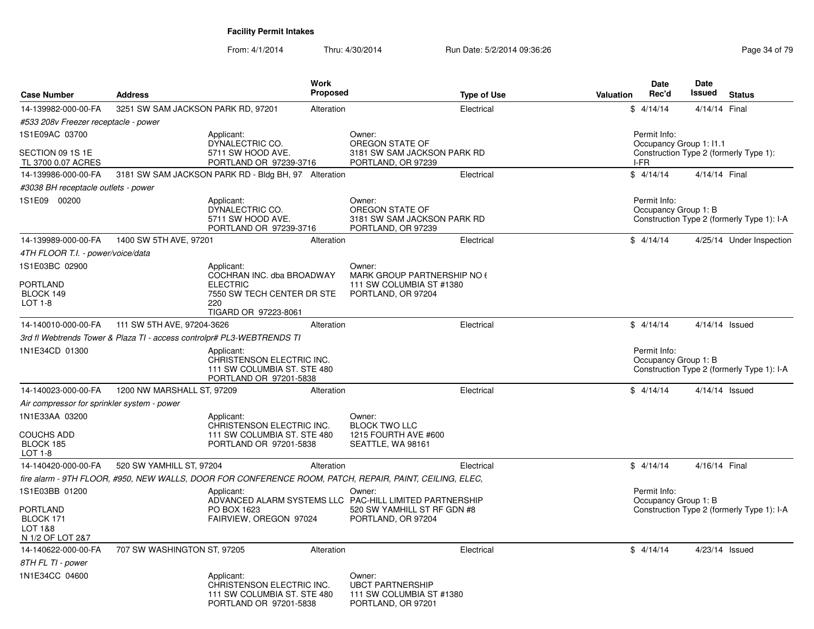| <b>Case Number</b>                                   | <b>Address</b>                     | Work<br><b>Proposed</b>                                                                                   |                                                         | <b>Type of Use</b>                                      | Valuation | <b>Date</b><br>Rec'd                 | <b>Date</b><br>Issued | <b>Status</b>                              |
|------------------------------------------------------|------------------------------------|-----------------------------------------------------------------------------------------------------------|---------------------------------------------------------|---------------------------------------------------------|-----------|--------------------------------------|-----------------------|--------------------------------------------|
| 14-139982-000-00-FA                                  | 3251 SW SAM JACKSON PARK RD, 97201 | Alteration                                                                                                |                                                         | Electrical                                              |           | \$4/14/14                            | 4/14/14 Final         |                                            |
| #533 208v Freezer receptacle - power                 |                                    |                                                                                                           |                                                         |                                                         |           |                                      |                       |                                            |
| 1S1E09AC 03700                                       |                                    | Applicant:                                                                                                | Owner:                                                  |                                                         |           | Permit Info:                         |                       |                                            |
| SECTION 09 1S 1E<br>TL 3700 0.07 ACRES               |                                    | DYNALECTRIC CO.<br>5711 SW HOOD AVE.<br>PORTLAND OR 97239-3716                                            | OREGON STATE OF<br>PORTLAND, OR 97239                   | 3181 SW SAM JACKSON PARK RD                             |           | Occupancy Group 1: I1.1<br>I-FR      |                       | Construction Type 2 (formerly Type 1):     |
| 14-139986-000-00-FA                                  |                                    | 3181 SW SAM JACKSON PARK RD - Bldg BH, 97. Alteration                                                     |                                                         | Electrical                                              |           | \$4/14/14                            | 4/14/14 Final         |                                            |
| #3038 BH receptacle outlets - power                  |                                    |                                                                                                           |                                                         |                                                         |           |                                      |                       |                                            |
| 1S1E09 00200                                         |                                    | Applicant:<br>DYNALECTRIC CO.<br>5711 SW HOOD AVE.<br>PORTLAND OR 97239-3716                              | Owner:<br>OREGON STATE OF<br>PORTLAND, OR 97239         | 3181 SW SAM JACKSON PARK RD                             |           | Permit Info:<br>Occupancy Group 1: B |                       | Construction Type 2 (formerly Type 1): I-A |
| 14-139989-000-00-FA                                  | 1400 SW 5TH AVE, 97201             | Alteration                                                                                                |                                                         | Electrical                                              |           | \$4/14/14                            |                       | 4/25/14 Under Inspection                   |
| 4TH FLOOR T.I. - power/voice/data                    |                                    |                                                                                                           |                                                         |                                                         |           |                                      |                       |                                            |
| 1S1E03BC 02900                                       |                                    | Applicant:                                                                                                | Owner:                                                  |                                                         |           |                                      |                       |                                            |
| <b>PORTLAND</b><br>BLOCK 149<br>LOT 1-8              |                                    | COCHRAN INC. dba BROADWAY<br><b>ELECTRIC</b><br>7550 SW TECH CENTER DR STE<br>220<br>TIGARD OR 97223-8061 | PORTLAND, OR 97204                                      | MARK GROUP PARTNERSHIP NO 6<br>111 SW COLUMBIA ST #1380 |           |                                      |                       |                                            |
| 14-140010-000-00-FA                                  | 111 SW 5TH AVE, 97204-3626         | Alteration                                                                                                |                                                         | Electrical                                              |           | \$4/14/14                            |                       | 4/14/14 Issued                             |
|                                                      |                                    | 3rd fl Webtrends Tower & Plaza TI - access controlpr# PL3-WEBTRENDS TI                                    |                                                         |                                                         |           |                                      |                       |                                            |
| 1N1E34CD 01300                                       |                                    | Applicant:<br>CHRISTENSON ELECTRIC INC.<br>111 SW COLUMBIA ST. STE 480<br>PORTLAND OR 97201-5838          |                                                         |                                                         |           | Permit Info:<br>Occupancy Group 1: B |                       | Construction Type 2 (formerly Type 1): I-A |
| 14-140023-000-00-FA                                  | 1200 NW MARSHALL ST, 97209         | Alteration                                                                                                |                                                         | Electrical                                              |           | \$4/14/14                            |                       | 4/14/14 Issued                             |
| Air compressor for sprinkler system - power          |                                    |                                                                                                           |                                                         |                                                         |           |                                      |                       |                                            |
| 1N1E33AA 03200                                       |                                    | Applicant:<br>CHRISTENSON ELECTRIC INC.                                                                   | Owner:<br><b>BLOCK TWO LLC</b>                          |                                                         |           |                                      |                       |                                            |
| <b>COUCHS ADD</b><br>BLOCK 185<br>LOT 1-8            |                                    | 111 SW COLUMBIA ST. STE 480<br>PORTLAND OR 97201-5838                                                     | SEATTLE, WA 98161                                       | 1215 FOURTH AVE #600                                    |           |                                      |                       |                                            |
| 14-140420-000-00-FA                                  | 520 SW YAMHILL ST, 97204           | Alteration                                                                                                |                                                         | Electrical                                              |           | \$4/14/14                            | 4/16/14 Final         |                                            |
|                                                      |                                    | fire alarm - 9TH FLOOR, #950, NEW WALLS, DOOR FOR CONFERENCE ROOM, PATCH, REPAIR, PAINT, CEILING, ELEC,   |                                                         |                                                         |           |                                      |                       |                                            |
| 1S1E03BB 01200                                       |                                    | Applicant:                                                                                                | Owner:                                                  |                                                         |           | Permit Info:                         |                       |                                            |
| PORTLAND<br>BLOCK 171<br>LOT 1&8<br>N 1/2 OF LOT 2&7 |                                    | ADVANCED ALARM SYSTEMS LLC PAC-HILL LIMITED PARTNERSHIP<br>PO BOX 1623<br>FAIRVIEW, OREGON 97024          | PORTLAND, OR 97204                                      | 520 SW YAMHILL ST RF GDN #8                             |           | Occupancy Group 1: B                 |                       | Construction Type 2 (formerly Type 1): I-A |
| 14-140622-000-00-FA                                  | 707 SW WASHINGTON ST, 97205        | Alteration                                                                                                |                                                         | Electrical                                              |           | \$4/14/14                            |                       | $4/23/14$ Issued                           |
| 8TH FL TI - power                                    |                                    |                                                                                                           |                                                         |                                                         |           |                                      |                       |                                            |
| 1N1E34CC 04600                                       |                                    | Applicant:<br>CHRISTENSON ELECTRIC INC.<br>111 SW COLUMBIA ST. STE 480<br>PORTLAND OR 97201-5838          | Owner:<br><b>UBCT PARTNERSHIP</b><br>PORTLAND, OR 97201 | 111 SW COLUMBIA ST #1380                                |           |                                      |                       |                                            |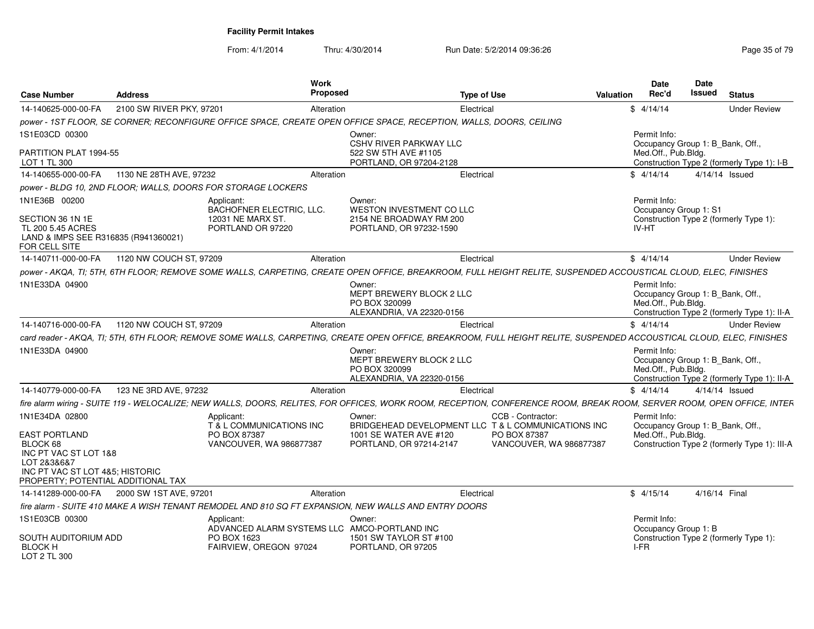| <b>Case Number</b>                                                                                                                                           | Address                                                      | Work<br><b>Proposed</b>                                                                                            |                                                                                  | <b>Type of Use</b>                                                                                                                                                     | Date<br>Rec'd<br>Valuation | Date<br>Issued                                          | <b>Status</b>                                |
|--------------------------------------------------------------------------------------------------------------------------------------------------------------|--------------------------------------------------------------|--------------------------------------------------------------------------------------------------------------------|----------------------------------------------------------------------------------|------------------------------------------------------------------------------------------------------------------------------------------------------------------------|----------------------------|---------------------------------------------------------|----------------------------------------------|
| 14-140625-000-00-FA                                                                                                                                          | 2100 SW RIVER PKY, 97201                                     | Alteration                                                                                                         |                                                                                  | Electrical                                                                                                                                                             | \$4/14/14                  |                                                         | <b>Under Review</b>                          |
|                                                                                                                                                              |                                                              | power - 1ST FLOOR. SE CORNER: RECONFIGURE OFFICE SPACE. CREATE OPEN OFFICE SPACE. RECEPTION. WALLS. DOORS. CEILING |                                                                                  |                                                                                                                                                                        |                            |                                                         |                                              |
| 1S1E03CD 00300                                                                                                                                               |                                                              |                                                                                                                    | Owner:                                                                           |                                                                                                                                                                        | Permit Info:               |                                                         |                                              |
| PARTITION PLAT 1994-55<br>LOT 1 TL 300                                                                                                                       |                                                              |                                                                                                                    | CSHV RIVER PARKWAY LLC<br>522 SW 5TH AVE #1105<br>PORTLAND, OR 97204-2128        |                                                                                                                                                                        |                            | Occupancy Group 1: B_Bank, Off.,<br>Med.Off., Pub.Bldg. | Construction Type 2 (formerly Type 1): I-B   |
| 14-140655-000-00-FA                                                                                                                                          | 1130 NE 28TH AVE, 97232                                      | Alteration                                                                                                         |                                                                                  | Electrical                                                                                                                                                             | \$4/14/14                  |                                                         | 4/14/14 Issued                               |
|                                                                                                                                                              | power - BLDG 10. 2ND FLOOR: WALLS. DOORS FOR STORAGE LOCKERS |                                                                                                                    |                                                                                  |                                                                                                                                                                        |                            |                                                         |                                              |
| 1N1E36B 00200                                                                                                                                                |                                                              | Applicant:<br>BACHOFNER ELECTRIC, LLC.                                                                             | Owner:<br>WESTON INVESTMENT CO LLC                                               |                                                                                                                                                                        | Permit Info:               | Occupancy Group 1: S1                                   |                                              |
| SECTION 36 1N 1E<br>TL 200 5.45 ACRES<br>LAND & IMPS SEE R316835 (R941360021)<br>FOR CELL SITE                                                               |                                                              | 12031 NE MARX ST.<br>PORTLAND OR 97220                                                                             | 2154 NE BROADWAY RM 200<br>PORTLAND, OR 97232-1590                               |                                                                                                                                                                        | IV-HT                      |                                                         | Construction Type 2 (formerly Type 1):       |
| 14-140711-000-00-FA                                                                                                                                          | 1120 NW COUCH ST, 97209                                      | Alteration                                                                                                         |                                                                                  | Electrical                                                                                                                                                             | \$4/14/14                  |                                                         | <b>Under Review</b>                          |
|                                                                                                                                                              |                                                              |                                                                                                                    |                                                                                  | power - AKQA, TI; 5TH, 6TH FLOOR; REMOVE SOME WALLS, CARPETING, CREATE OPEN OFFICE, BREAKROOM, FULL HEIGHT RELITE, SUSPENDED ACCOUSTICAL CLOUD, ELEC, FINISHES         |                            |                                                         |                                              |
| 1N1E33DA 04900                                                                                                                                               |                                                              |                                                                                                                    | Owner:<br>MEPT BREWERY BLOCK 2 LLC<br>PO BOX 320099<br>ALEXANDRIA, VA 22320-0156 |                                                                                                                                                                        | Permit Info:               | Occupancy Group 1: B_Bank, Off.,<br>Med.Off., Pub.Bldg. | Construction Type 2 (formerly Type 1): II-A  |
| 14-140716-000-00-FA                                                                                                                                          | 1120 NW COUCH ST, 97209                                      | Alteration                                                                                                         |                                                                                  | Electrical                                                                                                                                                             | \$4/14/14                  |                                                         | <b>Under Review</b>                          |
|                                                                                                                                                              |                                                              |                                                                                                                    |                                                                                  | card reader - AKQA, TI; 5TH, 6TH FLOOR; REMOVE SOME WALLS, CARPETING, CREATE OPEN OFFICE, BREAKROOM, FULL HEIGHT RELITE, SUSPENDED ACCOUSTICAL CLOUD, ELEC, FINISHES   |                            |                                                         |                                              |
| 1N1E33DA 04900                                                                                                                                               |                                                              |                                                                                                                    | Owner:<br>MEPT BREWERY BLOCK 2 LLC<br>PO BOX 320099<br>ALEXANDRIA, VA 22320-0156 |                                                                                                                                                                        | Permit Info:               | Occupancy Group 1: B_Bank, Off.,<br>Med.Off., Pub.Bldg. | Construction Type 2 (formerly Type 1): II-A  |
| 14-140779-000-00-FA                                                                                                                                          | 123 NE 3RD AVE, 97232                                        | Alteration                                                                                                         |                                                                                  | Electrical                                                                                                                                                             | \$4/14/14                  |                                                         | 4/14/14 Issued                               |
|                                                                                                                                                              |                                                              |                                                                                                                    |                                                                                  | fire alarm wiring - SUITE 119 - WELOCALIZE; NEW WALLS, DOORS, RELITES, FOR OFFICES, WORK ROOM, RECEPTION, CONFERENCE ROOM, BREAK ROOM, SERVER ROOM, OPEN OFFICE, INTER |                            |                                                         |                                              |
| 1N1E34DA 02800<br>EAST PORTLAND<br>BLOCK 68<br>INC PT VAC ST LOT 1&8<br>LOT 2&3&6&7<br>INC PT VAC ST LOT 4&5; HISTORIC<br>PROPERTY; POTENTIAL ADDITIONAL TAX |                                                              | Applicant:<br>T & L COMMUNICATIONS INC<br>PO BOX 87387<br><b>VANCOUVER, WA 986877387</b>                           | Owner:<br>1001 SE WATER AVE #120<br>PORTLAND, OR 97214-2147                      | CCB - Contractor:<br>BRIDGEHEAD DEVELOPMENT LLC T & L COMMUNICATIONS INC<br>PO BOX 87387<br>VANCOUVER, WA 986877387                                                    | Permit Info:               | Occupancy Group 1: B_Bank, Off.,<br>Med.Off., Pub.Bldg. | Construction Type 2 (formerly Type 1): III-A |
| 14-141289-000-00-FA                                                                                                                                          | 2000 SW 1ST AVE, 97201                                       | Alteration                                                                                                         |                                                                                  | Electrical                                                                                                                                                             | \$4/15/14                  |                                                         | 4/16/14 Final                                |
|                                                                                                                                                              |                                                              | fire alarm - SUITE 410 MAKE A WISH TENANT REMODEL AND 810 SQ FT EXPANSION, NEW WALLS AND ENTRY DOORS               |                                                                                  |                                                                                                                                                                        |                            |                                                         |                                              |
| 1S1E03CB 00300<br>SOUTH AUDITORIUM ADD<br><b>BLOCK H</b><br>LOT 2 TL 300                                                                                     |                                                              | Applicant:<br>ADVANCED ALARM SYSTEMS LLC AMCO-PORTLAND INC<br>PO BOX 1623<br>FAIRVIEW, OREGON 97024                | Owner:<br>1501 SW TAYLOR ST #100<br>PORTLAND, OR 97205                           |                                                                                                                                                                        | Permit Info:<br>I-FR       | Occupancy Group 1: B                                    | Construction Type 2 (formerly Type 1):       |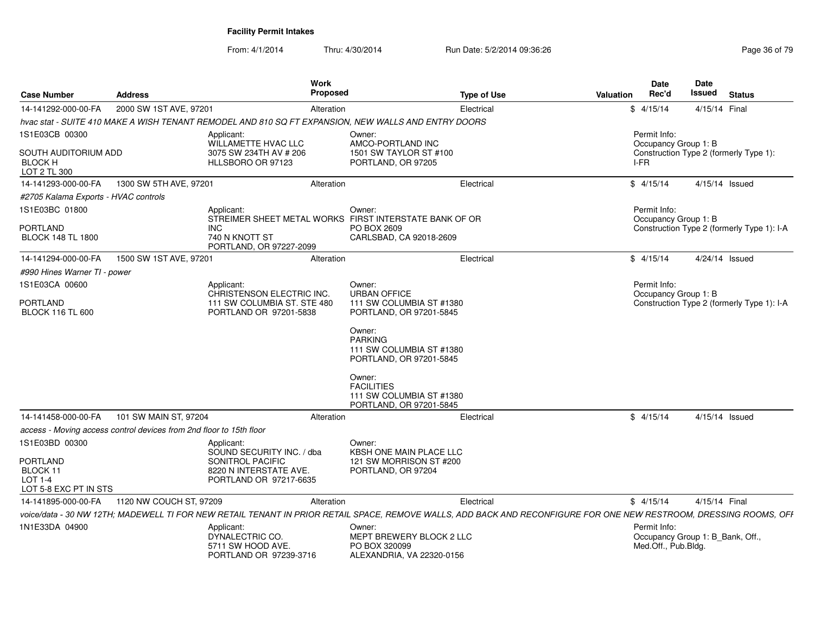| <b>Case Number</b>                                                                | <b>Address</b>                                                      | <b>Work</b><br>Proposed                                                                                                                                            |                                                                                    | <b>Type of Use</b> | Valuation | <b>Date</b><br>Rec'd                 | Date<br>Issued                   | <b>Status</b>                              |
|-----------------------------------------------------------------------------------|---------------------------------------------------------------------|--------------------------------------------------------------------------------------------------------------------------------------------------------------------|------------------------------------------------------------------------------------|--------------------|-----------|--------------------------------------|----------------------------------|--------------------------------------------|
| 14-141292-000-00-FA                                                               | 2000 SW 1ST AVE, 97201                                              | Alteration                                                                                                                                                         |                                                                                    | Electrical         |           | \$4/15/14                            | 4/15/14 Final                    |                                            |
|                                                                                   |                                                                     | hvac stat - SUITE 410 MAKE A WISH TENANT REMODEL AND 810 SQ FT EXPANSION, NEW WALLS AND ENTRY DOORS                                                                |                                                                                    |                    |           |                                      |                                  |                                            |
| 1S1E03CB 00300                                                                    |                                                                     | Applicant:<br>WILLAMETTE HVAC LLC                                                                                                                                  | Owner:<br>AMCO-PORTLAND INC                                                        |                    |           | Permit Info:<br>Occupancy Group 1: B |                                  |                                            |
| SOUTH AUDITORIUM ADD<br><b>BLOCK H</b><br>LOT 2 TL 300                            |                                                                     | 3075 SW 234TH AV # 206<br>HLLSBORO OR 97123                                                                                                                        | 1501 SW TAYLOR ST #100<br>PORTLAND, OR 97205                                       |                    | I-FR      |                                      |                                  | Construction Type 2 (formerly Type 1):     |
| 14-141293-000-00-FA                                                               | 1300 SW 5TH AVE, 97201                                              | Alteration                                                                                                                                                         |                                                                                    | Electrical         |           | \$4/15/14                            |                                  | 4/15/14 Issued                             |
| #2705 Kalama Exports - HVAC controls                                              |                                                                     |                                                                                                                                                                    |                                                                                    |                    |           |                                      |                                  |                                            |
| 1S1E03BC 01800                                                                    |                                                                     | Applicant:<br>STREIMER SHEET METAL WORKS FIRST INTERSTATE BANK OF OR                                                                                               | Owner:                                                                             |                    |           | Permit Info:<br>Occupancy Group 1: B |                                  |                                            |
| <b>PORTLAND</b><br><b>BLOCK 148 TL 1800</b>                                       | INC                                                                 | 740 N KNOTT ST<br>PORTLAND, OR 97227-2099                                                                                                                          | PO BOX 2609<br>CARLSBAD, CA 92018-2609                                             |                    |           |                                      |                                  | Construction Type 2 (formerly Type 1): I-A |
| 14-141294-000-00-FA                                                               | 1500 SW 1ST AVE, 97201                                              | Alteration                                                                                                                                                         |                                                                                    | Electrical         |           | \$4/15/14                            |                                  | 4/24/14 Issued                             |
| #990 Hines Warner TI - power                                                      |                                                                     |                                                                                                                                                                    |                                                                                    |                    |           |                                      |                                  |                                            |
| 1S1E03CA 00600                                                                    |                                                                     | Applicant:<br>CHRISTENSON ELECTRIC INC.                                                                                                                            | Owner:<br><b>URBAN OFFICE</b>                                                      |                    |           | Permit Info:<br>Occupancy Group 1: B |                                  |                                            |
| <b>PORTLAND</b><br><b>BLOCK 116 TL 600</b>                                        |                                                                     | 111 SW COLUMBIA ST. STE 480<br>PORTLAND OR 97201-5838                                                                                                              | 111 SW COLUMBIA ST #1380<br>PORTLAND, OR 97201-5845                                |                    |           |                                      |                                  | Construction Type 2 (formerly Type 1): I-A |
|                                                                                   |                                                                     |                                                                                                                                                                    | Owner:<br><b>PARKING</b><br>111 SW COLUMBIA ST #1380<br>PORTLAND, OR 97201-5845    |                    |           |                                      |                                  |                                            |
|                                                                                   |                                                                     |                                                                                                                                                                    | Owner:<br><b>FACILITIES</b><br>111 SW COLUMBIA ST #1380<br>PORTLAND, OR 97201-5845 |                    |           |                                      |                                  |                                            |
| 14-141458-000-00-FA                                                               | 101 SW MAIN ST, 97204                                               | Alteration                                                                                                                                                         |                                                                                    | Electrical         |           | \$4/15/14                            |                                  | 4/15/14 Issued                             |
|                                                                                   | access - Moving access control devices from 2nd floor to 15th floor |                                                                                                                                                                    |                                                                                    |                    |           |                                      |                                  |                                            |
| 1S1E03BD 00300<br><b>PORTLAND</b><br>BLOCK 11<br>LOT 1-4<br>LOT 5-8 EXC PT IN STS |                                                                     | Applicant:<br>SOUND SECURITY INC. / dba<br>SONITROL PACIFIC<br>8220 N INTERSTATE AVE.<br>PORTLAND OR 97217-6635                                                    | Owner:<br>KBSH ONE MAIN PLACE LLC<br>121 SW MORRISON ST #200<br>PORTLAND, OR 97204 |                    |           |                                      |                                  |                                            |
| 14-141895-000-00-FA                                                               | 1120 NW COUCH ST, 97209                                             | Alteration                                                                                                                                                         |                                                                                    | Electrical         |           | \$4/15/14                            | 4/15/14 Final                    |                                            |
|                                                                                   |                                                                     | voice/data - 30 NW 12TH; MADEWELL TI FOR NEW RETAIL TENANT IN PRIOR RETAIL SPACE, REMOVE WALLS, ADD BACK AND RECONFIGURE FOR ONE NEW RESTROOM, DRESSING ROOMS, OFF |                                                                                    |                    |           |                                      |                                  |                                            |
| 1N1E33DA 04900                                                                    |                                                                     | Applicant:<br>DYNALECTRIC CO.<br>5711 SW HOOD AVE.<br>PORTLAND OR 97239-3716                                                                                       | Owner:<br>MEPT BREWERY BLOCK 2 LLC<br>PO BOX 320099<br>ALEXANDRIA, VA 22320-0156   |                    |           | Permit Info:<br>Med.Off., Pub.Bldg.  | Occupancy Group 1: B_Bank, Off., |                                            |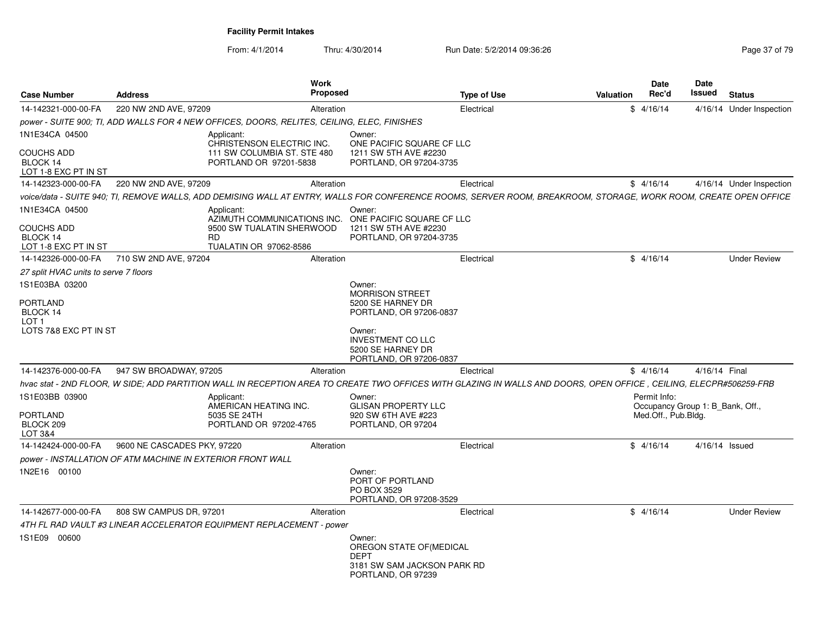| <b>Case Number</b>                                    | <b>Address</b>                                             | Work<br><b>Proposed</b>                                                                                                                                            |                                                                                                        | <b>Type of Use</b> | Valuation | <b>Date</b><br>Rec'd                             | Date<br>Issued | <b>Status</b>            |
|-------------------------------------------------------|------------------------------------------------------------|--------------------------------------------------------------------------------------------------------------------------------------------------------------------|--------------------------------------------------------------------------------------------------------|--------------------|-----------|--------------------------------------------------|----------------|--------------------------|
| 14-142321-000-00-FA                                   | 220 NW 2ND AVE, 97209                                      | Alteration                                                                                                                                                         |                                                                                                        | Electrical         |           | \$4/16/14                                        |                | 4/16/14 Under Inspection |
|                                                       |                                                            | power - SUITE 900; TI, ADD WALLS FOR 4 NEW OFFICES, DOORS, RELITES, CEILING, ELEC, FINISHES                                                                        |                                                                                                        |                    |           |                                                  |                |                          |
| 1N1E34CA 04500                                        |                                                            | Applicant:<br>CHRISTENSON ELECTRIC INC.                                                                                                                            | Owner:<br>ONE PACIFIC SQUARE CF LLC                                                                    |                    |           |                                                  |                |                          |
| <b>COUCHS ADD</b><br>BLOCK 14<br>LOT 1-8 EXC PT IN ST |                                                            | 111 SW COLUMBIA ST. STE 480<br>PORTLAND OR 97201-5838                                                                                                              | 1211 SW 5TH AVE #2230<br>PORTLAND, OR 97204-3735                                                       |                    |           |                                                  |                |                          |
| 14-142323-000-00-FA                                   | 220 NW 2ND AVE, 97209                                      | Alteration                                                                                                                                                         |                                                                                                        | Electrical         |           | \$4/16/14                                        |                | 4/16/14 Under Inspection |
|                                                       |                                                            | voice/data - SUITE 940; TI, REMOVE WALLS, ADD DEMISING WALL AT ENTRY, WALLS FOR CONFERENCE ROOMS, SERVER ROOM, BREAKROOM, STORAGE, WORK ROOM, CREATE OPEN OFFICE   |                                                                                                        |                    |           |                                                  |                |                          |
| 1N1E34CA 04500<br><b>COUCHS ADD</b>                   |                                                            | Applicant:<br>AZIMUTH COMMUNICATIONS INC.<br>9500 SW TUALATIN SHERWOOD                                                                                             | Owner:<br>ONE PACIFIC SQUARE CF LLC<br>1211 SW 5TH AVE #2230                                           |                    |           |                                                  |                |                          |
| BLOCK 14<br>LOT 1-8 EXC PT IN ST                      | <b>RD</b>                                                  | TUALATIN OR 97062-8586                                                                                                                                             | PORTLAND, OR 97204-3735                                                                                |                    |           |                                                  |                |                          |
| 14-142326-000-00-FA                                   | 710 SW 2ND AVE, 97204                                      | Alteration                                                                                                                                                         |                                                                                                        | Electrical         |           | \$4/16/14                                        |                | <b>Under Review</b>      |
| 27 split HVAC units to serve 7 floors                 |                                                            |                                                                                                                                                                    |                                                                                                        |                    |           |                                                  |                |                          |
| 1S1E03BA 03200                                        |                                                            |                                                                                                                                                                    | Owner:<br><b>MORRISON STREET</b>                                                                       |                    |           |                                                  |                |                          |
| <b>PORTLAND</b><br>BLOCK 14<br>LOT <sub>1</sub>       |                                                            |                                                                                                                                                                    | 5200 SE HARNEY DR<br>PORTLAND, OR 97206-0837                                                           |                    |           |                                                  |                |                          |
| LOTS 7&8 EXC PT IN ST                                 |                                                            |                                                                                                                                                                    | Owner:<br><b>INVESTMENT CO LLC</b><br>5200 SE HARNEY DR<br>PORTLAND, OR 97206-0837                     |                    |           |                                                  |                |                          |
| 14-142376-000-00-FA                                   | 947 SW BROADWAY, 97205                                     | Alteration                                                                                                                                                         |                                                                                                        | Electrical         |           | \$4/16/14                                        | 4/16/14 Final  |                          |
|                                                       |                                                            | hvac stat - 2ND FLOOR, W SIDE; ADD PARTITION WALL IN RECEPTION AREA TO CREATE TWO OFFICES WITH GLAZING IN WALLS AND DOORS, OPEN OFFICE, CEILING, ELECPR#506259-FRB |                                                                                                        |                    |           |                                                  |                |                          |
| 1S1E03BB 03900                                        |                                                            | Applicant:<br>AMERICAN HEATING INC.                                                                                                                                | Owner:<br><b>GLISAN PROPERTY LLC</b>                                                                   |                    |           | Permit Info:<br>Occupancy Group 1: B Bank, Off., |                |                          |
| <b>PORTLAND</b><br>BLOCK 209<br>LOT 3&4               |                                                            | 5035 SE 24TH<br>PORTLAND OR 97202-4765                                                                                                                             | 920 SW 6TH AVE #223<br>PORTLAND, OR 97204                                                              |                    |           | Med.Off., Pub.Bldg.                              |                |                          |
| 14-142424-000-00-FA                                   | 9600 NE CASCADES PKY, 97220                                | Alteration                                                                                                                                                         |                                                                                                        | Electrical         |           | \$4/16/14                                        | 4/16/14 Issued |                          |
|                                                       | power - INSTALLATION OF ATM MACHINE IN EXTERIOR FRONT WALL |                                                                                                                                                                    |                                                                                                        |                    |           |                                                  |                |                          |
| 1N2E16 00100                                          |                                                            |                                                                                                                                                                    | Owner:<br>PORT OF PORTLAND<br>PO BOX 3529<br>PORTLAND, OR 97208-3529                                   |                    |           |                                                  |                |                          |
| 14-142677-000-00-FA                                   | 808 SW CAMPUS DR, 97201                                    | Alteration                                                                                                                                                         |                                                                                                        | Electrical         |           | \$4/16/14                                        |                | <b>Under Review</b>      |
|                                                       |                                                            | 4TH FL RAD VAULT #3 LINEAR ACCELERATOR EQUIPMENT REPLACEMENT - power                                                                                               |                                                                                                        |                    |           |                                                  |                |                          |
| 1S1E09 00600                                          |                                                            |                                                                                                                                                                    | Owner:<br>OREGON STATE OF (MEDICAL<br><b>DEPT</b><br>3181 SW SAM JACKSON PARK RD<br>PORTLAND, OR 97239 |                    |           |                                                  |                |                          |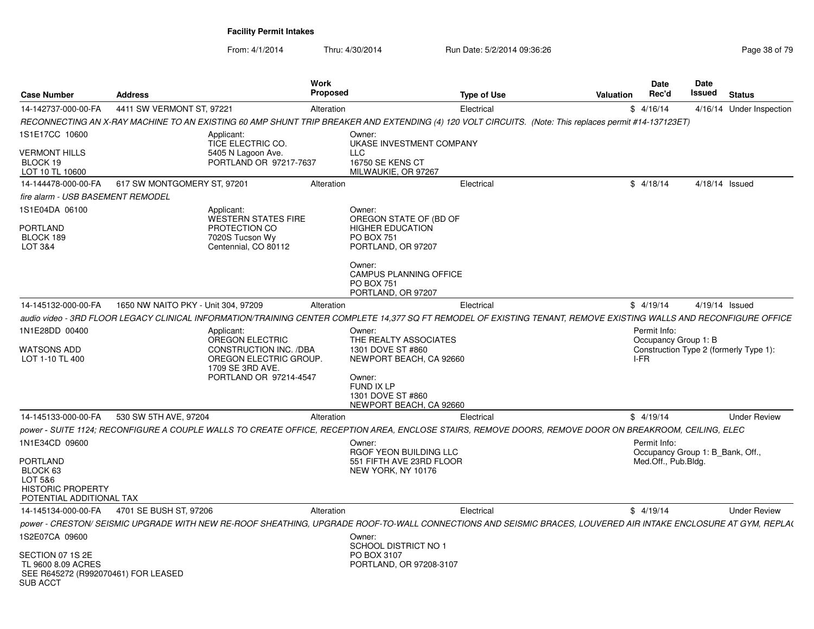| <b>Case Number</b>                                                                      | <b>Address</b>                             |                                                                                                      | Work<br><b>Proposed</b> |                                                                                                                                                                    | <b>Type of Use</b> | Valuation | Date<br>Rec'd                                    | Date<br>Issued | <b>Status</b>  |                          |
|-----------------------------------------------------------------------------------------|--------------------------------------------|------------------------------------------------------------------------------------------------------|-------------------------|--------------------------------------------------------------------------------------------------------------------------------------------------------------------|--------------------|-----------|--------------------------------------------------|----------------|----------------|--------------------------|
| 14-142737-000-00-FA                                                                     | 4411 SW VERMONT ST, 97221                  |                                                                                                      | Alteration              |                                                                                                                                                                    | Electrical         |           | \$4/16/14                                        |                |                | 4/16/14 Under Inspection |
|                                                                                         |                                            |                                                                                                      |                         | RECONNECTING AN X-RAY MACHINE TO AN EXISTING 60 AMP SHUNT TRIP BREAKER AND EXTENDING (4) 120 VOLT CIRCUITS. (Note: This replaces permit #14-137123ET)              |                    |           |                                                  |                |                |                          |
| 1S1E17CC 10600                                                                          |                                            | Applicant:<br>TICE ELECTRIC CO.                                                                      |                         | Owner:<br>UKASE INVESTMENT COMPANY                                                                                                                                 |                    |           |                                                  |                |                |                          |
| <b>VERMONT HILLS</b><br>BLOCK 19<br>LOT 10 TL 10600                                     |                                            | 5405 N Lagoon Ave.<br>PORTLAND OR 97217-7637                                                         |                         | <b>LLC</b><br><b>16750 SE KENS CT</b><br>MILWAUKIE, OR 97267                                                                                                       |                    |           |                                                  |                |                |                          |
| 14-144478-000-00-FA                                                                     | 617 SW MONTGOMERY ST, 97201                |                                                                                                      | Alteration              |                                                                                                                                                                    | Electrical         |           | \$4/18/14                                        |                | 4/18/14 Issued |                          |
| fire alarm - USB BASEMENT REMODEL                                                       |                                            |                                                                                                      |                         |                                                                                                                                                                    |                    |           |                                                  |                |                |                          |
| 1S1E04DA 06100<br>PORTLAND<br>BLOCK 189<br>LOT 3&4                                      |                                            | Applicant:<br><b>WESTERN STATES FIRE</b><br>PROTECTION CO<br>7020S Tucson Wy<br>Centennial, CO 80112 |                         | Owner:<br>OREGON STATE OF (BD OF<br><b>HIGHER EDUCATION</b><br>PO BOX 751<br>PORTLAND, OR 97207                                                                    |                    |           |                                                  |                |                |                          |
|                                                                                         |                                            |                                                                                                      |                         | Owner:<br><b>CAMPUS PLANNING OFFICE</b><br><b>PO BOX 751</b><br>PORTLAND, OR 97207                                                                                 |                    |           |                                                  |                |                |                          |
| 14-145132-000-00-FA                                                                     | 1650 NW NAITO PKY - Unit 304, 97209        |                                                                                                      | Alteration              |                                                                                                                                                                    | Electrical         |           | \$4/19/14                                        |                | 4/19/14 Issued |                          |
|                                                                                         |                                            |                                                                                                      |                         | audio video - 3RD FLOOR LEGACY CLINICAL INFORMATION/TRAINING CENTER COMPLETE 14.377 SQ FT REMODEL OF EXISTING TENANT. REMOVE EXISTING WALLS AND RECONFIGURE OFFICE |                    |           |                                                  |                |                |                          |
| 1N1E28DD 00400                                                                          |                                            | Applicant:                                                                                           |                         | Owner:                                                                                                                                                             |                    |           | Permit Info:                                     |                |                |                          |
|                                                                                         |                                            | OREGON ELECTRIC                                                                                      |                         | THE REALTY ASSOCIATES                                                                                                                                              |                    |           | Occupancy Group 1: B                             |                |                |                          |
| <b>WATSONS ADD</b><br>LOT 1-10 TL 400                                                   |                                            | <b>CONSTRUCTION INC. /DBA</b><br>OREGON ELECTRIC GROUP.<br>1709 SE 3RD AVE.                          |                         | 1301 DOVE ST #860<br>NEWPORT BEACH, CA 92660                                                                                                                       |                    |           | Construction Type 2 (formerly Type 1):<br>I-FR   |                |                |                          |
|                                                                                         |                                            | PORTLAND OR 97214-4547                                                                               |                         | Owner:<br>FUND IX LP<br>1301 DOVE ST #860<br>NEWPORT BEACH, CA 92660                                                                                               |                    |           |                                                  |                |                |                          |
| 14-145133-000-00-FA                                                                     | 530 SW 5TH AVE, 97204                      |                                                                                                      | Alteration              |                                                                                                                                                                    | Electrical         |           | \$4/19/14                                        |                |                | <b>Under Review</b>      |
|                                                                                         |                                            |                                                                                                      |                         | power - SUITE 1124; RECONFIGURE A COUPLE WALLS TO CREATE OFFICE, RECEPTION AREA, ENCLOSE STAIRS, REMOVE DOORS, REMOVE DOOR ON BREAKROOM, CEILING, ELEC             |                    |           |                                                  |                |                |                          |
| 1N1E34CD 09600                                                                          |                                            |                                                                                                      |                         | Owner:<br>RGOF YEON BUILDING LLC                                                                                                                                   |                    |           | Permit Info:<br>Occupancy Group 1: B_Bank, Off., |                |                |                          |
| PORTLAND<br>BLOCK 63<br>LOT 5&6<br><b>HISTORIC PROPERTY</b><br>POTENTIAL ADDITIONAL TAX |                                            |                                                                                                      |                         | 551 FIFTH AVE 23RD FLOOR<br>NEW YORK, NY 10176                                                                                                                     |                    |           | Med.Off., Pub.Bldg.                              |                |                |                          |
|                                                                                         | 14-145134-000-00-FA 4701 SE BUSH ST, 97206 |                                                                                                      | Alteration              |                                                                                                                                                                    | Electrical         |           | \$4/19/14                                        |                |                | <b>Under Review</b>      |
|                                                                                         |                                            |                                                                                                      |                         | power - CRESTON/ SEISMIC UPGRADE WITH NEW RE-ROOF SHEATHING, UPGRADE ROOF-TO-WALL CONNECTIONS AND SEISMIC BRACES, LOUVERED AIR INTAKE ENCLOSURE AT GYM, REPLA(     |                    |           |                                                  |                |                |                          |
| 1S2E07CA 09600                                                                          |                                            |                                                                                                      |                         | Owner:<br><b>SCHOOL DISTRICT NO 1</b>                                                                                                                              |                    |           |                                                  |                |                |                          |
| SECTION 07 1S 2E<br>TL 9600 8.09 ACRES<br>SEE R645272 (R992070461) FOR LEASED           |                                            |                                                                                                      |                         | PO BOX 3107<br>PORTLAND, OR 97208-3107                                                                                                                             |                    |           |                                                  |                |                |                          |
| <b>SUB ACCT</b>                                                                         |                                            |                                                                                                      |                         |                                                                                                                                                                    |                    |           |                                                  |                |                |                          |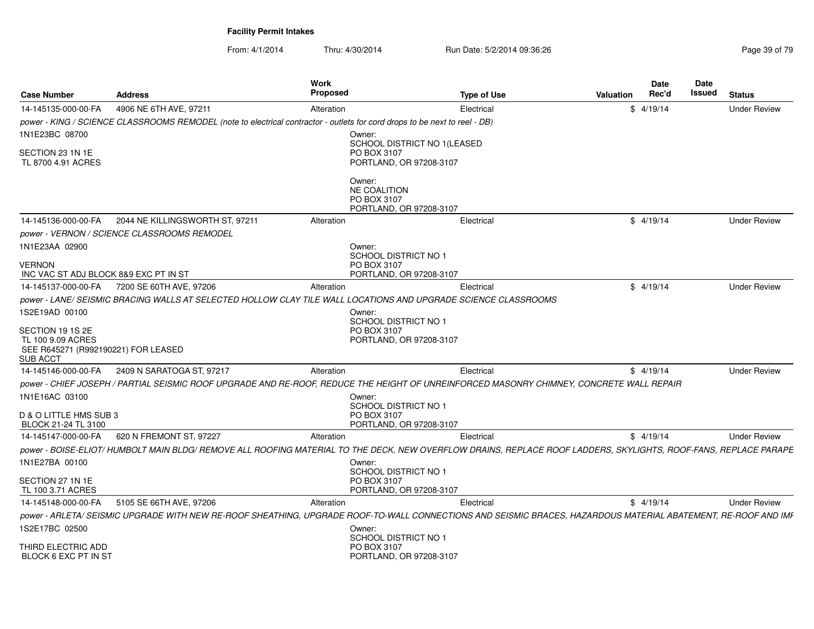| <b>Case Number</b>                                                          | <b>Address</b>                                                                                                                                                   | Work<br>Proposed                           | <b>Type of Use</b>                                     | <b>Valuation</b> | Date<br>Rec'd | Date<br>Issued | <b>Status</b>       |
|-----------------------------------------------------------------------------|------------------------------------------------------------------------------------------------------------------------------------------------------------------|--------------------------------------------|--------------------------------------------------------|------------------|---------------|----------------|---------------------|
| 14-145135-000-00-FA                                                         | 4906 NE 6TH AVE, 97211                                                                                                                                           | Alteration                                 | Electrical                                             |                  | \$4/19/14     |                | <b>Under Review</b> |
|                                                                             | power - KING / SCIENCE CLASSROOMS REMODEL (note to electrical contractor - outlets for cord drops to be next to reel - DB)                                       |                                            |                                                        |                  |               |                |                     |
| 1N1E23BC 08700                                                              |                                                                                                                                                                  | Owner:                                     |                                                        |                  |               |                |                     |
| SECTION 23 1N 1E<br>TL 8700 4.91 ACRES                                      |                                                                                                                                                                  | PO BOX 3107                                | SCHOOL DISTRICT NO 1(LEASED<br>PORTLAND, OR 97208-3107 |                  |               |                |                     |
|                                                                             |                                                                                                                                                                  | Owner:<br>NE COALITION<br>PO BOX 3107      | PORTLAND, OR 97208-3107                                |                  |               |                |                     |
| 14-145136-000-00-FA                                                         | 2044 NE KILLINGSWORTH ST, 97211                                                                                                                                  | Alteration                                 | Electrical                                             |                  | \$4/19/14     |                | <b>Under Review</b> |
|                                                                             | power - VERNON / SCIENCE CLASSROOMS REMODEL                                                                                                                      |                                            |                                                        |                  |               |                |                     |
| 1N1E23AA 02900                                                              |                                                                                                                                                                  | Owner:<br>SCHOOL DISTRICT NO 1             |                                                        |                  |               |                |                     |
| <b>VERNON</b>                                                               |                                                                                                                                                                  | PO BOX 3107                                |                                                        |                  |               |                |                     |
| INC VAC ST ADJ BLOCK 8&9 EXC PT IN ST                                       |                                                                                                                                                                  |                                            | PORTLAND, OR 97208-3107                                |                  |               |                |                     |
|                                                                             | 14-145137-000-00-FA  7200 SE 60TH AVE, 97206                                                                                                                     | Alteration                                 | Electrical                                             |                  | \$4/19/14     |                | <b>Under Review</b> |
|                                                                             | power - LANE/ SEISMIC BRACING WALLS AT SELECTED HOLLOW CLAY TILE WALL LOCATIONS AND UPGRADE SCIENCE CLASSROOMS                                                   |                                            |                                                        |                  |               |                |                     |
| 1S2E19AD 00100                                                              |                                                                                                                                                                  | Owner:                                     |                                                        |                  |               |                |                     |
| SECTION 19 1S 2E                                                            |                                                                                                                                                                  | <b>SCHOOL DISTRICT NO 1</b><br>PO BOX 3107 |                                                        |                  |               |                |                     |
| TL 100 9.09 ACRES<br>SEE R645271 (R992190221) FOR LEASED<br><b>SUB ACCT</b> |                                                                                                                                                                  |                                            | PORTLAND, OR 97208-3107                                |                  |               |                |                     |
| 14-145146-000-00-FA                                                         | 2409 N SARATOGA ST, 97217                                                                                                                                        | Alteration                                 | Electrical                                             |                  | \$4/19/14     |                | <b>Under Review</b> |
|                                                                             | power - CHIEF JOSEPH / PARTIAL SEISMIC ROOF UPGRADE AND RE-ROOF, REDUCE THE HEIGHT OF UNREINFORCED MASONRY CHIMNEY, CONCRETE WALL REPAIR                         |                                            |                                                        |                  |               |                |                     |
| 1N1E16AC 03100                                                              |                                                                                                                                                                  | Owner:<br>SCHOOL DISTRICT NO 1             |                                                        |                  |               |                |                     |
| D & O LITTLE HMS SUB 3<br>BLOCK 21-24 TL 3100                               |                                                                                                                                                                  | PO BOX 3107                                | PORTLAND, OR 97208-3107                                |                  |               |                |                     |
| 14-145147-000-00-FA                                                         | 620 N FREMONT ST, 97227                                                                                                                                          | Alteration                                 | Electrical                                             |                  | \$4/19/14     |                | <b>Under Review</b> |
|                                                                             | power - BOISE-ELIOT/ HUMBOLT MAIN BLDG/ REMOVE ALL ROOFING MATERIAL TO THE DECK. NEW OVERFLOW DRAINS, REPLACE ROOF LADDERS, SKYLIGHTS, ROOF-FANS, REPLACE PARAPE |                                            |                                                        |                  |               |                |                     |
| 1N1E27BA 00100                                                              |                                                                                                                                                                  | Owner:<br>SCHOOL DISTRICT NO 1             |                                                        |                  |               |                |                     |
| SECTION 27 1N 1E<br>TL 100 3.71 ACRES                                       |                                                                                                                                                                  | PO BOX 3107                                | PORTLAND, OR 97208-3107                                |                  |               |                |                     |
| 14-145148-000-00-FA                                                         | 5105 SE 66TH AVE, 97206                                                                                                                                          | Alteration                                 | Electrical                                             |                  | \$4/19/14     |                | <b>Under Review</b> |
|                                                                             | power - ARLETA/ SEISMIC UPGRADE WITH NEW RE-ROOF SHEATHING, UPGRADE ROOF-TO-WALL CONNECTIONS AND SEISMIC BRACES, HAZARDOUS MATERIAL ABATEMENT, RE-ROOF AND IMF   |                                            |                                                        |                  |               |                |                     |
| 1S2E17BC 02500                                                              |                                                                                                                                                                  | Owner:<br>SCHOOL DISTRICT NO 1             |                                                        |                  |               |                |                     |
| THIRD ELECTRIC ADD<br>BLOCK 6 EXC PT IN ST                                  |                                                                                                                                                                  | PO BOX 3107                                | PORTLAND, OR 97208-3107                                |                  |               |                |                     |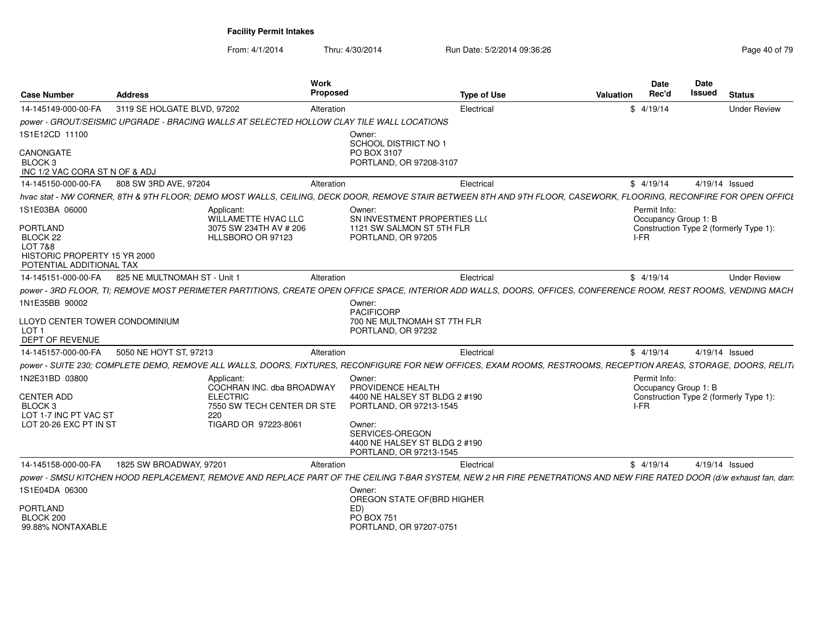| <b>Case Number</b>                                 | <b>Address</b>               |                                                                                                                                                                      | <b>Work</b><br>Proposed |                                                                                       | <b>Type of Use</b> | Valuation | <b>Date</b><br>Rec'd | <b>Date</b><br>Issued | <b>Status</b>                          |
|----------------------------------------------------|------------------------------|----------------------------------------------------------------------------------------------------------------------------------------------------------------------|-------------------------|---------------------------------------------------------------------------------------|--------------------|-----------|----------------------|-----------------------|----------------------------------------|
| 14-145149-000-00-FA                                | 3119 SE HOLGATE BLVD, 97202  |                                                                                                                                                                      | Alteration              |                                                                                       | Electrical         |           | \$4/19/14            |                       | <b>Under Review</b>                    |
|                                                    |                              | power - GROUT/SEISMIC UPGRADE - BRACING WALLS AT SELECTED HOLLOW CLAY TILE WALL LOCATIONS                                                                            |                         |                                                                                       |                    |           |                      |                       |                                        |
| 1S1E12CD 11100                                     |                              |                                                                                                                                                                      |                         | Owner:                                                                                |                    |           |                      |                       |                                        |
| CANONGATE                                          |                              |                                                                                                                                                                      |                         | SCHOOL DISTRICT NO 1<br>PO BOX 3107                                                   |                    |           |                      |                       |                                        |
| BLOCK 3                                            |                              |                                                                                                                                                                      |                         | PORTLAND, OR 97208-3107                                                               |                    |           |                      |                       |                                        |
| INC 1/2 VAC CORA ST N OF & ADJ                     |                              |                                                                                                                                                                      |                         |                                                                                       |                    |           |                      |                       |                                        |
| 14-145150-000-00-FA                                | 808 SW 3RD AVE, 97204        |                                                                                                                                                                      | Alteration              |                                                                                       | Electrical         |           | \$4/19/14            |                       | 4/19/14 Issued                         |
|                                                    |                              | hvac stat - NW CORNER. 8TH & 9TH FLOOR: DEMO MOST WALLS, CEILING, DECK DOOR, REMOVE STAIR BETWEEN 8TH AND 9TH FLOOR, CASEWORK, FLOORING, RECONFIRE FOR OPEN OFFICE   |                         |                                                                                       |                    |           |                      |                       |                                        |
| 1S1E03BA 06000                                     |                              | Applicant:                                                                                                                                                           |                         | Owner:                                                                                |                    |           | Permit Info:         |                       |                                        |
| PORTLAND                                           |                              | WILLAMETTE HVAC LLC<br>3075 SW 234TH AV # 206                                                                                                                        |                         | SN INVESTMENT PROPERTIES LLO<br>1121 SW SALMON ST 5TH FLR                             |                    |           | Occupancy Group 1: B |                       | Construction Type 2 (formerly Type 1): |
| BLOCK 22                                           |                              | HLLSBORO OR 97123                                                                                                                                                    |                         | PORTLAND, OR 97205                                                                    |                    |           | I-FR                 |                       |                                        |
| <b>LOT 7&amp;8</b><br>HISTORIC PROPERTY 15 YR 2000 |                              |                                                                                                                                                                      |                         |                                                                                       |                    |           |                      |                       |                                        |
| POTENTIAL ADDITIONAL TAX                           |                              |                                                                                                                                                                      |                         |                                                                                       |                    |           |                      |                       |                                        |
| 14-145151-000-00-FA                                | 825 NE MULTNOMAH ST - Unit 1 |                                                                                                                                                                      | Alteration              |                                                                                       | Electrical         |           | \$4/19/14            |                       | <b>Under Review</b>                    |
|                                                    |                              | power - 3RD FLOOR, TI; REMOVE MOST PERIMETER PARTITIONS, CREATE OPEN OFFICE SPACE, INTERIOR ADD WALLS, DOORS, OFFICES, CONFERENCE ROOM, REST ROOMS, VENDING MACH     |                         |                                                                                       |                    |           |                      |                       |                                        |
| 1N1E35BB 90002                                     |                              |                                                                                                                                                                      |                         | Owner:                                                                                |                    |           |                      |                       |                                        |
|                                                    |                              |                                                                                                                                                                      |                         | <b>PACIFICORP</b>                                                                     |                    |           |                      |                       |                                        |
| LLOYD CENTER TOWER CONDOMINIUM<br>LOT <sub>1</sub> |                              |                                                                                                                                                                      |                         | 700 NE MULTNOMAH ST 7TH FLR<br>PORTLAND, OR 97232                                     |                    |           |                      |                       |                                        |
| <b>DEPT OF REVENUE</b>                             |                              |                                                                                                                                                                      |                         |                                                                                       |                    |           |                      |                       |                                        |
| 14-145157-000-00-FA                                | 5050 NE HOYT ST, 97213       |                                                                                                                                                                      | Alteration              |                                                                                       | Electrical         |           | \$4/19/14            |                       | 4/19/14 Issued                         |
|                                                    |                              | power - SUITE 230; COMPLETE DEMO, REMOVE ALL WALLS, DOORS, FIXTURES, RECONFIGURE FOR NEW OFFICES, EXAM ROOMS, RESTROOMS, RECEPTION AREAS, STORAGE, DOORS, RELITI     |                         |                                                                                       |                    |           |                      |                       |                                        |
| 1N2E31BD 03800                                     |                              | Applicant:                                                                                                                                                           |                         | Owner:                                                                                |                    |           | Permit Info:         |                       |                                        |
| <b>CENTER ADD</b>                                  |                              | COCHRAN INC. dba BROADWAY<br><b>ELECTRIC</b>                                                                                                                         |                         | PROVIDENCE HEALTH<br>4400 NE HALSEY ST BLDG 2 #190                                    |                    |           | Occupancy Group 1: B |                       | Construction Type 2 (formerly Type 1): |
| BLOCK 3                                            |                              | 7550 SW TECH CENTER DR STE                                                                                                                                           |                         | PORTLAND, OR 97213-1545                                                               |                    |           | I-FR                 |                       |                                        |
| LOT 1-7 INC PT VAC ST                              |                              | 220                                                                                                                                                                  |                         |                                                                                       |                    |           |                      |                       |                                        |
| LOT 20-26 EXC PT IN ST                             |                              | TIGARD OR 97223-8061                                                                                                                                                 |                         | Owner:<br>SERVICES-OREGON<br>4400 NE HALSEY ST BLDG 2 #190<br>PORTLAND, OR 97213-1545 |                    |           |                      |                       |                                        |
| 14-145158-000-00-FA                                | 1825 SW BROADWAY, 97201      |                                                                                                                                                                      | Alteration              |                                                                                       | Electrical         |           | \$4/19/14            |                       | 4/19/14 Issued                         |
|                                                    |                              | power - SMSU KITCHEN HOOD REPLACEMENT, REMOVE AND REPLACE PART OF THE CEILING T-BAR SYSTEM, NEW 2 HR FIRE PENETRATIONS AND NEW FIRE RATED DOOR (d/w exhaust fan, dam |                         |                                                                                       |                    |           |                      |                       |                                        |
| 1S1E04DA 06300                                     |                              |                                                                                                                                                                      |                         | Owner:                                                                                |                    |           |                      |                       |                                        |
|                                                    |                              |                                                                                                                                                                      |                         | OREGON STATE OF (BRD HIGHER                                                           |                    |           |                      |                       |                                        |
| PORTLAND<br>BLOCK 200                              |                              |                                                                                                                                                                      |                         | ED)<br>PO BOX 751                                                                     |                    |           |                      |                       |                                        |
| 99.88% NONTAXABLE                                  |                              |                                                                                                                                                                      |                         | PORTLAND, OR 97207-0751                                                               |                    |           |                      |                       |                                        |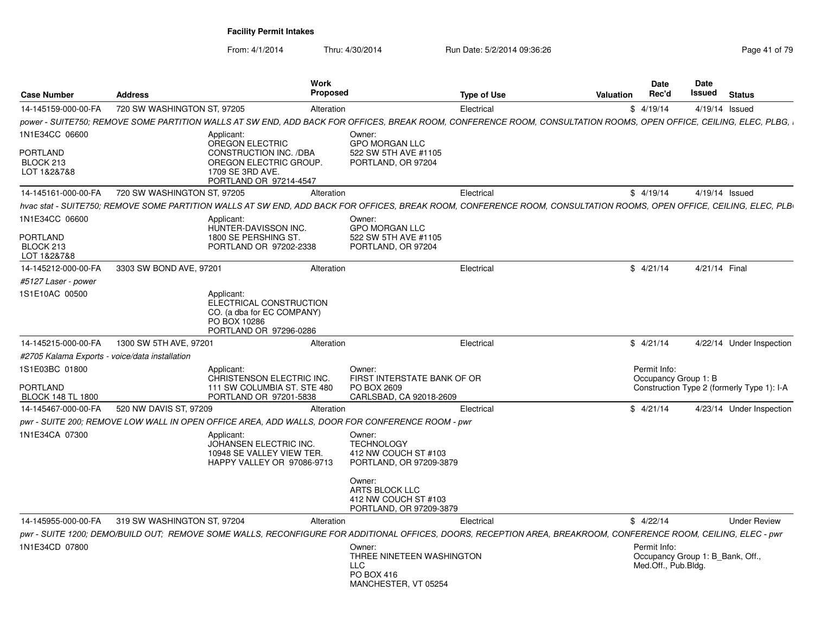| <b>Case Number</b>                                            | <b>Address</b>              | <b>Work</b><br><b>Proposed</b>                                                                                                                                      |                                                                                                                   | <b>Type of Use</b> | <b>Valuation</b> | <b>Date</b><br>Rec'd                                                    | <b>Date</b><br>Issued | <b>Status</b>                              |
|---------------------------------------------------------------|-----------------------------|---------------------------------------------------------------------------------------------------------------------------------------------------------------------|-------------------------------------------------------------------------------------------------------------------|--------------------|------------------|-------------------------------------------------------------------------|-----------------------|--------------------------------------------|
| 14-145159-000-00-FA                                           | 720 SW WASHINGTON ST, 97205 | Alteration                                                                                                                                                          |                                                                                                                   | Electrical         |                  | \$4/19/14                                                               | 4/19/14 Issued        |                                            |
|                                                               |                             | , power - SUITE750; REMOVE SOME PARTITION WALLS AT SW END, ADD BACK FOR OFFICES, BREAK ROOM, CONFERENCE ROOM, CONSULTATION ROOMS, OPEN OFFICE, CEILING, ELEC, PLBG, |                                                                                                                   |                    |                  |                                                                         |                       |                                            |
| 1N1E34CC 06600<br><b>PORTLAND</b><br>BLOCK 213<br>LOT 1&2&7&8 |                             | Applicant:<br>OREGON ELECTRIC<br><b>CONSTRUCTION INC. /DBA</b><br>OREGON ELECTRIC GROUP.<br>1709 SE 3RD AVE.<br>PORTLAND OR 97214-4547                              | Owner:<br><b>GPO MORGAN LLC</b><br>522 SW 5TH AVE #1105<br>PORTLAND, OR 97204                                     |                    |                  |                                                                         |                       |                                            |
| 14-145161-000-00-FA                                           | 720 SW WASHINGTON ST, 97205 | Alteration                                                                                                                                                          |                                                                                                                   | Electrical         |                  | \$4/19/14                                                               | 4/19/14 Issued        |                                            |
|                                                               |                             | hvac stat - SUITE750; REMOVE SOME PARTITION WALLS AT SW END, ADD BACK FOR OFFICES, BREAK ROOM, CONFERENCE ROOM, CONSULTATION ROOMS, OPEN OFFICE, CEILING, ELEC, PLB |                                                                                                                   |                    |                  |                                                                         |                       |                                            |
| 1N1E34CC 06600<br><b>PORTLAND</b><br>BLOCK 213<br>LOT 1&2&7&8 |                             | Applicant:<br>HUNTER-DAVISSON INC.<br>1800 SE PERSHING ST.<br>PORTLAND OR 97202-2338                                                                                | Owner:<br><b>GPO MORGAN LLC</b><br>522 SW 5TH AVE #1105<br>PORTLAND, OR 97204                                     |                    |                  |                                                                         |                       |                                            |
| 14-145212-000-00-FA                                           | 3303 SW BOND AVE, 97201     | Alteration                                                                                                                                                          |                                                                                                                   | Electrical         |                  | \$4/21/14                                                               | 4/21/14 Final         |                                            |
| #5127 Laser - power                                           |                             |                                                                                                                                                                     |                                                                                                                   |                    |                  |                                                                         |                       |                                            |
| 1S1E10AC 00500                                                |                             | Applicant:<br>ELECTRICAL CONSTRUCTION<br>CO. (a dba for EC COMPANY)<br>PO BOX 10286<br>PORTLAND OR 97296-0286                                                       |                                                                                                                   |                    |                  |                                                                         |                       |                                            |
| 14-145215-000-00-FA                                           | 1300 SW 5TH AVE, 97201      | Alteration                                                                                                                                                          |                                                                                                                   | Electrical         |                  | \$4/21/14                                                               |                       | 4/22/14 Under Inspection                   |
| #2705 Kalama Exports - voice/data installation                |                             |                                                                                                                                                                     |                                                                                                                   |                    |                  |                                                                         |                       |                                            |
| 1S1E03BC 01800<br><b>PORTLAND</b><br><b>BLOCK 148 TL 1800</b> |                             | Applicant:<br>CHRISTENSON ELECTRIC INC.<br>111 SW COLUMBIA ST. STE 480<br>PORTLAND OR 97201-5838                                                                    | Owner:<br>FIRST INTERSTATE BANK OF OR<br>PO BOX 2609<br>CARLSBAD, CA 92018-2609                                   |                    |                  | Permit Info:<br>Occupancy Group 1: B                                    |                       | Construction Type 2 (formerly Type 1): I-A |
| 14-145467-000-00-FA                                           | 520 NW DAVIS ST, 97209      | Alteration                                                                                                                                                          |                                                                                                                   | Electrical         |                  | \$4/21/14                                                               |                       | 4/23/14 Under Inspection                   |
|                                                               |                             | pwr - SUITE 200; REMOVE LOW WALL IN OPEN OFFICE AREA, ADD WALLS, DOOR FOR CONFERENCE ROOM - pwr                                                                     |                                                                                                                   |                    |                  |                                                                         |                       |                                            |
| 1N1E34CA 07300                                                |                             | Applicant:<br>JOHANSEN ELECTRIC INC.<br>10948 SE VALLEY VIEW TER.<br>HAPPY VALLEY OR 97086-9713                                                                     | Owner:<br><b>TECHNOLOGY</b><br>412 NW COUCH ST #103<br>PORTLAND, OR 97209-3879<br>Owner:<br><b>ARTS BLOCK LLC</b> |                    |                  |                                                                         |                       |                                            |
|                                                               |                             |                                                                                                                                                                     | 412 NW COUCH ST #103<br>PORTLAND, OR 97209-3879                                                                   |                    |                  |                                                                         |                       |                                            |
| 14-145955-000-00-FA                                           | 319 SW WASHINGTON ST, 97204 | Alteration                                                                                                                                                          |                                                                                                                   | Electrical         |                  | \$4/22/14                                                               |                       | <b>Under Review</b>                        |
|                                                               |                             | pwr - SUITE 1200; DEMO/BUILD OUT; REMOVE SOME WALLS, RECONFIGURE FOR ADDITIONAL OFFICES, DOORS, RECEPTION AREA, BREAKROOM, CONFERENCE ROOM, CEILING, ELEC - pwr     |                                                                                                                   |                    |                  |                                                                         |                       |                                            |
| 1N1E34CD 07800                                                |                             |                                                                                                                                                                     | Owner:<br>THREE NINETEEN WASHINGTON<br><b>LLC</b><br>PO BOX 416<br>MANCHESTER, VT 05254                           |                    |                  | Permit Info:<br>Occupancy Group 1: B_Bank, Off.,<br>Med.Off., Pub.Bldg. |                       |                                            |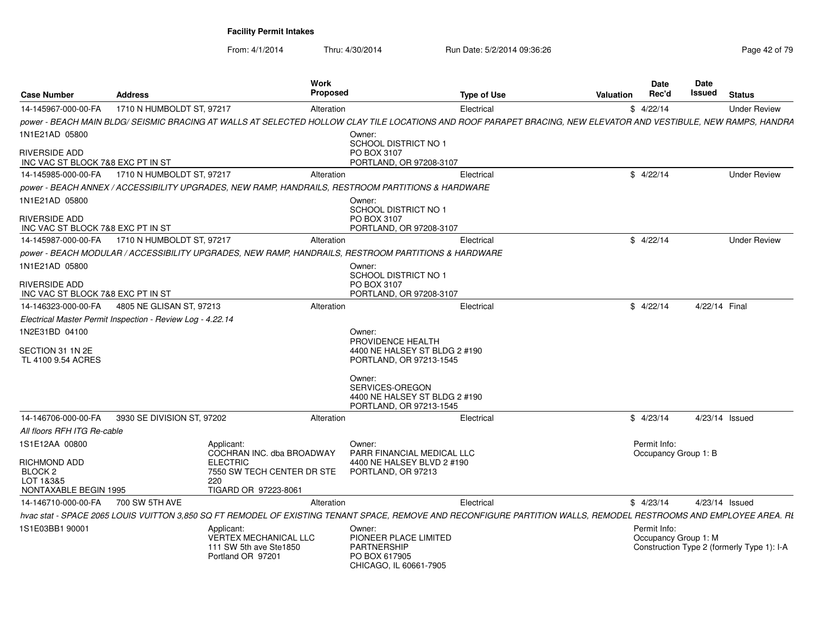| <b>Case Number</b>                 | <b>Address</b>                                             | <b>Work</b><br><b>Proposed</b>                                                                                                                                     |                                                                             | <b>Type of Use</b> | Valuation | <b>Date</b><br>Rec'd                 | <b>Date</b><br>Issued | <b>Status</b>                              |
|------------------------------------|------------------------------------------------------------|--------------------------------------------------------------------------------------------------------------------------------------------------------------------|-----------------------------------------------------------------------------|--------------------|-----------|--------------------------------------|-----------------------|--------------------------------------------|
| 14-145967-000-00-FA                | 1710 N HUMBOLDT ST, 97217                                  | Alteration                                                                                                                                                         |                                                                             | Electrical         |           | \$4/22/14                            |                       | <b>Under Review</b>                        |
|                                    |                                                            | power - BEACH MAIN BLDG/ SEISMIC BRACING AT WALLS AT SELECTED HOLLOW CLAY TILE LOCATIONS AND ROOF PARAPET BRACING, NEW ELEVATOR AND VESTIBULE, NEW RAMPS, HANDRA   |                                                                             |                    |           |                                      |                       |                                            |
| 1N1E21AD 05800                     |                                                            |                                                                                                                                                                    | Owner:                                                                      |                    |           |                                      |                       |                                            |
| <b>RIVERSIDE ADD</b>               |                                                            |                                                                                                                                                                    | SCHOOL DISTRICT NO 1<br>PO BOX 3107                                         |                    |           |                                      |                       |                                            |
| INC VAC ST BLOCK 7&8 EXC PT IN ST  |                                                            |                                                                                                                                                                    | PORTLAND, OR 97208-3107                                                     |                    |           |                                      |                       |                                            |
| 14-145985-000-00-FA                | 1710 N HUMBOLDT ST, 97217                                  | Alteration                                                                                                                                                         |                                                                             | Electrical         |           | \$4/22/14                            |                       | <b>Under Review</b>                        |
|                                    |                                                            | power - BEACH ANNEX / ACCESSIBILITY UPGRADES, NEW RAMP, HANDRAILS, RESTROOM PARTITIONS & HARDWARE                                                                  |                                                                             |                    |           |                                      |                       |                                            |
| 1N1E21AD 05800                     |                                                            |                                                                                                                                                                    | Owner:                                                                      |                    |           |                                      |                       |                                            |
| <b>RIVERSIDE ADD</b>               |                                                            |                                                                                                                                                                    | SCHOOL DISTRICT NO 1<br>PO BOX 3107                                         |                    |           |                                      |                       |                                            |
| INC VAC ST BLOCK 7&8 EXC PT IN ST  |                                                            |                                                                                                                                                                    | PORTLAND, OR 97208-3107                                                     |                    |           |                                      |                       |                                            |
| 14-145987-000-00-FA                | 1710 N HUMBOLDT ST, 97217                                  | Alteration                                                                                                                                                         |                                                                             | Electrical         |           | \$4/22/14                            |                       | <b>Under Review</b>                        |
|                                    |                                                            | power - BEACH MODULAR / ACCESSIBILITY UPGRADES, NEW RAMP, HANDRAILS, RESTROOM PARTITIONS & HARDWARE                                                                |                                                                             |                    |           |                                      |                       |                                            |
| 1N1E21AD 05800                     |                                                            |                                                                                                                                                                    | Owner:                                                                      |                    |           |                                      |                       |                                            |
| <b>RIVERSIDE ADD</b>               |                                                            |                                                                                                                                                                    | <b>SCHOOL DISTRICT NO 1</b><br>PO BOX 3107                                  |                    |           |                                      |                       |                                            |
| INC VAC ST BLOCK 7&8 EXC PT IN ST  |                                                            |                                                                                                                                                                    | PORTLAND, OR 97208-3107                                                     |                    |           |                                      |                       |                                            |
| 14-146323-000-00-FA                | 4805 NE GLISAN ST, 97213                                   | Alteration                                                                                                                                                         |                                                                             | Electrical         |           | \$4/22/14                            | 4/22/14 Final         |                                            |
|                                    | Electrical Master Permit Inspection - Review Log - 4.22.14 |                                                                                                                                                                    |                                                                             |                    |           |                                      |                       |                                            |
| 1N2E31BD 04100                     |                                                            |                                                                                                                                                                    | Owner:                                                                      |                    |           |                                      |                       |                                            |
| SECTION 31 1N 2E                   |                                                            |                                                                                                                                                                    | PROVIDENCE HEALTH<br>4400 NE HALSEY ST BLDG 2 #190                          |                    |           |                                      |                       |                                            |
| TL 4100 9.54 ACRES                 |                                                            |                                                                                                                                                                    | PORTLAND, OR 97213-1545                                                     |                    |           |                                      |                       |                                            |
|                                    |                                                            |                                                                                                                                                                    | Owner:                                                                      |                    |           |                                      |                       |                                            |
|                                    |                                                            |                                                                                                                                                                    | SERVICES-OREGON<br>4400 NE HALSEY ST BLDG 2 #190<br>PORTLAND, OR 97213-1545 |                    |           |                                      |                       |                                            |
| 14-146706-000-00-FA                | 3930 SE DIVISION ST, 97202                                 | Alteration                                                                                                                                                         |                                                                             | Electrical         |           | \$4/23/14                            |                       | 4/23/14 Issued                             |
| All floors RFH ITG Re-cable        |                                                            |                                                                                                                                                                    |                                                                             |                    |           |                                      |                       |                                            |
| 1S1E12AA 00800                     |                                                            | Applicant:                                                                                                                                                         | Owner:                                                                      |                    |           | Permit Info:                         |                       |                                            |
|                                    |                                                            | COCHRAN INC. dba BROADWAY                                                                                                                                          | PARR FINANCIAL MEDICAL LLC                                                  |                    |           | Occupancy Group 1: B                 |                       |                                            |
| RICHMOND ADD<br>BLOCK <sub>2</sub> |                                                            | <b>ELECTRIC</b><br>7550 SW TECH CENTER DR STE                                                                                                                      | 4400 NE HALSEY BLVD 2 #190<br>PORTLAND, OR 97213                            |                    |           |                                      |                       |                                            |
| LOT 1&3&5                          |                                                            | 220                                                                                                                                                                |                                                                             |                    |           |                                      |                       |                                            |
| NONTAXABLE BEGIN 1995              |                                                            | TIGARD OR 97223-8061                                                                                                                                               |                                                                             |                    |           |                                      |                       |                                            |
| 14-146710-000-00-FA                | 700 SW 5TH AVE                                             | Alteration                                                                                                                                                         |                                                                             | Electrical         |           | \$4/23/14                            |                       | 4/23/14 Issued                             |
|                                    |                                                            | hvac stat - SPACE 2065 LOUIS VUITTON 3,850 SQ FT REMODEL OF EXISTING TENANT SPACE, REMOVE AND RECONFIGURE PARTITION WALLS, REMODEL RESTROOMS AND EMPLOYEE AREA. RI |                                                                             |                    |           |                                      |                       |                                            |
| 1S1E03BB1 90001                    |                                                            | Applicant:<br>VERTEX MECHANICAL LLC                                                                                                                                | Owner:<br>PIONEER PLACE LIMITED                                             |                    |           | Permit Info:<br>Occupancy Group 1: M |                       |                                            |
|                                    |                                                            | 111 SW 5th ave Ste1850                                                                                                                                             | <b>PARTNERSHIP</b>                                                          |                    |           |                                      |                       | Construction Type 2 (formerly Type 1): I-A |
|                                    |                                                            | Portland OR 97201                                                                                                                                                  | PO BOX 617905<br>CHICAGO, IL 60661-7905                                     |                    |           |                                      |                       |                                            |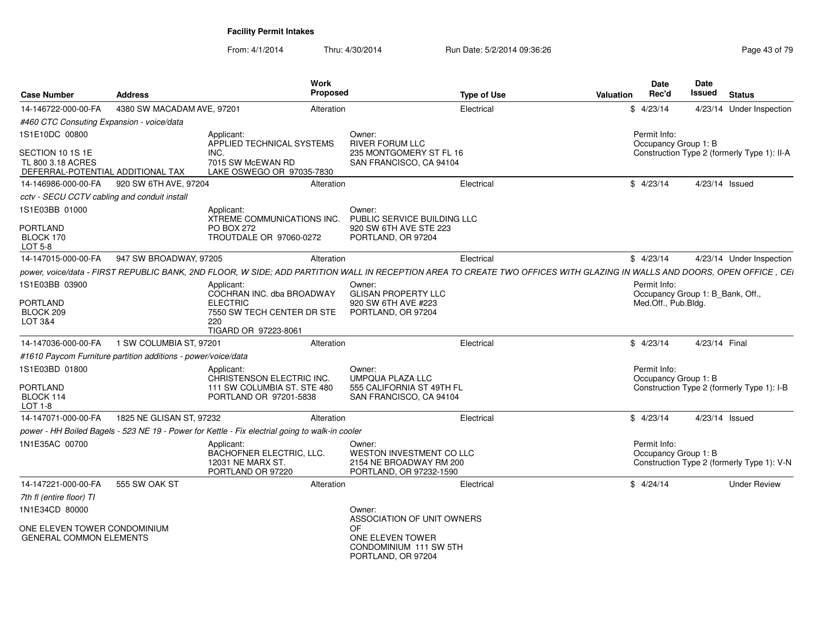| <b>Case Number</b>                                                         | <b>Address</b>                                                | Work<br><b>Proposed</b>                                                                                                                                                  |                                                                                          | <b>Type of Use</b> | <b>Valuation</b> | Date<br>Rec'd       | <b>Date</b><br><b>Issued</b>     | <b>Status</b>                               |
|----------------------------------------------------------------------------|---------------------------------------------------------------|--------------------------------------------------------------------------------------------------------------------------------------------------------------------------|------------------------------------------------------------------------------------------|--------------------|------------------|---------------------|----------------------------------|---------------------------------------------|
| 14-146722-000-00-FA                                                        | 4380 SW MACADAM AVE, 97201                                    | Alteration                                                                                                                                                               |                                                                                          | Electrical         |                  | \$4/23/14           |                                  | 4/23/14 Under Inspection                    |
| #460 CTC Consuting Expansion - voice/data                                  |                                                               |                                                                                                                                                                          |                                                                                          |                    |                  |                     |                                  |                                             |
| 1S1E10DC 00800                                                             |                                                               | Applicant:<br>APPLIED TECHNICAL SYSTEMS                                                                                                                                  | Owner:<br><b>RIVER FORUM LLC</b>                                                         |                    |                  | Permit Info:        | Occupancy Group 1: B             |                                             |
| SECTION 10 1S 1E<br>TL 800 3.18 ACRES<br>DEFERRAL-POTENTIAL ADDITIONAL TAX |                                                               | INC.<br>7015 SW McEWAN RD<br>LAKE OSWEGO OR 97035-7830                                                                                                                   | 235 MONTGOMERY ST FL 16<br>SAN FRANCISCO, CA 94104                                       |                    |                  |                     |                                  | Construction Type 2 (formerly Type 1): II-A |
| 14-146986-000-00-FA                                                        | 920 SW 6TH AVE, 97204                                         | Alteration                                                                                                                                                               |                                                                                          | Electrical         |                  | \$4/23/14           | 4/23/14 Issued                   |                                             |
| cctv - SECU CCTV cabling and conduit install                               |                                                               |                                                                                                                                                                          |                                                                                          |                    |                  |                     |                                  |                                             |
| 1S1E03BB 01000                                                             |                                                               | Applicant:<br>XTREME COMMUNICATIONS INC.                                                                                                                                 | Owner:<br>PUBLIC SERVICE BUILDING LLC                                                    |                    |                  |                     |                                  |                                             |
| <b>PORTLAND</b><br>BLOCK 170<br>LOT 5-8                                    |                                                               | <b>PO BOX 272</b><br>TROUTDALE OR 97060-0272                                                                                                                             | 920 SW 6TH AVE STE 223<br>PORTLAND, OR 97204                                             |                    |                  |                     |                                  |                                             |
| 14-147015-000-00-FA                                                        | 947 SW BROADWAY, 97205                                        | Alteration                                                                                                                                                               |                                                                                          | Electrical         |                  | \$4/23/14           |                                  | 4/23/14 Under Inspection                    |
|                                                                            |                                                               | power, voice/data - FIRST REPUBLIC BANK, 2ND FLOOR, W SIDE; ADD PARTITION WALL IN RECEPTION AREA TO CREATE TWO OFFICES WITH GLAZING IN WALLS AND DOORS, OPEN OFFICE, CEI |                                                                                          |                    |                  |                     |                                  |                                             |
| 1S1E03BB 03900                                                             |                                                               | Applicant:<br>COCHRAN INC. dba BROADWAY                                                                                                                                  | Owner:<br><b>GLISAN PROPERTY LLC</b>                                                     |                    |                  | Permit Info:        | Occupancy Group 1: B_Bank, Off., |                                             |
| <b>PORTLAND</b><br>BLOCK 209<br>LOT 3&4                                    |                                                               | <b>ELECTRIC</b><br>7550 SW TECH CENTER DR STE<br>220<br>TIGARD OR 97223-8061                                                                                             | 920 SW 6TH AVE #223<br>PORTLAND, OR 97204                                                |                    |                  | Med.Off., Pub.Bldg. |                                  |                                             |
| 14-147036-000-00-FA                                                        | 1 SW COLUMBIA ST, 97201                                       | Alteration                                                                                                                                                               |                                                                                          | Electrical         |                  | \$4/23/14           | 4/23/14 Final                    |                                             |
|                                                                            | #1610 Paycom Furniture partition additions - power/voice/data |                                                                                                                                                                          |                                                                                          |                    |                  |                     |                                  |                                             |
| 1S1E03BD 01800                                                             |                                                               | Applicant:<br>CHRISTENSON ELECTRIC INC.                                                                                                                                  | Owner:<br><b>UMPQUA PLAZA LLC</b>                                                        |                    |                  | Permit Info:        | Occupancy Group 1: B             |                                             |
| PORTLAND<br>BLOCK 114<br>LOT 1-8                                           |                                                               | 111 SW COLUMBIA ST. STE 480<br>PORTLAND OR 97201-5838                                                                                                                    | 555 CALIFORNIA ST 49TH FL<br>SAN FRANCISCO, CA 94104                                     |                    |                  |                     |                                  | Construction Type 2 (formerly Type 1): I-B  |
| 14-147071-000-00-FA                                                        | 1825 NE GLISAN ST, 97232                                      | Alteration                                                                                                                                                               |                                                                                          | Electrical         |                  | \$4/23/14           | 4/23/14 Issued                   |                                             |
|                                                                            |                                                               | power - HH Boiled Bagels - 523 NE 19 - Power for Kettle - Fix electrial going to walk-in cooler                                                                          |                                                                                          |                    |                  |                     |                                  |                                             |
| 1N1E35AC 00700                                                             |                                                               | Applicant:<br>BACHOFNER ELECTRIC, LLC.<br>12031 NE MARX ST.<br>PORTLAND OR 97220                                                                                         | Owner:<br>WESTON INVESTMENT CO LLC<br>2154 NE BROADWAY RM 200<br>PORTLAND, OR 97232-1590 |                    |                  | Permit Info:        | Occupancy Group 1: B             | Construction Type 2 (formerly Type 1): V-N  |
| 14-147221-000-00-FA                                                        | 555 SW OAK ST                                                 | Alteration                                                                                                                                                               |                                                                                          | Electrical         |                  | \$4/24/14           |                                  | <b>Under Review</b>                         |
| 7th fl (entire floor) TI                                                   |                                                               |                                                                                                                                                                          |                                                                                          |                    |                  |                     |                                  |                                             |
| 1N1E34CD 80000                                                             |                                                               |                                                                                                                                                                          | Owner:<br>ASSOCIATION OF UNIT OWNERS                                                     |                    |                  |                     |                                  |                                             |
| ONE ELEVEN TOWER CONDOMINIUM<br><b>GENERAL COMMON ELEMENTS</b>             |                                                               |                                                                                                                                                                          | OF.<br>ONE ELEVEN TOWER<br>CONDOMINIUM 111 SW 5TH<br>PORTLAND, OR 97204                  |                    |                  |                     |                                  |                                             |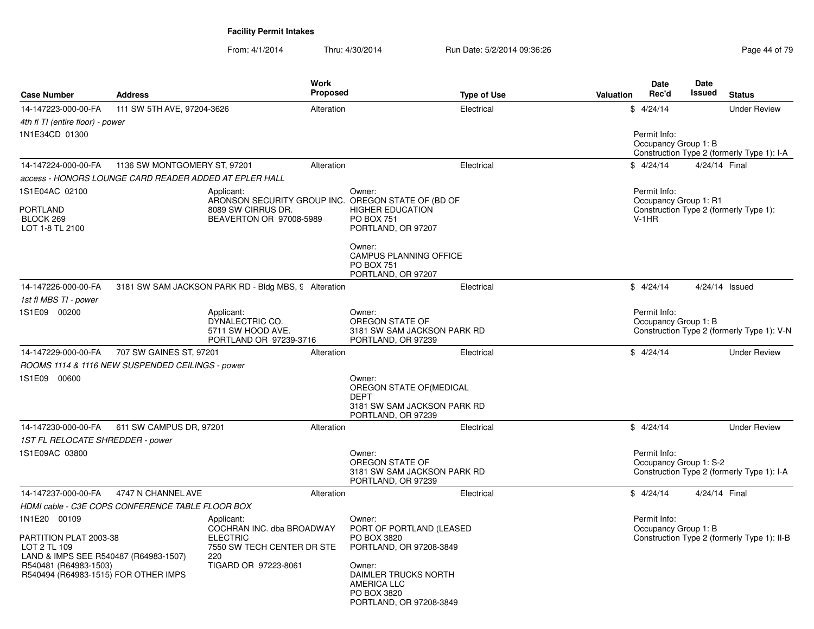| <b>Case Number</b>                                                                              | <b>Address</b>                                         |                                                                                                 | Work<br><b>Proposed</b> |                                                                                                        | <b>Type of Use</b> | Valuation | Date<br>Rec'd                          | Date<br>Issued | <b>Status</b>                               |
|-------------------------------------------------------------------------------------------------|--------------------------------------------------------|-------------------------------------------------------------------------------------------------|-------------------------|--------------------------------------------------------------------------------------------------------|--------------------|-----------|----------------------------------------|----------------|---------------------------------------------|
| 14-147223-000-00-FA                                                                             | 111 SW 5TH AVE, 97204-3626                             |                                                                                                 | Alteration              |                                                                                                        | Electrical         |           | \$4/24/14                              |                | <b>Under Review</b>                         |
| 4th fl TI (entire floor) - power                                                                |                                                        |                                                                                                 |                         |                                                                                                        |                    |           |                                        |                |                                             |
| 1N1E34CD 01300                                                                                  |                                                        |                                                                                                 |                         |                                                                                                        |                    |           | Permit Info:<br>Occupancy Group 1: B   |                | Construction Type 2 (formerly Type 1): I-A  |
| 14-147224-000-00-FA                                                                             | 1136 SW MONTGOMERY ST, 97201                           |                                                                                                 | Alteration              |                                                                                                        | Electrical         |           | \$4/24/14                              | 4/24/14 Final  |                                             |
|                                                                                                 | access - HONORS LOUNGE CARD READER ADDED AT EPLER HALL |                                                                                                 |                         |                                                                                                        |                    |           |                                        |                |                                             |
| 1S1E04AC 02100<br><b>PORTLAND</b>                                                               |                                                        | Applicant:<br>8089 SW CIRRUS DR.                                                                |                         | Owner:<br>ARONSON SECURITY GROUP INC. OREGON STATE OF (BD OF<br><b>HIGHER EDUCATION</b>                |                    |           | Permit Info:<br>Occupancy Group 1: R1  |                | Construction Type 2 (formerly Type 1):      |
| BLOCK 269<br>LOT 1-8 TL 2100                                                                    |                                                        | BEAVERTON OR 97008-5989                                                                         |                         | <b>PO BOX 751</b><br>PORTLAND, OR 97207                                                                |                    |           | $V-1HR$                                |                |                                             |
|                                                                                                 |                                                        |                                                                                                 |                         | Owner:<br><b>CAMPUS PLANNING OFFICE</b><br>PO BOX 751<br>PORTLAND, OR 97207                            |                    |           |                                        |                |                                             |
| 14-147226-000-00-FA                                                                             |                                                        | 3181 SW SAM JACKSON PARK RD - Bldg MBS, 9 Alteration                                            |                         |                                                                                                        | Electrical         |           | \$4/24/14                              | 4/24/14 Issued |                                             |
| 1st fl MBS TI - power                                                                           |                                                        |                                                                                                 |                         |                                                                                                        |                    |           |                                        |                |                                             |
| 1S1E09 00200                                                                                    |                                                        | Applicant:<br>DYNALECTRIC CO.<br>5711 SW HOOD AVE.<br>PORTLAND OR 97239-3716                    |                         | Owner:<br>OREGON STATE OF<br>3181 SW SAM JACKSON PARK RD<br>PORTLAND, OR 97239                         |                    |           | Permit Info:<br>Occupancy Group 1: B   |                | Construction Type 2 (formerly Type 1): V-N  |
| 14-147229-000-00-FA                                                                             | 707 SW GAINES ST, 97201                                |                                                                                                 | Alteration              |                                                                                                        | Electrical         |           | \$4/24/14                              |                | <b>Under Review</b>                         |
|                                                                                                 | ROOMS 1114 & 1116 NEW SUSPENDED CEILINGS - power       |                                                                                                 |                         |                                                                                                        |                    |           |                                        |                |                                             |
| 1S1E09 00600                                                                                    |                                                        |                                                                                                 |                         | Owner:<br>OREGON STATE OF (MEDICAL<br><b>DEPT</b><br>3181 SW SAM JACKSON PARK RD<br>PORTLAND, OR 97239 |                    |           |                                        |                |                                             |
| 14-147230-000-00-FA                                                                             | 611 SW CAMPUS DR, 97201                                |                                                                                                 | Alteration              |                                                                                                        | Electrical         |           | \$4/24/14                              |                | <b>Under Review</b>                         |
| 1ST FL RELOCATE SHREDDER - power                                                                |                                                        |                                                                                                 |                         |                                                                                                        |                    |           |                                        |                |                                             |
| 1S1E09AC 03800                                                                                  |                                                        |                                                                                                 |                         | Owner:<br>OREGON STATE OF<br>3181 SW SAM JACKSON PARK RD<br>PORTLAND, OR 97239                         |                    |           | Permit Info:<br>Occupancy Group 1: S-2 |                | Construction Type 2 (formerly Type 1): I-A  |
| 14-147237-000-00-FA                                                                             | 4747 N CHANNEL AVE                                     |                                                                                                 | Alteration              |                                                                                                        | Electrical         |           | \$4/24/14                              | 4/24/14 Final  |                                             |
|                                                                                                 | HDMI cable - C3E COPS CONFERENCE TABLE FLOOR BOX       |                                                                                                 |                         |                                                                                                        |                    |           |                                        |                |                                             |
| 1N1E20 00109<br>PARTITION PLAT 2003-38<br>LOT 2 TL 109<br>LAND & IMPS SEE R540487 (R64983-1507) |                                                        | Applicant:<br>COCHRAN INC. dba BROADWAY<br><b>ELECTRIC</b><br>7550 SW TECH CENTER DR STE<br>220 |                         | Owner:<br>PORT OF PORTLAND (LEASED<br>PO BOX 3820<br>PORTLAND, OR 97208-3849                           |                    |           | Permit Info:<br>Occupancy Group 1: B   |                | Construction Type 2 (formerly Type 1): II-B |
| R540481 (R64983-1503)<br>R540494 (R64983-1515) FOR OTHER IMPS                                   |                                                        | TIGARD OR 97223-8061                                                                            |                         | Owner:<br>DAIMLER TRUCKS NORTH<br><b>AMERICA LLC</b><br>PO BOX 3820<br>PORTLAND, OR 97208-3849         |                    |           |                                        |                |                                             |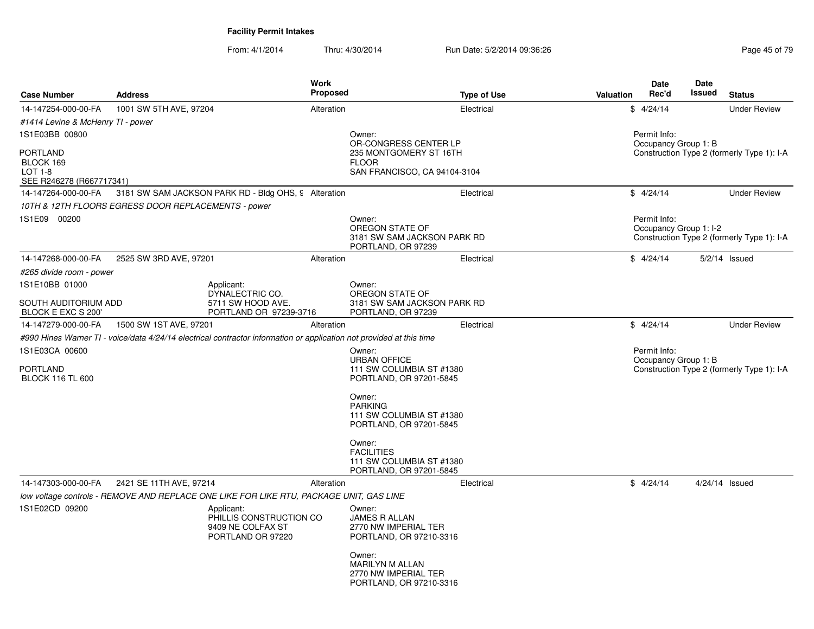| <b>Case Number</b>                                           | <b>Address</b>                                      | <b>Work</b>                                                                                                          | <b>Proposed</b> | <b>Type of Use</b>                                                                   | Valuation | <b>Date</b><br>Rec'd                   | Date<br>Issued | <b>Status</b>                              |
|--------------------------------------------------------------|-----------------------------------------------------|----------------------------------------------------------------------------------------------------------------------|-----------------|--------------------------------------------------------------------------------------|-----------|----------------------------------------|----------------|--------------------------------------------|
| 14-147254-000-00-FA                                          | 1001 SW 5TH AVE, 97204                              |                                                                                                                      | Alteration      | Electrical                                                                           |           | \$4/24/14                              |                | <b>Under Review</b>                        |
| #1414 Levine & McHenry TI - power                            |                                                     |                                                                                                                      |                 |                                                                                      |           |                                        |                |                                            |
| 1S1E03BB 00800                                               |                                                     |                                                                                                                      |                 | Owner:<br>OR-CONGRESS CENTER LP                                                      |           | Permit Info:<br>Occupancy Group 1: B   |                |                                            |
| PORTLAND<br>BLOCK 169<br>LOT 1-8<br>SEE R246278 (R667717341) |                                                     |                                                                                                                      |                 | 235 MONTGOMERY ST 16TH<br><b>FLOOR</b><br>SAN FRANCISCO, CA 94104-3104               |           |                                        |                | Construction Type 2 (formerly Type 1): I-A |
| 14-147264-000-00-FA                                          |                                                     | 3181 SW SAM JACKSON PARK RD - Bldg OHS, 9 Alteration                                                                 |                 | Electrical                                                                           |           | \$4/24/14                              |                | <b>Under Review</b>                        |
|                                                              | 10TH & 12TH FLOORS EGRESS DOOR REPLACEMENTS - power |                                                                                                                      |                 |                                                                                      |           |                                        |                |                                            |
| 1S1E09 00200                                                 |                                                     |                                                                                                                      |                 | Owner:<br>OREGON STATE OF<br>3181 SW SAM JACKSON PARK RD<br>PORTLAND, OR 97239       |           | Permit Info:<br>Occupancy Group 1: I-2 |                | Construction Type 2 (formerly Type 1): I-A |
| 14-147268-000-00-FA                                          | 2525 SW 3RD AVE, 97201                              |                                                                                                                      | Alteration      | Electrical                                                                           |           | \$4/24/14                              |                | $5/2/14$ Issued                            |
| #265 divide room - power                                     |                                                     |                                                                                                                      |                 |                                                                                      |           |                                        |                |                                            |
| 1S1E10BB 01000                                               |                                                     | Applicant:                                                                                                           |                 | Owner:                                                                               |           |                                        |                |                                            |
| SOUTH AUDITORIUM ADD<br>BLOCK E EXC S 200'                   |                                                     | DYNALECTRIC CO.<br>5711 SW HOOD AVE.<br>PORTLAND OR 97239-3716                                                       |                 | OREGON STATE OF<br>3181 SW SAM JACKSON PARK RD<br>PORTLAND, OR 97239                 |           |                                        |                |                                            |
| 14-147279-000-00-FA                                          | 1500 SW 1ST AVE, 97201                              |                                                                                                                      | Alteration      | Electrical                                                                           |           | \$4/24/14                              |                | <b>Under Review</b>                        |
|                                                              |                                                     | #990 Hines Warner TI - voice/data 4/24/14 electrical contractor information or application not provided at this time |                 |                                                                                      |           |                                        |                |                                            |
| 1S1E03CA 00600<br>PORTLAND<br><b>BLOCK 116 TL 600</b>        |                                                     |                                                                                                                      |                 | Owner:<br><b>URBAN OFFICE</b><br>111 SW COLUMBIA ST #1380<br>PORTLAND, OR 97201-5845 |           | Permit Info:<br>Occupancy Group 1: B   |                | Construction Type 2 (formerly Type 1): I-A |
|                                                              |                                                     |                                                                                                                      |                 | Owner:<br><b>PARKING</b><br>111 SW COLUMBIA ST #1380<br>PORTLAND, OR 97201-5845      |           |                                        |                |                                            |
|                                                              |                                                     |                                                                                                                      |                 | Owner:<br><b>FACILITIES</b><br>111 SW COLUMBIA ST #1380<br>PORTLAND, OR 97201-5845   |           |                                        |                |                                            |
| 14-147303-000-00-FA                                          | 2421 SE 11TH AVE, 97214                             |                                                                                                                      | Alteration      | Electrical                                                                           |           | \$4/24/14                              |                | $4/24/14$ Issued                           |
|                                                              |                                                     | low voltage controls - REMOVE AND REPLACE ONE LIKE FOR LIKE RTU, PACKAGE UNIT, GAS LINE                              |                 |                                                                                      |           |                                        |                |                                            |
| 1S1E02CD 09200                                               |                                                     | Applicant:<br>PHILLIS CONSTRUCTION CO<br>9409 NE COLFAX ST<br>PORTLAND OR 97220                                      |                 | Owner:<br><b>JAMES R ALLAN</b><br>2770 NW IMPERIAL TER<br>PORTLAND, OR 97210-3316    |           |                                        |                |                                            |
|                                                              |                                                     |                                                                                                                      |                 | Owner:<br><b>MARILYN M ALLAN</b><br>2770 NW IMPERIAL TER<br>PORTLAND, OR 97210-3316  |           |                                        |                |                                            |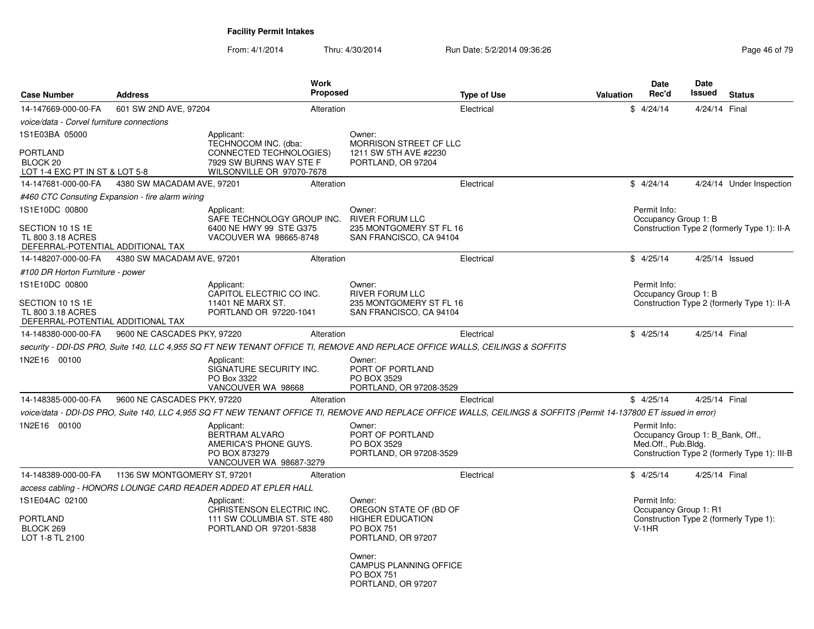| <b>Case Number</b>                                                                           | Address                                          |                                                                                                   | <b>Work</b><br>Proposed |                                                                                                        | <b>Type of Use</b>                                                                                                                                                  | Valuation | <b>Date</b><br>Rec'd                                                    | Date<br>Issued | <b>Status</b>                                |
|----------------------------------------------------------------------------------------------|--------------------------------------------------|---------------------------------------------------------------------------------------------------|-------------------------|--------------------------------------------------------------------------------------------------------|---------------------------------------------------------------------------------------------------------------------------------------------------------------------|-----------|-------------------------------------------------------------------------|----------------|----------------------------------------------|
| 14-147669-000-00-FA                                                                          | 601 SW 2ND AVE, 97204                            |                                                                                                   | Alteration              |                                                                                                        | Electrical                                                                                                                                                          |           | \$4/24/14                                                               | 4/24/14 Final  |                                              |
| voice/data - Corvel furniture connections                                                    |                                                  |                                                                                                   |                         |                                                                                                        |                                                                                                                                                                     |           |                                                                         |                |                                              |
| 1S1E03BA 05000<br><b>PORTLAND</b>                                                            |                                                  | Applicant:<br>TECHNOCOM INC. (dba:<br>CONNECTED TECHNOLOGIES)                                     |                         | Owner:<br><b>MORRISON STREET CF LLC</b><br>1211 SW 5TH AVE #2230                                       |                                                                                                                                                                     |           |                                                                         |                |                                              |
| BLOCK 20                                                                                     |                                                  | 7929 SW BURNS WAY STE F                                                                           |                         | PORTLAND, OR 97204                                                                                     |                                                                                                                                                                     |           |                                                                         |                |                                              |
| LOT 1-4 EXC PT IN ST & LOT 5-8                                                               |                                                  | WILSONVILLE OR 97070-7678                                                                         |                         |                                                                                                        |                                                                                                                                                                     |           |                                                                         |                |                                              |
| 14-147681-000-00-FA                                                                          | 4380 SW MACADAM AVE, 97201                       |                                                                                                   | Alteration              |                                                                                                        | Electrical                                                                                                                                                          |           | \$4/24/14                                                               |                | 4/24/14 Under Inspection                     |
|                                                                                              | #460 CTC Consuting Expansion - fire alarm wiring |                                                                                                   |                         |                                                                                                        |                                                                                                                                                                     |           |                                                                         |                |                                              |
| 1S1E10DC 00800<br>SECTION 10 1S 1E<br>TL 800 3.18 ACRES<br>DEFERRAL-POTENTIAL ADDITIONAL TAX |                                                  | Applicant:<br>SAFE TECHNOLOGY GROUP INC.<br>6400 NE HWY 99 STE G375<br>VACOUVER WA 98665-8748     |                         | Owner:<br><b>RIVER FORUM LLC</b><br>235 MONTGOMERY ST FL 16<br>SAN FRANCISCO, CA 94104                 |                                                                                                                                                                     |           | Permit Info:<br>Occupancy Group 1: B                                    |                | Construction Type 2 (formerly Type 1): II-A  |
| 14-148207-000-00-FA                                                                          | 4380 SW MACADAM AVE, 97201                       |                                                                                                   | Alteration              |                                                                                                        | Electrical                                                                                                                                                          |           | \$4/25/14                                                               | 4/25/14 Issued |                                              |
| #100 DR Horton Furniture - power                                                             |                                                  |                                                                                                   |                         |                                                                                                        |                                                                                                                                                                     |           |                                                                         |                |                                              |
| 1S1E10DC 00800                                                                               |                                                  | Applicant:                                                                                        |                         | Owner:                                                                                                 |                                                                                                                                                                     |           | Permit Info:                                                            |                |                                              |
| SECTION 10 1S 1E<br>TL 800 3.18 ACRES<br>DEFERRAL-POTENTIAL ADDITIONAL TAX                   |                                                  | CAPITOL ELECTRIC CO INC.<br>11401 NE MARX ST.<br>PORTLAND OR 97220-1041                           |                         | <b>RIVER FORUM LLC</b><br>235 MONTGOMERY ST FL 16<br>SAN FRANCISCO, CA 94104                           |                                                                                                                                                                     |           | Occupancy Group 1: B                                                    |                | Construction Type 2 (formerly Type 1): II-A  |
| 14-148380-000-00-FA                                                                          | 9600 NE CASCADES PKY, 97220                      |                                                                                                   | Alteration              |                                                                                                        | Electrical                                                                                                                                                          |           | \$4/25/14                                                               | 4/25/14 Final  |                                              |
|                                                                                              |                                                  |                                                                                                   |                         |                                                                                                        | security - DDI-DS PRO, Suite 140, LLC 4,955 SQ FT NEW TENANT OFFICE TI, REMOVE AND REPLACE OFFICE WALLS, CEILINGS & SOFFITS                                         |           |                                                                         |                |                                              |
| 1N2E16 00100                                                                                 |                                                  | Applicant:<br>SIGNATURE SECURITY INC.<br>PO Box 3322<br>VANCOUVER WA 98668                        |                         | Owner:<br>PORT OF PORTLAND<br>PO BOX 3529<br>PORTLAND, OR 97208-3529                                   |                                                                                                                                                                     |           |                                                                         |                |                                              |
| 14-148385-000-00-FA                                                                          | 9600 NE CASCADES PKY, 97220                      |                                                                                                   | Alteration              |                                                                                                        | Electrical                                                                                                                                                          |           | \$4/25/14                                                               | 4/25/14 Final  |                                              |
|                                                                                              |                                                  |                                                                                                   |                         |                                                                                                        | voice/data - DDI-DS PRO, Suite 140, LLC 4,955 SQ FT NEW TENANT OFFICE TI, REMOVE AND REPLACE OFFICE WALLS, CEILINGS & SOFFITS (Permit 14-137800 ET issued in error) |           |                                                                         |                |                                              |
| 1N2E16 00100                                                                                 |                                                  | Applicant:<br>BERTRAM ALVARO<br>AMERICA'S PHONE GUYS.<br>PO BOX 873279<br>VANCOUVER WA 98687-3279 |                         | Owner:<br>PORT OF PORTLAND<br>PO BOX 3529<br>PORTLAND, OR 97208-3529                                   |                                                                                                                                                                     |           | Permit Info:<br>Occupancy Group 1: B Bank, Off.,<br>Med.Off., Pub.Bldg. |                | Construction Type 2 (formerly Type 1): III-B |
| 14-148389-000-00-FA                                                                          | 1136 SW MONTGOMERY ST, 97201                     |                                                                                                   | Alteration              |                                                                                                        | Electrical                                                                                                                                                          |           | \$4/25/14                                                               | 4/25/14 Final  |                                              |
|                                                                                              |                                                  | access cabling - HONORS LOUNGE CARD READER ADDED AT EPLER HALL                                    |                         |                                                                                                        |                                                                                                                                                                     |           |                                                                         |                |                                              |
| 1S1E04AC 02100<br><b>PORTLAND</b><br>BLOCK 269<br>LOT 1-8 TL 2100                            |                                                  | Applicant:<br>CHRISTENSON ELECTRIC INC.<br>111 SW COLUMBIA ST. STE 480<br>PORTLAND OR 97201-5838  |                         | Owner:<br>OREGON STATE OF (BD OF<br><b>HIGHER EDUCATION</b><br><b>PO BOX 751</b><br>PORTLAND, OR 97207 |                                                                                                                                                                     |           | Permit Info:<br>Occupancy Group 1: R1<br>$V-1HR$                        |                | Construction Type 2 (formerly Type 1):       |
|                                                                                              |                                                  |                                                                                                   |                         | Owner:<br><b>CAMPUS PLANNING OFFICE</b><br><b>PO BOX 751</b><br>PORTLAND, OR 97207                     |                                                                                                                                                                     |           |                                                                         |                |                                              |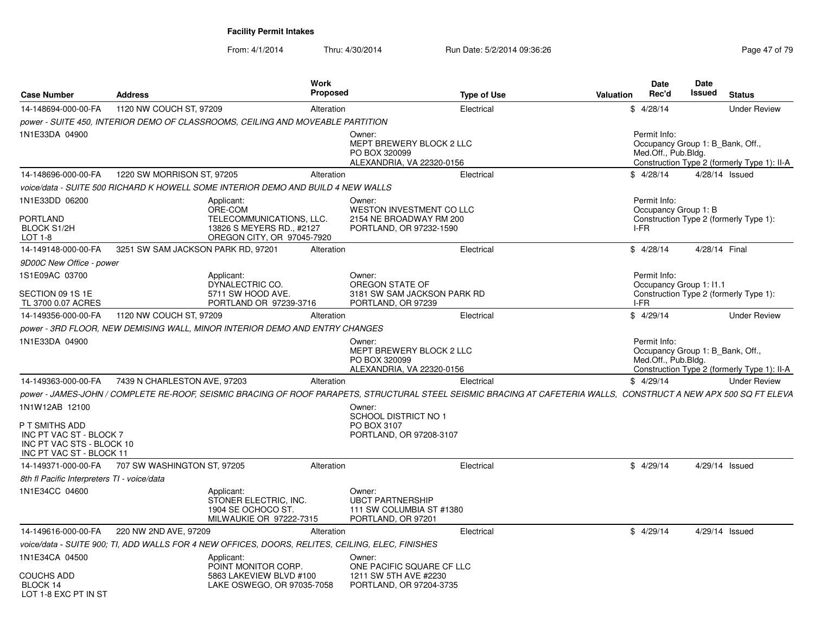| <b>Case Number</b>                                          | <b>Address</b>                                                                                                                                                    | Work<br><b>Proposed</b>                                 | <b>Type of Use</b>                                                             | <b>Date</b><br>Rec'd<br>Valuation            | Date<br>Issued<br><b>Status</b>                                                 |
|-------------------------------------------------------------|-------------------------------------------------------------------------------------------------------------------------------------------------------------------|---------------------------------------------------------|--------------------------------------------------------------------------------|----------------------------------------------|---------------------------------------------------------------------------------|
| 14-148694-000-00-FA                                         | 1120 NW COUCH ST, 97209                                                                                                                                           | Alteration                                              | Electrical                                                                     | \$4/28/14                                    | <b>Under Review</b>                                                             |
|                                                             | power - SUITE 450, INTERIOR DEMO OF CLASSROOMS, CEILING AND MOVEABLE PARTITION                                                                                    |                                                         |                                                                                |                                              |                                                                                 |
| 1N1E33DA 04900                                              |                                                                                                                                                                   | Owner:<br>PO BOX 320099                                 | MEPT BREWERY BLOCK 2 LLC<br>ALEXANDRIA, VA 22320-0156                          | Permit Info:<br>Med.Off., Pub.Bldg.          | Occupancy Group 1: B_Bank, Off.,<br>Construction Type 2 (formerly Type 1): II-A |
| 14-148696-000-00-FA                                         | 1220 SW MORRISON ST, 97205                                                                                                                                        | Alteration                                              | Electrical                                                                     | \$4/28/14                                    | 4/28/14 Issued                                                                  |
|                                                             | voice/data - SUITE 500 RICHARD K HOWELL SOME INTERIOR DEMO AND BUILD 4 NEW WALLS                                                                                  |                                                         |                                                                                |                                              |                                                                                 |
| 1N1E33DD 06200<br><b>PORTLAND</b><br>BLOCK S1/2H            | Applicant:<br>ORE-COM<br>TELECOMMUNICATIONS, LLC.<br>13826 S MEYERS RD., #2127                                                                                    | Owner:                                                  | WESTON INVESTMENT CO LLC<br>2154 NE BROADWAY RM 200<br>PORTLAND, OR 97232-1590 | Permit Info:<br>Occupancy Group 1: B<br>I-FR | Construction Type 2 (formerly Type 1):                                          |
| LOT 1-8                                                     | OREGON CITY, OR 97045-7920                                                                                                                                        |                                                         |                                                                                |                                              | 4/28/14 Final                                                                   |
| 14-149148-000-00-FA                                         | 3251 SW SAM JACKSON PARK RD, 97201                                                                                                                                | Alteration                                              | Electrical                                                                     | \$4/28/14                                    |                                                                                 |
| 9D00C New Office - power                                    |                                                                                                                                                                   |                                                         |                                                                                |                                              |                                                                                 |
| 1S1E09AC 03700<br>SECTION 09 1S 1E<br>TL 3700 0.07 ACRES    | Applicant:<br>DYNALECTRIC CO.<br>5711 SW HOOD AVE.<br>PORTLAND OR 97239-3716                                                                                      | Owner:<br>OREGON STATE OF<br>PORTLAND, OR 97239         | 3181 SW SAM JACKSON PARK RD                                                    | Permit Info:<br>I-FR                         | Occupancy Group 1: 11.1<br>Construction Type 2 (formerly Type 1):               |
| 14-149356-000-00-FA                                         | 1120 NW COUCH ST, 97209                                                                                                                                           | Alteration                                              | Electrical                                                                     | \$4/29/14                                    | <b>Under Review</b>                                                             |
|                                                             | power - 3RD FLOOR. NEW DEMISING WALL. MINOR INTERIOR DEMO AND ENTRY CHANGES                                                                                       |                                                         |                                                                                |                                              |                                                                                 |
| 1N1E33DA 04900                                              |                                                                                                                                                                   | Owner:<br>PO BOX 320099                                 | MEPT BREWERY BLOCK 2 LLC<br>ALEXANDRIA, VA 22320-0156                          | Permit Info:<br>Med.Off., Pub.Bldg.          | Occupancy Group 1: B Bank, Off.,<br>Construction Type 2 (formerly Type 1): II-A |
| 14-149363-000-00-FA                                         | 7439 N CHARLESTON AVE, 97203                                                                                                                                      | Alteration                                              | Electrical                                                                     | \$4/29/14                                    | <b>Under Review</b>                                                             |
|                                                             | power - JAMES-JOHN / COMPLETE RE-ROOF, SEISMIC BRACING OF ROOF PARAPETS, STRUCTURAL STEEL SEISMIC BRACING AT CAFETERIA WALLS, CONSTRUCT A NEW APX 500 SQ FT ELEVA |                                                         |                                                                                |                                              |                                                                                 |
| 1N1W12AB 12100<br>P T SMITHS ADD<br>INC PT VAC ST - BLOCK 7 |                                                                                                                                                                   | Owner:<br><b>SCHOOL DISTRICT NO 1</b><br>PO BOX 3107    | PORTLAND, OR 97208-3107                                                        |                                              |                                                                                 |
| INC PT VAC STS - BLOCK 10<br>INC PT VAC ST - BLOCK 11       |                                                                                                                                                                   |                                                         |                                                                                |                                              |                                                                                 |
| 14-149371-000-00-FA                                         | 707 SW WASHINGTON ST, 97205                                                                                                                                       | Alteration                                              | Electrical                                                                     | \$4/29/14                                    | 4/29/14 Issued                                                                  |
| 8th fl Pacific Interpreters TI - voice/data                 |                                                                                                                                                                   |                                                         |                                                                                |                                              |                                                                                 |
| 1N1E34CC 04600                                              | Applicant:<br>STONER ELECTRIC, INC.<br>1904 SE OCHOCO ST.<br>MILWAUKIE OR 97222-7315                                                                              | Owner:<br><b>UBCT PARTNERSHIP</b><br>PORTLAND, OR 97201 | 111 SW COLUMBIA ST #1380                                                       |                                              |                                                                                 |
| 14-149616-000-00-FA                                         | 220 NW 2ND AVE, 97209                                                                                                                                             | Alteration                                              | Electrical                                                                     | \$4/29/14                                    | 4/29/14 Issued                                                                  |
|                                                             | voice/data - SUITE 900; TI, ADD WALLS FOR 4 NEW OFFICES, DOORS, RELITES, CEILING, ELEC, FINISHES                                                                  |                                                         |                                                                                |                                              |                                                                                 |
| 1N1E34CA 04500<br><b>COUCHS ADD</b><br>BLOCK 14             | Applicant:<br>POINT MONITOR CORP.<br>5863 LAKEVIEW BLVD #100<br>LAKE OSWEGO, OR 97035-7058                                                                        | Owner:<br>1211 SW 5TH AVE #2230                         | ONE PACIFIC SQUARE CF LLC<br>PORTLAND, OR 97204-3735                           |                                              |                                                                                 |
| LOT 1-8 FXC PT IN ST                                        |                                                                                                                                                                   |                                                         |                                                                                |                                              |                                                                                 |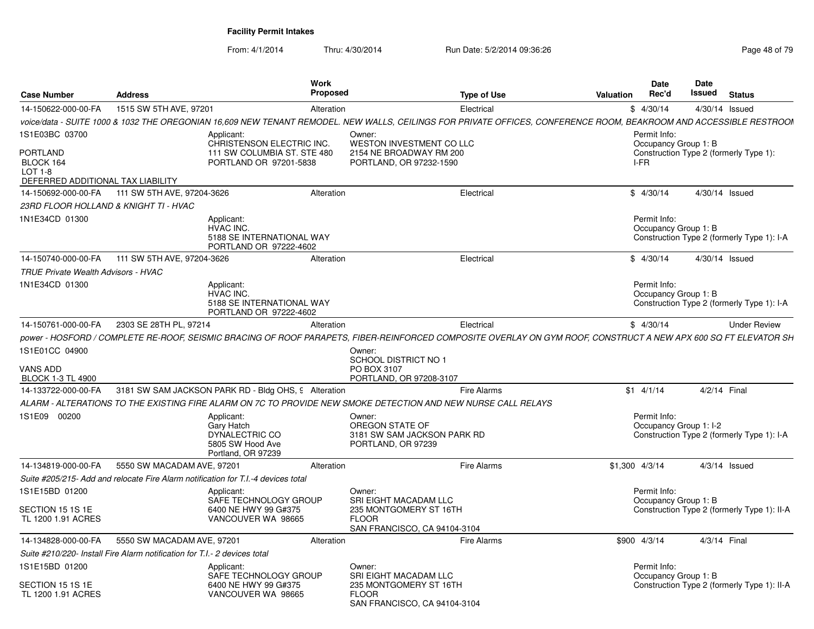| <b>Case Number</b>                                                           | <b>Address</b>                                                            |                                                                                                               | <b>Work</b><br><b>Proposed</b> |                                                                                | <b>Type of Use</b>                                                                                                                                                 | <b>Valuation</b> | Date<br>Rec'd                          | Date<br>Issued  | <b>Status</b>                               |
|------------------------------------------------------------------------------|---------------------------------------------------------------------------|---------------------------------------------------------------------------------------------------------------|--------------------------------|--------------------------------------------------------------------------------|--------------------------------------------------------------------------------------------------------------------------------------------------------------------|------------------|----------------------------------------|-----------------|---------------------------------------------|
| 14-150622-000-00-FA                                                          | 1515 SW 5TH AVE, 97201                                                    |                                                                                                               | Alteration                     |                                                                                | Electrical                                                                                                                                                         |                  | \$4/30/14                              | 4/30/14 Issued  |                                             |
|                                                                              |                                                                           |                                                                                                               |                                |                                                                                | voice/data - SUITE 1000 & 1032 THE OREGONIAN 16.609 NEW TENANT REMODEL. NEW WALLS, CEILINGS FOR PRIVATE OFFICES, CONFERENCE ROOM, BEAKROOM AND ACCESSIBLE RESTROOI |                  |                                        |                 |                                             |
| 1S1E03BC 03700                                                               |                                                                           | Applicant:<br>CHRISTENSON ELECTRIC INC.                                                                       |                                | Owner:<br>WESTON INVESTMENT CO LLC                                             |                                                                                                                                                                    |                  | Permit Info:<br>Occupancy Group 1: B   |                 |                                             |
| <b>PORTLAND</b><br>BLOCK 164<br>LOT 1-8<br>DEFERRED ADDITIONAL TAX LIABILITY |                                                                           | 111 SW COLUMBIA ST. STE 480<br>PORTLAND OR 97201-5838                                                         |                                | 2154 NE BROADWAY RM 200<br>PORTLAND, OR 97232-1590                             |                                                                                                                                                                    |                  | I-FR                                   |                 | Construction Type 2 (formerly Type 1):      |
|                                                                              | 14-150692-000-00-FA 111 SW 5TH AVE, 97204-3626                            |                                                                                                               | Alteration                     |                                                                                | Electrical                                                                                                                                                         |                  | \$4/30/14                              | 4/30/14 Issued  |                                             |
|                                                                              | 23RD FLOOR HOLLAND & KNIGHT TI - HVAC                                     |                                                                                                               |                                |                                                                                |                                                                                                                                                                    |                  |                                        |                 |                                             |
| 1N1E34CD 01300                                                               |                                                                           | Applicant:<br>HVAC INC.<br>5188 SE INTERNATIONAL WAY<br>PORTLAND OR 97222-4602                                |                                |                                                                                |                                                                                                                                                                    |                  | Permit Info:<br>Occupancy Group 1: B   |                 | Construction Type 2 (formerly Type 1): I-A  |
| 14-150740-000-00-FA                                                          | 111 SW 5TH AVE, 97204-3626                                                |                                                                                                               | Alteration                     |                                                                                | Electrical                                                                                                                                                         |                  | \$4/30/14                              | 4/30/14 Issued  |                                             |
| <b>TRUE Private Wealth Advisors - HVAC</b>                                   |                                                                           |                                                                                                               |                                |                                                                                |                                                                                                                                                                    |                  |                                        |                 |                                             |
| 1N1E34CD 01300                                                               |                                                                           | Applicant:<br>HVAC INC.<br>5188 SE INTERNATIONAL WAY<br>PORTLAND OR 97222-4602                                |                                |                                                                                |                                                                                                                                                                    |                  | Permit Info:<br>Occupancy Group 1: B   |                 | Construction Type 2 (formerly Type 1): I-A  |
| 14-150761-000-00-FA                                                          | 2303 SE 28TH PL, 97214                                                    |                                                                                                               | Alteration                     |                                                                                | Electrical                                                                                                                                                         |                  | \$4/30/14                              |                 | <b>Under Review</b>                         |
|                                                                              |                                                                           |                                                                                                               |                                |                                                                                | power - HOSFORD / COMPLETE RE-ROOF. SEISMIC BRACING OF ROOF PARAPETS. FIBER-REINFORCED COMPOSITE OVERLAY ON GYM ROOF. CONSTRUCT A NEW APX 600 SQ FT ELEVATOR SH    |                  |                                        |                 |                                             |
| 1S1E01CC 04900                                                               |                                                                           |                                                                                                               |                                | Owner:<br>SCHOOL DISTRICT NO 1                                                 |                                                                                                                                                                    |                  |                                        |                 |                                             |
| VANS ADD<br><b>BLOCK 1-3 TL 4900</b>                                         |                                                                           |                                                                                                               |                                | PO BOX 3107<br>PORTLAND, OR 97208-3107                                         |                                                                                                                                                                    |                  |                                        |                 |                                             |
| 14-133722-000-00-FA                                                          |                                                                           | 3181 SW SAM JACKSON PARK RD - Bldg OHS, 9 Alteration                                                          |                                |                                                                                | <b>Fire Alarms</b>                                                                                                                                                 |                  | $$1 \t4/1/14$                          | 4/2/14 Final    |                                             |
|                                                                              |                                                                           | ALARM - ALTERATIONS TO THE EXISTING FIRE ALARM ON 7C TO PROVIDE NEW SMOKE DETECTION AND NEW NURSE CALL RELAYS |                                |                                                                                |                                                                                                                                                                    |                  |                                        |                 |                                             |
| 1S1E09 00200                                                                 |                                                                           | Applicant:<br>Gary Hatch<br>DYNALECTRIC CO<br>5805 SW Hood Ave<br>Portland, OR 97239                          |                                | Owner:<br>OREGON STATE OF<br>3181 SW SAM JACKSON PARK RD<br>PORTLAND, OR 97239 |                                                                                                                                                                    |                  | Permit Info:<br>Occupancy Group 1: I-2 |                 | Construction Type 2 (formerly Type 1): I-A  |
| 14-134819-000-00-FA                                                          | 5550 SW MACADAM AVE, 97201                                                |                                                                                                               | Alteration                     |                                                                                | <b>Fire Alarms</b>                                                                                                                                                 | $$1,300$ 4/3/14  |                                        | $4/3/14$ Issued |                                             |
|                                                                              |                                                                           | Suite #205/215- Add and relocate Fire Alarm notification for T.I.-4 devices total                             |                                |                                                                                |                                                                                                                                                                    |                  |                                        |                 |                                             |
| 1S1E15BD 01200                                                               |                                                                           | Applicant:                                                                                                    |                                | Owner:                                                                         |                                                                                                                                                                    |                  | Permit Info:                           |                 |                                             |
|                                                                              |                                                                           | SAFE TECHNOLOGY GROUP                                                                                         |                                | SRI EIGHT MACADAM LLC                                                          |                                                                                                                                                                    |                  | Occupancy Group 1: B                   |                 |                                             |
| SECTION 15 1S 1E<br>TL 1200 1.91 ACRES                                       |                                                                           | 6400 NE HWY 99 G#375<br>VANCOUVER WA 98665                                                                    |                                | 235 MONTGOMERY ST 16TH<br><b>FLOOR</b><br>SAN FRANCISCO, CA 94104-3104         |                                                                                                                                                                    |                  |                                        |                 | Construction Type 2 (formerly Type 1): II-A |
| 14-134828-000-00-FA                                                          | 5550 SW MACADAM AVE, 97201                                                |                                                                                                               | Alteration                     |                                                                                | <b>Fire Alarms</b>                                                                                                                                                 | \$900 4/3/14     |                                        | 4/3/14 Final    |                                             |
|                                                                              | Suite #210/220- Install Fire Alarm notification for T.I.- 2 devices total |                                                                                                               |                                |                                                                                |                                                                                                                                                                    |                  |                                        |                 |                                             |
| 1S1E15BD 01200                                                               |                                                                           | Applicant:<br>SAFE TECHNOLOGY GROUP                                                                           |                                | Owner:<br>SRI EIGHT MACADAM LLC                                                |                                                                                                                                                                    |                  | Permit Info:<br>Occupancy Group 1: B   |                 |                                             |
| SECTION 15 1S 1E<br>TL 1200 1.91 ACRES                                       |                                                                           | 6400 NE HWY 99 G#375<br>VANCOUVER WA 98665                                                                    |                                | 235 MONTGOMERY ST 16TH<br><b>FLOOR</b><br>SAN FRANCISCO, CA 94104-3104         |                                                                                                                                                                    |                  |                                        |                 | Construction Type 2 (formerly Type 1): II-A |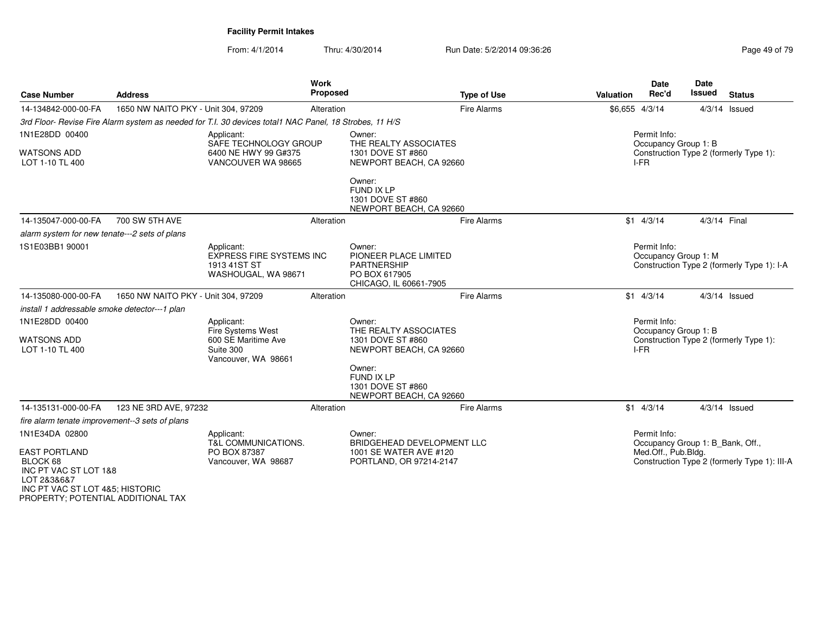| <b>Case Number</b>                                                                                                                                | <b>Address</b>                      |                                                                                                        | Work<br>Proposed | <b>Type of Use</b>                                                                               | Valuation      | <b>Date</b><br>Rec'd                             | <b>Date</b><br><b>Issued</b> | <b>Status</b>                                |
|---------------------------------------------------------------------------------------------------------------------------------------------------|-------------------------------------|--------------------------------------------------------------------------------------------------------|------------------|--------------------------------------------------------------------------------------------------|----------------|--------------------------------------------------|------------------------------|----------------------------------------------|
| 14-134842-000-00-FA                                                                                                                               | 1650 NW NAITO PKY - Unit 304, 97209 |                                                                                                        | Alteration       | <b>Fire Alarms</b>                                                                               | \$6,655 4/3/14 |                                                  |                              | $4/3/14$ Issued                              |
|                                                                                                                                                   |                                     | 3rd Floor- Revise Fire Alarm system as needed for T.I. 30 devices total1 NAC Panel, 18 Strobes, 11 H/S |                  |                                                                                                  |                |                                                  |                              |                                              |
| 1N1E28DD 00400<br><b>WATSONS ADD</b><br>LOT 1-10 TL 400                                                                                           |                                     | Applicant:<br>SAFE TECHNOLOGY GROUP<br>6400 NE HWY 99 G#375<br>VANCOUVER WA 98665                      |                  | Owner:<br>THE REALTY ASSOCIATES<br>1301 DOVE ST #860<br>NEWPORT BEACH, CA 92660                  |                | Permit Info:<br>Occupancy Group 1: B<br>I-FR     |                              | Construction Type 2 (formerly Type 1):       |
|                                                                                                                                                   |                                     |                                                                                                        |                  | Owner:<br>FUND IX LP<br>1301 DOVE ST #860<br>NEWPORT BEACH, CA 92660                             |                |                                                  |                              |                                              |
| 14-135047-000-00-FA                                                                                                                               | 700 SW 5TH AVE                      |                                                                                                        | Alteration       | <b>Fire Alarms</b>                                                                               |                | $$1$ 4/3/14                                      | 4/3/14 Final                 |                                              |
| alarm system for new tenate---2 sets of plans                                                                                                     |                                     |                                                                                                        |                  |                                                                                                  |                |                                                  |                              |                                              |
| 1S1E03BB1 90001                                                                                                                                   |                                     | Applicant:<br><b>EXPRESS FIRE SYSTEMS INC</b><br>1913 41ST ST<br>WASHOUGAL, WA 98671                   |                  | Owner:<br>PIONEER PLACE LIMITED<br><b>PARTNERSHIP</b><br>PO BOX 617905<br>CHICAGO, IL 60661-7905 |                | Permit Info:<br>Occupancy Group 1: M             |                              | Construction Type 2 (formerly Type 1): I-A   |
| 14-135080-000-00-FA                                                                                                                               | 1650 NW NAITO PKY - Unit 304, 97209 |                                                                                                        | Alteration       | <b>Fire Alarms</b>                                                                               |                | $$1 \quad 4/3/14$                                |                              | $4/3/14$ Issued                              |
| install 1 addressable smoke detector---1 plan                                                                                                     |                                     |                                                                                                        |                  |                                                                                                  |                |                                                  |                              |                                              |
| 1N1E28DD 00400                                                                                                                                    |                                     | Applicant:                                                                                             |                  | Owner:                                                                                           |                | Permit Info:                                     |                              |                                              |
| <b>WATSONS ADD</b><br>LOT 1-10 TL 400                                                                                                             |                                     | <b>Fire Systems West</b><br>600 SE Maritime Ave<br>Suite 300                                           |                  | THE REALTY ASSOCIATES<br>1301 DOVE ST #860<br>NEWPORT BEACH, CA 92660                            |                | Occupancy Group 1: B<br>I-FR                     |                              | Construction Type 2 (formerly Type 1):       |
|                                                                                                                                                   |                                     | Vancouver, WA 98661                                                                                    |                  | Owner:<br>FUND IX LP<br>1301 DOVE ST #860<br>NEWPORT BEACH, CA 92660                             |                |                                                  |                              |                                              |
| 14-135131-000-00-FA                                                                                                                               | 123 NE 3RD AVE, 97232               |                                                                                                        | Alteration       | <b>Fire Alarms</b>                                                                               |                | $$1$ 4/3/14                                      |                              | $4/3/14$ Issued                              |
| fire alarm tenate improvement--3 sets of plans                                                                                                    |                                     |                                                                                                        |                  |                                                                                                  |                |                                                  |                              |                                              |
| 1N1E34DA 02800                                                                                                                                    |                                     | Applicant:<br><b>T&amp;L COMMUNICATIONS.</b>                                                           |                  | Owner:<br>BRIDGEHEAD DEVELOPMENT LLC                                                             |                | Permit Info:<br>Occupancy Group 1: B Bank, Off., |                              |                                              |
| <b>EAST PORTLAND</b><br>BLOCK 68<br>INC PT VAC ST LOT 1&8<br>LOT 2&3&6&7<br>INC PT VAC ST LOT 4&5; HISTORIC<br>PROPERTY; POTENTIAL ADDITIONAL TAX |                                     | PO BOX 87387<br>Vancouver, WA 98687                                                                    |                  | 1001 SE WATER AVE #120<br>PORTLAND, OR 97214-2147                                                |                | Med.Off., Pub.Bldg.                              |                              | Construction Type 2 (formerly Type 1): III-A |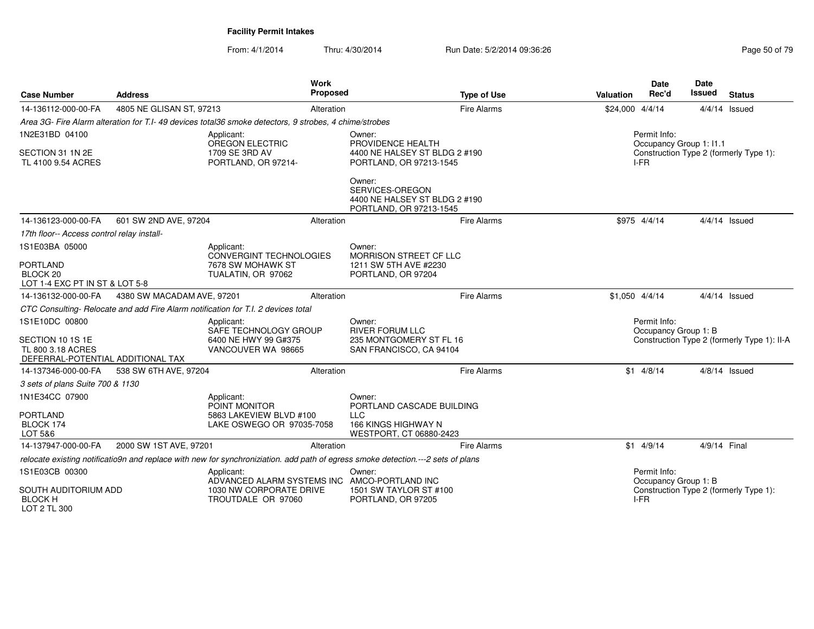| <b>Case Number</b>                                                                           | <b>Address</b>             |                                                                                                       | Work<br>Proposed |                                                                                                                                  | <b>Type of Use</b> | Valuation       | <b>Date</b><br>Rec'd                            | <b>Date</b><br>Issued | <b>Status</b>                               |
|----------------------------------------------------------------------------------------------|----------------------------|-------------------------------------------------------------------------------------------------------|------------------|----------------------------------------------------------------------------------------------------------------------------------|--------------------|-----------------|-------------------------------------------------|-----------------------|---------------------------------------------|
| 14-136112-000-00-FA                                                                          | 4805 NE GLISAN ST, 97213   |                                                                                                       | Alteration       |                                                                                                                                  | Fire Alarms        | \$24,000 4/4/14 |                                                 |                       | $4/4/14$ Issued                             |
|                                                                                              |                            | Area 3G- Fire Alarm alteration for T.I-49 devices total36 smoke detectors, 9 strobes, 4 chime/strobes |                  |                                                                                                                                  |                    |                 |                                                 |                       |                                             |
| 1N2E31BD 04100<br>SECTION 31 1N 2E<br>TL 4100 9.54 ACRES                                     |                            | Applicant:<br>OREGON ELECTRIC<br>1709 SE 3RD AV<br>PORTLAND, OR 97214-                                |                  | Owner:<br>PROVIDENCE HEALTH<br>4400 NE HALSEY ST BLDG 2 #190<br>PORTLAND, OR 97213-1545                                          |                    |                 | Permit Info:<br>Occupancy Group 1: I1.1<br>I-FR |                       | Construction Type 2 (formerly Type 1):      |
|                                                                                              |                            |                                                                                                       |                  | Owner:<br>SERVICES-OREGON<br>4400 NE HALSEY ST BLDG 2 #190<br>PORTLAND, OR 97213-1545                                            |                    |                 |                                                 |                       |                                             |
| 14-136123-000-00-FA                                                                          | 601 SW 2ND AVE, 97204      |                                                                                                       | Alteration       |                                                                                                                                  | Fire Alarms        |                 | \$975 4/4/14                                    |                       | $4/4/14$ Issued                             |
| 17th floor-- Access control relay install-                                                   |                            |                                                                                                       |                  |                                                                                                                                  |                    |                 |                                                 |                       |                                             |
| 1S1E03BA 05000                                                                               |                            | Applicant:<br><b>CONVERGINT TECHNOLOGIES</b>                                                          |                  | Owner:<br>MORRISON STREET CF LLC                                                                                                 |                    |                 |                                                 |                       |                                             |
| <b>PORTLAND</b><br>BLOCK <sub>20</sub><br>LOT 1-4 EXC PT IN ST & LOT 5-8                     |                            | 7678 SW MOHAWK ST<br>TUALATIN, OR 97062                                                               |                  | 1211 SW 5TH AVE #2230<br>PORTLAND, OR 97204                                                                                      |                    |                 |                                                 |                       |                                             |
| 14-136132-000-00-FA                                                                          | 4380 SW MACADAM AVE, 97201 |                                                                                                       | Alteration       |                                                                                                                                  | Fire Alarms        | $$1,050$ 4/4/14 |                                                 |                       | $4/4/14$ Issued                             |
|                                                                                              |                            | CTC Consulting- Relocate and add Fire Alarm notification for T.I. 2 devices total                     |                  |                                                                                                                                  |                    |                 |                                                 |                       |                                             |
| 1S1E10DC 00800<br>SECTION 10 1S 1E<br>TL 800 3.18 ACRES<br>DEFERRAL-POTENTIAL ADDITIONAL TAX |                            | Applicant:<br>SAFE TECHNOLOGY GROUP<br>6400 NE HWY 99 G#375<br>VANCOUVER WA 98665                     |                  | Owner:<br><b>RIVER FORUM LLC</b><br>235 MONTGOMERY ST FL 16<br>SAN FRANCISCO, CA 94104                                           |                    |                 | Permit Info:<br>Occupancy Group 1: B            |                       | Construction Type 2 (formerly Type 1): II-A |
| 14-137346-000-00-FA                                                                          | 538 SW 6TH AVE, 97204      |                                                                                                       | Alteration       |                                                                                                                                  | Fire Alarms        |                 | $$1$ 4/8/14                                     |                       | $4/8/14$ Issued                             |
| 3 sets of plans Suite 700 & 1130                                                             |                            |                                                                                                       |                  |                                                                                                                                  |                    |                 |                                                 |                       |                                             |
| 1N1E34CC 07900                                                                               |                            | Applicant:<br>POINT MONITOR                                                                           |                  | Owner:<br>PORTLAND CASCADE BUILDING                                                                                              |                    |                 |                                                 |                       |                                             |
| <b>PORTLAND</b><br>BLOCK 174<br>LOT 5&6                                                      |                            | 5863 LAKEVIEW BLVD #100<br>LAKE OSWEGO OR 97035-7058                                                  |                  | <b>LLC</b><br>166 KINGS HIGHWAY N<br>WESTPORT, CT 06880-2423                                                                     |                    |                 |                                                 |                       |                                             |
| 14-137947-000-00-FA                                                                          | 2000 SW 1ST AVE, 97201     |                                                                                                       | Alteration       |                                                                                                                                  | <b>Fire Alarms</b> |                 | $$1$ 4/9/14                                     | 4/9/14 Final          |                                             |
|                                                                                              |                            |                                                                                                       |                  | relocate existing notificatio9n and replace with new for synchroniziation. add path of egress smoke detection.---2 sets of plans |                    |                 |                                                 |                       |                                             |
| 1S1E03CB 00300                                                                               |                            | Applicant:<br>ADVANCED ALARM SYSTEMS INC                                                              |                  | Owner:<br>AMCO-PORTLAND INC                                                                                                      |                    |                 | Permit Info:<br>Occupancy Group 1: B            |                       |                                             |
| SOUTH AUDITORIUM ADD<br><b>BLOCK H</b><br>LOT 2 TL 300                                       |                            | 1030 NW CORPORATE DRIVE<br>TROUTDALE OR 97060                                                         |                  | 1501 SW TAYLOR ST #100<br>PORTLAND, OR 97205                                                                                     |                    |                 | I-FR                                            |                       | Construction Type 2 (formerly Type 1):      |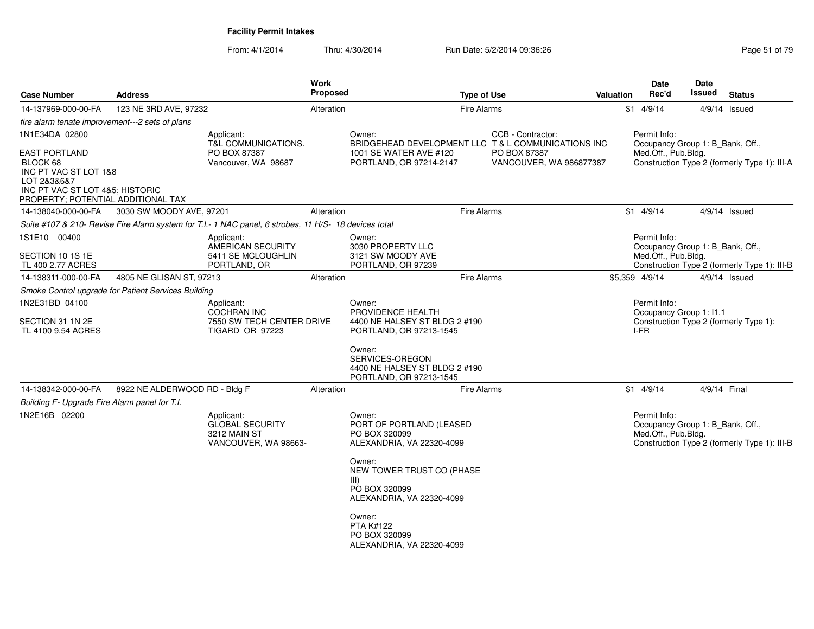| <b>Case Number</b>                                                                                                                                | <b>Address</b>                |                                                                                                       | <b>Work</b><br>Proposed | <b>Type of Use</b>                                                                         |                                         | <b>Valuation</b> | <b>Date</b><br>Rec'd                                                    | Date<br>Issued | <b>Status</b>                                |
|---------------------------------------------------------------------------------------------------------------------------------------------------|-------------------------------|-------------------------------------------------------------------------------------------------------|-------------------------|--------------------------------------------------------------------------------------------|-----------------------------------------|------------------|-------------------------------------------------------------------------|----------------|----------------------------------------------|
| 14-137969-000-00-FA                                                                                                                               | 123 NE 3RD AVE, 97232         |                                                                                                       | Alteration              | <b>Fire Alarms</b>                                                                         |                                         |                  | $$1$ 4/9/14                                                             |                | $4/9/14$ Issued                              |
| fire alarm tenate improvement---2 sets of plans                                                                                                   |                               |                                                                                                       |                         |                                                                                            |                                         |                  |                                                                         |                |                                              |
| 1N1E34DA 02800                                                                                                                                    |                               | Applicant:<br>T&L COMMUNICATIONS.                                                                     |                         | Owner:<br>BRIDGEHEAD DEVELOPMENT LLC T & L COMMUNICATIONS INC                              | CCB - Contractor:                       |                  | Permit Info:<br>Occupancy Group 1: B Bank, Off.,                        |                |                                              |
| <b>EAST PORTLAND</b><br>BLOCK 68<br>INC PT VAC ST LOT 1&8<br>LOT 2838687<br>INC PT VAC ST LOT 4&5; HISTORIC<br>PROPERTY; POTENTIAL ADDITIONAL TAX |                               | PO BOX 87387<br>Vancouver, WA 98687                                                                   |                         | 1001 SE WATER AVE #120<br>PORTLAND, OR 97214-2147                                          | PO BOX 87387<br>VANCOUVER, WA 986877387 |                  | Med.Off., Pub.Bldg.                                                     |                | Construction Type 2 (formerly Type 1): III-A |
| 14-138040-000-00-FA                                                                                                                               | 3030 SW MOODY AVE, 97201      |                                                                                                       | Alteration              | <b>Fire Alarms</b>                                                                         |                                         |                  | $$1$ 4/9/14                                                             |                | $4/9/14$ Issued                              |
|                                                                                                                                                   |                               | Suite #107 & 210- Revise Fire Alarm system for T.I.- 1 NAC panel, 6 strobes, 11 H/S- 18 devices total |                         |                                                                                            |                                         |                  |                                                                         |                |                                              |
| 1S1E10 00400                                                                                                                                      |                               | Applicant:<br><b>AMERICAN SECURITY</b>                                                                |                         | Owner:<br>3030 PROPERTY LLC                                                                |                                         |                  | Permit Info:<br>Occupancy Group 1: B Bank, Off.,                        |                |                                              |
| SECTION 10 1S 1E<br>TL 400 2.77 ACRES                                                                                                             |                               | 5411 SE MCLOUGHLIN<br>PORTLAND, OR                                                                    |                         | 3121 SW MOODY AVE<br>PORTLAND, OR 97239                                                    |                                         |                  | Med.Off., Pub.Bldg.                                                     |                | Construction Type 2 (formerly Type 1): III-B |
| 14-138311-000-00-FA                                                                                                                               | 4805 NE GLISAN ST, 97213      |                                                                                                       | Alteration              | <b>Fire Alarms</b>                                                                         |                                         |                  | \$5,359 4/9/14                                                          |                | $4/9/14$ Issued                              |
| Smoke Control upgrade for Patient Services Building                                                                                               |                               |                                                                                                       |                         |                                                                                            |                                         |                  |                                                                         |                |                                              |
| 1N2E31BD 04100                                                                                                                                    |                               | Applicant:                                                                                            |                         | Owner:                                                                                     |                                         |                  | Permit Info:                                                            |                |                                              |
| SECTION 31 1N 2E<br>TL 4100 9.54 ACRES                                                                                                            |                               | COCHRAN INC<br>7550 SW TECH CENTER DRIVE<br><b>TIGARD OR 97223</b>                                    |                         | PROVIDENCE HEALTH<br>4400 NE HALSEY ST BLDG 2 #190<br>PORTLAND, OR 97213-1545              |                                         |                  | Occupancy Group 1: I1.1<br>I-FR                                         |                | Construction Type 2 (formerly Type 1):       |
|                                                                                                                                                   |                               |                                                                                                       |                         | Owner:<br>SERVICES-OREGON<br>4400 NE HALSEY ST BLDG 2 #190<br>PORTLAND, OR 97213-1545      |                                         |                  |                                                                         |                |                                              |
| 14-138342-000-00-FA                                                                                                                               | 8922 NE ALDERWOOD RD - Bldg F |                                                                                                       | Alteration              | <b>Fire Alarms</b>                                                                         |                                         |                  | $$1$ 4/9/14                                                             | 4/9/14 Final   |                                              |
| Building F- Upgrade Fire Alarm panel for T.I.                                                                                                     |                               |                                                                                                       |                         |                                                                                            |                                         |                  |                                                                         |                |                                              |
| 1N2E16B 02200                                                                                                                                     |                               | Applicant:<br><b>GLOBAL SECURITY</b><br>3212 MAIN ST<br>VANCOUVER, WA 98663-                          |                         | Owner:<br>PORT OF PORTLAND (LEASED<br>PO BOX 320099<br>ALEXANDRIA, VA 22320-4099<br>Owner: |                                         |                  | Permit Info:<br>Occupancy Group 1: B Bank, Off.,<br>Med.Off., Pub.Bldg. |                | Construction Type 2 (formerly Type 1): III-B |
|                                                                                                                                                   |                               |                                                                                                       |                         | NEW TOWER TRUST CO (PHASE<br>III)<br>PO BOX 320099<br>ALEXANDRIA, VA 22320-4099            |                                         |                  |                                                                         |                |                                              |
|                                                                                                                                                   |                               |                                                                                                       |                         | Owner:<br><b>PTA K#122</b><br>PO BOX 320099<br>ALEXANDRIA, VA 22320-4099                   |                                         |                  |                                                                         |                |                                              |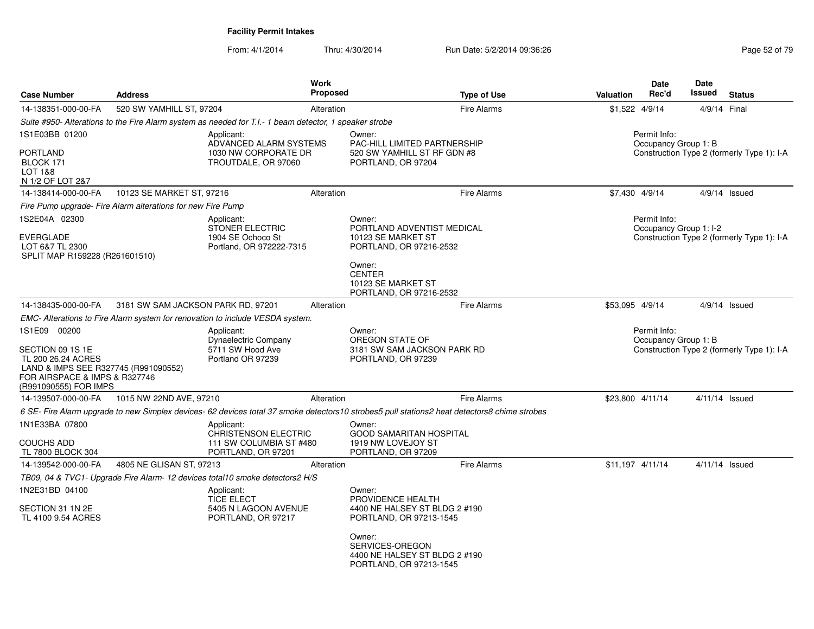| <b>Case Number</b>                                                                                                                                       | <b>Address</b>                                              |                                                                                                        | <b>Work</b><br><b>Proposed</b> | <b>Type of Use</b>                                                                                                                           | <b>Valuation</b> | <b>Date</b><br>Rec'd                                                               | <b>Date</b><br>Issued | <b>Status</b>                              |
|----------------------------------------------------------------------------------------------------------------------------------------------------------|-------------------------------------------------------------|--------------------------------------------------------------------------------------------------------|--------------------------------|----------------------------------------------------------------------------------------------------------------------------------------------|------------------|------------------------------------------------------------------------------------|-----------------------|--------------------------------------------|
| 14-138351-000-00-FA                                                                                                                                      | 520 SW YAMHILL ST, 97204                                    |                                                                                                        | Alteration                     | <b>Fire Alarms</b>                                                                                                                           |                  | $$1,522$ 4/9/14                                                                    |                       | 4/9/14 Final                               |
|                                                                                                                                                          |                                                             | Suite #950- Alterations to the Fire Alarm system as needed for T.I.- 1 beam detector, 1 speaker strobe |                                |                                                                                                                                              |                  |                                                                                    |                       |                                            |
| 1S1E03BB 01200<br><b>PORTLAND</b><br>BLOCK 171<br>LOT 1&8                                                                                                |                                                             | Applicant:<br>ADVANCED ALARM SYSTEMS<br>1030 NW CORPORATE DR<br>TROUTDALE, OR 97060                    |                                | Owner:<br>PAC-HILL LIMITED PARTNERSHIP<br>520 SW YAMHILL ST RF GDN #8<br>PORTLAND, OR 97204                                                  |                  | Permit Info:<br>Occupancy Group 1: B<br>Construction Type 2 (formerly Type 1): I-A |                       |                                            |
| N 1/2 OF LOT 2&7                                                                                                                                         |                                                             |                                                                                                        |                                |                                                                                                                                              |                  |                                                                                    |                       |                                            |
| 14-138414-000-00-FA                                                                                                                                      | 10123 SE MARKET ST, 97216                                   |                                                                                                        | Alteration                     | <b>Fire Alarms</b>                                                                                                                           |                  | \$7,430 4/9/14                                                                     |                       | 4/9/14 Issued                              |
|                                                                                                                                                          | Fire Pump upgrade- Fire Alarm alterations for new Fire Pump |                                                                                                        |                                |                                                                                                                                              |                  |                                                                                    |                       |                                            |
| 1S2E04A 02300<br><b>EVERGLADE</b><br>LOT 6&7 TL 2300<br>SPLIT MAP R159228 (R261601510)                                                                   |                                                             | Applicant:<br><b>STONER ELECTRIC</b><br>1904 SE Ochoco St<br>Portland, OR 972222-7315                  |                                | Owner:<br>PORTLAND ADVENTIST MEDICAL<br>10123 SE MARKET ST<br>PORTLAND, OR 97216-2532                                                        |                  | Permit Info:<br>Occupancy Group 1: I-2                                             |                       | Construction Type 2 (formerly Type 1): I-A |
|                                                                                                                                                          |                                                             |                                                                                                        |                                | Owner:<br><b>CENTER</b><br>10123 SE MARKET ST<br>PORTLAND, OR 97216-2532                                                                     |                  |                                                                                    |                       |                                            |
| 14-138435-000-00-FA                                                                                                                                      | 3181 SW SAM JACKSON PARK RD, 97201                          |                                                                                                        | Alteration                     | <b>Fire Alarms</b>                                                                                                                           | \$53,095 4/9/14  |                                                                                    |                       | $4/9/14$ Issued                            |
|                                                                                                                                                          |                                                             | EMC- Alterations to Fire Alarm system for renovation to include VESDA system.                          |                                |                                                                                                                                              |                  |                                                                                    |                       |                                            |
| 1S1E09 00200<br>SECTION 09 1S 1E<br>TL 200 26.24 ACRES<br>LAND & IMPS SEE R327745 (R991090552)<br>FOR AIRSPACE & IMPS & R327746<br>(R991090555) FOR IMPS |                                                             | Applicant:<br>Dynaelectric Company<br>5711 SW Hood Ave<br>Portland OR 97239                            |                                | Owner:<br>OREGON STATE OF<br>3181 SW SAM JACKSON PARK RD<br>PORTLAND, OR 97239                                                               |                  | Permit Info:<br>Occupancy Group 1: B                                               |                       | Construction Type 2 (formerly Type 1): I-A |
| 14-139507-000-00-FA                                                                                                                                      | 1015 NW 22ND AVE, 97210                                     |                                                                                                        | Alteration                     | <b>Fire Alarms</b>                                                                                                                           |                  | \$23,800 4/11/14                                                                   |                       | 4/11/14 Issued                             |
|                                                                                                                                                          |                                                             |                                                                                                        |                                | 6 SE- Fire Alarm upgrade to new Simplex devices- 62 devices total 37 smoke detectors10 strobes5 pull stations2 heat detectors8 chime strobes |                  |                                                                                    |                       |                                            |
| 1N1E33BA 07800<br>COUCHS ADD<br>TL 7800 BLOCK 304                                                                                                        |                                                             | Applicant:<br><b>CHRISTENSON ELECTRIC</b><br>111 SW COLUMBIA ST #480<br>PORTLAND, OR 97201             |                                | Owner:<br><b>GOOD SAMARITAN HOSPITAL</b><br>1919 NW LOVEJOY ST<br>PORTLAND, OR 97209                                                         |                  |                                                                                    |                       |                                            |
| 14-139542-000-00-FA                                                                                                                                      | 4805 NE GLISAN ST, 97213                                    |                                                                                                        | Alteration                     | <b>Fire Alarms</b>                                                                                                                           |                  | \$11,197 4/11/14                                                                   |                       | 4/11/14 Issued                             |
|                                                                                                                                                          |                                                             | TB09, 04 & TVC1- Upgrade Fire Alarm- 12 devices total10 smoke detectors2 H/S                           |                                |                                                                                                                                              |                  |                                                                                    |                       |                                            |
| 1N2E31BD 04100<br>SECTION 31 1N 2E<br>TL 4100 9.54 ACRES                                                                                                 |                                                             | Applicant:<br><b>TICE ELECT</b><br>5405 N LAGOON AVENUE<br>PORTLAND, OR 97217                          |                                | Owner:<br>PROVIDENCE HEALTH<br>4400 NE HALSEY ST BLDG 2 #190<br>PORTLAND, OR 97213-1545<br>Owner:<br>SERVICES-OREGON                         |                  |                                                                                    |                       |                                            |
|                                                                                                                                                          |                                                             |                                                                                                        |                                | 4400 NE HALSEY ST BLDG 2 #190<br>PORTLAND, OR 97213-1545                                                                                     |                  |                                                                                    |                       |                                            |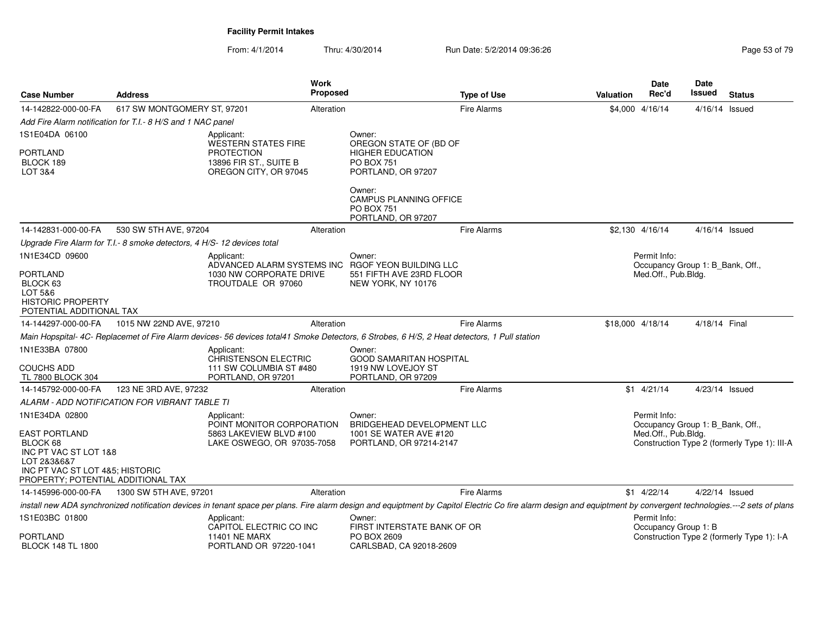| <b>Case Number</b>                                                                                                                                | <b>Address</b>                                                          |                                                                                                    | Work<br><b>Proposed</b> | <b>Type of Use</b>                                                                                                                                                                                                  | <b>Valuation</b> | Date<br>Rec'd                                    | Date<br>Issued   | <b>Status</b>                                |
|---------------------------------------------------------------------------------------------------------------------------------------------------|-------------------------------------------------------------------------|----------------------------------------------------------------------------------------------------|-------------------------|---------------------------------------------------------------------------------------------------------------------------------------------------------------------------------------------------------------------|------------------|--------------------------------------------------|------------------|----------------------------------------------|
| 14-142822-000-00-FA                                                                                                                               | 617 SW MONTGOMERY ST, 97201                                             |                                                                                                    | Alteration              | <b>Fire Alarms</b>                                                                                                                                                                                                  |                  | \$4,000 4/16/14                                  | $4/16/14$ Issued |                                              |
|                                                                                                                                                   | Add Fire Alarm notification for T.I.- 8 H/S and 1 NAC panel             |                                                                                                    |                         |                                                                                                                                                                                                                     |                  |                                                  |                  |                                              |
| 1S1E04DA 06100                                                                                                                                    |                                                                         | Applicant:                                                                                         |                         | Owner:                                                                                                                                                                                                              |                  |                                                  |                  |                                              |
| <b>PORTLAND</b><br>BLOCK 189<br>LOT 3&4                                                                                                           |                                                                         | <b>WESTERN STATES FIRE</b><br><b>PROTECTION</b><br>13896 FIR ST., SUITE B<br>OREGON CITY, OR 97045 |                         | OREGON STATE OF (BD OF<br><b>HIGHER EDUCATION</b><br><b>PO BOX 751</b><br>PORTLAND, OR 97207                                                                                                                        |                  |                                                  |                  |                                              |
|                                                                                                                                                   |                                                                         |                                                                                                    |                         | Owner:<br><b>CAMPUS PLANNING OFFICE</b><br>PO BOX 751<br>PORTLAND, OR 97207                                                                                                                                         |                  |                                                  |                  |                                              |
| 14-142831-000-00-FA                                                                                                                               | 530 SW 5TH AVE, 97204                                                   |                                                                                                    | Alteration              | Fire Alarms                                                                                                                                                                                                         |                  | \$2,130 4/16/14                                  | 4/16/14 Issued   |                                              |
|                                                                                                                                                   | Upgrade Fire Alarm for T.I.- 8 smoke detectors, 4 H/S- 12 devices total |                                                                                                    |                         |                                                                                                                                                                                                                     |                  |                                                  |                  |                                              |
| 1N1E34CD 09600                                                                                                                                    |                                                                         | Applicant:<br>ADVANCED ALARM SYSTEMS INC RGOF YEON BUILDING LLC                                    |                         | Owner:                                                                                                                                                                                                              |                  | Permit Info:<br>Occupancy Group 1: B_Bank, Off., |                  |                                              |
| <b>PORTLAND</b><br>BLOCK 63<br>LOT 5&6<br><b>HISTORIC PROPERTY</b><br>POTENTIAL ADDITIONAL TAX                                                    |                                                                         | 1030 NW CORPORATE DRIVE<br>TROUTDALE OR 97060                                                      |                         | 551 FIFTH AVE 23RD FLOOR<br>NEW YORK, NY 10176                                                                                                                                                                      |                  | Med.Off., Pub.Bldg.                              |                  |                                              |
| 14-144297-000-00-FA                                                                                                                               | 1015 NW 22ND AVE, 97210                                                 |                                                                                                    | Alteration              | <b>Fire Alarms</b>                                                                                                                                                                                                  | \$18,000 4/18/14 |                                                  | 4/18/14 Final    |                                              |
|                                                                                                                                                   |                                                                         |                                                                                                    |                         | Main Hopspital-4C- Replacemet of Fire Alarm devices-56 devices total41 Smoke Detectors, 6 Strobes, 6 H/S, 2 Heat detectors, 1 Pull station                                                                          |                  |                                                  |                  |                                              |
| 1N1E33BA 07800                                                                                                                                    |                                                                         | Applicant:<br>CHRISTENSON ELECTRIC                                                                 |                         | Owner:<br><b>GOOD SAMARITAN HOSPITAL</b>                                                                                                                                                                            |                  |                                                  |                  |                                              |
| <b>COUCHS ADD</b><br>TL 7800 BLOCK 304                                                                                                            |                                                                         | 111 SW COLUMBIA ST #480<br>PORTLAND, OR 97201                                                      |                         | 1919 NW LOVEJOY ST<br>PORTLAND, OR 97209                                                                                                                                                                            |                  |                                                  |                  |                                              |
| 14-145792-000-00-FA                                                                                                                               | 123 NE 3RD AVE, 97232                                                   |                                                                                                    | Alteration              | <b>Fire Alarms</b>                                                                                                                                                                                                  |                  | $$1 \quad 4/21/14$                               | 4/23/14 Issued   |                                              |
|                                                                                                                                                   | ALARM - ADD NOTIFICATION FOR VIBRANT TABLE TI                           |                                                                                                    |                         |                                                                                                                                                                                                                     |                  |                                                  |                  |                                              |
| 1N1E34DA 02800                                                                                                                                    |                                                                         | Applicant:<br>POINT MONITOR CORPORATION                                                            |                         | Owner:<br>BRIDGEHEAD DEVELOPMENT LLC                                                                                                                                                                                |                  | Permit Info:<br>Occupancy Group 1: B Bank, Off., |                  |                                              |
| <b>EAST PORTLAND</b><br>BLOCK 68<br>INC PT VAC ST LOT 1&8<br>LOT 2&3&6&7<br>INC PT VAC ST LOT 4&5; HISTORIC<br>PROPERTY; POTENTIAL ADDITIONAL TAX |                                                                         | 5863 LAKEVIEW BLVD #100<br>LAKE OSWEGO, OR 97035-7058                                              |                         | 1001 SE WATER AVE #120<br>PORTLAND, OR 97214-2147                                                                                                                                                                   |                  | Med.Off., Pub.Bldg.                              |                  | Construction Type 2 (formerly Type 1): III-A |
| 14-145996-000-00-FA                                                                                                                               | 1300 SW 5TH AVE, 97201                                                  |                                                                                                    | Alteration              | <b>Fire Alarms</b>                                                                                                                                                                                                  |                  | $$1 \quad 4/22/14$                               | 4/22/14 Issued   |                                              |
|                                                                                                                                                   |                                                                         |                                                                                                    |                         | install new ADA synchronized notification devices in tenant space per plans. Fire alarm design and equiptment by Capitol Electric Co fire alarm design and equiptment by convergent technologies.---2 sets of plans |                  |                                                  |                  |                                              |
| 1S1E03BC 01800<br>PORTLAND                                                                                                                        |                                                                         | Applicant:<br>CAPITOL ELECTRIC CO INC<br><b>11401 NE MARX</b>                                      |                         | Owner:<br>FIRST INTERSTATE BANK OF OR<br>PO BOX 2609                                                                                                                                                                |                  | Permit Info:<br>Occupancy Group 1: B             |                  | Construction Type 2 (formerly Type 1): I-A   |
| <b>BLOCK 148 TL 1800</b>                                                                                                                          |                                                                         | PORTLAND OR 97220-1041                                                                             |                         | CARLSBAD, CA 92018-2609                                                                                                                                                                                             |                  |                                                  |                  |                                              |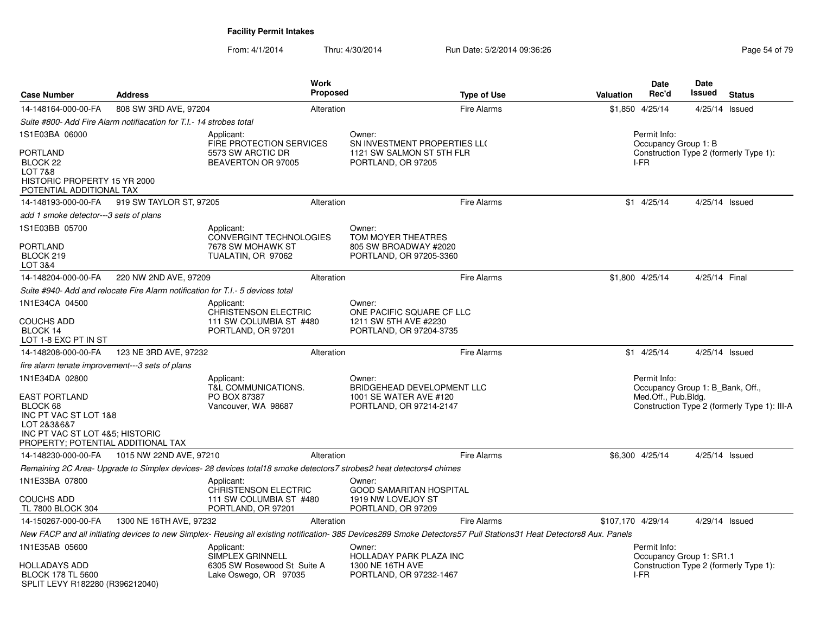| <b>Case Number</b>                                                                                                                                | <b>Address</b>                                                                 | Work<br><b>Proposed</b>                                                                                            |        | <b>Type of Use</b>                                                                                                                                                  | <b>Valuation</b>  | Date<br>Rec'd                                    | <b>Date</b><br>Issued | <b>Status</b>                                |
|---------------------------------------------------------------------------------------------------------------------------------------------------|--------------------------------------------------------------------------------|--------------------------------------------------------------------------------------------------------------------|--------|---------------------------------------------------------------------------------------------------------------------------------------------------------------------|-------------------|--------------------------------------------------|-----------------------|----------------------------------------------|
| 14-148164-000-00-FA                                                                                                                               | 808 SW 3RD AVE, 97204                                                          | Alteration                                                                                                         |        | <b>Fire Alarms</b>                                                                                                                                                  | \$1,850           | 4/25/14                                          | 4/25/14 Issued        |                                              |
|                                                                                                                                                   | Suite #800- Add Fire Alarm notifiacation for T.I.- 14 strobes total            |                                                                                                                    |        |                                                                                                                                                                     |                   |                                                  |                       |                                              |
| 1S1E03BA 06000                                                                                                                                    |                                                                                | Applicant:<br>FIRE PROTECTION SERVICES                                                                             | Owner: | SN INVESTMENT PROPERTIES LLO                                                                                                                                        |                   | Permit Info:<br>Occupancy Group 1: B             |                       |                                              |
| <b>PORTLAND</b><br>BLOCK <sub>22</sub><br>LOT 7&8<br>HISTORIC PROPERTY 15 YR 2000<br>POTENTIAL ADDITIONAL TAX                                     |                                                                                | 5573 SW ARCTIC DR<br>BEAVERTON OR 97005                                                                            |        | 1121 SW SALMON ST 5TH FLR<br>PORTLAND, OR 97205                                                                                                                     |                   | I-FR                                             |                       | Construction Type 2 (formerly Type 1):       |
| 14-148193-000-00-FA                                                                                                                               | 919 SW TAYLOR ST, 97205                                                        | Alteration                                                                                                         |        | <b>Fire Alarms</b>                                                                                                                                                  |                   | $$1$ 4/25/14                                     | 4/25/14 Issued        |                                              |
| add 1 smoke detector---3 sets of plans                                                                                                            |                                                                                |                                                                                                                    |        |                                                                                                                                                                     |                   |                                                  |                       |                                              |
| 1S1E03BB 05700                                                                                                                                    |                                                                                | Applicant:                                                                                                         | Owner: |                                                                                                                                                                     |                   |                                                  |                       |                                              |
| <b>PORTLAND</b><br>BLOCK 219<br>LOT 3&4                                                                                                           |                                                                                | <b>CONVERGINT TECHNOLOGIES</b><br>7678 SW MOHAWK ST<br>TUALATIN, OR 97062                                          |        | TOM MOYER THEATRES<br>805 SW BROADWAY #2020<br>PORTLAND, OR 97205-3360                                                                                              |                   |                                                  |                       |                                              |
| 14-148204-000-00-FA                                                                                                                               | 220 NW 2ND AVE, 97209                                                          | Alteration                                                                                                         |        | <b>Fire Alarms</b>                                                                                                                                                  |                   | \$1,800 4/25/14                                  | 4/25/14 Final         |                                              |
|                                                                                                                                                   | Suite #940- Add and relocate Fire Alarm notification for T.I.- 5 devices total |                                                                                                                    |        |                                                                                                                                                                     |                   |                                                  |                       |                                              |
| 1N1E34CA 04500                                                                                                                                    |                                                                                | Applicant:<br><b>CHRISTENSON ELECTRIC</b>                                                                          | Owner: | ONE PACIFIC SQUARE CF LLC                                                                                                                                           |                   |                                                  |                       |                                              |
| <b>COUCHS ADD</b><br>BLOCK 14<br>LOT 1-8 EXC PT IN ST                                                                                             |                                                                                | 111 SW COLUMBIA ST #480<br>PORTLAND, OR 97201                                                                      |        | 1211 SW 5TH AVE #2230<br>PORTLAND, OR 97204-3735                                                                                                                    |                   |                                                  |                       |                                              |
| 14-148208-000-00-FA                                                                                                                               | 123 NE 3RD AVE, 97232                                                          | Alteration                                                                                                         |        | <b>Fire Alarms</b>                                                                                                                                                  |                   | $$1$ 4/25/14                                     | 4/25/14 Issued        |                                              |
| fire alarm tenate improvement---3 sets of plans                                                                                                   |                                                                                |                                                                                                                    |        |                                                                                                                                                                     |                   |                                                  |                       |                                              |
| 1N1E34DA 02800                                                                                                                                    |                                                                                | Applicant:<br>T&L COMMUNICATIONS.                                                                                  | Owner: | BRIDGEHEAD DEVELOPMENT LLC                                                                                                                                          |                   | Permit Info:<br>Occupancy Group 1: B Bank, Off., |                       |                                              |
| <b>EAST PORTLAND</b><br>BLOCK 68<br>INC PT VAC ST LOT 1&8<br>LOT 2&3&6&7<br>INC PT VAC ST LOT 4&5; HISTORIC<br>PROPERTY; POTENTIAL ADDITIONAL TAX |                                                                                | PO BOX 87387<br>Vancouver, WA 98687                                                                                |        | 1001 SE WATER AVE #120<br>PORTLAND, OR 97214-2147                                                                                                                   |                   | Med.Off., Pub.Bldg.                              |                       | Construction Type 2 (formerly Type 1): III-A |
| 14-148230-000-00-FA                                                                                                                               | 1015 NW 22ND AVE, 97210                                                        | Alteration                                                                                                         |        | <b>Fire Alarms</b>                                                                                                                                                  |                   | \$6,300 4/25/14                                  | 4/25/14 Issued        |                                              |
|                                                                                                                                                   |                                                                                | Remaining 2C Area- Upgrade to Simplex devices- 28 devices total18 smoke detectors7 strobes2 heat detectors4 chimes |        |                                                                                                                                                                     |                   |                                                  |                       |                                              |
| 1N1E33BA 07800<br><b>COUCHS ADD</b>                                                                                                               |                                                                                | Applicant:<br><b>CHRISTENSON ELECTRIC</b><br>111 SW COLUMBIA ST #480                                               | Owner: | <b>GOOD SAMARITAN HOSPITAL</b><br>1919 NW LOVEJOY ST                                                                                                                |                   |                                                  |                       |                                              |
| TL 7800 BLOCK 304                                                                                                                                 |                                                                                | PORTLAND, OR 97201                                                                                                 |        | PORTLAND, OR 97209                                                                                                                                                  |                   |                                                  |                       |                                              |
| 14-150267-000-00-FA                                                                                                                               | 1300 NE 16TH AVE, 97232                                                        | Alteration                                                                                                         |        | Fire Alarms                                                                                                                                                         | \$107,170 4/29/14 |                                                  | 4/29/14 Issued        |                                              |
|                                                                                                                                                   |                                                                                |                                                                                                                    |        | New FACP and all initiating devices to new Simplex- Reusing all existing notification- 385 Devices289 Smoke Detectors57 Pull Stations31 Heat Detectors8 Aux. Panels |                   |                                                  |                       |                                              |
| 1N1E35AB 05600<br><b>HOLLADAYS ADD</b><br><b>BLOCK 178 TL 5600</b><br>SPLIT LEVY R182280 (R396212040)                                             |                                                                                | Applicant:<br>SIMPLEX GRINNELL<br>6305 SW Rosewood St Suite A<br>Lake Oswego, OR 97035                             | Owner: | HOLLADAY PARK PLAZA INC<br>1300 NE 16TH AVE<br>PORTLAND, OR 97232-1467                                                                                              |                   | Permit Info:<br>Occupancy Group 1: SR1.1<br>I-FR |                       | Construction Type 2 (formerly Type 1):       |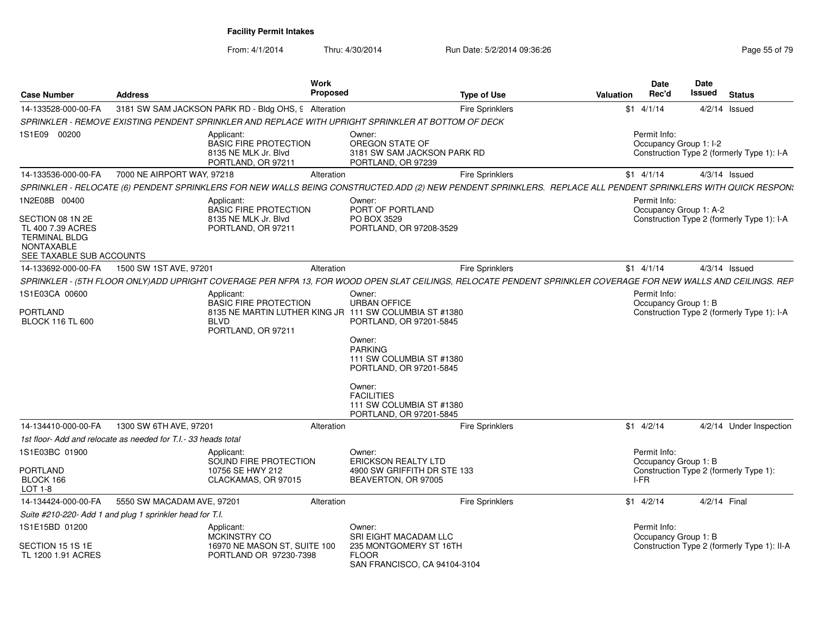| <b>Case Number</b>                                                                                                              | <b>Address</b>                                                                                                                                                 | Work<br><b>Proposed</b>                                                    |                                                                                                                                                                                                                                                                                             | <b>Type of Use</b>     | <b>Valuation</b> | <b>Date</b><br>Rec'd                                                                   | <b>Date</b><br><b>Issued</b> | <b>Status</b>                               |
|---------------------------------------------------------------------------------------------------------------------------------|----------------------------------------------------------------------------------------------------------------------------------------------------------------|----------------------------------------------------------------------------|---------------------------------------------------------------------------------------------------------------------------------------------------------------------------------------------------------------------------------------------------------------------------------------------|------------------------|------------------|----------------------------------------------------------------------------------------|------------------------------|---------------------------------------------|
| 14-133528-000-00-FA                                                                                                             | 3181 SW SAM JACKSON PARK RD - Bldg OHS, 9 Alteration                                                                                                           |                                                                            |                                                                                                                                                                                                                                                                                             | <b>Fire Sprinklers</b> |                  | $$1 \t4/1/14$                                                                          | $4/2/14$ Issued              |                                             |
|                                                                                                                                 | SPRINKLER - REMOVE EXISTING PENDENT SPRINKLER AND REPLACE WITH UPRIGHT SPRINKLER AT BOTTOM OF DECK                                                             |                                                                            |                                                                                                                                                                                                                                                                                             |                        |                  |                                                                                        |                              |                                             |
| 1S1E09 00200                                                                                                                    | Applicant:                                                                                                                                                     | <b>BASIC FIRE PROTECTION</b><br>8135 NE MLK Jr. Blvd<br>PORTLAND, OR 97211 | Owner:<br>OREGON STATE OF<br>3181 SW SAM JACKSON PARK RD<br>PORTLAND, OR 97239                                                                                                                                                                                                              |                        |                  | Permit Info:<br>Occupancy Group 1: I-2                                                 |                              | Construction Type 2 (formerly Type 1): I-A  |
| 14-133536-000-00-FA                                                                                                             | 7000 NE AIRPORT WAY, 97218                                                                                                                                     | Alteration                                                                 |                                                                                                                                                                                                                                                                                             | Fire Sprinklers        |                  | $$1 \t4/1/14$                                                                          | $4/3/14$ Issued              |                                             |
|                                                                                                                                 | SPRINKLER - RELOCATE (6) PENDENT SPRINKLERS FOR NEW WALLS BEING CONSTRUCTED.ADD (2) NEW PENDENT SPRINKLERS. REPLACE ALL PENDENT SPRINKLERS WITH QUICK RESPON:  |                                                                            |                                                                                                                                                                                                                                                                                             |                        |                  |                                                                                        |                              |                                             |
| 1N2E08B 00400<br>SECTION 08 1N 2E<br>TL 400 7.39 ACRES<br><b>TERMINAL BLDG</b><br><b>NONTAXABLE</b><br>SEE TAXABLE SUB ACCOUNTS | Applicant:                                                                                                                                                     | <b>BASIC FIRE PROTECTION</b><br>8135 NE MLK Jr. Blvd<br>PORTLAND, OR 97211 | Owner:<br>PORT OF PORTLAND<br>PO BOX 3529<br>PORTLAND, OR 97208-3529                                                                                                                                                                                                                        |                        |                  | Permit Info:<br>Occupancy Group 1: A-2                                                 |                              | Construction Type 2 (formerly Type 1): I-A  |
| 14-133692-000-00-FA                                                                                                             | 1500 SW 1ST AVE, 97201                                                                                                                                         | Alteration                                                                 |                                                                                                                                                                                                                                                                                             | <b>Fire Sprinklers</b> |                  | $$1 \t4/1/14$                                                                          | $4/3/14$ Issued              |                                             |
|                                                                                                                                 | SPRINKLER - (5TH FLOOR ONLY)ADD UPRIGHT COVERAGE PER NFPA 13, FOR WOOD OPEN SLAT CEILINGS, RELOCATE PENDENT SPRINKLER COVERAGE FOR NEW WALLS AND CEILINGS. REP |                                                                            |                                                                                                                                                                                                                                                                                             |                        |                  |                                                                                        |                              |                                             |
| 1S1E03CA 00600<br><b>PORTLAND</b><br><b>BLOCK 116 TL 600</b>                                                                    | Applicant:<br><b>BLVD</b>                                                                                                                                      | <b>BASIC FIRE PROTECTION</b><br>PORTLAND, OR 97211                         | Owner:<br><b>URBAN OFFICE</b><br>8135 NE MARTIN LUTHER KING JR 111 SW COLUMBIA ST #1380<br>PORTLAND, OR 97201-5845<br>Owner:<br><b>PARKING</b><br>111 SW COLUMBIA ST #1380<br>PORTLAND, OR 97201-5845<br>Owner:<br><b>FACILITIES</b><br>111 SW COLUMBIA ST #1380<br>PORTLAND, OR 97201-5845 |                        |                  | Permit Info:<br>Occupancy Group 1: B                                                   |                              | Construction Type 2 (formerly Type 1): I-A  |
| 14-134410-000-00-FA                                                                                                             | 1300 SW 6TH AVE, 97201                                                                                                                                         | Alteration                                                                 |                                                                                                                                                                                                                                                                                             | Fire Sprinklers        |                  | $$1 \quad 4/2/14$                                                                      |                              | 4/2/14 Under Inspection                     |
|                                                                                                                                 | 1st floor- Add and relocate as needed for T.I.- 33 heads total                                                                                                 |                                                                            |                                                                                                                                                                                                                                                                                             |                        |                  |                                                                                        |                              |                                             |
| 1S1E03BC 01900<br><b>PORTLAND</b><br>BLOCK 166<br>LOT 1-8                                                                       | Applicant:                                                                                                                                                     | SOUND FIRE PROTECTION<br>10756 SE HWY 212<br>CLACKAMAS, OR 97015           | Owner:<br><b>ERICKSON REALTY LTD</b><br>4900 SW GRIFFITH DR STE 133<br>BEAVERTON, OR 97005                                                                                                                                                                                                  |                        |                  | Permit Info:<br>Occupancy Group 1: B<br>Construction Type 2 (formerly Type 1):<br>I-FR |                              |                                             |
| 14-134424-000-00-FA                                                                                                             | 5550 SW MACADAM AVE, 97201                                                                                                                                     | Alteration                                                                 |                                                                                                                                                                                                                                                                                             | <b>Fire Sprinklers</b> |                  | $$1$ 4/2/14                                                                            | 4/2/14 Final                 |                                             |
|                                                                                                                                 | Suite #210-220- Add 1 and plug 1 sprinkler head for T.I.                                                                                                       |                                                                            |                                                                                                                                                                                                                                                                                             |                        |                  |                                                                                        |                              |                                             |
| 1S1E15BD 01200<br>SECTION 15 1S 1E<br>TL 1200 1.91 ACRES                                                                        | Applicant:                                                                                                                                                     | MCKINSTRY CO<br>16970 NE MASON ST, SUITE 100<br>PORTLAND OR 97230-7398     | Owner:<br>SRI EIGHT MACADAM LLC<br>235 MONTGOMERY ST 16TH<br><b>FLOOR</b><br>SAN FRANCISCO, CA 94104-3104                                                                                                                                                                                   |                        |                  | Permit Info:<br>Occupancy Group 1: B                                                   |                              | Construction Type 2 (formerly Type 1): II-A |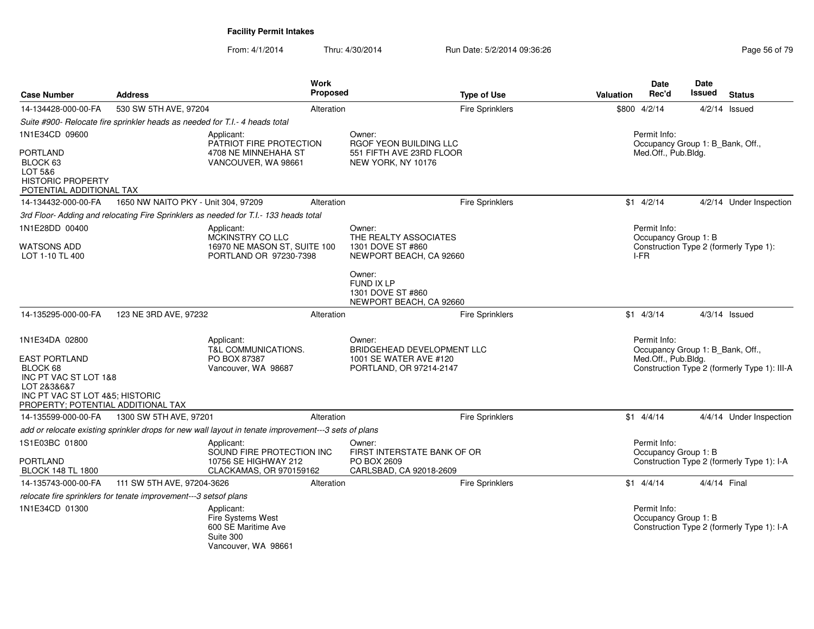| <b>Case Number</b>                                                                                                                                | <b>Address</b>                                                              |                                                                                                      | Work<br>Proposed | <b>Type of Use</b>                                                    | <b>Valuation</b> | Date<br>Rec'd                                    | <b>Date</b><br><b>Issued</b> | <b>Status</b>                                |
|---------------------------------------------------------------------------------------------------------------------------------------------------|-----------------------------------------------------------------------------|------------------------------------------------------------------------------------------------------|------------------|-----------------------------------------------------------------------|------------------|--------------------------------------------------|------------------------------|----------------------------------------------|
| 14-134428-000-00-FA                                                                                                                               | 530 SW 5TH AVE, 97204                                                       |                                                                                                      | Alteration       | <b>Fire Sprinklers</b>                                                | \$800            | 4/2/14                                           |                              | $4/2/14$ Issued                              |
|                                                                                                                                                   | Suite #900- Relocate fire sprinkler heads as needed for T.I.- 4 heads total |                                                                                                      |                  |                                                                       |                  |                                                  |                              |                                              |
| 1N1E34CD 09600                                                                                                                                    |                                                                             | Applicant:<br>PATRIOT FIRE PROTECTION                                                                |                  | Owner:<br>RGOF YEON BUILDING LLC                                      |                  | Permit Info:<br>Occupancy Group 1: B Bank, Off., |                              |                                              |
| <b>PORTLAND</b><br>BLOCK 63<br>LOT 5&6<br><b>HISTORIC PROPERTY</b><br>POTENTIAL ADDITIONAL TAX                                                    |                                                                             | 4708 NE MINNEHAHA ST<br>VANCOUVER, WA 98661                                                          |                  | 551 FIFTH AVE 23RD FLOOR<br>NEW YORK, NY 10176                        |                  | Med.Off., Pub.Bldg.                              |                              |                                              |
| 14-134432-000-00-FA                                                                                                                               | 1650 NW NAITO PKY - Unit 304, 97209                                         |                                                                                                      | Alteration       | <b>Fire Sprinklers</b>                                                |                  | $$1 \quad 4/2/14$                                |                              | 4/2/14 Under Inspection                      |
|                                                                                                                                                   |                                                                             | 3rd Floor- Adding and relocating Fire Sprinklers as needed for T.I.- 133 heads total                 |                  |                                                                       |                  |                                                  |                              |                                              |
| 1N1E28DD 00400                                                                                                                                    |                                                                             | Applicant:                                                                                           |                  | Owner:<br>THE REALTY ASSOCIATES                                       |                  | Permit Info:                                     |                              |                                              |
| WATSONS ADD<br>LOT 1-10 TL 400                                                                                                                    |                                                                             | MCKINSTRY CO LLC<br>16970 NE MASON ST, SUITE 100<br>PORTLAND OR 97230-7398                           |                  | 1301 DOVE ST #860<br>NEWPORT BEACH, CA 92660                          |                  | Occupancy Group 1: B<br>I-FR                     |                              | Construction Type 2 (formerly Type 1):       |
|                                                                                                                                                   |                                                                             |                                                                                                      |                  | Owner:<br>FUND IX LP<br>1301 DOVE ST #860<br>NEWPORT BEACH, CA 92660  |                  |                                                  |                              |                                              |
| 14-135295-000-00-FA                                                                                                                               | 123 NE 3RD AVE, 97232                                                       |                                                                                                      | Alteration       | <b>Fire Sprinklers</b>                                                |                  | $$1$ 4/3/14                                      |                              | $4/3/14$ Issued                              |
| 1N1E34DA 02800                                                                                                                                    |                                                                             | Applicant:<br>T&L COMMUNICATIONS.                                                                    |                  | Owner:<br>BRIDGEHEAD DEVELOPMENT LLC                                  |                  | Permit Info:<br>Occupancy Group 1: B_Bank, Off., |                              |                                              |
| <b>EAST PORTLAND</b><br>BLOCK 68<br>INC PT VAC ST LOT 1&8<br>LOT 2&3&6&7<br>INC PT VAC ST LOT 4&5; HISTORIC<br>PROPERTY; POTENTIAL ADDITIONAL TAX |                                                                             | PO BOX 87387<br>Vancouver, WA 98687                                                                  |                  | 1001 SE WATER AVE #120<br>PORTLAND, OR 97214-2147                     |                  | Med.Off., Pub.Bldg.                              |                              | Construction Type 2 (formerly Type 1): III-A |
| 14-135599-000-00-FA                                                                                                                               | 1300 SW 5TH AVE, 97201                                                      |                                                                                                      | Alteration       | <b>Fire Sprinklers</b>                                                |                  | $$1 \quad 4/4/14$                                |                              | 4/4/14 Under Inspection                      |
|                                                                                                                                                   |                                                                             | add or relocate existing sprinkler drops for new wall layout in tenate improvement---3 sets of plans |                  |                                                                       |                  |                                                  |                              |                                              |
| 1S1E03BC 01800                                                                                                                                    |                                                                             | Applicant:                                                                                           |                  | Owner:                                                                |                  | Permit Info:                                     |                              |                                              |
| <b>PORTLAND</b><br><b>BLOCK 148 TL 1800</b>                                                                                                       |                                                                             | SOUND FIRE PROTECTION INC<br>10756 SE HIGHWAY 212<br>CLACKAMAS, OR 970159162                         |                  | FIRST INTERSTATE BANK OF OR<br>PO BOX 2609<br>CARLSBAD, CA 92018-2609 |                  | Occupancy Group 1: B                             |                              | Construction Type 2 (formerly Type 1): I-A   |
| 14-135743-000-00-FA                                                                                                                               | 111 SW 5TH AVE, 97204-3626                                                  |                                                                                                      | Alteration       | <b>Fire Sprinklers</b>                                                |                  | $$1$ 4/4/14                                      | 4/4/14 Final                 |                                              |
|                                                                                                                                                   | relocate fire sprinklers for tenate improvement---3 setsof plans            |                                                                                                      |                  |                                                                       |                  |                                                  |                              |                                              |
| 1N1E34CD 01300                                                                                                                                    |                                                                             | Applicant:<br><b>Fire Systems West</b><br>600 SE Maritime Ave<br>Suite 300<br>Vancouver, WA 98661    |                  |                                                                       |                  | Permit Info:<br>Occupancy Group 1: B             |                              | Construction Type 2 (formerly Type 1): I-A   |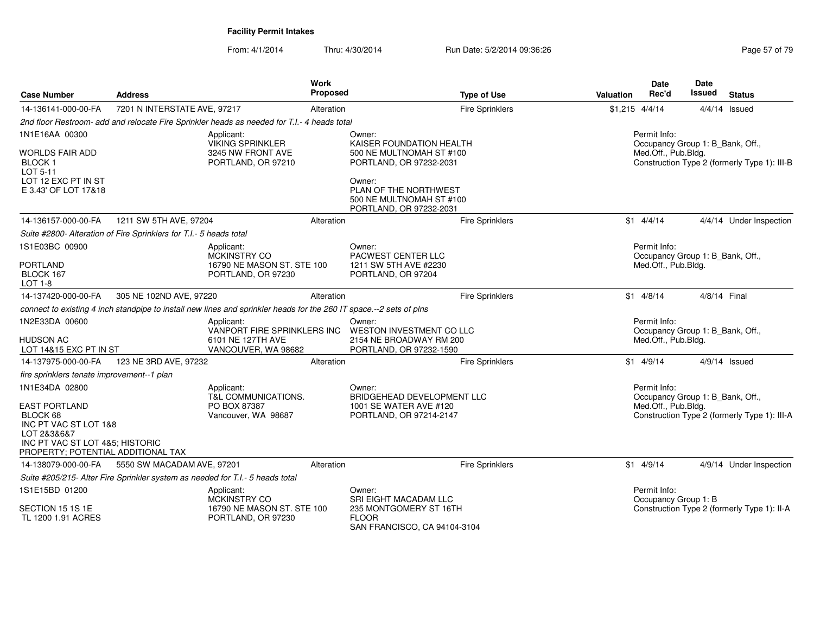| <b>Case Number</b>                                                                                                                                | <b>Address</b>               |                                                                                                                     | <b>Work</b><br>Proposed |                                                                                                 | <b>Type of Use</b>     | <b>Valuation</b> | <b>Date</b><br>Rec'd                                                    | <b>Date</b><br><b>Issued</b> | <b>Status</b>                                |
|---------------------------------------------------------------------------------------------------------------------------------------------------|------------------------------|---------------------------------------------------------------------------------------------------------------------|-------------------------|-------------------------------------------------------------------------------------------------|------------------------|------------------|-------------------------------------------------------------------------|------------------------------|----------------------------------------------|
| 14-136141-000-00-FA                                                                                                                               | 7201 N INTERSTATE AVE, 97217 |                                                                                                                     | Alteration              |                                                                                                 | <b>Fire Sprinklers</b> | $$1,215$ 4/4/14  |                                                                         |                              | $4/4/14$ Issued                              |
|                                                                                                                                                   |                              | 2nd floor Restroom- add and relocate Fire Sprinkler heads as needed for T.I.- 4 heads total                         |                         |                                                                                                 |                        |                  |                                                                         |                              |                                              |
| 1N1E16AA 00300                                                                                                                                    |                              | Applicant:<br><b>VIKING SPRINKLER</b>                                                                               |                         | Owner:<br>KAISER FOUNDATION HEALTH                                                              |                        |                  | Permit Info:<br>Occupancy Group 1: B_Bank, Off.,                        |                              |                                              |
| WORLDS FAIR ADD<br><b>BLOCK1</b><br>LOT 5-11                                                                                                      |                              | 3245 NW FRONT AVE<br>PORTLAND, OR 97210                                                                             |                         | 500 NE MULTNOMAH ST #100<br>PORTLAND, OR 97232-2031                                             |                        |                  | Med.Off., Pub.Bldg.                                                     |                              | Construction Type 2 (formerly Type 1): III-B |
| LOT 12 EXC PT IN ST<br>E 3.43' OF LOT 17&18                                                                                                       |                              |                                                                                                                     |                         | Owner:<br>PLAN OF THE NORTHWEST<br>500 NE MULTNOMAH ST #100<br>PORTLAND, OR 97232-2031          |                        |                  |                                                                         |                              |                                              |
| 14-136157-000-00-FA                                                                                                                               | 1211 SW 5TH AVE, 97204       |                                                                                                                     | Alteration              |                                                                                                 | <b>Fire Sprinklers</b> |                  | $$1 \quad 4/4/14$                                                       |                              | 4/4/14 Under Inspection                      |
| Suite #2800- Alteration of Fire Sprinklers for T.I.- 5 heads total                                                                                |                              |                                                                                                                     |                         |                                                                                                 |                        |                  |                                                                         |                              |                                              |
| 1S1E03BC 00900                                                                                                                                    |                              | Applicant:<br><b>MCKINSTRY CO</b>                                                                                   |                         | Owner:<br>PACWEST CENTER LLC                                                                    |                        |                  | Permit Info:<br>Occupancy Group 1: B_Bank, Off.,                        |                              |                                              |
| <b>PORTLAND</b><br>BLOCK 167<br>LOT 1-8                                                                                                           |                              | 16790 NE MASON ST. STE 100<br>PORTLAND, OR 97230                                                                    |                         | 1211 SW 5TH AVE #2230<br>PORTLAND, OR 97204                                                     |                        |                  | Med.Off., Pub.Bldg.                                                     |                              |                                              |
| 14-137420-000-00-FA                                                                                                                               | 305 NE 102ND AVE, 97220      |                                                                                                                     | Alteration              |                                                                                                 | Fire Sprinklers        |                  | $$1$ 4/8/14                                                             | 4/8/14 Final                 |                                              |
|                                                                                                                                                   |                              | connect to existing 4 inch standpipe to install new lines and sprinkler heads for the 260 IT space.--2 sets of plns |                         |                                                                                                 |                        |                  |                                                                         |                              |                                              |
| 1N2E33DA 00600<br>HUDSON AC<br>LOT 14&15 EXC PT IN ST                                                                                             |                              | Applicant:<br>VANPORT FIRE SPRINKLERS INC<br>6101 NE 127TH AVE<br>VANCOUVER, WA 98682                               |                         | Owner:<br><b>WESTON INVESTMENT CO LLC</b><br>2154 NE BROADWAY RM 200<br>PORTLAND, OR 97232-1590 |                        |                  | Permit Info:<br>Occupancy Group 1: B_Bank, Off.,<br>Med.Off., Pub.Bldg. |                              |                                              |
| 14-137975-000-00-FA                                                                                                                               | 123 NE 3RD AVE, 97232        |                                                                                                                     | Alteration              |                                                                                                 | <b>Fire Sprinklers</b> |                  | $$1$ 4/9/14                                                             |                              | $4/9/14$ Issued                              |
| fire sprinklers tenate improvement--1 plan                                                                                                        |                              |                                                                                                                     |                         |                                                                                                 |                        |                  |                                                                         |                              |                                              |
| 1N1E34DA 02800                                                                                                                                    |                              | Applicant:<br>T&L COMMUNICATIONS.                                                                                   |                         | Owner:<br>BRIDGEHEAD DEVELOPMENT LLC                                                            |                        |                  | Permit Info:<br>Occupancy Group 1: B_Bank, Off.,                        |                              |                                              |
| <b>EAST PORTLAND</b><br>BLOCK 68<br>INC PT VAC ST LOT 1&8<br>LOT 2&3&6&7<br>INC PT VAC ST LOT 4&5; HISTORIC<br>PROPERTY; POTENTIAL ADDITIONAL TAX |                              | PO BOX 87387<br>Vancouver, WA 98687                                                                                 |                         | 1001 SE WATER AVE #120<br>PORTLAND, OR 97214-2147                                               |                        |                  | Med.Off., Pub.Bldg.                                                     |                              | Construction Type 2 (formerly Type 1): III-A |
| 14-138079-000-00-FA                                                                                                                               | 5550 SW MACADAM AVE, 97201   |                                                                                                                     | Alteration              |                                                                                                 | <b>Fire Sprinklers</b> |                  | $$1$ 4/9/14                                                             |                              | 4/9/14 Under Inspection                      |
|                                                                                                                                                   |                              | Suite #205/215- Alter Fire Sprinkler system as needed for T.I.- 5 heads total                                       |                         |                                                                                                 |                        |                  |                                                                         |                              |                                              |
| 1S1E15BD 01200                                                                                                                                    |                              | Applicant:<br>MCKINSTRY CO                                                                                          |                         | Owner:<br>SRI EIGHT MACADAM LLC                                                                 |                        |                  | Permit Info:<br>Occupancy Group 1: B                                    |                              |                                              |
| SECTION 15 1S 1E<br>TL 1200 1.91 ACRES                                                                                                            |                              | 16790 NE MASON ST. STE 100<br>PORTLAND, OR 97230                                                                    |                         | 235 MONTGOMERY ST 16TH<br><b>FLOOR</b><br>SAN FRANCISCO, CA 94104-3104                          |                        |                  |                                                                         |                              | Construction Type 2 (formerly Type 1): II-A  |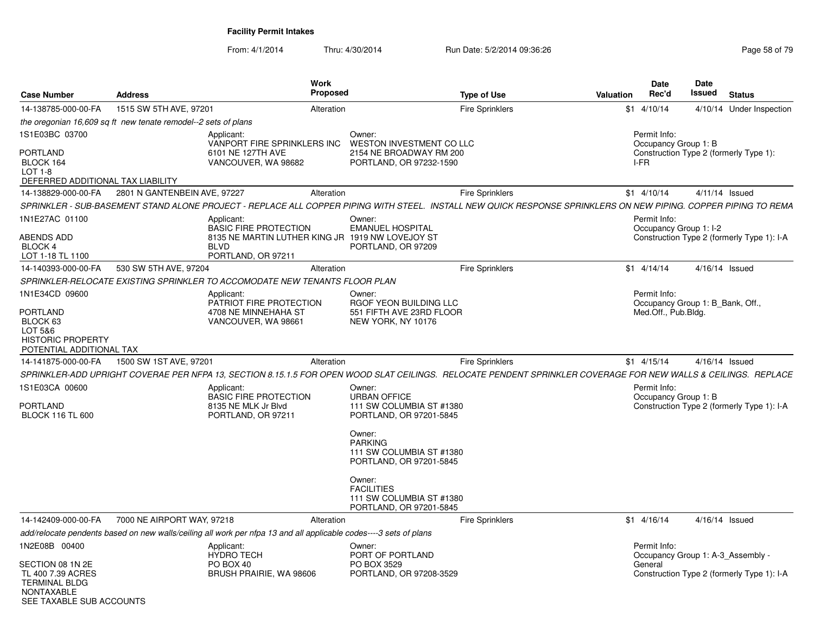SEE TAXABLE SUB ACCOUNTS

| <b>Case Number</b>                                                          | <b>Address</b>                                                                                                                                                  | Work<br><b>Proposed</b>                                                |                                                                                    | <b>Type of Use</b>     | <b>Valuation</b> | <b>Date</b><br>Rec'd                              | Date<br>Issued   | <b>Status</b>                              |
|-----------------------------------------------------------------------------|-----------------------------------------------------------------------------------------------------------------------------------------------------------------|------------------------------------------------------------------------|------------------------------------------------------------------------------------|------------------------|------------------|---------------------------------------------------|------------------|--------------------------------------------|
| 14-138785-000-00-FA                                                         | 1515 SW 5TH AVE, 97201                                                                                                                                          | Alteration                                                             |                                                                                    | <b>Fire Sprinklers</b> |                  | $$1$ 4/10/14                                      |                  | 4/10/14 Under Inspection                   |
|                                                                             | the oregonian 16,609 sq ft new tenate remodel--2 sets of plans                                                                                                  |                                                                        |                                                                                    |                        |                  |                                                   |                  |                                            |
| 1S1E03BC 03700                                                              | Applicant:                                                                                                                                                      | VANPORT FIRE SPRINKLERS INC                                            | Owner:<br><b>WESTON INVESTMENT CO LLC</b>                                          |                        |                  | Permit Info:<br>Occupancy Group 1: B              |                  |                                            |
| PORTLAND<br>BLOCK 164<br>LOT 1-8<br>DEFERRED ADDITIONAL TAX LIABILITY       |                                                                                                                                                                 | 6101 NE 127TH AVE<br>VANCOUVER, WA 98682                               | 2154 NE BROADWAY RM 200<br>PORTLAND, OR 97232-1590                                 |                        |                  | I-FR                                              |                  | Construction Type 2 (formerly Type 1):     |
| 14-138829-000-00-FA                                                         | 2801 N GANTENBEIN AVE, 97227                                                                                                                                    | Alteration                                                             |                                                                                    | <b>Fire Sprinklers</b> |                  | $$1$ 4/10/14                                      | $4/11/14$ Issued |                                            |
|                                                                             | SPRINKLER - SUB-BASEMENT STAND ALONE PROJECT - REPLACE ALL COPPER PIPING WITH STEEL. INSTALL NEW QUICK RESPONSE SPRINKLERS ON NEW PIPING. COPPER PIPING TO REMA |                                                                        |                                                                                    |                        |                  |                                                   |                  |                                            |
| 1N1E27AC 01100                                                              | Applicant:                                                                                                                                                      | <b>BASIC FIRE PROTECTION</b>                                           | Owner:<br><b>EMANUEL HOSPITAL</b>                                                  |                        |                  | Permit Info:<br>Occupancy Group 1: I-2            |                  |                                            |
| <b>ABENDS ADD</b><br><b>BLOCK 4</b><br>LOT 1-18 TL 1100                     | <b>BLVD</b>                                                                                                                                                     | 8135 NE MARTIN LUTHER KING JR 1919 NW LOVEJOY ST<br>PORTLAND, OR 97211 | PORTLAND, OR 97209                                                                 |                        |                  |                                                   |                  | Construction Type 2 (formerly Type 1): I-A |
| 14-140393-000-00-FA                                                         | 530 SW 5TH AVE, 97204                                                                                                                                           | Alteration                                                             |                                                                                    | <b>Fire Sprinklers</b> |                  | $$1$ 4/14/14                                      | $4/16/14$ Issued |                                            |
|                                                                             | SPRINKLER-RELOCATE EXISTING SPRINKLER TO ACCOMODATE NEW TENANTS FLOOR PLAN                                                                                      |                                                                        |                                                                                    |                        |                  |                                                   |                  |                                            |
| 1N1E34CD 09600                                                              | Applicant:                                                                                                                                                      | PATRIOT FIRE PROTECTION                                                | Owner:<br>RGOF YEON BUILDING LLC                                                   |                        |                  | Permit Info:<br>Occupancy Group 1: B_Bank, Off.,  |                  |                                            |
| PORTLAND<br>BLOCK 63<br>LOT 5&6                                             |                                                                                                                                                                 | 4708 NE MINNEHAHA ST<br>VANCOUVER, WA 98661                            | 551 FIFTH AVE 23RD FLOOR<br>NEW YORK, NY 10176                                     |                        |                  | Med.Off., Pub.Bldg.                               |                  |                                            |
| <b>HISTORIC PROPERTY</b><br>POTENTIAL ADDITIONAL TAX                        |                                                                                                                                                                 |                                                                        |                                                                                    |                        |                  |                                                   |                  |                                            |
| 14-141875-000-00-FA                                                         | 1500 SW 1ST AVE, 97201                                                                                                                                          | Alteration                                                             |                                                                                    | <b>Fire Sprinklers</b> |                  | $$1 \quad 4/15/14$                                | $4/16/14$ Issued |                                            |
|                                                                             | SPRINKLER-ADD UPRIGHT COVERAE PER NFPA 13, SECTION 8.15.1.5 FOR OPEN WOOD SLAT CEILINGS. RELOCATE PENDENT SPRINKLER COVERAGE FOR NEW WALLS & CEILINGS. REPLACE  |                                                                        |                                                                                    |                        |                  |                                                   |                  |                                            |
| 1S1E03CA 00600                                                              | Applicant:                                                                                                                                                      | <b>BASIC FIRE PROTECTION</b>                                           | Owner:<br><b>URBAN OFFICE</b>                                                      |                        |                  | Permit Info:<br>Occupancy Group 1: B              |                  |                                            |
| <b>PORTLAND</b><br><b>BLOCK 116 TL 600</b>                                  |                                                                                                                                                                 | 8135 NE MLK Jr Blvd<br>PORTLAND, OR 97211                              | 111 SW COLUMBIA ST #1380<br>PORTLAND, OR 97201-5845                                |                        |                  |                                                   |                  | Construction Type 2 (formerly Type 1): I-A |
|                                                                             |                                                                                                                                                                 |                                                                        | Owner:<br><b>PARKING</b><br>111 SW COLUMBIA ST #1380<br>PORTLAND, OR 97201-5845    |                        |                  |                                                   |                  |                                            |
|                                                                             |                                                                                                                                                                 |                                                                        | Owner:<br><b>FACILITIES</b><br>111 SW COLUMBIA ST #1380<br>PORTLAND, OR 97201-5845 |                        |                  |                                                   |                  |                                            |
| 14-142409-000-00-FA                                                         | 7000 NE AIRPORT WAY, 97218                                                                                                                                      | Alteration                                                             |                                                                                    | Fire Sprinklers        |                  | $$1$ 4/16/14                                      | $4/16/14$ Issued |                                            |
|                                                                             | add/relocate pendents based on new walls/ceiling all work per nfpa 13 and all applicable codes----3 sets of plans                                               |                                                                        |                                                                                    |                        |                  |                                                   |                  |                                            |
| 1N2E08B 00400                                                               | Applicant:<br><b>HYDRO TECH</b>                                                                                                                                 |                                                                        | Owner:<br>PORT OF PORTLAND                                                         |                        |                  | Permit Info:<br>Occupancy Group 1: A-3 Assembly - |                  |                                            |
| SECTION 08 1N 2E<br>TL 400 7.39 ACRES<br><b>TERMINAL BLDG</b><br>NONTAXABLE | PO BOX 40                                                                                                                                                       | BRUSH PRAIRIE, WA 98606                                                | PO BOX 3529<br>PORTLAND, OR 97208-3529                                             |                        |                  | General                                           |                  | Construction Type 2 (formerly Type 1): I-A |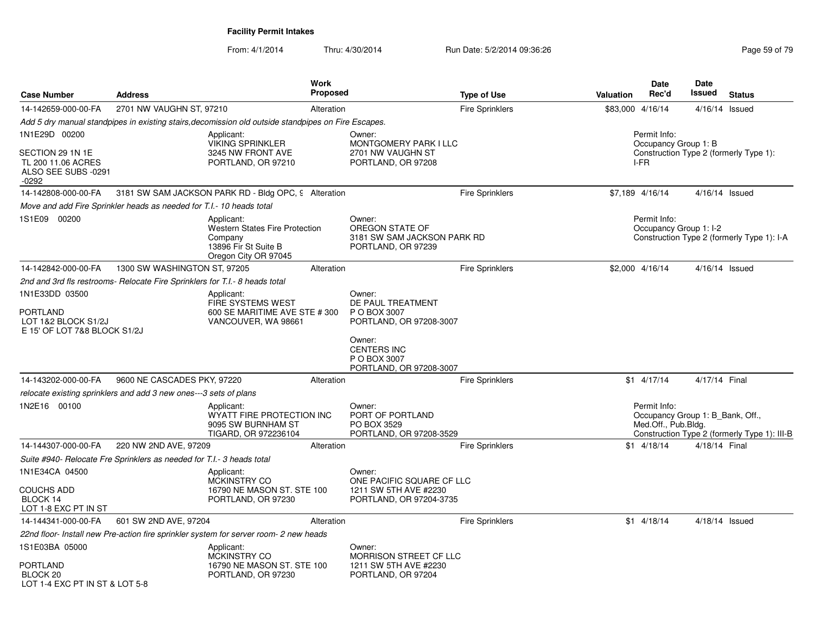| <b>Case Number</b>                                                                        | <b>Address</b>                                                              | <b>Work</b>                                                                                                    | Proposed   |                                                                                | <b>Type of Use</b>     | <b>Valuation</b> | <b>Date</b><br>Rec'd                                                    | <b>Date</b><br>Issued | <b>Status</b>                                |
|-------------------------------------------------------------------------------------------|-----------------------------------------------------------------------------|----------------------------------------------------------------------------------------------------------------|------------|--------------------------------------------------------------------------------|------------------------|------------------|-------------------------------------------------------------------------|-----------------------|----------------------------------------------|
| 14-142659-000-00-FA                                                                       | 2701 NW VAUGHN ST, 97210                                                    |                                                                                                                | Alteration |                                                                                | <b>Fire Sprinklers</b> | \$83,000 4/16/14 |                                                                         |                       | $4/16/14$ Issued                             |
|                                                                                           |                                                                             | Add 5 dry manual standpipes in existing stairs, decomission old outside standpipes on Fire Escapes.            |            |                                                                                |                        |                  |                                                                         |                       |                                              |
| 1N1E29D 00200<br>SECTION 29 1N 1E<br>TL 200 11.06 ACRES<br>ALSO SEE SUBS -0291<br>$-0292$ |                                                                             | Applicant:<br><b>VIKING SPRINKLER</b><br>3245 NW FRONT AVE<br>PORTLAND, OR 97210                               |            | Owner:<br>MONTGOMERY PARK I LLC<br>2701 NW VAUGHN ST<br>PORTLAND, OR 97208     |                        |                  | Permit Info:<br>Occupancy Group 1: B<br>I-FR                            |                       | Construction Type 2 (formerly Type 1):       |
| 14-142808-000-00-FA                                                                       |                                                                             | 3181 SW SAM JACKSON PARK RD - Bldg OPC, 9 Alteration                                                           |            |                                                                                | <b>Fire Sprinklers</b> |                  | \$7,189 4/16/14                                                         |                       | 4/16/14 Issued                               |
|                                                                                           | Move and add Fire Sprinkler heads as needed for T.I.- 10 heads total        |                                                                                                                |            |                                                                                |                        |                  |                                                                         |                       |                                              |
| 1S1E09 00200                                                                              |                                                                             | Applicant:<br><b>Western States Fire Protection</b><br>Company<br>13896 Fir St Suite B<br>Oregon City OR 97045 |            | Owner:<br>OREGON STATE OF<br>3181 SW SAM JACKSON PARK RD<br>PORTLAND, OR 97239 |                        |                  | Permit Info:<br>Occupancy Group 1: I-2                                  |                       | Construction Type 2 (formerly Type 1): I-A   |
| 14-142842-000-00-FA                                                                       | 1300 SW WASHINGTON ST, 97205                                                |                                                                                                                | Alteration |                                                                                | <b>Fire Sprinklers</b> |                  | \$2,000 4/16/14                                                         |                       | 4/16/14 Issued                               |
|                                                                                           | 2nd and 3rd fls restrooms- Relocate Fire Sprinklers for T.I.- 8 heads total |                                                                                                                |            |                                                                                |                        |                  |                                                                         |                       |                                              |
| 1N1E33DD 03500<br><b>PORTLAND</b><br>LOT 1&2 BLOCK S1/2J<br>E 15' OF LOT 7&8 BLOCK S1/2J  |                                                                             | Applicant:<br>FIRE SYSTEMS WEST<br>600 SE MARITIME AVE STE # 300<br>VANCOUVER, WA 98661                        |            | Owner:<br>DE PAUL TREATMENT<br>P O BOX 3007<br>PORTLAND, OR 97208-3007         |                        |                  |                                                                         |                       |                                              |
|                                                                                           |                                                                             |                                                                                                                |            | Owner:<br><b>CENTERS INC</b><br>P O BOX 3007<br>PORTLAND, OR 97208-3007        |                        |                  |                                                                         |                       |                                              |
| 14-143202-000-00-FA                                                                       | 9600 NE CASCADES PKY, 97220                                                 |                                                                                                                | Alteration |                                                                                | <b>Fire Sprinklers</b> |                  | $$1$ 4/17/14                                                            | 4/17/14 Final         |                                              |
|                                                                                           | relocate existing sprinklers and add 3 new ones---3 sets of plans           |                                                                                                                |            |                                                                                |                        |                  |                                                                         |                       |                                              |
| 1N2E16 00100                                                                              |                                                                             | Applicant:<br>WYATT FIRE PROTECTION INC<br>9095 SW BURNHAM ST<br>TIGARD, OR 972236104                          |            | Owner:<br>PORT OF PORTLAND<br>PO BOX 3529<br>PORTLAND, OR 97208-3529           |                        |                  | Permit Info:<br>Occupancy Group 1: B_Bank, Off.,<br>Med.Off., Pub.Bldg. |                       | Construction Type 2 (formerly Type 1): III-B |
| 14-144307-000-00-FA                                                                       | 220 NW 2ND AVE, 97209                                                       |                                                                                                                | Alteration |                                                                                | <b>Fire Sprinklers</b> |                  | $$1 \quad 4/18/14$                                                      | 4/18/14 Final         |                                              |
|                                                                                           | Suite #940- Relocate Fre Sprinklers as needed for T.I.- 3 heads total       |                                                                                                                |            |                                                                                |                        |                  |                                                                         |                       |                                              |
| 1N1E34CA 04500                                                                            |                                                                             | Applicant:                                                                                                     |            | Owner:                                                                         |                        |                  |                                                                         |                       |                                              |
| <b>COUCHS ADD</b><br>BLOCK 14<br>LOT 1-8 EXC PT IN ST                                     |                                                                             | <b>MCKINSTRY CO</b><br>16790 NE MASON ST. STE 100<br>PORTLAND, OR 97230                                        |            | ONE PACIFIC SQUARE CF LLC<br>1211 SW 5TH AVE #2230<br>PORTLAND, OR 97204-3735  |                        |                  |                                                                         |                       |                                              |
| 14-144341-000-00-FA                                                                       | 601 SW 2ND AVE, 97204                                                       |                                                                                                                | Alteration |                                                                                | <b>Fire Sprinklers</b> |                  | $$1$ 4/18/14                                                            |                       | 4/18/14 Issued                               |
|                                                                                           |                                                                             | 22nd floor- Install new Pre-action fire sprinkler system for server room- 2 new heads                          |            |                                                                                |                        |                  |                                                                         |                       |                                              |
| 1S1E03BA 05000                                                                            |                                                                             | Applicant:<br><b>MCKINSTRY CO</b>                                                                              |            | Owner:<br>MORRISON STREET CF LLC                                               |                        |                  |                                                                         |                       |                                              |
| <b>PORTLAND</b><br>BLOCK 20<br>LOT 1-4 FXC PT IN ST & LOT 5-8                             |                                                                             | 16790 NE MASON ST. STE 100<br>PORTLAND, OR 97230                                                               |            | 1211 SW 5TH AVE #2230<br>PORTLAND, OR 97204                                    |                        |                  |                                                                         |                       |                                              |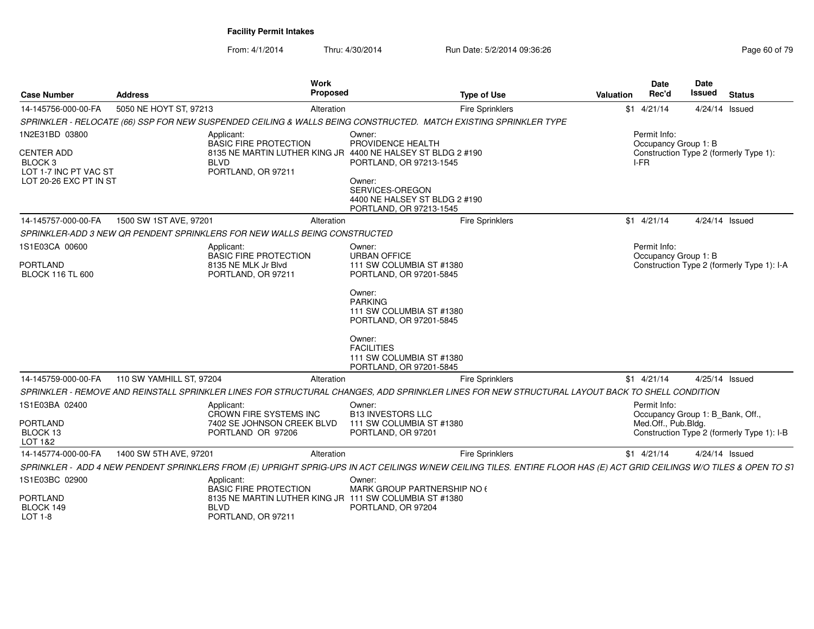| <b>Case Number</b>                                                                                           | <b>Address</b>           | <b>Work</b><br>Proposed                                                                                                                                                |                                                                                    | <b>Type of Use</b>     | <b>Valuation</b> | <b>Date</b><br>Rec'd                                                    | <b>Date</b><br><b>Issued</b> | <b>Status</b>                              |
|--------------------------------------------------------------------------------------------------------------|--------------------------|------------------------------------------------------------------------------------------------------------------------------------------------------------------------|------------------------------------------------------------------------------------|------------------------|------------------|-------------------------------------------------------------------------|------------------------------|--------------------------------------------|
| 14-145756-000-00-FA                                                                                          | 5050 NE HOYT ST, 97213   | Alteration                                                                                                                                                             |                                                                                    | <b>Fire Sprinklers</b> |                  | $$1 \quad 4/21/14$                                                      | 4/24/14 Issued               |                                            |
|                                                                                                              |                          | SPRINKLER - RELOCATE (66) SSP FOR NEW SUSPENDED CEILING & WALLS BEING CONSTRUCTED. MATCH EXISTING SPRINKLER TYPE                                                       |                                                                                    |                        |                  |                                                                         |                              |                                            |
| 1N2E31BD 03800<br><b>CENTER ADD</b><br>BLOCK <sub>3</sub><br>LOT 1-7 INC PT VAC ST<br>LOT 20-26 EXC PT IN ST |                          | Applicant:<br><b>BASIC FIRE PROTECTION</b><br>8135 NE MARTIN LUTHER KING JR 4400 NE HALSEY ST BLDG 2 #190<br><b>BLVD</b><br>PORTLAND, OR 97211                         | Owner:<br>PROVIDENCE HEALTH<br>PORTLAND, OR 97213-1545<br>Owner:                   |                        |                  | Permit Info:<br>Occupancy Group 1: B<br>I-FR                            |                              | Construction Type 2 (formerly Type 1):     |
|                                                                                                              |                          |                                                                                                                                                                        | SERVICES-OREGON<br>4400 NE HALSEY ST BLDG 2 #190<br>PORTLAND, OR 97213-1545        |                        |                  |                                                                         |                              |                                            |
| 14-145757-000-00-FA                                                                                          | 1500 SW 1ST AVE, 97201   | Alteration                                                                                                                                                             |                                                                                    | <b>Fire Sprinklers</b> |                  | $$1$ 4/21/14                                                            | 4/24/14 Issued               |                                            |
|                                                                                                              |                          | SPRINKLER-ADD 3 NEW QR PENDENT SPRINKLERS FOR NEW WALLS BEING CONSTRUCTED                                                                                              |                                                                                    |                        |                  |                                                                         |                              |                                            |
| 1S1E03CA 00600                                                                                               |                          | Applicant:<br><b>BASIC FIRE PROTECTION</b>                                                                                                                             | Owner:<br><b>URBAN OFFICE</b>                                                      |                        |                  | Permit Info:<br>Occupancy Group 1: B                                    |                              |                                            |
| <b>PORTLAND</b><br><b>BLOCK 116 TL 600</b>                                                                   |                          | 8135 NE MLK Jr Blvd<br>PORTLAND, OR 97211                                                                                                                              | 111 SW COLUMBIA ST #1380<br>PORTLAND, OR 97201-5845                                |                        |                  |                                                                         |                              | Construction Type 2 (formerly Type 1): I-A |
|                                                                                                              |                          |                                                                                                                                                                        | Owner:<br><b>PARKING</b><br>111 SW COLUMBIA ST #1380<br>PORTLAND, OR 97201-5845    |                        |                  |                                                                         |                              |                                            |
|                                                                                                              |                          |                                                                                                                                                                        | Owner:<br><b>FACILITIES</b><br>111 SW COLUMBIA ST #1380<br>PORTLAND, OR 97201-5845 |                        |                  |                                                                         |                              |                                            |
| 14-145759-000-00-FA                                                                                          | 110 SW YAMHILL ST, 97204 | Alteration                                                                                                                                                             |                                                                                    | Fire Sprinklers        |                  | $$1$ 4/21/14                                                            | 4/25/14 Issued               |                                            |
|                                                                                                              |                          | SPRINKLER - REMOVE AND REINSTALL SPRINKLER LINES FOR STRUCTURAL CHANGES, ADD SPRINKLER LINES FOR NEW STRUCTURAL LAYOUT BACK TO SHELL CONDITION                         |                                                                                    |                        |                  |                                                                         |                              |                                            |
| 1S1E03BA 02400<br>PORTLAND                                                                                   |                          | Applicant:<br>CROWN FIRE SYSTEMS INC<br>7402 SE JOHNSON CREEK BLVD                                                                                                     | Owner:<br><b>B13 INVESTORS LLC</b><br>111 SW COLUMBIA ST #1380                     |                        |                  | Permit Info:<br>Occupancy Group 1: B Bank, Off.,<br>Med.Off., Pub.Bldg. |                              |                                            |
| BLOCK 13<br>LOT 1&2                                                                                          |                          | PORTLAND OR 97206                                                                                                                                                      | PORTLAND, OR 97201                                                                 |                        |                  |                                                                         |                              | Construction Type 2 (formerly Type 1): I-B |
| 14-145774-000-00-FA                                                                                          | 1400 SW 5TH AVE, 97201   | Alteration                                                                                                                                                             |                                                                                    | Fire Sprinklers        |                  | $$1$ 4/21/14                                                            | 4/24/14 Issued               |                                            |
|                                                                                                              |                          | SPRINKLER - ADD 4 NEW PENDENT SPRINKLERS FROM (E) UPRIGHT SPRIG-UPS IN ACT CEILINGS W/NEW CEILING TILES. ENTIRE FLOOR HAS (E) ACT GRID CEILINGS W/O TILES & OPEN TO S1 |                                                                                    |                        |                  |                                                                         |                              |                                            |
| 1S1E03BC 02900<br><b>PORTLAND</b>                                                                            |                          | Applicant:<br><b>BASIC FIRE PROTECTION</b><br>8135 NE MARTIN LUTHER KING JR 111 SW COLUMBIA ST #1380                                                                   | Owner:<br>MARK GROUP PARTNERSHIP NO 6                                              |                        |                  |                                                                         |                              |                                            |
| BLOCK 149<br><b>LOT 1-8</b>                                                                                  |                          | <b>BLVD</b><br>PORTLAND, OR 97211                                                                                                                                      | PORTLAND, OR 97204                                                                 |                        |                  |                                                                         |                              |                                            |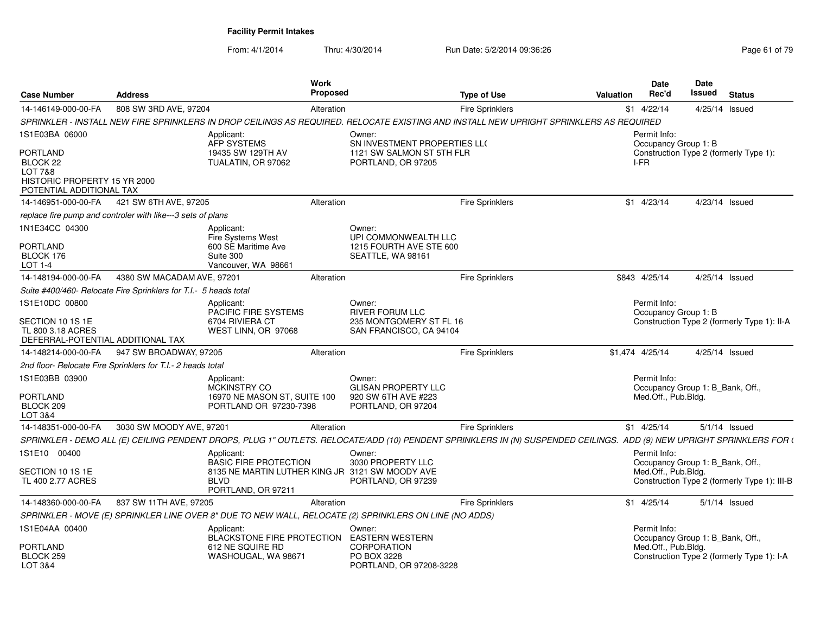| <b>Case Number</b>                                                                                     | <b>Address</b>                                                                                                                                                        | Work<br><b>Proposed</b> |                                                                      | <b>Type of Use</b>     | <b>Valuation</b> | Date<br>Rec'd                        | <b>Date</b><br>Issued<br><b>Status</b>                                         |
|--------------------------------------------------------------------------------------------------------|-----------------------------------------------------------------------------------------------------------------------------------------------------------------------|-------------------------|----------------------------------------------------------------------|------------------------|------------------|--------------------------------------|--------------------------------------------------------------------------------|
| 14-146149-000-00-FA                                                                                    | 808 SW 3RD AVE, 97204                                                                                                                                                 | Alteration              |                                                                      | Fire Sprinklers        |                  | $$1$ 4/22/14                         | 4/25/14 Issued                                                                 |
|                                                                                                        | SPRINKLER - INSTALL NEW FIRE SPRINKLERS IN DROP CEILINGS AS REQUIRED. RELOCATE EXISTING AND INSTALL NEW UPRIGHT SPRINKLERS AS REQUIRED                                |                         |                                                                      |                        |                  |                                      |                                                                                |
| 1S1E03BA 06000                                                                                         | Applicant:<br>AFP SYSTEMS                                                                                                                                             | Owner:                  | SN INVESTMENT PROPERTIES LLO                                         |                        |                  | Permit Info:<br>Occupancy Group 1: B |                                                                                |
| PORTLAND<br>BLOCK 22<br><b>LOT 7&amp;8</b><br>HISTORIC PROPERTY 15 YR 2000<br>POTENTIAL ADDITIONAL TAX | 19435 SW 129TH AV<br>TUALATIN, OR 97062                                                                                                                               |                         | 1121 SW SALMON ST 5TH FLR<br>PORTLAND, OR 97205                      |                        | I-FR             |                                      | Construction Type 2 (formerly Type 1):                                         |
| 14-146951-000-00-FA                                                                                    | 421 SW 6TH AVE, 97205                                                                                                                                                 | Alteration              |                                                                      | Fire Sprinklers        |                  | $$1$ 4/23/14                         | 4/23/14 Issued                                                                 |
|                                                                                                        | replace fire pump and controler with like---3 sets of plans                                                                                                           |                         |                                                                      |                        |                  |                                      |                                                                                |
| 1N1E34CC 04300<br><b>PORTLAND</b><br>BLOCK 176<br>LOT 1-4                                              | Applicant:<br>Fire Systems West<br>600 SE Maritime Ave<br>Suite 300<br>Vancouver, WA 98661                                                                            | Owner:                  | UPI COMMONWEALTH LLC<br>1215 FOURTH AVE STE 600<br>SEATTLE, WA 98161 |                        |                  |                                      |                                                                                |
| 14-148194-000-00-FA                                                                                    | 4380 SW MACADAM AVE, 97201                                                                                                                                            | Alteration              |                                                                      | <b>Fire Sprinklers</b> | \$843 4/25/14    |                                      | 4/25/14 Issued                                                                 |
|                                                                                                        | Suite #400/460- Relocate Fire Sprinklers for T.I.- 5 heads total                                                                                                      |                         |                                                                      |                        |                  |                                      |                                                                                |
| 1S1E10DC 00800                                                                                         | Applicant:<br>PACIFIC FIRE SYSTEMS                                                                                                                                    | Owner:                  | <b>RIVER FORUM LLC</b>                                               |                        |                  | Permit Info:<br>Occupancy Group 1: B |                                                                                |
| SECTION 10 1S 1E<br>TL 800 3.18 ACRES<br>DEFERRAL-POTENTIAL ADDITIONAL TAX                             | 6704 RIVIERA CT<br>WEST LINN, OR 97068                                                                                                                                |                         | 235 MONTGOMERY ST FL 16<br>SAN FRANCISCO, CA 94104                   |                        |                  |                                      | Construction Type 2 (formerly Type 1): II-A                                    |
| 14-148214-000-00-FA                                                                                    | 947 SW BROADWAY, 97205                                                                                                                                                | Alteration              |                                                                      | <b>Fire Sprinklers</b> | \$1,474 4/25/14  |                                      | 4/25/14 Issued                                                                 |
|                                                                                                        | 2nd floor- Relocate Fire Sprinklers for T.I.- 2 heads total                                                                                                           |                         |                                                                      |                        |                  |                                      |                                                                                |
| 1S1E03BB 03900                                                                                         | Applicant:<br><b>MCKINSTRY CO</b>                                                                                                                                     | Owner:                  | <b>GLISAN PROPERTY LLC</b>                                           |                        |                  | Permit Info:                         | Occupancy Group 1: B_Bank, Off.,                                               |
| <b>PORTLAND</b><br>BLOCK 209<br>LOT 3&4                                                                | 16970 NE MASON ST, SUITE 100<br>PORTLAND OR 97230-7398                                                                                                                |                         | 920 SW 6TH AVE #223<br>PORTLAND, OR 97204                            |                        |                  | Med.Off., Pub.Bldg.                  |                                                                                |
| 14-148351-000-00-FA                                                                                    | 3030 SW MOODY AVE, 97201                                                                                                                                              | Alteration              |                                                                      | Fire Sprinklers        |                  | $$1$ 4/25/14                         | $5/1/14$ Issued                                                                |
|                                                                                                        | SPRINKLER - DEMO ALL (E) CEILING PENDENT DROPS, PLUG 1" OUTLETS. RELOCATE/ADD (10) PENDENT SPRINKLERS IN (N) SUSPENDED CEILINGS. ADD (9) NEW UPRIGHT SPRINKLERS FOR ( |                         |                                                                      |                        |                  |                                      |                                                                                |
| 1S1E10 00400                                                                                           | Applicant:<br><b>BASIC FIRE PROTECTION</b>                                                                                                                            | Owner:                  | 3030 PROPERTY LLC                                                    |                        |                  | Permit Info:                         | Occupancy Group 1: B_Bank, Off.,                                               |
| SECTION 10 1S 1E<br>TL 400 2.77 ACRES                                                                  | 8135 NE MARTIN LUTHER KING JR 3121 SW MOODY AVE<br><b>BLVD</b><br>PORTLAND, OR 97211                                                                                  |                         | PORTLAND, OR 97239                                                   |                        |                  | Med.Off., Pub.Bldg.                  | Construction Type 2 (formerly Type 1): III-B                                   |
| 14-148360-000-00-FA                                                                                    | 837 SW 11TH AVE, 97205                                                                                                                                                | Alteration              |                                                                      | Fire Sprinklers        |                  | $$1$ 4/25/14                         | $5/1/14$ Issued                                                                |
|                                                                                                        | SPRINKLER - MOVE (E) SPRINKLER LINE OVER 8" DUE TO NEW WALL, RELOCATE (2) SPRINKLERS ON LINE (NO ADDS)                                                                |                         |                                                                      |                        |                  |                                      |                                                                                |
| 1S1E04AA 00400                                                                                         | Applicant:                                                                                                                                                            | Owner:                  | <b>EASTERN WESTERN</b>                                               |                        |                  | Permit Info:                         |                                                                                |
| <b>PORTLAND</b><br>BLOCK 259<br><b>LOT 3&amp;4</b>                                                     | BLACKSTONE FIRE PROTECTION<br>612 NE SQUIRE RD<br>WASHOUGAL, WA 98671                                                                                                 |                         | <b>CORPORATION</b><br>PO BOX 3228<br>PORTLAND, OR 97208-3228         |                        |                  | Med.Off., Pub.Bldg.                  | Occupancy Group 1: B_Bank, Off.,<br>Construction Type 2 (formerly Type 1): I-A |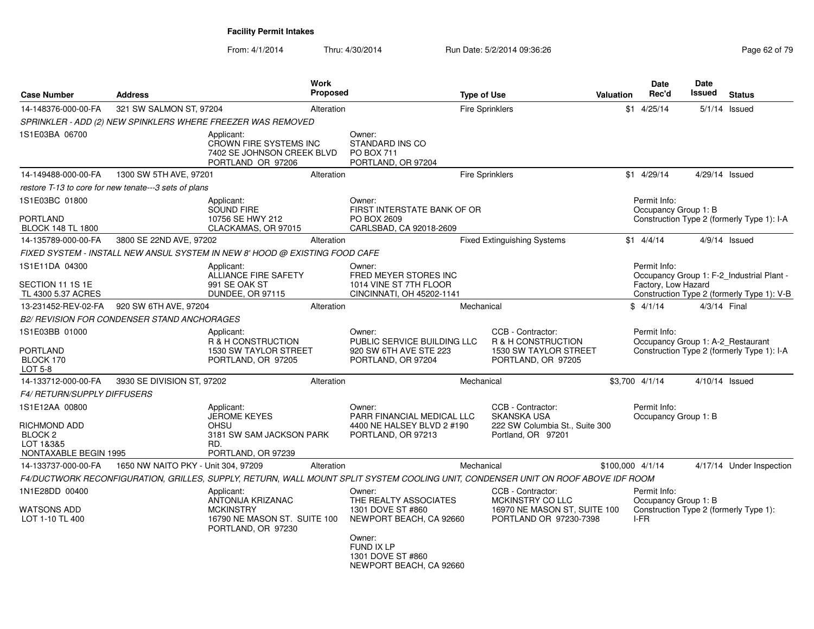| <b>Case Number</b>                                       | <b>Address</b>                                        |                                                                                                           | Work<br><b>Proposed</b> |                                                                                                                                   | <b>Type of Use</b> |                                                                                                 | Valuation | <b>Date</b><br>Rec'd                              | <b>Date</b><br>Issued | <b>Status</b>                              |
|----------------------------------------------------------|-------------------------------------------------------|-----------------------------------------------------------------------------------------------------------|-------------------------|-----------------------------------------------------------------------------------------------------------------------------------|--------------------|-------------------------------------------------------------------------------------------------|-----------|---------------------------------------------------|-----------------------|--------------------------------------------|
| 14-148376-000-00-FA                                      | 321 SW SALMON ST, 97204                               |                                                                                                           | Alteration              |                                                                                                                                   |                    | <b>Fire Sprinklers</b>                                                                          |           | $$1$ 4/25/14                                      |                       | $5/1/14$ Issued                            |
|                                                          |                                                       | SPRINKLER - ADD (2) NEW SPINKLERS WHERE FREEZER WAS REMOVED                                               |                         |                                                                                                                                   |                    |                                                                                                 |           |                                                   |                       |                                            |
| 1S1E03BA 06700                                           |                                                       | Applicant:<br>CROWN FIRE SYSTEMS INC<br>7402 SE JOHNSON CREEK BLVD<br>PORTLAND OR 97206                   |                         | Owner:<br>STANDARD INS CO<br><b>PO BOX 711</b><br>PORTLAND, OR 97204                                                              |                    |                                                                                                 |           |                                                   |                       |                                            |
| 14-149488-000-00-FA                                      | 1300 SW 5TH AVE, 97201                                |                                                                                                           | Alteration              |                                                                                                                                   |                    | <b>Fire Sprinklers</b>                                                                          |           | $$1$ 4/29/14                                      | 4/29/14 Issued        |                                            |
|                                                          | restore T-13 to core for new tenate---3 sets of plans |                                                                                                           |                         |                                                                                                                                   |                    |                                                                                                 |           |                                                   |                       |                                            |
| 1S1E03BC 01800                                           |                                                       | Applicant:<br>SOUND FIRE                                                                                  |                         | Owner:<br>FIRST INTERSTATE BANK OF OR                                                                                             |                    |                                                                                                 |           | Permit Info:<br>Occupancy Group 1: B              |                       |                                            |
| <b>PORTLAND</b><br><b>BLOCK 148 TL 1800</b>              |                                                       | 10756 SE HWY 212<br>CLACKAMAS, OR 97015                                                                   |                         | PO BOX 2609<br>CARLSBAD, CA 92018-2609                                                                                            |                    |                                                                                                 |           |                                                   |                       | Construction Type 2 (formerly Type 1): I-A |
| 14-135789-000-00-FA                                      | 3800 SE 22ND AVE, 97202                               |                                                                                                           | Alteration              |                                                                                                                                   |                    | <b>Fixed Extinguishing Systems</b>                                                              |           | $$1 \quad 4/4/14$                                 |                       | $4/9/14$ Issued                            |
|                                                          |                                                       | FIXED SYSTEM - INSTALL NEW ANSUL SYSTEM IN NEW 8' HOOD @ EXISTING FOOD CAFE                               |                         |                                                                                                                                   |                    |                                                                                                 |           |                                                   |                       |                                            |
| 1S1E11DA 04300                                           |                                                       | Applicant:<br>ALLIANCE FIRE SAFETY<br>991 SE OAK ST                                                       |                         | Owner:<br>FRED MEYER STORES INC                                                                                                   |                    |                                                                                                 |           | Permit Info:                                      |                       | Occupancy Group 1: F-2_Industrial Plant -  |
| SECTION 11 1S 1E<br>TL 4300 5.37 ACRES                   |                                                       | DUNDEE, OR 97115                                                                                          |                         | 1014 VINE ST 7TH FLOOR<br>CINCINNATI, OH 45202-1141                                                                               |                    |                                                                                                 |           | Factory, Low Hazard                               |                       | Construction Type 2 (formerly Type 1): V-B |
| 13-231452-REV-02-FA                                      | 920 SW 6TH AVE, 97204                                 |                                                                                                           | Alteration              |                                                                                                                                   | Mechanical         |                                                                                                 |           | \$4/1/14                                          | 4/3/14 Final          |                                            |
|                                                          | <b>B2/ REVISION FOR CONDENSER STAND ANCHORAGES</b>    |                                                                                                           |                         |                                                                                                                                   |                    |                                                                                                 |           |                                                   |                       |                                            |
| 1S1E03BB 01000<br>PORTLAND<br>BLOCK 170<br>LOT 5-8       |                                                       | Applicant:<br>R & H CONSTRUCTION<br>1530 SW TAYLOR STREET<br>PORTLAND, OR 97205                           |                         | Owner:<br>PUBLIC SERVICE BUILDING LLC<br>920 SW 6TH AVE STE 223<br>PORTLAND, OR 97204                                             |                    | CCB - Contractor:<br>R & H CONSTRUCTION<br>1530 SW TAYLOR STREET<br>PORTLAND, OR 97205          |           | Permit Info:<br>Occupancy Group 1: A-2_Restaurant |                       | Construction Type 2 (formerly Type 1): I-A |
| 14-133712-000-00-FA                                      | 3930 SE DIVISION ST, 97202                            |                                                                                                           | Alteration              |                                                                                                                                   | Mechanical         |                                                                                                 |           | \$3,700 4/1/14                                    |                       | $4/10/14$ Issued                           |
| F4/ RETURN/SUPPLY DIFFUSERS                              |                                                       |                                                                                                           |                         |                                                                                                                                   |                    |                                                                                                 |           |                                                   |                       |                                            |
| 1S1E12AA 00800<br><b>RICHMOND ADD</b>                    |                                                       | Applicant:<br>JEROME KEYES<br><b>OHSU</b>                                                                 |                         | Owner:<br>PARR FINANCIAL MEDICAL LLC<br>4400 NE HALSEY BLVD 2 #190                                                                |                    | CCB - Contractor:<br><b>SKANSKA USA</b><br>222 SW Columbia St., Suite 300                       |           | Permit Info:<br>Occupancy Group 1: B              |                       |                                            |
| BLOCK <sub>2</sub><br>LOT 1&3&5<br>NONTAXABLE BEGIN 1995 |                                                       | 3181 SW SAM JACKSON PARK<br>RD.<br>PORTLAND, OR 97239                                                     |                         | PORTLAND, OR 97213                                                                                                                |                    | Portland, OR 97201                                                                              |           |                                                   |                       |                                            |
| 14-133737-000-00-FA                                      | 1650 NW NAITO PKY - Unit 304, 97209                   |                                                                                                           | Alteration              |                                                                                                                                   | Mechanical         |                                                                                                 |           | \$100,000 4/1/14                                  |                       | 4/17/14 Under Inspection                   |
|                                                          |                                                       |                                                                                                           |                         | F4/DUCTWORK RECONFIGURATION, GRILLES, SUPPLY, RETURN, WALL MOUNT SPLIT SYSTEM COOLING UNIT, CONDENSER UNIT ON ROOF ABOVE IDF ROOM |                    |                                                                                                 |           |                                                   |                       |                                            |
| 1N1E28DD 00400<br>WATSONS ADD<br>LOT 1-10 TL 400         |                                                       | Applicant:<br>ANTONIJA KRIZANAC<br><b>MCKINSTRY</b><br>16790 NE MASON ST. SUITE 100<br>PORTLAND, OR 97230 |                         | Owner:<br>THE REALTY ASSOCIATES<br>1301 DOVE ST #860<br>NEWPORT BEACH, CA 92660<br>Owner:                                         |                    | CCB - Contractor:<br>MCKINSTRY CO LLC<br>16970 NE MASON ST, SUITE 100<br>PORTLAND OR 97230-7398 |           | Permit Info:<br>Occupancy Group 1: B<br>I-FR      |                       | Construction Type 2 (formerly Type 1):     |
|                                                          |                                                       |                                                                                                           |                         | FUND IX LP<br>1301 DOVE ST #860<br>NEWPORT BEACH, CA 92660                                                                        |                    |                                                                                                 |           |                                                   |                       |                                            |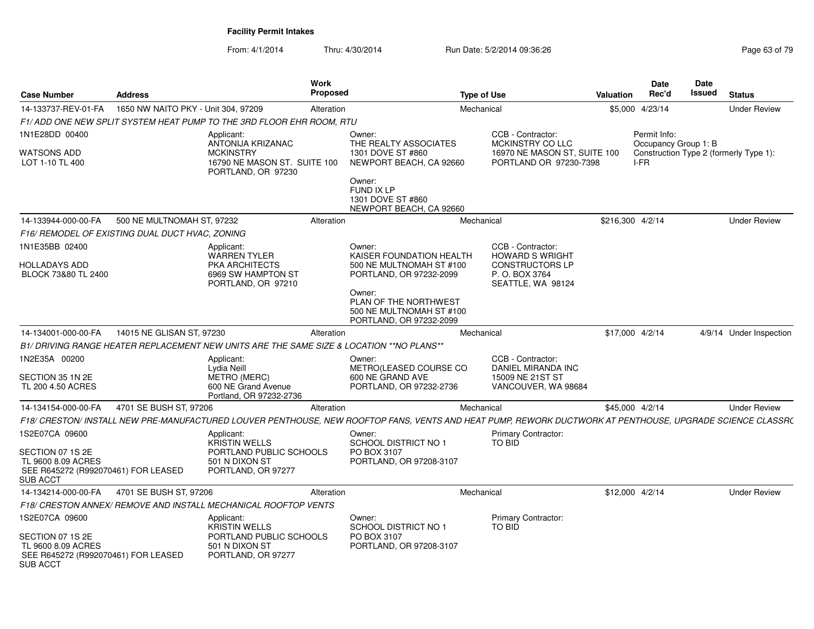| Case Number                                                                                      | <b>Address</b>                                  |                                                                                           | <b>Work</b><br><b>Proposed</b> |                                                                                                                                                           | <b>Type of Use</b>                                            | Valuation        | <b>Date</b><br>Rec'd                 | Date<br><b>Issued</b> | <b>Status</b>                          |
|--------------------------------------------------------------------------------------------------|-------------------------------------------------|-------------------------------------------------------------------------------------------|--------------------------------|-----------------------------------------------------------------------------------------------------------------------------------------------------------|---------------------------------------------------------------|------------------|--------------------------------------|-----------------------|----------------------------------------|
| 14-133737-REV-01-FA                                                                              | 1650 NW NAITO PKY - Unit 304, 97209             |                                                                                           | Alteration                     |                                                                                                                                                           | Mechanical                                                    |                  | \$5,000 4/23/14                      |                       | <b>Under Review</b>                    |
|                                                                                                  |                                                 | F1/ADD ONE NEW SPLIT SYSTEM HEAT PUMP TO THE 3RD FLOOR EHR ROOM. RTU                      |                                |                                                                                                                                                           |                                                               |                  |                                      |                       |                                        |
| 1N1E28DD 00400                                                                                   |                                                 | Applicant:<br>ANTONIJA KRIZANAC                                                           |                                | Owner:<br>THE REALTY ASSOCIATES                                                                                                                           | CCB - Contractor:<br>MCKINSTRY CO LLC                         |                  | Permit Info:<br>Occupancy Group 1: B |                       |                                        |
| WATSONS ADD<br>LOT 1-10 TL 400                                                                   |                                                 | <b>MCKINSTRY</b><br>16790 NE MASON ST. SUITE 100<br>PORTLAND, OR 97230                    |                                | 1301 DOVE ST #860<br>NEWPORT BEACH, CA 92660<br>Owner:<br>FUND IX LP<br>1301 DOVE ST #860<br>NEWPORT BEACH, CA 92660                                      | 16970 NE MASON ST, SUITE 100<br>PORTLAND OR 97230-7398        |                  | I-FR                                 |                       | Construction Type 2 (formerly Type 1): |
| 14-133944-000-00-FA                                                                              | 500 NE MULTNOMAH ST, 97232                      |                                                                                           | Alteration                     | Mechanical                                                                                                                                                |                                                               | \$216.300 4/2/14 |                                      |                       | <b>Under Review</b>                    |
|                                                                                                  | F16/ REMODEL OF EXISTING DUAL DUCT HVAC, ZONING |                                                                                           |                                |                                                                                                                                                           |                                                               |                  |                                      |                       |                                        |
| 1N1E35BB 02400                                                                                   |                                                 | Applicant:<br><b>WARREN TYLER</b>                                                         |                                | Owner:<br>KAISER FOUNDATION HEALTH                                                                                                                        | CCB - Contractor:<br><b>HOWARD S WRIGHT</b>                   |                  |                                      |                       |                                        |
| HOLLADAYS ADD<br>BLOCK 73&80 TL 2400                                                             |                                                 | PKA ARCHITECTS<br>6969 SW HAMPTON ST<br>PORTLAND, OR 97210                                |                                | 500 NE MULTNOMAH ST #100<br>PORTLAND, OR 97232-2099<br>Owner:                                                                                             | <b>CONSTRUCTORS LP</b><br>P. O. BOX 3764<br>SEATTLE, WA 98124 |                  |                                      |                       |                                        |
|                                                                                                  |                                                 |                                                                                           |                                | PLAN OF THE NORTHWEST<br>500 NE MULTNOMAH ST #100<br>PORTLAND, OR 97232-2099                                                                              |                                                               |                  |                                      |                       |                                        |
| 14-134001-000-00-FA                                                                              | 14015 NE GLISAN ST, 97230                       |                                                                                           | Alteration                     |                                                                                                                                                           | Mechanical                                                    |                  | \$17,000 4/2/14                      |                       | 4/9/14 Under Inspection                |
|                                                                                                  |                                                 | B1/ DRIVING RANGE HEATER REPLACEMENT NEW UNITS ARE THE SAME SIZE & LOCATION ** NO PLANS** |                                |                                                                                                                                                           |                                                               |                  |                                      |                       |                                        |
| 1N2E35A 00200                                                                                    |                                                 | Applicant:<br>Lydia Neill                                                                 |                                | Owner:<br>METRO(LEASED COURSE CO                                                                                                                          | CCB - Contractor:<br>DANIEL MIRANDA INC                       |                  |                                      |                       |                                        |
| SECTION 35 1N 2E<br>TL 200 4.50 ACRES                                                            |                                                 | <b>METRO (MERC)</b><br>600 NE Grand Avenue<br>Portland, OR 97232-2736                     |                                | 600 NE GRAND AVE<br>PORTLAND, OR 97232-2736                                                                                                               | 15009 NE 21ST ST<br>VANCOUVER, WA 98684                       |                  |                                      |                       |                                        |
| 14-134154-000-00-FA                                                                              | 4701 SE BUSH ST, 97206                          |                                                                                           | Alteration                     |                                                                                                                                                           | Mechanical                                                    |                  | \$45,000 4/2/14                      |                       | <b>Under Review</b>                    |
|                                                                                                  |                                                 |                                                                                           |                                | F18/ CRESTON/ INSTALL NEW PRE-MANUFACTURED LOUVER PENTHOUSE. NEW ROOFTOP FANS. VENTS AND HEAT PUMP, REWORK DUCTWORK AT PENTHOUSE, UPGRADE SCIENCE CLASSR( |                                                               |                  |                                      |                       |                                        |
| 1S2E07CA 09600                                                                                   |                                                 | Applicant:<br><b>KRISTIN WELLS</b>                                                        |                                | Owner:<br>SCHOOL DISTRICT NO 1                                                                                                                            | <b>Primary Contractor:</b><br><b>TO BID</b>                   |                  |                                      |                       |                                        |
| SECTION 07 1S 2E<br>TL 9600 8.09 ACRES<br>SEE R645272 (R992070461) FOR LEASED<br><b>SUB ACCT</b> |                                                 | PORTLAND PUBLIC SCHOOLS<br>501 N DIXON ST<br>PORTLAND, OR 97277                           |                                | PO BOX 3107<br>PORTLAND, OR 97208-3107                                                                                                                    |                                                               |                  |                                      |                       |                                        |
| 14-134214-000-00-FA                                                                              | 4701 SE BUSH ST, 97206                          |                                                                                           | Alteration                     |                                                                                                                                                           | Mechanical                                                    |                  | \$12,000 4/2/14                      |                       | <b>Under Review</b>                    |
|                                                                                                  |                                                 | F18/ CRESTON ANNEX/ REMOVE AND INSTALL MECHANICAL ROOFTOP VENTS                           |                                |                                                                                                                                                           |                                                               |                  |                                      |                       |                                        |
| IS2E07CA 09600                                                                                   |                                                 | Applicant:<br><b>KRISTIN WELLS</b>                                                        |                                | Owner:<br>SCHOOL DISTRICT NO 1                                                                                                                            | <b>Primary Contractor:</b><br>TO BID                          |                  |                                      |                       |                                        |
| SECTION 07 1S 2E<br>TL 9600 8.09 ACRES<br>SEE R645272 (R992070461) FOR LEASED<br><b>SUB ACCT</b> |                                                 | PORTLAND PUBLIC SCHOOLS<br>501 N DIXON ST<br>PORTLAND, OR 97277                           |                                | PO BOX 3107<br>PORTLAND, OR 97208-3107                                                                                                                    |                                                               |                  |                                      |                       |                                        |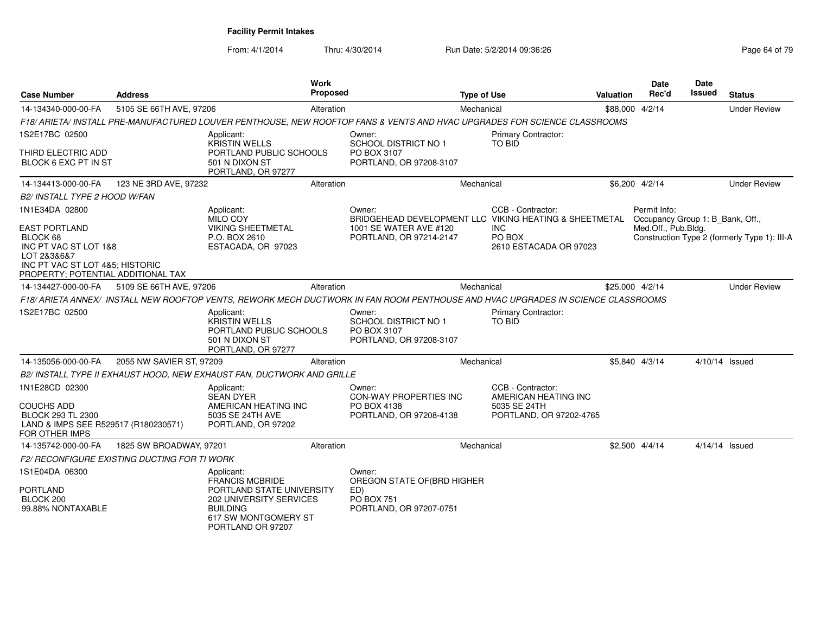| <b>Case Number</b>                                                                                                                                | <b>Address</b>                                      |                                                                                                       | <b>Work</b><br><b>Proposed</b> |                                                                                                                                  | <b>Type of Use</b> |                                                                                      | Valuation | Date<br>Rec'd       | Date<br>Issued | <b>Status</b>                                |
|---------------------------------------------------------------------------------------------------------------------------------------------------|-----------------------------------------------------|-------------------------------------------------------------------------------------------------------|--------------------------------|----------------------------------------------------------------------------------------------------------------------------------|--------------------|--------------------------------------------------------------------------------------|-----------|---------------------|----------------|----------------------------------------------|
| 14-134340-000-00-FA                                                                                                                               | 5105 SE 66TH AVE, 97206                             |                                                                                                       | Alteration                     |                                                                                                                                  | Mechanical         |                                                                                      |           | \$88,000 4/2/14     |                | <b>Under Review</b>                          |
|                                                                                                                                                   |                                                     |                                                                                                       |                                | F18/ARIETA/ INSTALL PRE-MANUFACTURED LOUVER PENTHOUSE, NEW ROOFTOP FANS & VENTS AND HVAC UPGRADES FOR SCIENCE CLASSROOMS         |                    |                                                                                      |           |                     |                |                                              |
| 1S2E17BC 02500                                                                                                                                    |                                                     | Applicant:<br><b>KRISTIN WELLS</b>                                                                    |                                | Owner:<br>SCHOOL DISTRICT NO 1                                                                                                   |                    | <b>Primary Contractor:</b><br>TO BID                                                 |           |                     |                |                                              |
| THIRD ELECTRIC ADD<br>BLOCK 6 EXC PT IN ST                                                                                                        |                                                     | PORTLAND PUBLIC SCHOOLS<br>501 N DIXON ST<br>PORTLAND, OR 97277                                       |                                | PO BOX 3107<br>PORTLAND, OR 97208-3107                                                                                           |                    |                                                                                      |           |                     |                |                                              |
| 14-134413-000-00-FA                                                                                                                               | 123 NE 3RD AVE, 97232                               |                                                                                                       | Alteration                     |                                                                                                                                  | Mechanical         |                                                                                      |           | \$6,200 4/2/14      |                | <b>Under Review</b>                          |
| B2/ INSTALL TYPE 2 HOOD W/FAN                                                                                                                     |                                                     |                                                                                                       |                                |                                                                                                                                  |                    |                                                                                      |           |                     |                |                                              |
| 1N1E34DA 02800                                                                                                                                    |                                                     | Applicant:<br>MILO COY                                                                                |                                | Owner:<br>BRIDGEHEAD DEVELOPMENT LLC VIKING HEATING & SHEETMETAL Occupancy Group 1: B_Bank, Off.,                                |                    | CCB - Contractor:                                                                    |           | Permit Info:        |                |                                              |
| <b>EAST PORTLAND</b><br>BLOCK 68<br>INC PT VAC ST LOT 1&8<br>LOT 2&3&6&7<br>INC PT VAC ST LOT 4&5; HISTORIC<br>PROPERTY; POTENTIAL ADDITIONAL TAX |                                                     | <b>VIKING SHEETMETAL</b><br>P.O. BOX 2610<br>ESTACADA, OR 97023                                       |                                | 1001 SE WATER AVE #120<br>PORTLAND, OR 97214-2147                                                                                |                    | <b>INC</b><br>PO BOX<br>2610 ESTACADA OR 97023                                       |           | Med.Off., Pub.Bldg. |                | Construction Type 2 (formerly Type 1): III-A |
| 14-134427-000-00-FA                                                                                                                               | 5109 SE 66TH AVE, 97206                             |                                                                                                       | Alteration                     |                                                                                                                                  | Mechanical         |                                                                                      |           | \$25,000 4/2/14     |                | <b>Under Review</b>                          |
|                                                                                                                                                   |                                                     |                                                                                                       |                                | F18/ ARIETA ANNEX/ INSTALL NEW ROOFTOP VENTS, REWORK MECH DUCTWORK IN FAN ROOM PENTHOUSE AND HVAC UPGRADES IN SCIENCE CLASSROOMS |                    |                                                                                      |           |                     |                |                                              |
| 1S2E17BC 02500                                                                                                                                    |                                                     | Applicant:<br><b>KRISTIN WELLS</b><br>PORTLAND PUBLIC SCHOOLS<br>501 N DIXON ST<br>PORTLAND, OR 97277 |                                | Owner:<br><b>SCHOOL DISTRICT NO 1</b><br>PO BOX 3107<br>PORTLAND, OR 97208-3107                                                  |                    | Primary Contractor:<br><b>TO BID</b>                                                 |           |                     |                |                                              |
| 14-135056-000-00-FA                                                                                                                               | 2055 NW SAVIER ST, 97209                            |                                                                                                       | Alteration                     |                                                                                                                                  | Mechanical         |                                                                                      |           | \$5,840 4/3/14      |                | 4/10/14 Issued                               |
|                                                                                                                                                   |                                                     | B2/ INSTALL TYPE II EXHAUST HOOD, NEW EXHAUST FAN, DUCTWORK AND GRILLE                                |                                |                                                                                                                                  |                    |                                                                                      |           |                     |                |                                              |
| 1N1E28CD 02300<br>COUCHS ADD<br><b>BLOCK 293 TL 2300</b><br>LAND & IMPS SEE R529517 (R180230571)<br>FOR OTHER IMPS                                |                                                     | Applicant:<br><b>SEAN DYER</b><br>AMERICAN HEATING INC<br>5035 SE 24TH AVE<br>PORTLAND, OR 97202      |                                | Owner:<br><b>CON-WAY PROPERTIES INC</b><br>PO BOX 4138<br>PORTLAND, OR 97208-4138                                                |                    | CCB - Contractor:<br>AMERICAN HEATING INC<br>5035 SE 24TH<br>PORTLAND, OR 97202-4765 |           |                     |                |                                              |
| 14-135742-000-00-FA                                                                                                                               | 1825 SW BROADWAY, 97201                             |                                                                                                       | Alteration                     |                                                                                                                                  | Mechanical         |                                                                                      |           | $$2,500$ 4/4/14     |                | 4/14/14 Issued                               |
|                                                                                                                                                   | <b>F2/ RECONFIGURE EXISTING DUCTING FOR TI WORK</b> |                                                                                                       |                                |                                                                                                                                  |                    |                                                                                      |           |                     |                |                                              |
| 1S1E04DA 06300<br><b>PORTLAND</b>                                                                                                                 |                                                     | Applicant:<br><b>FRANCIS MCBRIDE</b><br>PORTLAND STATE UNIVERSITY                                     |                                | Owner:<br>OREGON STATE OF (BRD HIGHER<br>ED)                                                                                     |                    |                                                                                      |           |                     |                |                                              |
| BLOCK 200<br>99.88% NONTAXABLE                                                                                                                    |                                                     | 202 UNIVERSITY SERVICES<br><b>BUILDING</b><br>617 SW MONTGOMERY ST<br>PORTLAND OR 97207               |                                | <b>PO BOX 751</b><br>PORTLAND, OR 97207-0751                                                                                     |                    |                                                                                      |           |                     |                |                                              |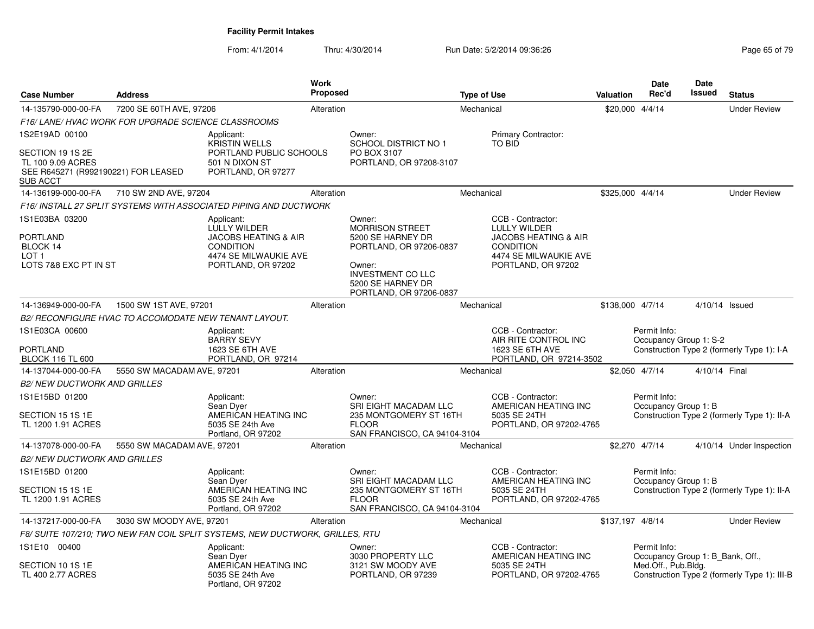| <b>Case Number</b>                                                                         | <b>Address</b>                                        |                                                                                                                                  | <b>Work</b><br><b>Proposed</b> |                                                                                                                                                                 | <b>Type of Use</b> |                                                                                                                                         | Valuation        | Date<br>Rec'd                                    | Date<br>Issued | <b>Status</b>                                |
|--------------------------------------------------------------------------------------------|-------------------------------------------------------|----------------------------------------------------------------------------------------------------------------------------------|--------------------------------|-----------------------------------------------------------------------------------------------------------------------------------------------------------------|--------------------|-----------------------------------------------------------------------------------------------------------------------------------------|------------------|--------------------------------------------------|----------------|----------------------------------------------|
| 14-135790-000-00-FA                                                                        | 7200 SE 60TH AVE, 97206                               |                                                                                                                                  | Alteration                     |                                                                                                                                                                 | Mechanical         |                                                                                                                                         | \$20,000 4/4/14  |                                                  |                | <b>Under Review</b>                          |
|                                                                                            | F16/ LANE/ HVAC WORK FOR UPGRADE SCIENCE CLASSROOMS   |                                                                                                                                  |                                |                                                                                                                                                                 |                    |                                                                                                                                         |                  |                                                  |                |                                              |
| 1S2E19AD 00100                                                                             |                                                       | Applicant:                                                                                                                       |                                | Owner:                                                                                                                                                          |                    | Primary Contractor:                                                                                                                     |                  |                                                  |                |                                              |
| SECTION 19 1S 2E<br>TL 100 9.09 ACRES<br>SEE R645271 (R992190221) FOR LEASED<br>SUB ACCT   |                                                       | <b>KRISTIN WELLS</b><br>PORTLAND PUBLIC SCHOOLS<br>501 N DIXON ST<br>PORTLAND, OR 97277                                          |                                | <b>SCHOOL DISTRICT NO 1</b><br>PO BOX 3107<br>PORTLAND, OR 97208-3107                                                                                           |                    | TO BID                                                                                                                                  |                  |                                                  |                |                                              |
| 14-136199-000-00-FA                                                                        | 710 SW 2ND AVE, 97204                                 |                                                                                                                                  | Alteration                     |                                                                                                                                                                 | Mechanical         |                                                                                                                                         | \$325,000 4/4/14 |                                                  |                | <b>Under Review</b>                          |
|                                                                                            |                                                       | F16/ INSTALL 27 SPLIT SYSTEMS WITH ASSOCIATED PIPING AND DUCTWORK                                                                |                                |                                                                                                                                                                 |                    |                                                                                                                                         |                  |                                                  |                |                                              |
| 1S1E03BA 03200<br><b>PORTLAND</b><br>BLOCK 14<br>LOT <sub>1</sub><br>LOTS 7&8 EXC PT IN ST |                                                       | Applicant:<br>LULLY WILDER<br><b>JACOBS HEATING &amp; AIR</b><br><b>CONDITION</b><br>4474 SE MILWAUKIE AVE<br>PORTLAND, OR 97202 |                                | Owner:<br>MORRISON STREET<br>5200 SE HARNEY DR<br>PORTLAND, OR 97206-0837<br>Owner:<br><b>INVESTMENT CO LLC</b><br>5200 SE HARNEY DR<br>PORTLAND, OR 97206-0837 |                    | CCB - Contractor:<br>LULLY WILDER<br><b>JACOBS HEATING &amp; AIR</b><br><b>CONDITION</b><br>4474 SE MILWAUKIE AVE<br>PORTLAND, OR 97202 |                  |                                                  |                |                                              |
| 14-136949-000-00-FA                                                                        | 1500 SW 1ST AVE, 97201                                |                                                                                                                                  | Alteration                     |                                                                                                                                                                 | Mechanical         |                                                                                                                                         | \$138,000 4/7/14 |                                                  |                | 4/10/14 Issued                               |
|                                                                                            | B2/ RECONFIGURE HVAC TO ACCOMODATE NEW TENANT LAYOUT. |                                                                                                                                  |                                |                                                                                                                                                                 |                    |                                                                                                                                         |                  |                                                  |                |                                              |
| 1S1E03CA 00600<br>PORTLAND<br><b>BLOCK 116 TL 600</b>                                      |                                                       | Applicant:<br><b>BARRY SEVY</b><br>1623 SE 6TH AVE<br>PORTLAND, OR 97214                                                         |                                |                                                                                                                                                                 |                    | CCB - Contractor:<br>AIR RITE CONTROL INC<br>1623 SE 6TH AVE<br>PORTLAND, OR 97214-3502                                                 |                  | Permit Info:<br>Occupancy Group 1: S-2           |                | Construction Type 2 (formerly Type 1): I-A   |
| 14-137044-000-00-FA                                                                        | 5550 SW MACADAM AVE, 97201                            |                                                                                                                                  | Alteration                     |                                                                                                                                                                 | Mechanical         |                                                                                                                                         |                  | \$2,050 4/7/14                                   | 4/10/14 Final  |                                              |
| <b>B2/ NEW DUCTWORK AND GRILLES</b>                                                        |                                                       |                                                                                                                                  |                                |                                                                                                                                                                 |                    |                                                                                                                                         |                  |                                                  |                |                                              |
| 1S1E15BD 01200                                                                             |                                                       | Applicant:<br>Sean Dver                                                                                                          |                                | Owner:<br>SRI EIGHT MACADAM LLC                                                                                                                                 |                    | CCB - Contractor:<br>AMERICAN HEATING INC                                                                                               |                  | Permit Info:<br>Occupancy Group 1: B             |                |                                              |
| SECTION 15 1S 1E<br>TL 1200 1.91 ACRES                                                     |                                                       | AMERICAN HEATING INC<br>5035 SE 24th Ave<br>Portland, OR 97202                                                                   |                                | 235 MONTGOMERY ST 16TH<br><b>FLOOR</b><br>SAN FRANCISCO, CA 94104-3104                                                                                          |                    | 5035 SE 24TH<br>PORTLAND, OR 97202-4765                                                                                                 |                  |                                                  |                | Construction Type 2 (formerly Type 1): II-A  |
| 14-137078-000-00-FA                                                                        | 5550 SW MACADAM AVE, 97201                            |                                                                                                                                  | Alteration                     |                                                                                                                                                                 | Mechanical         |                                                                                                                                         |                  | \$2,270 4/7/14                                   |                | 4/10/14 Under Inspection                     |
| <b>B2/ NEW DUCTWORK AND GRILLES</b>                                                        |                                                       |                                                                                                                                  |                                |                                                                                                                                                                 |                    |                                                                                                                                         |                  |                                                  |                |                                              |
| 1S1E15BD 01200                                                                             |                                                       | Applicant:                                                                                                                       |                                | Owner:                                                                                                                                                          |                    | CCB - Contractor:                                                                                                                       |                  | Permit Info:                                     |                |                                              |
| SECTION 15 1S 1E<br>TL 1200 1.91 ACRES                                                     |                                                       | Sean Dyer<br>AMERICAN HEATING INC<br>5035 SE 24th Ave<br>Portland, OR 97202                                                      |                                | SRI EIGHT MACADAM LLC<br>235 MONTGOMERY ST 16TH<br><b>FLOOR</b><br>SAN FRANCISCO, CA 94104-3104                                                                 |                    | AMERICAN HEATING INC<br>5035 SE 24TH<br>PORTLAND, OR 97202-4765                                                                         |                  | Occupancy Group 1: B                             |                | Construction Type 2 (formerly Type 1): II-A  |
| 14-137217-000-00-FA                                                                        | 3030 SW MOODY AVE, 97201                              |                                                                                                                                  | Alteration                     |                                                                                                                                                                 | Mechanical         |                                                                                                                                         | \$137,197 4/8/14 |                                                  |                | <b>Under Review</b>                          |
|                                                                                            |                                                       | F8/SUITE 107/210; TWO NEW FAN COIL SPLIT SYSTEMS, NEW DUCTWORK, GRILLES, RTU                                                     |                                |                                                                                                                                                                 |                    |                                                                                                                                         |                  |                                                  |                |                                              |
| 1S1E10 00400                                                                               |                                                       | Applicant:<br>Sean Dyer                                                                                                          |                                | Owner:<br>3030 PROPERTY LLC                                                                                                                                     |                    | CCB - Contractor:<br>AMERICAN HEATING INC                                                                                               |                  | Permit Info:<br>Occupancy Group 1: B Bank, Off., |                |                                              |
| SECTION 10 1S 1E<br>TL 400 2.77 ACRES                                                      |                                                       | AMERICAN HEATING INC<br>5035 SE 24th Ave<br>Portland, OR 97202                                                                   |                                | 3121 SW MOODY AVE<br>PORTLAND, OR 97239                                                                                                                         |                    | 5035 SE 24TH<br>PORTLAND, OR 97202-4765                                                                                                 |                  | Med.Off., Pub.Bldg.                              |                | Construction Type 2 (formerly Type 1): III-B |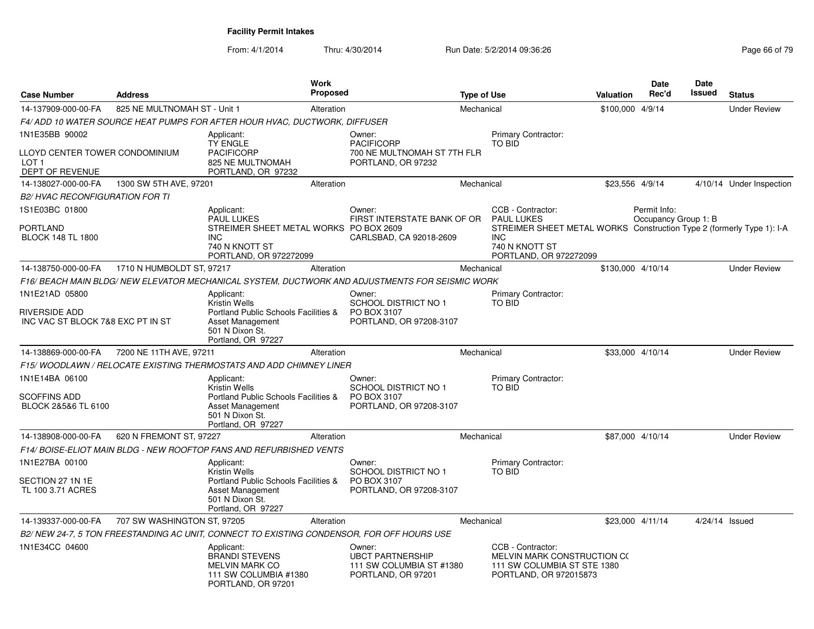| <b>Case Number</b>                                                    | <b>Address</b>               |                                                                                                             | Work<br>Proposed |                                                                                                 | <b>Type of Use</b> |                                                                                                                 | Valuation         | Date<br>Rec'd                        | Date<br>Issued | <b>Status</b>            |
|-----------------------------------------------------------------------|------------------------------|-------------------------------------------------------------------------------------------------------------|------------------|-------------------------------------------------------------------------------------------------|--------------------|-----------------------------------------------------------------------------------------------------------------|-------------------|--------------------------------------|----------------|--------------------------|
| 14-137909-000-00-FA                                                   | 825 NE MULTNOMAH ST - Unit 1 |                                                                                                             | Alteration       |                                                                                                 | Mechanical         |                                                                                                                 | \$100,000 4/9/14  |                                      |                | <b>Under Review</b>      |
|                                                                       |                              | F4/ ADD 10 WATER SOURCE HEAT PUMPS FOR AFTER HOUR HVAC, DUCTWORK, DIFFUSER                                  |                  |                                                                                                 |                    |                                                                                                                 |                   |                                      |                |                          |
| 1N1E35BB 90002                                                        |                              | Applicant:<br><b>TY ENGLE</b>                                                                               |                  | Owner:<br><b>PACIFICORP</b>                                                                     |                    | <b>Primary Contractor:</b><br><b>TO BID</b>                                                                     |                   |                                      |                |                          |
| LLOYD CENTER TOWER CONDOMINIUM<br>LOT <sub>1</sub><br>DEPT OF REVENUE |                              | <b>PACIFICORP</b><br>825 NE MULTNOMAH<br>PORTLAND, OR 97232                                                 |                  | 700 NE MULTNOMAH ST 7TH FLR<br>PORTLAND, OR 97232                                               |                    |                                                                                                                 |                   |                                      |                |                          |
| 14-138027-000-00-FA                                                   | 1300 SW 5TH AVE, 97201       |                                                                                                             | Alteration       |                                                                                                 | Mechanical         |                                                                                                                 | \$23,556 4/9/14   |                                      |                | 4/10/14 Under Inspection |
| <i>B2/ HVAC RECONFIGURATION FOR TI</i>                                |                              |                                                                                                             |                  |                                                                                                 |                    |                                                                                                                 |                   |                                      |                |                          |
| 1S1E03BC 01800<br>PORTLAND                                            |                              | Applicant:<br>PAUL LUKES<br>STREIMER SHEET METAL WORKS PO BOX 2609                                          |                  | Owner:<br>FIRST INTERSTATE BANK OF OR                                                           |                    | CCB - Contractor:<br><b>PAUL LUKES</b><br>STREIMER SHEET METAL WORKS Construction Type 2 (formerly Type 1): I-A |                   | Permit Info:<br>Occupancy Group 1: B |                |                          |
| <b>BLOCK 148 TL 1800</b>                                              |                              | <b>INC</b><br>740 N KNOTT ST<br>PORTLAND, OR 972272099                                                      |                  | CARLSBAD, CA 92018-2609                                                                         |                    | <b>INC</b><br>740 N KNOTT ST<br>PORTLAND, OR 972272099                                                          |                   |                                      |                |                          |
| 14-138750-000-00-FA                                                   | 1710 N HUMBOLDT ST, 97217    |                                                                                                             | Alteration       |                                                                                                 | Mechanical         |                                                                                                                 | \$130.000 4/10/14 |                                      |                | <b>Under Review</b>      |
|                                                                       |                              |                                                                                                             |                  | F16/ BEACH MAIN BLDG/ NEW ELEVATOR MECHANICAL SYSTEM. DUCTWORK AND ADJUSTMENTS FOR SEISMIC WORK |                    |                                                                                                                 |                   |                                      |                |                          |
| 1N1E21AD 05800                                                        |                              | Applicant:<br><b>Kristin Wells</b>                                                                          |                  | Owner:<br>SCHOOL DISTRICT NO 1                                                                  |                    | Primary Contractor:<br><b>TO BID</b>                                                                            |                   |                                      |                |                          |
| RIVERSIDE ADD<br>INC VAC ST BLOCK 7&8 EXC PT IN ST                    |                              | Portland Public Schools Facilities &<br>Asset Management<br>501 N Dixon St.<br>Portland, OR 97227           |                  | PO BOX 3107<br>PORTLAND, OR 97208-3107                                                          |                    |                                                                                                                 |                   |                                      |                |                          |
| 14-138869-000-00-FA                                                   | 7200 NE 11TH AVE, 97211      |                                                                                                             | Alteration       |                                                                                                 | Mechanical         |                                                                                                                 | \$33,000 4/10/14  |                                      |                | <b>Under Review</b>      |
|                                                                       |                              | F15/WOODLAWN / RELOCATE EXISTING THERMOSTATS AND ADD CHIMNEY LINER                                          |                  |                                                                                                 |                    |                                                                                                                 |                   |                                      |                |                          |
| 1N1E14BA 06100                                                        |                              | Applicant:<br>Kristin Wells                                                                                 |                  | Owner:<br><b>SCHOOL DISTRICT NO 1</b>                                                           |                    | Primary Contractor:<br><b>TO BID</b>                                                                            |                   |                                      |                |                          |
| SCOFFINS ADD<br>BLOCK 2&5&6 TL 6100                                   |                              | Portland Public Schools Facilities &<br><b>Asset Management</b><br>501 N Dixon St.<br>Portland, OR 97227    |                  | PO BOX 3107<br>PORTLAND, OR 97208-3107                                                          |                    |                                                                                                                 |                   |                                      |                |                          |
| 14-138908-000-00-FA                                                   | 620 N FREMONT ST, 97227      |                                                                                                             | Alteration       |                                                                                                 | Mechanical         |                                                                                                                 | \$87,000 4/10/14  |                                      |                | <b>Under Review</b>      |
|                                                                       |                              | F14/ BOISE-ELIOT MAIN BLDG - NEW ROOFTOP FANS AND REFURBISHED VENTS                                         |                  |                                                                                                 |                    |                                                                                                                 |                   |                                      |                |                          |
| 1N1E27BA 00100                                                        |                              | Applicant:<br>Kristin Wells                                                                                 |                  | Owner:<br><b>SCHOOL DISTRICT NO 1</b>                                                           |                    | Primary Contractor:<br>TO BID                                                                                   |                   |                                      |                |                          |
| SECTION 27 1N 1E<br>TL 100 3.71 ACRES                                 |                              | Portland Public Schools Facilities &<br>Asset Management<br>501 N Dixon St.<br>Portland, OR 97227           |                  | PO BOX 3107<br>PORTLAND, OR 97208-3107                                                          |                    |                                                                                                                 |                   |                                      |                |                          |
| 14-139337-000-00-FA                                                   | 707 SW WASHINGTON ST, 97205  |                                                                                                             | Alteration       |                                                                                                 | Mechanical         |                                                                                                                 | \$23,000 4/11/14  |                                      | 4/24/14 Issued |                          |
|                                                                       |                              |                                                                                                             |                  | B2/ NEW 24-7, 5 TON FREESTANDING AC UNIT, CONNECT TO EXISTING CONDENSOR, FOR OFF HOURS USE      |                    |                                                                                                                 |                   |                                      |                |                          |
| 1N1E34CC 04600                                                        |                              | Applicant:<br><b>BRANDI STEVENS</b><br><b>MELVIN MARK CO</b><br>111 SW COLUMBIA #1380<br>PORTLAND, OR 97201 |                  | Owner:<br><b>UBCT PARTNERSHIP</b><br>111 SW COLUMBIA ST #1380<br>PORTLAND, OR 97201             |                    | CCB - Contractor:<br>MELVIN MARK CONSTRUCTION CO<br>111 SW COLUMBIA ST STE 1380<br>PORTLAND, OR 972015873       |                   |                                      |                |                          |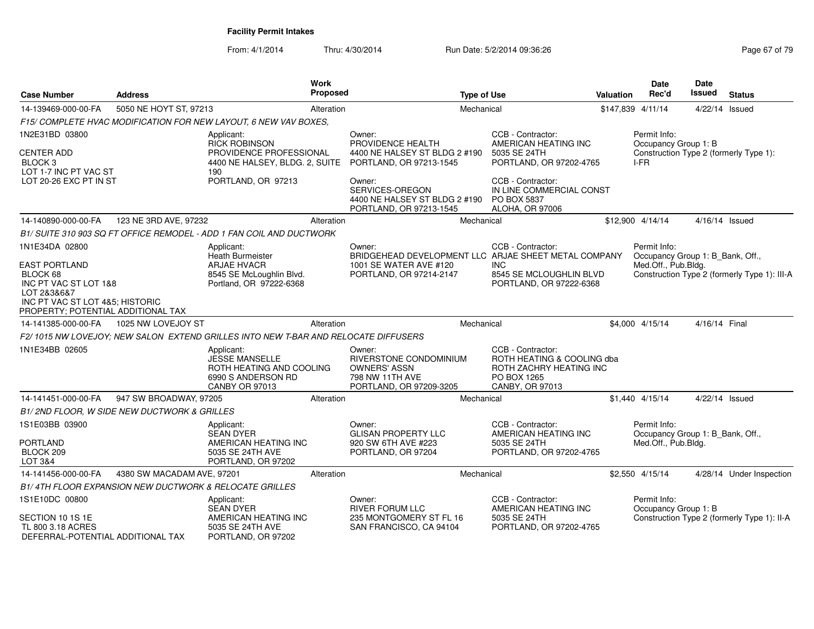| <b>Case Number</b>                                                         | <b>Address</b>                                         |                                                                                                                | Work<br><b>Proposed</b> |                                                                                                              | <b>Type of Use</b> |                                                                                                              | Valuation | <b>Date</b><br>Rec'd                             | Date<br>Issued | <b>Status</b>                                |
|----------------------------------------------------------------------------|--------------------------------------------------------|----------------------------------------------------------------------------------------------------------------|-------------------------|--------------------------------------------------------------------------------------------------------------|--------------------|--------------------------------------------------------------------------------------------------------------|-----------|--------------------------------------------------|----------------|----------------------------------------------|
| 14-139469-000-00-FA                                                        | 5050 NE HOYT ST, 97213                                 |                                                                                                                | Alteration              |                                                                                                              | Mechanical         |                                                                                                              |           | \$147,839 4/11/14                                | 4/22/14 Issued |                                              |
|                                                                            |                                                        | F15/ COMPLETE HVAC MODIFICATION FOR NEW LAYOUT, 6 NEW VAV BOXES,                                               |                         |                                                                                                              |                    |                                                                                                              |           |                                                  |                |                                              |
| 1N2E31BD 03800                                                             |                                                        | Applicant:<br><b>RICK ROBINSON</b>                                                                             |                         | Owner:<br>PROVIDENCE HEALTH                                                                                  |                    | CCB - Contractor:<br>AMERICAN HEATING INC                                                                    |           | Permit Info:<br>Occupancy Group 1: B             |                |                                              |
| <b>CENTER ADD</b><br>BLOCK <sub>3</sub><br>LOT 1-7 INC PT VAC ST           |                                                        | PROVIDENCE PROFESSIONAL<br>4400 NE HALSEY, BLDG. 2, SUITE<br>190                                               |                         | 4400 NE HALSEY ST BLDG 2 #190<br>PORTLAND, OR 97213-1545                                                     |                    | 5035 SE 24TH<br>PORTLAND, OR 97202-4765                                                                      |           | I-FR                                             |                | Construction Type 2 (formerly Type 1):       |
| LOT 20-26 EXC PT IN ST                                                     |                                                        | PORTLAND, OR 97213                                                                                             |                         | Owner:<br>SERVICES-OREGON<br>4400 NE HALSEY ST BLDG 2 #190<br>PORTLAND, OR 97213-1545                        |                    | CCB - Contractor:<br>IN LINE COMMERCIAL CONST<br>PO BOX 5837<br><b>ALOHA, OR 97006</b>                       |           |                                                  |                |                                              |
| 14-140890-000-00-FA                                                        | 123 NE 3RD AVE, 97232                                  |                                                                                                                | Alteration              |                                                                                                              | Mechanical         |                                                                                                              |           | \$12,900 4/14/14                                 | 4/16/14 Issued |                                              |
|                                                                            |                                                        | B1/ SUITE 310 903 SQ FT OFFICE REMODEL - ADD 1 FAN COIL AND DUCTWORK                                           |                         |                                                                                                              |                    |                                                                                                              |           |                                                  |                |                                              |
| 1N1E34DA 02800                                                             |                                                        | Applicant:<br>Heath Burmeister                                                                                 |                         | Owner:<br>BRIDGEHEAD DEVELOPMENT LLC ARJAE SHEET METAL COMPANY                                               |                    | CCB - Contractor:                                                                                            |           | Permit Info:<br>Occupancy Group 1: B_Bank, Off., |                |                                              |
| <b>EAST PORTLAND</b>                                                       |                                                        | <b>ARJAE HVACR</b>                                                                                             |                         | 1001 SE WATER AVE #120                                                                                       |                    | <b>INC</b>                                                                                                   |           | Med.Off., Pub.Bldg.                              |                |                                              |
| BLOCK 68<br>INC PT VAC ST LOT 1&8<br>LOT 2&3&6&7                           |                                                        | 8545 SE McLoughlin Blvd.<br>Portland, OR 97222-6368                                                            |                         | PORTLAND, OR 97214-2147                                                                                      |                    | 8545 SE MCLOUGHLIN BLVD<br>PORTLAND, OR 97222-6368                                                           |           |                                                  |                | Construction Type 2 (formerly Type 1): III-A |
| INC PT VAC ST LOT 4&5; HISTORIC<br>PROPERTY; POTENTIAL ADDITIONAL TAX      |                                                        |                                                                                                                |                         |                                                                                                              |                    |                                                                                                              |           |                                                  |                |                                              |
| 14-141385-000-00-FA                                                        | 1025 NW LOVEJOY ST                                     |                                                                                                                | Alteration              |                                                                                                              | Mechanical         |                                                                                                              |           | \$4,000 4/15/14                                  | 4/16/14 Final  |                                              |
|                                                                            |                                                        | F2/1015 NW LOVEJOY: NEW SALON EXTEND GRILLES INTO NEW T-BAR AND RELOCATE DIFFUSERS                             |                         |                                                                                                              |                    |                                                                                                              |           |                                                  |                |                                              |
| 1N1E34BB 02605                                                             |                                                        | Applicant:<br><b>JESSE MANSELLE</b><br>ROTH HEATING AND COOLING<br>6990 S ANDERSON RD<br><b>CANBY OR 97013</b> |                         | Owner:<br><b>RIVERSTONE CONDOMINIUM</b><br><b>OWNERS' ASSN</b><br>798 NW 11TH AVE<br>PORTLAND, OR 97209-3205 |                    | CCB - Contractor:<br>ROTH HEATING & COOLING dba<br>ROTH ZACHRY HEATING INC<br>PO BOX 1265<br>CANBY, OR 97013 |           |                                                  |                |                                              |
| 14-141451-000-00-FA                                                        | 947 SW BROADWAY, 97205                                 |                                                                                                                | Alteration              |                                                                                                              | Mechanical         |                                                                                                              |           | \$1,440 4/15/14                                  | 4/22/14 Issued |                                              |
|                                                                            | B1/2ND FLOOR, W SIDE NEW DUCTWORK & GRILLES            |                                                                                                                |                         |                                                                                                              |                    |                                                                                                              |           |                                                  |                |                                              |
| 1S1E03BB 03900                                                             |                                                        | Applicant:<br><b>SEAN DYER</b>                                                                                 |                         | Owner:<br><b>GLISAN PROPERTY LLC</b>                                                                         |                    | CCB - Contractor:<br>AMERICAN HEATING INC                                                                    |           | Permit Info:<br>Occupancy Group 1: B_Bank, Off., |                |                                              |
| PORTLAND<br>BLOCK 209<br>LOT 3&4                                           |                                                        | AMERICAN HEATING INC<br>5035 SE 24TH AVE<br>PORTLAND, OR 97202                                                 |                         | 920 SW 6TH AVE #223<br>PORTLAND, OR 97204                                                                    |                    | 5035 SE 24TH<br>PORTLAND, OR 97202-4765                                                                      |           | Med.Off., Pub.Bldg.                              |                |                                              |
| 14-141456-000-00-FA                                                        | 4380 SW MACADAM AVE, 97201                             |                                                                                                                | Alteration              |                                                                                                              | Mechanical         |                                                                                                              |           | \$2,550 4/15/14                                  |                | 4/28/14 Under Inspection                     |
|                                                                            | B1/4TH FLOOR EXPANSION NEW DUCTWORK & RELOCATE GRILLES |                                                                                                                |                         |                                                                                                              |                    |                                                                                                              |           |                                                  |                |                                              |
| 1S1E10DC 00800                                                             |                                                        | Applicant:<br><b>SEAN DYER</b>                                                                                 |                         | Owner:<br><b>RIVER FORUM LLC</b>                                                                             |                    | CCB - Contractor:<br>AMERICAN HEATING INC                                                                    |           | Permit Info:<br>Occupancy Group 1: B             |                |                                              |
| SECTION 10 1S 1E<br>TL 800 3.18 ACRES<br>DEFERRAL-POTENTIAL ADDITIONAL TAX |                                                        | AMERICAN HEATING INC<br>5035 SE 24TH AVE<br>PORTLAND, OR 97202                                                 |                         | 235 MONTGOMERY ST FL 16<br>SAN FRANCISCO, CA 94104                                                           |                    | 5035 SE 24TH<br>PORTLAND, OR 97202-4765                                                                      |           |                                                  |                | Construction Type 2 (formerly Type 1): II-A  |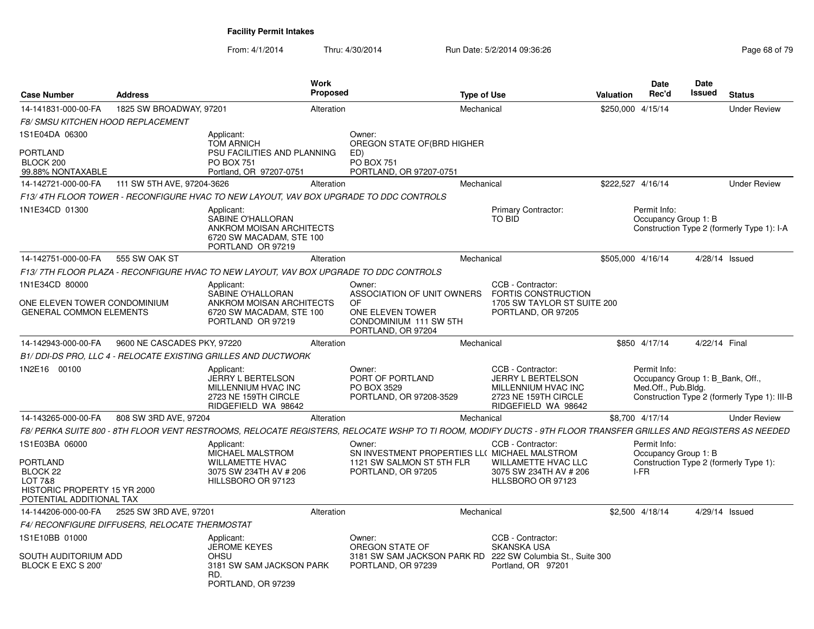| <b>Case Number</b>                                                                         | <b>Address</b>                                 |                                                                                                              | <b>Work</b><br>Proposed |                                                                                                                                                                 | <b>Type of Use</b> |                                                                                                                     | <b>Valuation</b> | Date<br>Rec'd                                                           | <b>Date</b><br>Issued | <b>Status</b>                                |
|--------------------------------------------------------------------------------------------|------------------------------------------------|--------------------------------------------------------------------------------------------------------------|-------------------------|-----------------------------------------------------------------------------------------------------------------------------------------------------------------|--------------------|---------------------------------------------------------------------------------------------------------------------|------------------|-------------------------------------------------------------------------|-----------------------|----------------------------------------------|
| 14-141831-000-00-FA                                                                        | 1825 SW BROADWAY, 97201                        |                                                                                                              | Alteration              |                                                                                                                                                                 | Mechanical         |                                                                                                                     |                  | \$250,000 4/15/14                                                       |                       | <b>Under Review</b>                          |
| <b>F8/ SMSU KITCHEN HOOD REPLACEMENT</b>                                                   |                                                |                                                                                                              |                         |                                                                                                                                                                 |                    |                                                                                                                     |                  |                                                                         |                       |                                              |
| 1S1E04DA 06300                                                                             |                                                | Applicant:<br><b>TOM ARNICH</b>                                                                              |                         | Owner:<br>OREGON STATE OF (BRD HIGHER                                                                                                                           |                    |                                                                                                                     |                  |                                                                         |                       |                                              |
| PORTLAND<br>BLOCK 200<br>99.88% NONTAXABLE                                                 |                                                | PSU FACILITIES AND PLANNING<br><b>PO BOX 751</b><br>Portland, OR 97207-0751                                  |                         | ED)<br><b>PO BOX 751</b><br>PORTLAND, OR 97207-0751                                                                                                             |                    |                                                                                                                     |                  |                                                                         |                       |                                              |
| 14-142721-000-00-FA                                                                        | 111 SW 5TH AVE, 97204-3626                     |                                                                                                              | Alteration              |                                                                                                                                                                 | Mechanical         |                                                                                                                     |                  | \$222,527 4/16/14                                                       |                       | <b>Under Review</b>                          |
|                                                                                            |                                                | F13/4TH FLOOR TOWER - RECONFIGURE HVAC TO NEW LAYOUT, VAV BOX UPGRADE TO DDC CONTROLS                        |                         |                                                                                                                                                                 |                    |                                                                                                                     |                  |                                                                         |                       |                                              |
| 1N1E34CD 01300                                                                             |                                                | Applicant:<br>SABINE O'HALLORAN<br>ANKROM MOISAN ARCHITECTS<br>6720 SW MACADAM, STE 100<br>PORTLAND OR 97219 |                         |                                                                                                                                                                 |                    | Primary Contractor:<br><b>TO BID</b>                                                                                |                  | Permit Info:<br>Occupancy Group 1: B                                    |                       | Construction Type 2 (formerly Type 1): I-A   |
| 14-142751-000-00-FA                                                                        | 555 SW OAK ST                                  |                                                                                                              | Alteration              |                                                                                                                                                                 | Mechanical         |                                                                                                                     |                  | \$505,000 4/16/14                                                       |                       | 4/28/14 Issued                               |
|                                                                                            |                                                | F13/7TH FLOOR PLAZA - RECONFIGURE HVAC TO NEW LAYOUT, VAV BOX UPGRADE TO DDC CONTROLS                        |                         |                                                                                                                                                                 |                    |                                                                                                                     |                  |                                                                         |                       |                                              |
| 1N1E34CD 80000                                                                             |                                                | Applicant:                                                                                                   |                         | Owner:                                                                                                                                                          |                    | CCB - Contractor:                                                                                                   |                  |                                                                         |                       |                                              |
| ONE ELEVEN TOWER CONDOMINIUM<br><b>GENERAL COMMON ELEMENTS</b>                             |                                                | SABINE O'HALLORAN<br>ANKROM MOISAN ARCHITECTS<br>6720 SW MACADAM, STE 100<br>PORTLAND OR 97219               |                         | ASSOCIATION OF UNIT OWNERS<br>OF<br>ONE ELEVEN TOWER<br>CONDOMINIUM 111 SW 5TH<br>PORTLAND, OR 97204                                                            |                    | FORTIS CONSTRUCTION<br>1705 SW TAYLOR ST SUITE 200<br>PORTLAND, OR 97205                                            |                  |                                                                         |                       |                                              |
| 14-142943-000-00-FA                                                                        | 9600 NE CASCADES PKY, 97220                    |                                                                                                              | Alteration              |                                                                                                                                                                 | Mechanical         |                                                                                                                     |                  | \$850 4/17/14                                                           | 4/22/14 Final         |                                              |
|                                                                                            |                                                | B1/DDI-DS PRO, LLC 4 - RELOCATE EXISTING GRILLES AND DUCTWORK                                                |                         |                                                                                                                                                                 |                    |                                                                                                                     |                  |                                                                         |                       |                                              |
| 1N2E16 00100                                                                               |                                                | Applicant:<br><b>JERRY L BERTELSON</b><br>MILLENNIUM HVAC INC<br>2723 NE 159TH CIRCLE<br>RIDGEFIELD WA 98642 |                         | Owner:<br>PORT OF PORTLAND<br>PO BOX 3529<br>PORTLAND, OR 97208-3529                                                                                            |                    | CCB - Contractor:<br><b>JERRY L BERTELSON</b><br>MILLENNIUM HVAC INC<br>2723 NE 159TH CIRCLE<br>RIDGEFIELD WA 98642 |                  | Permit Info:<br>Occupancy Group 1: B_Bank, Off.,<br>Med.Off., Pub.Bldg. |                       | Construction Type 2 (formerly Type 1): III-B |
| 14-143265-000-00-FA                                                                        | 808 SW 3RD AVE, 97204                          |                                                                                                              | Alteration              |                                                                                                                                                                 | Mechanical         |                                                                                                                     |                  | \$8,700 4/17/14                                                         |                       | <b>Under Review</b>                          |
|                                                                                            |                                                |                                                                                                              |                         | F8/ PERKA SUITE 800 - 8TH FLOOR VENT RESTROOMS, RELOCATE REGISTERS, RELOCATE WSHP TO TI ROOM, MODIFY DUCTS - 9TH FLOOR TRANSFER GRILLES AND REGISTERS AS NEEDED |                    |                                                                                                                     |                  |                                                                         |                       |                                              |
| 1S1E03BA 06000<br>PORTLAND                                                                 |                                                | Applicant:<br>MICHAEL MALSTROM<br><b>WILLAMETTE HVAC</b>                                                     |                         | Owner:<br>SN INVESTMENT PROPERTIES LL( MICHAEL MALSTROM<br>1121 SW SALMON ST 5TH FLR                                                                            |                    | CCB - Contractor:<br>WILLAMETTE HVAC LLC                                                                            |                  | Permit Info:<br>Occupancy Group 1: B                                    |                       | Construction Type 2 (formerly Type 1):       |
| BLOCK <sub>22</sub><br>LOT 7&8<br>HISTORIC PROPERTY 15 YR 2000<br>POTENTIAL ADDITIONAL TAX |                                                | 3075 SW 234TH AV # 206<br>HILLSBORO OR 97123                                                                 |                         | PORTLAND, OR 97205                                                                                                                                              |                    | 3075 SW 234TH AV # 206<br>HLLSBORO OR 97123                                                                         |                  | I-FR                                                                    |                       |                                              |
| 14-144206-000-00-FA                                                                        | 2525 SW 3RD AVE, 97201                         |                                                                                                              | Alteration              |                                                                                                                                                                 | Mechanical         |                                                                                                                     |                  | \$2,500 4/18/14                                                         | 4/29/14 Issued        |                                              |
|                                                                                            | F4/ RECONFIGURE DIFFUSERS, RELOCATE THERMOSTAT |                                                                                                              |                         |                                                                                                                                                                 |                    |                                                                                                                     |                  |                                                                         |                       |                                              |
| 1S1E10BB 01000                                                                             |                                                | Applicant:                                                                                                   |                         | Owner:                                                                                                                                                          |                    | CCB - Contractor:                                                                                                   |                  |                                                                         |                       |                                              |
| SOUTH AUDITORIUM ADD<br>BLOCK E EXC S 200'                                                 |                                                | <b>JEROME KEYES</b><br><b>OHSU</b><br>3181 SW SAM JACKSON PARK<br>RD.<br>PORTLAND, OR 97239                  |                         | OREGON STATE OF<br>PORTLAND, OR 97239                                                                                                                           |                    | <b>SKANSKA USA</b><br>3181 SW SAM JACKSON PARK RD 222 SW Columbia St., Suite 300<br>Portland, OR 97201              |                  |                                                                         |                       |                                              |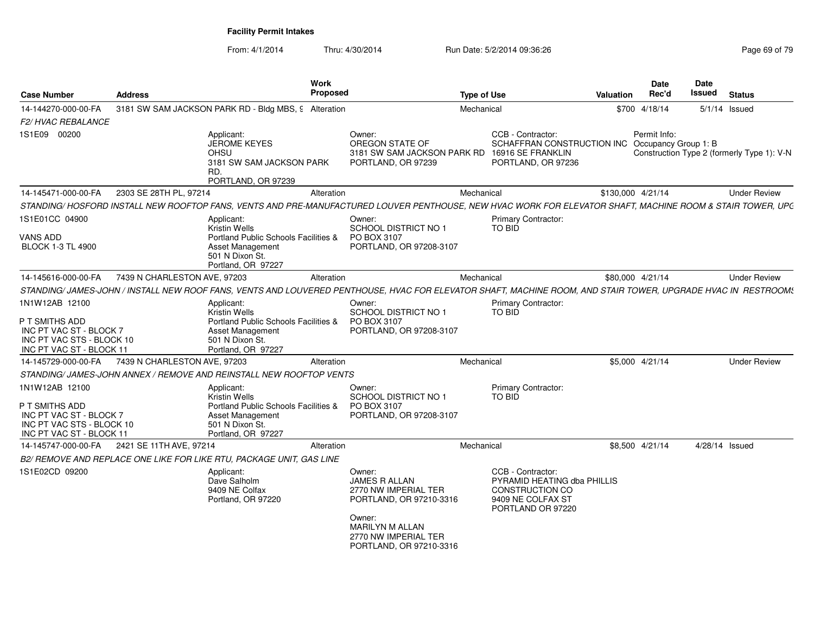| 14-144270-000-00-FA<br>3181 SW SAM JACKSON PARK RD - Bldg MBS, 9 Alteration<br>Mechanical<br>\$700 4/18/14<br>$5/1/14$ Issued<br>F2/HVAC REBALANCE<br>1S1E09 00200<br>CCB - Contractor:<br>Permit Info:<br>Applicant:<br>Owner:<br>OREGON STATE OF<br>SCHAFFRAN CONSTRUCTION INC Occupancy Group 1: B<br><b>JEROME KEYES</b><br><b>OHSU</b><br>3181 SW SAM JACKSON PARK RD<br>16916 SE FRANKLIN<br>3181 SW SAM JACKSON PARK<br>PORTLAND, OR 97239<br>PORTLAND, OR 97236<br>RD.<br>PORTLAND, OR 97239<br>2303 SE 28TH PL, 97214<br>14-145471-000-00-FA<br>Alteration<br>Mechanical<br>\$130,000 4/21/14<br><b>Under Review</b> |
|-------------------------------------------------------------------------------------------------------------------------------------------------------------------------------------------------------------------------------------------------------------------------------------------------------------------------------------------------------------------------------------------------------------------------------------------------------------------------------------------------------------------------------------------------------------------------------------------------------------------------------|
|                                                                                                                                                                                                                                                                                                                                                                                                                                                                                                                                                                                                                               |
| Construction Type 2 (formerly Type 1): V-N                                                                                                                                                                                                                                                                                                                                                                                                                                                                                                                                                                                    |
| STANDING/ HOSFORD INSTALL NEW ROOFTOP FANS, VENTS AND PRE-MANUFACTURED LOUVER PENTHOUSE, NEW HVAC WORK FOR ELEVATOR SHAFT, MACHINE ROOM & STAIR TOWER, UPC                                                                                                                                                                                                                                                                                                                                                                                                                                                                    |
|                                                                                                                                                                                                                                                                                                                                                                                                                                                                                                                                                                                                                               |
|                                                                                                                                                                                                                                                                                                                                                                                                                                                                                                                                                                                                                               |
| 1S1E01CC 04900<br>Primary Contractor:<br>Applicant:<br>Owner:<br><b>Kristin Wells</b><br><b>SCHOOL DISTRICT NO 1</b><br><b>TO BID</b>                                                                                                                                                                                                                                                                                                                                                                                                                                                                                         |
| <b>VANS ADD</b><br>Portland Public Schools Facilities &<br>PO BOX 3107<br>PORTLAND, OR 97208-3107<br><b>BLOCK 1-3 TL 4900</b><br>Asset Management<br>501 N Dixon St.<br>Portland, OR 97227                                                                                                                                                                                                                                                                                                                                                                                                                                    |
| 7439 N CHARLESTON AVE, 97203<br>14-145616-000-00-FA<br>Alteration<br>Mechanical<br>\$80,000 4/21/14<br><b>Under Review</b>                                                                                                                                                                                                                                                                                                                                                                                                                                                                                                    |
| STANDING/ JAMES-JOHN / INSTALL NEW ROOF FANS, VENTS AND LOUVERED PENTHOUSE, HVAC FOR ELEVATOR SHAFT, MACHINE ROOM, AND STAIR TOWER, UPGRADE HVAC IN RESTROOM:                                                                                                                                                                                                                                                                                                                                                                                                                                                                 |
| 1N1W12AB 12100<br><b>Primary Contractor:</b><br>Applicant:<br>Owner:<br>Kristin Wells<br><b>SCHOOL DISTRICT NO 1</b><br>TO BID<br>Portland Public Schools Facilities &<br>P T SMITHS ADD<br>PO BOX 3107<br>INC PT VAC ST - BLOCK 7<br><b>Asset Management</b><br>PORTLAND, OR 97208-3107<br>INC PT VAC STS - BLOCK 10<br>501 N Dixon St.<br>INC PT VAC ST - BLOCK 11<br>Portland, OR 97227                                                                                                                                                                                                                                    |
| 7439 N CHARLESTON AVE, 97203<br><b>Under Review</b><br>14-145729-000-00-FA<br>Alteration<br>Mechanical<br>\$5,000 4/21/14                                                                                                                                                                                                                                                                                                                                                                                                                                                                                                     |
| STANDING/JAMES-JOHN ANNEX / REMOVE AND REINSTALL NEW ROOFTOP VENTS                                                                                                                                                                                                                                                                                                                                                                                                                                                                                                                                                            |
| 1N1W12AB 12100<br>Primary Contractor:<br>Applicant:<br>Owner:<br><b>SCHOOL DISTRICT NO 1</b><br><b>Kristin Wells</b><br>TO BID<br>P T SMITHS ADD<br>Portland Public Schools Facilities &<br>PO BOX 3107<br>INC PT VAC ST - BLOCK 7<br>Asset Management<br>PORTLAND, OR 97208-3107<br>INC PT VAC STS - BLOCK 10<br>501 N Dixon St<br>INC PT VAC ST - BLOCK 11<br>Portland, OR 97227                                                                                                                                                                                                                                            |
| 2421 SE 11TH AVE, 97214<br>Mechanical<br>\$8,500 4/21/14<br>4/28/14 Issued<br>14-145747-000-00-FA<br>Alteration                                                                                                                                                                                                                                                                                                                                                                                                                                                                                                               |
| B2/ REMOVE AND REPLACE ONE LIKE FOR LIKE RTU, PACKAGE UNIT, GAS LINE                                                                                                                                                                                                                                                                                                                                                                                                                                                                                                                                                          |
| 1S1E02CD 09200<br>CCB - Contractor:<br>Applicant:<br>Owner:<br>Dave Salholm<br><b>JAMES R ALLAN</b><br>PYRAMID HEATING dba PHILLIS<br>9409 NE Colfax<br>2770 NW IMPERIAL TER<br>CONSTRUCTION CO<br>9409 NE COLFAX ST<br>Portland, OR 97220<br>PORTLAND, OR 97210-3316<br>PORTLAND OR 97220<br>Owner:<br><b>MARILYN M ALLAN</b><br>2770 NW IMPERIAL TER<br>PORTLAND, OR 97210-3316                                                                                                                                                                                                                                             |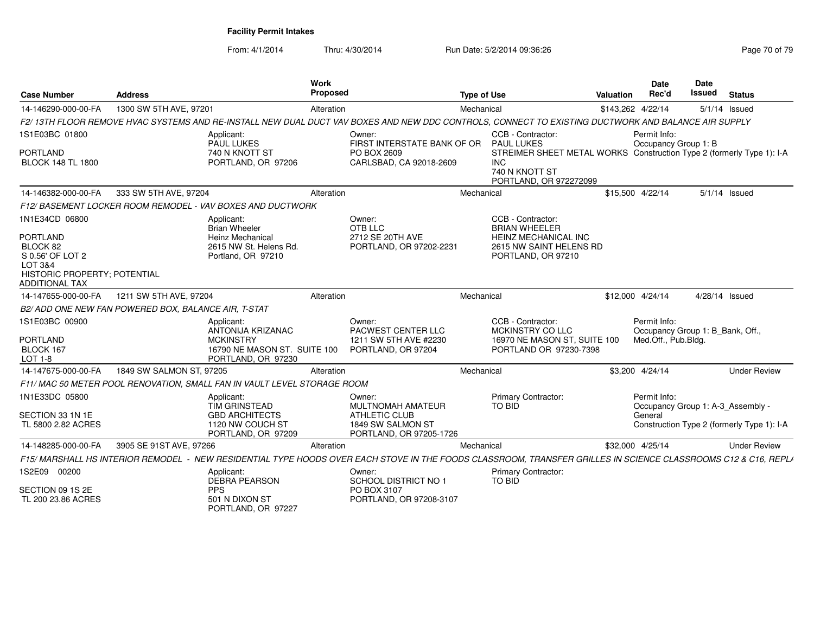| <b>Case Number</b>                                                                                                                        | <b>Address</b>                                      |                                                                                                                  | <b>Work</b><br>Proposed |                                                                                                     | <b>Type of Use</b> |                                                                                                                                                                    | Valuation | <b>Date</b><br>Rec'd                                                    | <b>Date</b><br>Issued | <b>Status</b>                              |
|-------------------------------------------------------------------------------------------------------------------------------------------|-----------------------------------------------------|------------------------------------------------------------------------------------------------------------------|-------------------------|-----------------------------------------------------------------------------------------------------|--------------------|--------------------------------------------------------------------------------------------------------------------------------------------------------------------|-----------|-------------------------------------------------------------------------|-----------------------|--------------------------------------------|
| 14-146290-000-00-FA                                                                                                                       | 1300 SW 5TH AVE, 97201                              |                                                                                                                  | Alteration              |                                                                                                     | Mechanical         |                                                                                                                                                                    |           | \$143,262 4/22/14                                                       |                       | $5/1/14$ Issued                            |
|                                                                                                                                           |                                                     |                                                                                                                  |                         |                                                                                                     |                    | F2/13TH FLOOR REMOVE HVAC SYSTEMS AND RE-INSTALL NEW DUAL DUCT VAV BOXES AND NEW DDC CONTROLS, CONNECT TO EXISTING DUCTWORK AND BALANCE AIR SUPPLY                 |           |                                                                         |                       |                                            |
| 1S1E03BC 01800<br>PORTLAND<br><b>BLOCK 148 TL 1800</b>                                                                                    |                                                     | Applicant:<br>PAUL LUKES<br>740 N KNOTT ST<br>PORTLAND, OR 97206                                                 |                         | Owner:<br>FIRST INTERSTATE BANK OF OR<br>PO BOX 2609<br>CARLSBAD, CA 92018-2609                     |                    | CCB - Contractor:<br><b>PAUL LUKES</b><br>STREIMER SHEET METAL WORKS Construction Type 2 (formerly Type 1): I-A<br>INC<br>740 N KNOTT ST<br>PORTLAND, OR 972272099 |           | Permit Info:<br>Occupancy Group 1: B                                    |                       |                                            |
| 14-146382-000-00-FA                                                                                                                       | 333 SW 5TH AVE, 97204                               |                                                                                                                  | Alteration              |                                                                                                     | Mechanical         |                                                                                                                                                                    |           | \$15,500 4/22/14                                                        |                       | 5/1/14 Issued                              |
| <b>F12/ BASEMENT LOCKER ROOM REMODEL</b>                                                                                                  |                                                     | . - VAV BOXES AND DUCTWORK                                                                                       |                         |                                                                                                     |                    |                                                                                                                                                                    |           |                                                                         |                       |                                            |
| 1N1E34CD 06800<br>PORTLAND<br>BLOCK 82<br>S 0.56' OF LOT 2<br><b>LOT 3&amp;4</b><br>HISTORIC PROPERTY; POTENTIAL<br><b>ADDITIONAL TAX</b> |                                                     | Applicant:<br><b>Brian Wheeler</b><br>Heinz Mechanical<br>2615 NW St. Helens Rd.<br>Portland, OR 97210           |                         | Owner:<br>OTB LLC<br>2712 SE 20TH AVE<br>PORTLAND, OR 97202-2231                                    |                    | CCB - Contractor:<br><b>BRIAN WHEELER</b><br>HEINZ MECHANICAL INC<br>2615 NW SAINT HELENS RD<br>PORTLAND, OR 97210                                                 |           |                                                                         |                       |                                            |
| 14-147655-000-00-FA                                                                                                                       | 1211 SW 5TH AVE, 97204                              |                                                                                                                  | Alteration              |                                                                                                     | Mechanical         |                                                                                                                                                                    |           | \$12,000 4/24/14                                                        | 4/28/14 Issued        |                                            |
|                                                                                                                                           | B2/ADD ONE NEW FAN POWERED BOX, BALANCE AIR, T-STAT |                                                                                                                  |                         |                                                                                                     |                    |                                                                                                                                                                    |           |                                                                         |                       |                                            |
| 1S1E03BC 00900<br>PORTLAND<br>BLOCK 167<br>LOT 1-8                                                                                        |                                                     | Applicant:<br><b>ANTONIJA KRIZANAC</b><br><b>MCKINSTRY</b><br>16790 NE MASON ST. SUITE 100<br>PORTLAND, OR 97230 |                         | Owner:<br>PACWEST CENTER LLC<br>1211 SW 5TH AVE #2230<br>PORTLAND, OR 97204                         |                    | CCB - Contractor:<br>MCKINSTRY CO LLC<br>16970 NE MASON ST, SUITE 100<br>PORTLAND OR 97230-7398                                                                    |           | Permit Info:<br>Occupancy Group 1: B_Bank, Off.,<br>Med.Off., Pub.Bldg. |                       |                                            |
| 14-147675-000-00-FA                                                                                                                       | 1849 SW SALMON ST, 97205                            |                                                                                                                  | Alteration              |                                                                                                     | Mechanical         |                                                                                                                                                                    |           | \$3,200 4/24/14                                                         |                       | <b>Under Review</b>                        |
|                                                                                                                                           |                                                     | F11/ MAC 50 METER POOL RENOVATION. SMALL FAN IN VAULT LEVEL STORAGE ROOM                                         |                         |                                                                                                     |                    |                                                                                                                                                                    |           |                                                                         |                       |                                            |
| 1N1E33DC 05800<br>SECTION 33 1N 1E<br>TL 5800 2.82 ACRES                                                                                  |                                                     | Applicant:<br>TIM GRINSTEAD<br><b>GBD ARCHITECTS</b><br>1120 NW COUCH ST<br>PORTLAND, OR 97209                   |                         | Owner:<br>MULTNOMAH AMATEUR<br><b>ATHLETIC CLUB</b><br>1849 SW SALMON ST<br>PORTLAND, OR 97205-1726 |                    | <b>Primary Contractor:</b><br><b>TO BID</b>                                                                                                                        |           | Permit Info:<br>Occupancy Group 1: A-3 Assembly -<br>General            |                       | Construction Type 2 (formerly Type 1): I-A |
| 14-148285-000-00-FA                                                                                                                       | 3905 SE 91ST AVE, 97266                             |                                                                                                                  | Alteration              |                                                                                                     | Mechanical         |                                                                                                                                                                    |           | \$32,000 4/25/14                                                        |                       | <b>Under Review</b>                        |
| <b>F15/ MARSHALL HS INTERIOR REMODEL</b>                                                                                                  |                                                     |                                                                                                                  |                         |                                                                                                     |                    | NEW RESIDENTIAL TYPE HOODS OVER EACH STOVE IN THE FOODS CLASSROOM. TRANSFER GRILLES IN SCIENCE CLASSROOMS C12 & C16. REPLA                                         |           |                                                                         |                       |                                            |
| 1S2E09 00200                                                                                                                              |                                                     | Applicant:<br><b>DEBRA PEARSON</b>                                                                               |                         | Owner:<br><b>SCHOOL DISTRICT NO 1</b>                                                               |                    | <b>Primary Contractor:</b><br>TO BID                                                                                                                               |           |                                                                         |                       |                                            |
| SECTION 09 1S 2E<br>TL 200 23.86 ACRES                                                                                                    |                                                     | <b>PPS</b><br>501 N DIXON ST<br>PORTLAND, OR 97227                                                               |                         | PO BOX 3107<br>PORTLAND, OR 97208-3107                                                              |                    |                                                                                                                                                                    |           |                                                                         |                       |                                            |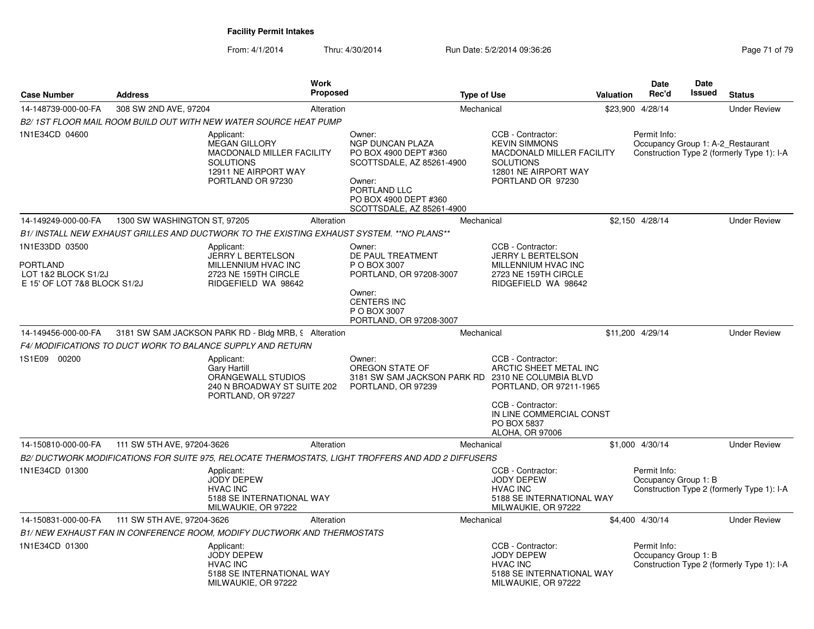| <b>Case Number</b>                                                                       | <b>Address</b>               | <b>Work</b>                                                                                                                             | Proposed         |                                                                                                                                                     | <b>Type of Use</b>                                                                                                            |                                  | Valuation | <b>Date</b><br>Rec'd                              | Date<br>Issued | <b>Status</b>                              |
|------------------------------------------------------------------------------------------|------------------------------|-----------------------------------------------------------------------------------------------------------------------------------------|------------------|-----------------------------------------------------------------------------------------------------------------------------------------------------|-------------------------------------------------------------------------------------------------------------------------------|----------------------------------|-----------|---------------------------------------------------|----------------|--------------------------------------------|
| 14-148739-000-00-FA                                                                      | 308 SW 2ND AVE, 97204        | Alteration                                                                                                                              |                  |                                                                                                                                                     | Mechanical                                                                                                                    |                                  | \$23,900  | 4/28/14                                           |                | <b>Under Review</b>                        |
|                                                                                          |                              | B2/1ST FLOOR MAIL ROOM BUILD OUT WITH NEW WATER SOURCE HEAT PUMP                                                                        |                  |                                                                                                                                                     |                                                                                                                               |                                  |           |                                                   |                |                                            |
| 1N1E34CD 04600                                                                           |                              | Applicant:<br><b>MEGAN GILLORY</b><br><b>MACDONALD MILLER FACILITY</b><br><b>SOLUTIONS</b><br>12911 NE AIRPORT WAY<br>PORTLAND OR 97230 | Owner:<br>Owner: | <b>NGP DUNCAN PLAZA</b><br>PO BOX 4900 DEPT #360<br>SCOTTSDALE, AZ 85261-4900<br>PORTLAND LLC<br>PO BOX 4900 DEPT #360<br>SCOTTSDALE, AZ 85261-4900 | CCB - Contractor:<br><b>KEVIN SIMMONS</b><br><b>SOLUTIONS</b><br>12801 NE AIRPORT WAY<br>PORTLAND OR 97230                    | <b>MACDONALD MILLER FACILITY</b> |           | Permit Info:<br>Occupancy Group 1: A-2 Restaurant |                | Construction Type 2 (formerly Type 1): I-A |
| 14-149249-000-00-FA                                                                      | 1300 SW WASHINGTON ST, 97205 |                                                                                                                                         | Alteration       |                                                                                                                                                     | Mechanical                                                                                                                    |                                  |           | \$2,150 4/28/14                                   |                | <b>Under Review</b>                        |
|                                                                                          |                              | B1/ INSTALL NEW EXHAUST GRILLES AND DUCTWORK TO THE EXISTING EXHAUST SYSTEM. **NO PLANS**                                               |                  |                                                                                                                                                     |                                                                                                                               |                                  |           |                                                   |                |                                            |
| 1N1E33DD 03500<br><b>PORTLAND</b><br>LOT 1&2 BLOCK S1/2J<br>E 15' OF LOT 7&8 BLOCK S1/2J |                              | Applicant:<br><b>JERRY L BERTELSON</b><br>MILLENNIUM HVAC INC<br>2723 NE 159TH CIRCLE<br>RIDGEFIELD WA 98642                            | Owner:<br>Owner: | DE PAUL TREATMENT<br>P O BOX 3007<br>PORTLAND, OR 97208-3007<br><b>CENTERS INC</b><br>P O BOX 3007<br>PORTLAND, OR 97208-3007                       | CCB - Contractor:<br><b>JERRY L BERTELSON</b><br>MILLENNIUM HVAC INC<br>2723 NE 159TH CIRCLE<br>RIDGEFIELD WA 98642           |                                  |           |                                                   |                |                                            |
| 14-149456-000-00-FA                                                                      |                              | 3181 SW SAM JACKSON PARK RD - Bldg MRB, § Alteration                                                                                    |                  |                                                                                                                                                     | Mechanical                                                                                                                    |                                  |           | \$11.200 4/29/14                                  |                | <b>Under Review</b>                        |
|                                                                                          |                              | F4/ MODIFICATIONS TO DUCT WORK TO BALANCE SUPPLY AND RETURN                                                                             |                  |                                                                                                                                                     |                                                                                                                               |                                  |           |                                                   |                |                                            |
| 1S1E09 00200                                                                             |                              | Applicant:<br><b>Gary Hartill</b><br>ORANGEWALL STUDIOS<br>240 N BROADWAY ST SUITE 202<br>PORTLAND, OR 97227                            | Owner:           | OREGON STATE OF<br>3181 SW SAM JACKSON PARK RD 2310 NE COLUMBIA BLVD<br>PORTLAND, OR 97239                                                          | CCB - Contractor:<br>ARCTIC SHEET METAL INC<br>PORTLAND, OR 97211-1965<br>CCB - Contractor:<br>PO BOX 5837<br>ALOHA, OR 97006 | IN LINE COMMERCIAL CONST         |           |                                                   |                |                                            |
| 14-150810-000-00-FA                                                                      | 111 SW 5TH AVE, 97204-3626   |                                                                                                                                         | Alteration       |                                                                                                                                                     | Mechanical                                                                                                                    |                                  |           | \$1,000 4/30/14                                   |                | <b>Under Review</b>                        |
|                                                                                          |                              | B2/ DUCTWORK MODIFICATIONS FOR SUITE 975, RELOCATE THERMOSTATS, LIGHT TROFFERS AND ADD 2 DIFFUSERS                                      |                  |                                                                                                                                                     |                                                                                                                               |                                  |           |                                                   |                |                                            |
| 1N1E34CD 01300                                                                           |                              | Applicant:<br><b>JODY DEPEW</b><br><b>HVAC INC</b><br>5188 SE INTERNATIONAL WAY<br>MILWAUKIE, OR 97222                                  |                  |                                                                                                                                                     | CCB - Contractor:<br><b>JODY DEPEW</b><br><b>HVAC INC</b><br>MILWAUKIE, OR 97222                                              | 5188 SE INTERNATIONAL WAY        |           | Permit Info:<br>Occupancy Group 1: B              |                | Construction Type 2 (formerly Type 1): I-A |
| 14-150831-000-00-FA                                                                      | 111 SW 5TH AVE, 97204-3626   |                                                                                                                                         | Alteration       |                                                                                                                                                     | Mechanical                                                                                                                    |                                  |           | \$4,400 4/30/14                                   |                | <b>Under Review</b>                        |
|                                                                                          |                              | B1/NEW EXHAUST FAN IN CONFERENCE ROOM, MODIFY DUCTWORK AND THERMOSTATS                                                                  |                  |                                                                                                                                                     |                                                                                                                               |                                  |           |                                                   |                |                                            |
| 1N1E34CD 01300                                                                           |                              | Applicant:<br><b>JODY DEPEW</b><br><b>HVAC INC</b><br>5188 SE INTERNATIONAL WAY<br>MILWAUKIE, OR 97222                                  |                  |                                                                                                                                                     | CCB - Contractor:<br><b>JODY DEPEW</b><br><b>HVAC INC</b><br>MILWAUKIE, OR 97222                                              | 5188 SE INTERNATIONAL WAY        |           | Permit Info:<br>Occupancy Group 1: B              |                | Construction Type 2 (formerly Type 1): I-A |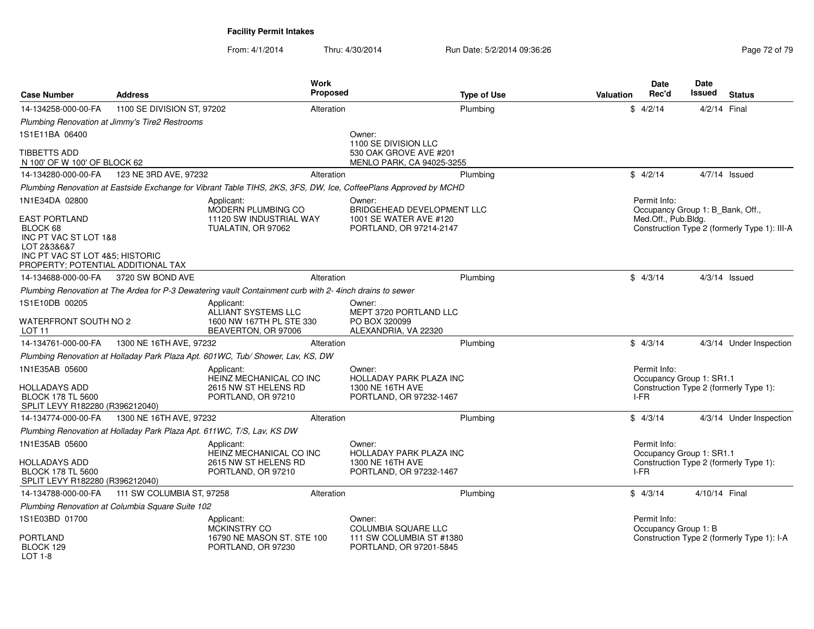| <b>Case Number</b>                                                                                                                                | <b>Address</b>                                                         | Work<br>Proposed                                                                                                 |                                                                                  | <b>Type of Use</b> | Valuation | <b>Date</b><br>Rec'd                             | Date<br>Issued | <b>Status</b>                                |
|---------------------------------------------------------------------------------------------------------------------------------------------------|------------------------------------------------------------------------|------------------------------------------------------------------------------------------------------------------|----------------------------------------------------------------------------------|--------------------|-----------|--------------------------------------------------|----------------|----------------------------------------------|
| 14-134258-000-00-FA                                                                                                                               | 1100 SE DIVISION ST, 97202                                             | Alteration                                                                                                       |                                                                                  | Plumbing           |           | \$4/2/14                                         | 4/2/14 Final   |                                              |
|                                                                                                                                                   | Plumbing Renovation at Jimmy's Tire2 Restrooms                         |                                                                                                                  |                                                                                  |                    |           |                                                  |                |                                              |
| 1S1E11BA 06400                                                                                                                                    |                                                                        |                                                                                                                  | Owner:                                                                           |                    |           |                                                  |                |                                              |
| TIBBETTS ADD<br>N 100' OF W 100' OF BLOCK 62                                                                                                      |                                                                        |                                                                                                                  | 1100 SE DIVISION LLC<br>530 OAK GROVE AVE #201<br>MENLO PARK, CA 94025-3255      |                    |           |                                                  |                |                                              |
| 14-134280-000-00-FA                                                                                                                               | 123 NE 3RD AVE, 97232                                                  | Alteration                                                                                                       |                                                                                  | Plumbina           |           | \$4/2/14                                         |                | $4/7/14$ Issued                              |
|                                                                                                                                                   |                                                                        | Plumbing Renovation at Eastside Exchange for Vibrant Table TIHS, 2KS, 3FS, DW, Ice, CoffeePlans Approved by MCHD |                                                                                  |                    |           |                                                  |                |                                              |
| 1N1E34DA 02800                                                                                                                                    |                                                                        | Applicant:<br>MODERN PLUMBING CO                                                                                 | Owner:<br>BRIDGEHEAD DEVELOPMENT LLC                                             |                    |           | Permit Info:<br>Occupancy Group 1: B_Bank, Off., |                |                                              |
| <b>EAST PORTLAND</b><br>BLOCK 68<br>INC PT VAC ST LOT 1&8<br>LOT 2&3&6&7<br>INC PT VAC ST LOT 4&5; HISTORIC<br>PROPERTY; POTENTIAL ADDITIONAL TAX |                                                                        | 11120 SW INDUSTRIAL WAY<br>TUALATIN, OR 97062                                                                    | 1001 SE WATER AVE #120<br>PORTLAND, OR 97214-2147                                |                    |           | Med.Off., Pub.Bldg.                              |                | Construction Type 2 (formerly Type 1): III-A |
| 14-134688-000-00-FA                                                                                                                               | 3720 SW BOND AVE                                                       | Alteration                                                                                                       |                                                                                  | Plumbing           |           | \$4/3/14                                         |                | $4/3/14$ Issued                              |
|                                                                                                                                                   |                                                                        | Plumbing Renovation at The Ardea for P-3 Dewatering vault Containment curb with 2- 4inch drains to sewer         |                                                                                  |                    |           |                                                  |                |                                              |
| 1S1E10DB 00205                                                                                                                                    |                                                                        | Applicant:<br>ALLIANT SYSTEMS LLC                                                                                | Owner:<br>MEPT 3720 PORTLAND LLC                                                 |                    |           |                                                  |                |                                              |
| WATERFRONT SOUTH NO 2<br>LOT <sub>11</sub>                                                                                                        |                                                                        | 1600 NW 167TH PL STE 330<br>BEAVERTON, OR 97006                                                                  | PO BOX 320099<br>ALEXANDRIA, VA 22320                                            |                    |           |                                                  |                |                                              |
| 14-134761-000-00-FA                                                                                                                               | 1300 NE 16TH AVE, 97232                                                | Alteration                                                                                                       |                                                                                  | Plumbing           |           | \$4/3/14                                         |                | 4/3/14 Under Inspection                      |
|                                                                                                                                                   |                                                                        | Plumbing Renovation at Holladay Park Plaza Apt. 601WC, Tub/ Shower, Lav, KS, DW                                  |                                                                                  |                    |           |                                                  |                |                                              |
| 1N1E35AB 05600<br>HOLLADAYS ADD<br><b>BLOCK 178 TL 5600</b><br>SPLIT LEVY R182280 (R396212040)                                                    |                                                                        | Applicant:<br>HEINZ MECHANICAL CO INC<br>2615 NW ST HELENS RD<br>PORTLAND, OR 97210                              | Owner:<br>HOLLADAY PARK PLAZA INC<br>1300 NE 16TH AVE<br>PORTLAND, OR 97232-1467 |                    |           | Permit Info:<br>Occupancy Group 1: SR1.1<br>I-FR |                | Construction Type 2 (formerly Type 1):       |
| 14-134774-000-00-FA                                                                                                                               | 1300 NE 16TH AVE, 97232                                                | Alteration                                                                                                       |                                                                                  | Plumbing           |           | \$4/3/14                                         |                | 4/3/14 Under Inspection                      |
|                                                                                                                                                   | Plumbing Renovation at Holladay Park Plaza Apt. 611WC, T/S, Lav, KS DW |                                                                                                                  |                                                                                  |                    |           |                                                  |                |                                              |
| 1N1E35AB 05600<br>HOLLADAYS ADD                                                                                                                   |                                                                        | Applicant:<br>HEINZ MECHANICAL CO INC<br>2615 NW ST HELENS RD                                                    | Owner:<br><b>HOLLADAY PARK PLAZA INC</b><br>1300 NE 16TH AVE                     |                    |           | Permit Info:<br>Occupancy Group 1: SR1.1         |                | Construction Type 2 (formerly Type 1):       |
| <b>BLOCK 178 TL 5600</b><br>SPLIT LEVY R182280 (R396212040)                                                                                       |                                                                        | PORTLAND, OR 97210                                                                                               | PORTLAND, OR 97232-1467                                                          |                    |           | I-FR                                             |                |                                              |
| 14-134788-000-00-FA                                                                                                                               | 111 SW COLUMBIA ST, 97258                                              | Alteration                                                                                                       |                                                                                  | Plumbing           |           | \$4/3/14                                         | 4/10/14 Final  |                                              |
|                                                                                                                                                   | Plumbing Renovation at Columbia Square Suite 102                       |                                                                                                                  |                                                                                  |                    |           |                                                  |                |                                              |
| 1S1E03BD 01700                                                                                                                                    |                                                                        | Applicant:<br><b>MCKINSTRY CO</b>                                                                                | Owner:<br>COLUMBIA SQUARE LLC                                                    |                    |           | Permit Info:<br>Occupancy Group 1: B             |                |                                              |
| <b>PORTLAND</b><br>BLOCK 129<br>LOT 1-8                                                                                                           |                                                                        | 16790 NE MASON ST. STE 100<br>PORTLAND, OR 97230                                                                 | 111 SW COLUMBIA ST #1380<br>PORTLAND, OR 97201-5845                              |                    |           |                                                  |                | Construction Type 2 (formerly Type 1): I-A   |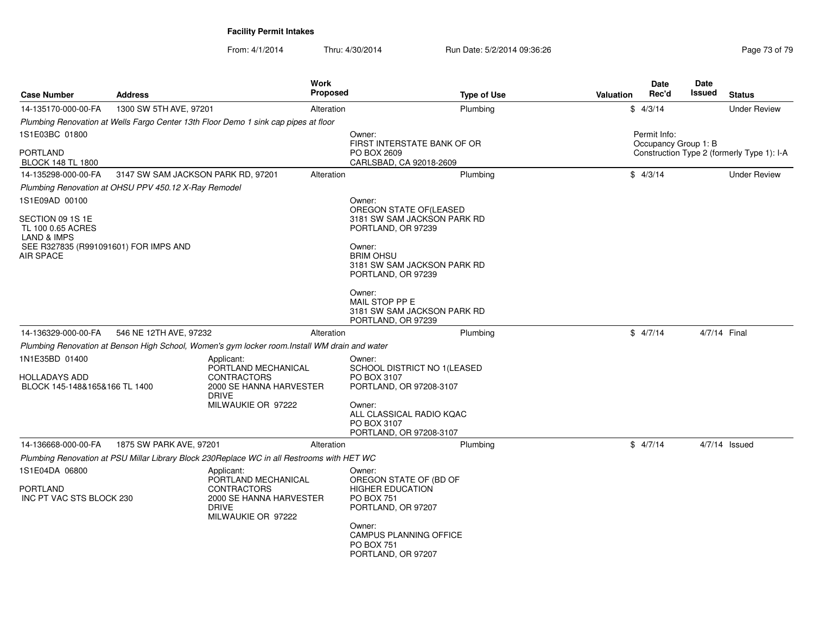| <b>Case Number</b>                                               | <b>Address</b>                     |                                                                                                            | <b>Work</b><br><b>Proposed</b> | <b>Type of Use</b>                                                                           | <b>Valuation</b> | Date<br>Rec'd        | Date<br>Issued | <b>Status</b>                              |
|------------------------------------------------------------------|------------------------------------|------------------------------------------------------------------------------------------------------------|--------------------------------|----------------------------------------------------------------------------------------------|------------------|----------------------|----------------|--------------------------------------------|
| 14-135170-000-00-FA                                              | 1300 SW 5TH AVE, 97201             |                                                                                                            | Alteration                     | Plumbing                                                                                     |                  | \$4/3/14             |                | <b>Under Review</b>                        |
|                                                                  |                                    | Plumbing Renovation at Wells Fargo Center 13th Floor Demo 1 sink cap pipes at floor                        |                                |                                                                                              |                  |                      |                |                                            |
| 1S1E03BC 01800                                                   |                                    |                                                                                                            |                                | Owner:                                                                                       |                  | Permit Info:         |                |                                            |
| PORTLAND<br><b>BLOCK 148 TL 1800</b>                             |                                    |                                                                                                            |                                | FIRST INTERSTATE BANK OF OR<br>PO BOX 2609<br>CARLSBAD, CA 92018-2609                        |                  | Occupancy Group 1: B |                | Construction Type 2 (formerly Type 1): I-A |
| 14-135298-000-00-FA                                              | 3147 SW SAM JACKSON PARK RD, 97201 |                                                                                                            | Alteration                     | Plumbina                                                                                     |                  | \$4/3/14             |                | <b>Under Review</b>                        |
| Plumbing Renovation at OHSU PPV 450.12 X-Ray Remodel             |                                    |                                                                                                            |                                |                                                                                              |                  |                      |                |                                            |
| 1S1E09AD 00100                                                   |                                    |                                                                                                            |                                | Owner:                                                                                       |                  |                      |                |                                            |
| SECTION 09 1S 1E<br>TL 100 0.65 ACRES<br><b>LAND &amp; IMPS</b>  |                                    |                                                                                                            |                                | OREGON STATE OF (LEASED<br>3181 SW SAM JACKSON PARK RD<br>PORTLAND, OR 97239                 |                  |                      |                |                                            |
| SEE R327835 (R991091601) FOR IMPS AND<br>AIR SPACE               |                                    |                                                                                                            |                                | Owner:<br><b>BRIM OHSU</b><br>3181 SW SAM JACKSON PARK RD<br>PORTLAND, OR 97239              |                  |                      |                |                                            |
|                                                                  |                                    |                                                                                                            |                                | Owner:<br>MAIL STOP PP E<br>3181 SW SAM JACKSON PARK RD<br>PORTLAND, OR 97239                |                  |                      |                |                                            |
| 14-136329-000-00-FA                                              | 546 NE 12TH AVE, 97232             |                                                                                                            | Alteration                     | Plumbing                                                                                     |                  | \$4/7/14             |                | 4/7/14 Final                               |
|                                                                  |                                    | Plumbing Renovation at Benson High School, Women's gym locker room. Install WM drain and water             |                                |                                                                                              |                  |                      |                |                                            |
| 1N1E35BD 01400<br>HOLLADAYS ADD<br>BLOCK 145-148&165&166 TL 1400 |                                    | Applicant:<br>PORTLAND MECHANICAL<br><b>CONTRACTORS</b><br>2000 SE HANNA HARVESTER<br><b>DRIVE</b>         |                                | Owner:<br>SCHOOL DISTRICT NO 1(LEASED<br>PO BOX 3107<br>PORTLAND, OR 97208-3107              |                  |                      |                |                                            |
|                                                                  |                                    | MILWAUKIE OR 97222                                                                                         |                                | Owner:<br>ALL CLASSICAL RADIO KQAC<br>PO BOX 3107<br>PORTLAND, OR 97208-3107                 |                  |                      |                |                                            |
| 14-136668-000-00-FA                                              | 1875 SW PARK AVE, 97201            |                                                                                                            | Alteration                     | Plumbing                                                                                     |                  | \$4/7/14             |                | $4/7/14$ Issued                            |
|                                                                  |                                    | Plumbing Renovation at PSU Millar Library Block 230Replace WC in all Restrooms with HET WC                 |                                |                                                                                              |                  |                      |                |                                            |
| 1S1E04DA 06800                                                   |                                    | Applicant:                                                                                                 |                                | Owner:                                                                                       |                  |                      |                |                                            |
| PORTLAND<br>INC PT VAC STS BLOCK 230                             |                                    | PORTLAND MECHANICAL<br><b>CONTRACTORS</b><br>2000 SE HANNA HARVESTER<br><b>DRIVE</b><br>MILWAUKIE OR 97222 |                                | OREGON STATE OF (BD OF<br><b>HIGHER EDUCATION</b><br><b>PO BOX 751</b><br>PORTLAND, OR 97207 |                  |                      |                |                                            |
|                                                                  |                                    |                                                                                                            |                                | Owner:<br><b>CAMPUS PLANNING OFFICE</b><br><b>PO BOX 751</b><br>PORTLAND, OR 97207           |                  |                      |                |                                            |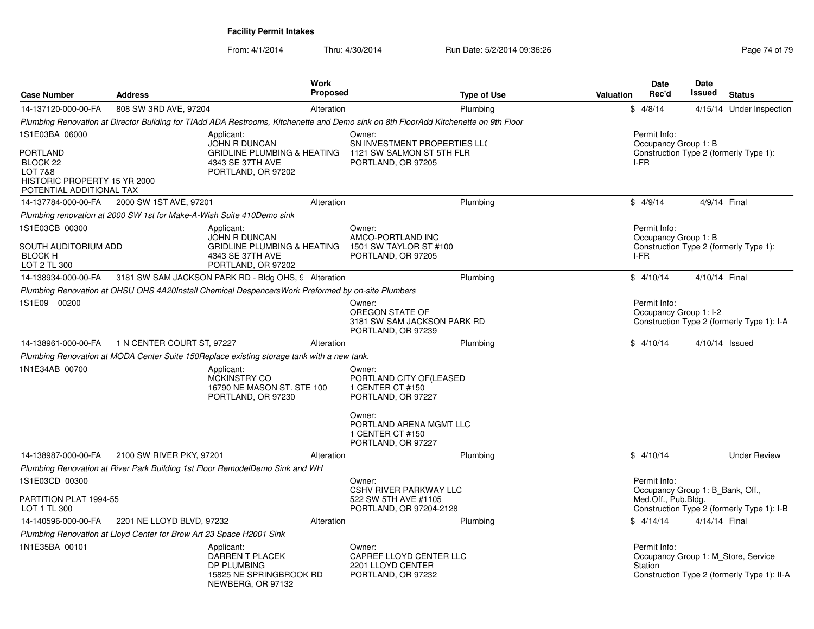|                                                                                                    |                                                                       | <b>Work</b>                                                                                                                          |                                                                                  |                    |           | Date                                                    | <b>Date</b>    |                                                                                    |
|----------------------------------------------------------------------------------------------------|-----------------------------------------------------------------------|--------------------------------------------------------------------------------------------------------------------------------------|----------------------------------------------------------------------------------|--------------------|-----------|---------------------------------------------------------|----------------|------------------------------------------------------------------------------------|
| <b>Case Number</b>                                                                                 | <b>Address</b>                                                        | <b>Proposed</b>                                                                                                                      |                                                                                  | <b>Type of Use</b> | Valuation | Rec'd                                                   | Issued         | <b>Status</b>                                                                      |
| 14-137120-000-00-FA                                                                                | 808 SW 3RD AVE, 97204                                                 | Alteration                                                                                                                           |                                                                                  | Plumbing           |           | \$4/8/14                                                |                | 4/15/14 Under Inspection                                                           |
|                                                                                                    |                                                                       | Plumbing Renovation at Director Building for TIAdd ADA Restrooms, Kitchenette and Demo sink on 8th FloorAdd Kitchenette on 9th Floor |                                                                                  |                    |           |                                                         |                |                                                                                    |
| 1S1E03BA 06000                                                                                     |                                                                       | Applicant:<br>JOHN R DUNCAN                                                                                                          | Owner:<br>SN INVESTMENT PROPERTIES LLO                                           |                    |           | Permit Info:<br>Occupancy Group 1: B                    |                |                                                                                    |
| <b>PORTLAND</b><br>BLOCK 22<br>LOT 7&8<br>HISTORIC PROPERTY 15 YR 2000<br>POTENTIAL ADDITIONAL TAX |                                                                       | GRIDLINE PLUMBING & HEATING 1121 SW SALMON ST 5TH FLR<br>4343 SE 37TH AVE<br>PORTLAND, OR 97202                                      | PORTLAND, OR 97205                                                               |                    |           | I-FR                                                    |                | Construction Type 2 (formerly Type 1):                                             |
| 14-137784-000-00-FA                                                                                | 2000 SW 1ST AVE, 97201                                                | Alteration                                                                                                                           |                                                                                  | Plumbing           |           | \$4/9/14                                                | 4/9/14 Final   |                                                                                    |
|                                                                                                    | Plumbing renovation at 2000 SW 1st for Make-A-Wish Suite 410Demo sink |                                                                                                                                      |                                                                                  |                    |           |                                                         |                |                                                                                    |
| 1S1E03CB 00300                                                                                     |                                                                       | Applicant:<br>JOHN R DUNCAN                                                                                                          | Owner:<br>AMCO-PORTLAND INC                                                      |                    |           | Permit Info:<br>Occupancy Group 1: B                    |                |                                                                                    |
| SOUTH AUDITORIUM ADD<br><b>BLOCK H</b><br>LOT 2 TL 300                                             |                                                                       | <b>GRIDLINE PLUMBING &amp; HEATING</b><br>4343 SE 37TH AVE<br>PORTLAND, OR 97202                                                     | 1501 SW TAYLOR ST #100<br>PORTLAND, OR 97205                                     |                    |           | I-FR                                                    |                | Construction Type 2 (formerly Type 1):                                             |
| 14-138934-000-00-FA                                                                                |                                                                       | 3181 SW SAM JACKSON PARK RD - Bldg OHS, 9 Alteration                                                                                 |                                                                                  | Plumbing           |           | \$4/10/14                                               | 4/10/14 Final  |                                                                                    |
|                                                                                                    |                                                                       | Plumbing Renovation at OHSU OHS 4A20Install Chemical DespencersWork Preformed by on-site Plumbers                                    |                                                                                  |                    |           |                                                         |                |                                                                                    |
| 1S1E09 00200                                                                                       |                                                                       |                                                                                                                                      | Owner:<br>OREGON STATE OF<br>3181 SW SAM JACKSON PARK RD<br>PORTLAND, OR 97239   |                    |           | Permit Info:<br>Occupancy Group 1: I-2                  |                | Construction Type 2 (formerly Type 1): I-A                                         |
| 14-138961-000-00-FA                                                                                | 1 N CENTER COURT ST, 97227                                            | Alteration                                                                                                                           |                                                                                  | Plumbing           |           | \$4/10/14                                               | 4/10/14 Issued |                                                                                    |
|                                                                                                    |                                                                       | Plumbing Renovation at MODA Center Suite 150Replace existing storage tank with a new tank.                                           |                                                                                  |                    |           |                                                         |                |                                                                                    |
| 1N1E34AB 00700                                                                                     |                                                                       | Applicant:<br><b>MCKINSTRY CO</b><br>16790 NE MASON ST. STE 100<br>PORTLAND, OR 97230                                                | Owner:<br>PORTLAND CITY OF (LEASED<br>1 CENTER CT #150<br>PORTLAND, OR 97227     |                    |           |                                                         |                |                                                                                    |
|                                                                                                    |                                                                       |                                                                                                                                      | Owner:<br>PORTLAND ARENA MGMT LLC<br>1 CENTER CT #150<br>PORTLAND, OR 97227      |                    |           |                                                         |                |                                                                                    |
| 14-138987-000-00-FA                                                                                | 2100 SW RIVER PKY, 97201                                              | Alteration                                                                                                                           |                                                                                  | Plumbing           |           | \$4/10/14                                               |                | <b>Under Review</b>                                                                |
|                                                                                                    |                                                                       | Plumbing Renovation at River Park Building 1st Floor RemodelDemo Sink and WH                                                         |                                                                                  |                    |           |                                                         |                |                                                                                    |
| 1S1E03CD 00300                                                                                     |                                                                       |                                                                                                                                      | Owner:                                                                           |                    |           | Permit Info:                                            |                |                                                                                    |
| PARTITION PLAT 1994-55<br>LOT 1 TL 300                                                             |                                                                       |                                                                                                                                      | <b>CSHV RIVER PARKWAY LLC</b><br>522 SW 5TH AVE #1105<br>PORTLAND, OR 97204-2128 |                    |           | Occupancy Group 1: B Bank, Off.,<br>Med.Off., Pub.Bldg. |                | Construction Type 2 (formerly Type 1): I-B                                         |
| 14-140596-000-00-FA                                                                                | 2201 NE LLOYD BLVD, 97232                                             | Alteration                                                                                                                           |                                                                                  | Plumbing           |           | \$4/14/14                                               | 4/14/14 Final  |                                                                                    |
|                                                                                                    | Plumbing Renovation at Lloyd Center for Brow Art 23 Space H2001 Sink  |                                                                                                                                      |                                                                                  |                    |           |                                                         |                |                                                                                    |
| 1N1E35BA 00101                                                                                     |                                                                       | Applicant:<br><b>DARREN T PLACEK</b><br>DP PLUMBING<br>15825 NE SPRINGBROOK RD<br>NEWBERG, OR 97132                                  | Owner:<br>CAPREF LLOYD CENTER LLC<br>2201 LLOYD CENTER<br>PORTLAND, OR 97232     |                    |           | Permit Info:<br>Station                                 |                | Occupancy Group 1: M_Store, Service<br>Construction Type 2 (formerly Type 1): II-A |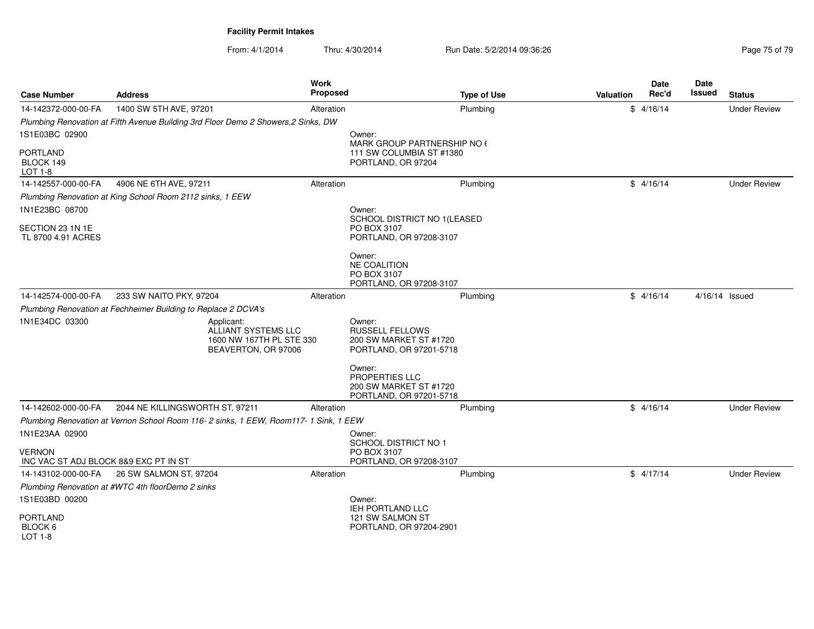| <b>Case Number</b>                      | <b>Address</b>                                                                       | Work<br>Proposed |                                                                                       | <b>Type of Use</b> | <b>Valuation</b> | Date<br>Rec'd | Date<br>Issued | <b>Status</b>       |
|-----------------------------------------|--------------------------------------------------------------------------------------|------------------|---------------------------------------------------------------------------------------|--------------------|------------------|---------------|----------------|---------------------|
| 14-142372-000-00-FA                     | 1400 SW 5TH AVE, 97201                                                               | Alteration       |                                                                                       | Plumbing           |                  | \$4/16/14     |                | <b>Under Review</b> |
|                                         | Plumbing Renovation at Fifth Avenue Building 3rd Floor Demo 2 Showers, 2 Sinks, DW   |                  |                                                                                       |                    |                  |               |                |                     |
| 1S1E03BC 02900                          |                                                                                      |                  | Owner:                                                                                |                    |                  |               |                |                     |
| <b>PORTLAND</b><br>BLOCK 149<br>LOT 1-8 |                                                                                      |                  | MARK GROUP PARTNERSHIP NO 6<br>111 SW COLUMBIA ST #1380<br>PORTLAND, OR 97204         |                    |                  |               |                |                     |
| 14-142557-000-00-FA                     | 4906 NE 6TH AVE, 97211                                                               | Alteration       |                                                                                       | Plumbing           |                  | \$4/16/14     |                | <b>Under Review</b> |
|                                         | Plumbing Renovation at King School Room 2112 sinks, 1 EEW                            |                  |                                                                                       |                    |                  |               |                |                     |
| 1N1E23BC 08700                          |                                                                                      |                  | Owner:                                                                                |                    |                  |               |                |                     |
|                                         |                                                                                      |                  | SCHOOL DISTRICT NO 1(LEASED                                                           |                    |                  |               |                |                     |
| SECTION 23 1N 1E<br>TL 8700 4.91 ACRES  |                                                                                      |                  | PO BOX 3107<br>PORTLAND, OR 97208-3107                                                |                    |                  |               |                |                     |
|                                         |                                                                                      |                  |                                                                                       |                    |                  |               |                |                     |
|                                         |                                                                                      |                  | Owner:<br><b>NE COALITION</b>                                                         |                    |                  |               |                |                     |
|                                         |                                                                                      |                  | PO BOX 3107                                                                           |                    |                  |               |                |                     |
|                                         |                                                                                      |                  | PORTLAND, OR 97208-3107                                                               |                    |                  |               |                |                     |
| 14-142574-000-00-FA                     | 233 SW NAITO PKY, 97204                                                              | Alteration       |                                                                                       | Plumbing           |                  | \$4/16/14     | 4/16/14 Issued |                     |
|                                         | Plumbing Renovation at Fechheimer Building to Replace 2 DCVA's                       |                  |                                                                                       |                    |                  |               |                |                     |
| 1N1E34DC 03300                          | Applicant:<br>ALLIANT SYSTEMS LLC<br>1600 NW 167TH PL STE 330<br>BEAVERTON, OR 97006 |                  | Owner:<br><b>RUSSELL FELLOWS</b><br>200 SW MARKET ST #1720<br>PORTLAND, OR 97201-5718 |                    |                  |               |                |                     |
|                                         |                                                                                      |                  | Owner:<br><b>PROPERTIES LLC</b><br>200 SW MARKET ST #1720<br>PORTLAND, OR 97201-5718  |                    |                  |               |                |                     |
| 14-142602-000-00-FA                     | 2044 NE KILLINGSWORTH ST, 97211                                                      | Alteration       |                                                                                       | Plumbing           |                  | \$4/16/14     |                | <b>Under Review</b> |
|                                         | Plumbing Renovation at Vernon School Room 116-2 sinks, 1 EEW, Room117-1 Sink, 1 EEW  |                  |                                                                                       |                    |                  |               |                |                     |
| 1N1E23AA 02900                          |                                                                                      |                  | Owner:                                                                                |                    |                  |               |                |                     |
| <b>VERNON</b>                           |                                                                                      |                  | <b>SCHOOL DISTRICT NO 1</b><br>PO BOX 3107                                            |                    |                  |               |                |                     |
| INC VAC ST ADJ BLOCK 8&9 EXC PT IN ST   |                                                                                      |                  | PORTLAND, OR 97208-3107                                                               |                    |                  |               |                |                     |
| 14-143102-000-00-FA                     | 26 SW SALMON ST, 97204                                                               | Alteration       |                                                                                       | Plumbing           |                  | \$4/17/14     |                | <b>Under Review</b> |
|                                         | Plumbing Renovation at #WTC 4th floorDemo 2 sinks                                    |                  |                                                                                       |                    |                  |               |                |                     |
| 1S1E03BD 00200                          |                                                                                      |                  | Owner:                                                                                |                    |                  |               |                |                     |
| <b>PORTLAND</b><br>BLOCK 6<br>LOT 1-8   |                                                                                      |                  | IEH PORTLAND LLC<br>121 SW SALMON ST<br>PORTLAND, OR 97204-2901                       |                    |                  |               |                |                     |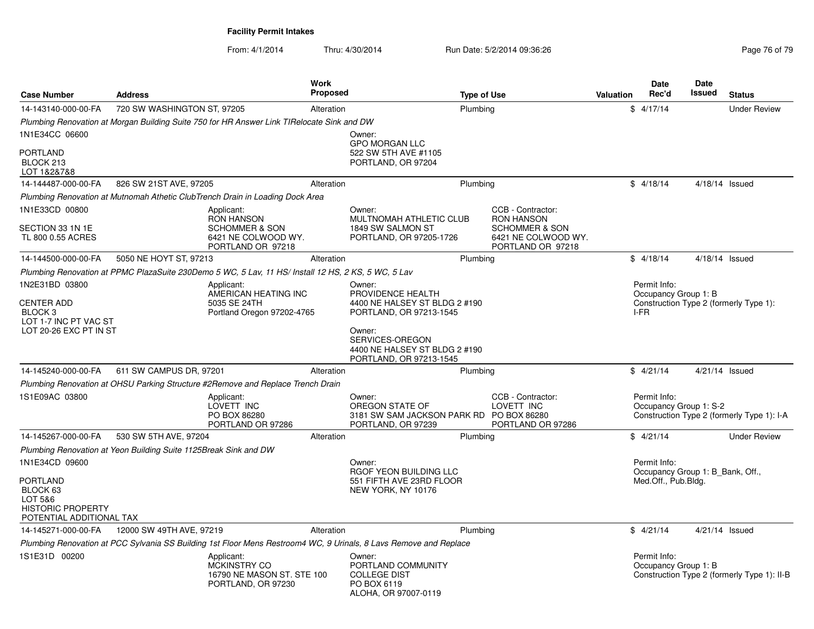| <b>Case Number</b>                                                                      | <b>Address</b>                                                   |                                                                                                     | <b>Work</b><br><b>Proposed</b> |                                                                                                                   | <b>Type of Use</b> |                                                                       | <b>Valuation</b> | Date<br>Rec'd                                                                  | Date<br>Issued | <b>Status</b>                               |
|-----------------------------------------------------------------------------------------|------------------------------------------------------------------|-----------------------------------------------------------------------------------------------------|--------------------------------|-------------------------------------------------------------------------------------------------------------------|--------------------|-----------------------------------------------------------------------|------------------|--------------------------------------------------------------------------------|----------------|---------------------------------------------|
| 14-143140-000-00-FA                                                                     | 720 SW WASHINGTON ST, 97205                                      |                                                                                                     | Alteration                     |                                                                                                                   | Plumbing           |                                                                       |                  | 4/17/14<br>\$                                                                  |                | <b>Under Review</b>                         |
|                                                                                         |                                                                  | Plumbing Renovation at Morgan Building Suite 750 for HR Answer Link TIRelocate Sink and DW          |                                |                                                                                                                   |                    |                                                                       |                  |                                                                                |                |                                             |
| 1N1E34CC 06600                                                                          |                                                                  |                                                                                                     |                                | Owner:                                                                                                            |                    |                                                                       |                  |                                                                                |                |                                             |
| <b>PORTLAND</b><br>BLOCK 213<br>LOT 1&2&7&8                                             |                                                                  |                                                                                                     |                                | <b>GPO MORGAN LLC</b><br>522 SW 5TH AVE #1105<br>PORTLAND, OR 97204                                               |                    |                                                                       |                  |                                                                                |                |                                             |
| 14-144487-000-00-FA                                                                     | 826 SW 21ST AVE, 97205                                           |                                                                                                     | Alteration                     |                                                                                                                   | Plumbing           |                                                                       |                  | \$4/18/14                                                                      | 4/18/14 Issued |                                             |
|                                                                                         |                                                                  | Plumbing Renovation at Mutnomah Athetic ClubTrench Drain in Loading Dock Area                       |                                |                                                                                                                   |                    |                                                                       |                  |                                                                                |                |                                             |
| 1N1E33CD 00800                                                                          |                                                                  | Applicant:<br><b>RON HANSON</b>                                                                     |                                | Owner:<br>MULTNOMAH ATHLETIC CLUB                                                                                 |                    | CCB - Contractor:<br><b>RON HANSON</b>                                |                  |                                                                                |                |                                             |
| SECTION 33 1N 1E<br>TL 800 0.55 ACRES                                                   |                                                                  | <b>SCHOMMER &amp; SON</b><br>6421 NE COLWOOD WY.<br>PORTLAND OR 97218                               |                                | 1849 SW SALMON ST<br>PORTLAND, OR 97205-1726                                                                      |                    | <b>SCHOMMER &amp; SON</b><br>6421 NE COLWOOD WY.<br>PORTLAND OR 97218 |                  |                                                                                |                |                                             |
| 14-144500-000-00-FA                                                                     | 5050 NE HOYT ST, 97213                                           |                                                                                                     | Alteration                     |                                                                                                                   | Plumbing           |                                                                       |                  | \$4/18/14                                                                      | 4/18/14 Issued |                                             |
|                                                                                         |                                                                  | Plumbing Renovation at PPMC PlazaSuite 230Demo 5 WC, 5 Lav, 11 HS/ Install 12 HS, 2 KS, 5 WC, 5 Lav |                                |                                                                                                                   |                    |                                                                       |                  |                                                                                |                |                                             |
| 1N2E31BD 03800<br><b>CENTER ADD</b>                                                     |                                                                  | Applicant:<br>AMERICAN HEATING INC<br>5035 SE 24TH                                                  |                                | Owner:<br>PROVIDENCE HEALTH<br>4400 NE HALSEY ST BLDG 2 #190                                                      |                    |                                                                       |                  | Permit Info:<br>Occupancy Group 1: B<br>Construction Type 2 (formerly Type 1): |                |                                             |
| BLOCK <sub>3</sub><br>LOT 1-7 INC PT VAC ST<br>LOT 20-26 EXC PT IN ST                   |                                                                  | Portland Oregon 97202-4765                                                                          |                                | PORTLAND, OR 97213-1545<br>Owner:<br>SERVICES-OREGON<br>4400 NE HALSEY ST BLDG 2 #190<br>PORTLAND, OR 97213-1545  |                    |                                                                       |                  | I-FR                                                                           |                |                                             |
| 14-145240-000-00-FA                                                                     | 611 SW CAMPUS DR, 97201                                          |                                                                                                     | Alteration                     |                                                                                                                   | Plumbing           |                                                                       |                  | \$4/21/14                                                                      | 4/21/14 Issued |                                             |
|                                                                                         |                                                                  | Plumbing Renovation at OHSU Parking Structure #2Remove and Replace Trench Drain                     |                                |                                                                                                                   |                    |                                                                       |                  |                                                                                |                |                                             |
| 1S1E09AC 03800                                                                          |                                                                  | Applicant:<br>LOVETT INC<br>PO BOX 86280<br>PORTLAND OR 97286                                       |                                | Owner:<br>OREGON STATE OF<br>3181 SW SAM JACKSON PARK RD PO BOX 86280<br>PORTLAND, OR 97239                       |                    | CCB - Contractor:<br>LOVETT INC<br>PORTLAND OR 97286                  |                  | Permit Info:<br>Occupancy Group 1: S-2                                         |                | Construction Type 2 (formerly Type 1): I-A  |
| 14-145267-000-00-FA                                                                     | 530 SW 5TH AVE, 97204                                            |                                                                                                     | Alteration                     |                                                                                                                   | Plumbing           |                                                                       |                  | \$4/21/14                                                                      |                | <b>Under Review</b>                         |
|                                                                                         | Plumbing Renovation at Yeon Building Suite 1125Break Sink and DW |                                                                                                     |                                |                                                                                                                   |                    |                                                                       |                  |                                                                                |                |                                             |
| 1N1E34CD 09600                                                                          |                                                                  |                                                                                                     |                                | Owner:<br>RGOF YEON BUILDING LLC                                                                                  |                    |                                                                       |                  | Permit Info:<br>Occupancy Group 1: B Bank, Off.,                               |                |                                             |
| PORTLAND<br>BLOCK 63<br>LOT 5&6<br><b>HISTORIC PROPERTY</b><br>POTENTIAL ADDITIONAL TAX |                                                                  |                                                                                                     |                                | 551 FIFTH AVE 23RD FLOOR<br>NEW YORK, NY 10176                                                                    |                    |                                                                       |                  | Med.Off., Pub.Bldg.                                                            |                |                                             |
| 14-145271-000-00-FA                                                                     | 12000 SW 49TH AVE, 97219                                         |                                                                                                     | Alteration                     |                                                                                                                   | Plumbing           |                                                                       |                  | \$4/21/14                                                                      | 4/21/14 Issued |                                             |
|                                                                                         |                                                                  |                                                                                                     |                                | Plumbing Renovation at PCC Sylvania SS Building 1st Floor Mens Restroom4 WC, 9 Urinals, 8 Lavs Remove and Replace |                    |                                                                       |                  |                                                                                |                |                                             |
| 1S1E31D 00200                                                                           |                                                                  | Applicant:<br>MCKINSTRY CO<br>16790 NE MASON ST. STE 100<br>PORTLAND, OR 97230                      |                                | Owner:<br>PORTLAND COMMUNITY<br><b>COLLEGE DIST</b><br>PO BOX 6119<br>ALOHA, OR 97007-0119                        |                    |                                                                       |                  | Permit Info:<br>Occupancy Group 1: B                                           |                | Construction Type 2 (formerly Type 1): II-B |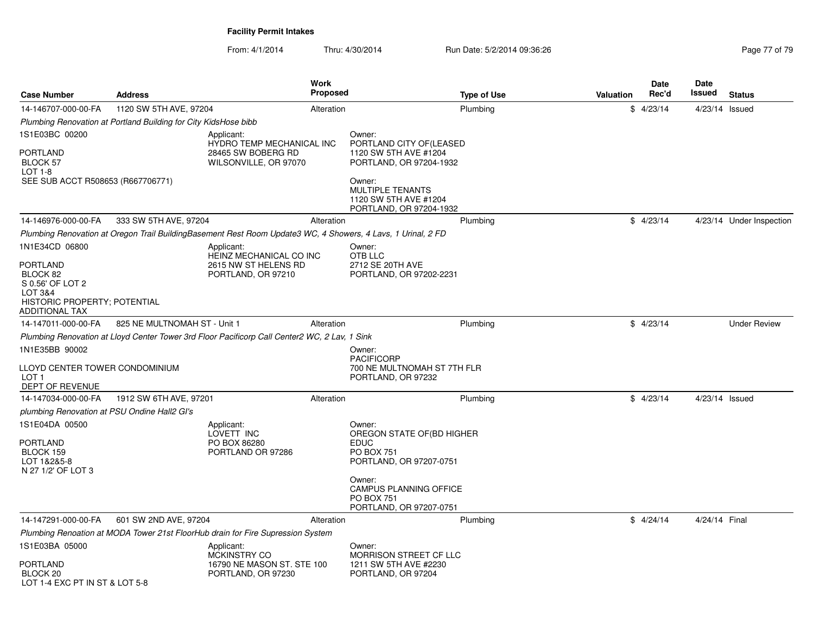| <b>Case Number</b>                                                                               | <b>Address</b>                                                  |                                                                                                              | <b>Work</b><br><b>Proposed</b> |                                                                                                     | <b>Type of Use</b> | Valuation | Date<br>Rec'd | Date<br>Issued   | <b>Status</b>            |
|--------------------------------------------------------------------------------------------------|-----------------------------------------------------------------|--------------------------------------------------------------------------------------------------------------|--------------------------------|-----------------------------------------------------------------------------------------------------|--------------------|-----------|---------------|------------------|--------------------------|
| 14-146707-000-00-FA                                                                              | 1120 SW 5TH AVE, 97204                                          |                                                                                                              | Alteration                     |                                                                                                     | Plumbing           |           | \$4/23/14     | 4/23/14 Issued   |                          |
|                                                                                                  | Plumbing Renovation at Portland Building for City KidsHose bibb |                                                                                                              |                                |                                                                                                     |                    |           |               |                  |                          |
| 1S1E03BC 00200<br><b>PORTLAND</b><br>BLOCK 57                                                    |                                                                 | Applicant:<br><b>HYDRO TEMP MECHANICAL INC</b><br>28465 SW BOBERG RD<br>WILSONVILLE, OR 97070                |                                | Owner:<br>PORTLAND CITY OF (LEASED<br>1120 SW 5TH AVE #1204<br>PORTLAND, OR 97204-1932              |                    |           |               |                  |                          |
| LOT 1-8<br>SEE SUB ACCT R508653 (R667706771)                                                     |                                                                 |                                                                                                              |                                | Owner:<br><b>MULTIPLE TENANTS</b><br>1120 SW 5TH AVE #1204<br>PORTLAND, OR 97204-1932               |                    |           |               |                  |                          |
| 14-146976-000-00-FA                                                                              | 333 SW 5TH AVE, 97204                                           |                                                                                                              | Alteration                     |                                                                                                     | Plumbing           |           | \$4/23/14     |                  | 4/23/14 Under Inspection |
|                                                                                                  |                                                                 | Plumbing Renovation at Oregon Trail BuildingBasement Rest Room Update3 WC, 4 Showers, 4 Lavs, 1 Urinal, 2 FD |                                |                                                                                                     |                    |           |               |                  |                          |
| 1N1E34CD 06800<br>PORTLAND                                                                       |                                                                 | Applicant:<br>HEINZ MECHANICAL CO INC<br>2615 NW ST HELENS RD                                                |                                | Owner:<br>OTB LLC<br>2712 SE 20TH AVE                                                               |                    |           |               |                  |                          |
| BLOCK 82<br>S 0.56' OF LOT 2<br>LOT 3&4<br>HISTORIC PROPERTY; POTENTIAL<br><b>ADDITIONAL TAX</b> |                                                                 | PORTLAND, OR 97210                                                                                           |                                | PORTLAND, OR 97202-2231                                                                             |                    |           |               |                  |                          |
| 14-147011-000-00-FA                                                                              | 825 NE MULTNOMAH ST - Unit 1                                    |                                                                                                              | Alteration                     |                                                                                                     | Plumbing           |           | \$4/23/14     |                  | <b>Under Review</b>      |
|                                                                                                  |                                                                 | Plumbing Renovation at Lloyd Center Tower 3rd Floor Pacificorp Call Center2 WC, 2 Lav, 1 Sink                |                                |                                                                                                     |                    |           |               |                  |                          |
| 1N1E35BB 90002<br>LLOYD CENTER TOWER CONDOMINIUM<br>LOT <sub>1</sub>                             |                                                                 |                                                                                                              |                                | Owner:<br><b>PACIFICORP</b><br>700 NE MULTNOMAH ST 7TH FLR<br>PORTLAND, OR 97232                    |                    |           |               |                  |                          |
| DEPT OF REVENUE                                                                                  |                                                                 |                                                                                                              |                                |                                                                                                     |                    |           |               |                  |                          |
| 14-147034-000-00-FA                                                                              | 1912 SW 6TH AVE, 97201                                          |                                                                                                              | Alteration                     |                                                                                                     | Plumbing           |           | \$4/23/14     | $4/23/14$ Issued |                          |
| plumbing Renovation at PSU Ondine Hall2 GI's                                                     |                                                                 |                                                                                                              |                                |                                                                                                     |                    |           |               |                  |                          |
| 1S1E04DA 00500<br>PORTLAND<br>BLOCK 159<br>LOT 1&2&5-8<br>N 27 1/2' OF LOT 3                     |                                                                 | Applicant:<br>LOVETT INC<br>PO BOX 86280<br>PORTLAND OR 97286                                                |                                | Owner:<br>OREGON STATE OF (BD HIGHER<br><b>EDUC</b><br><b>PO BOX 751</b><br>PORTLAND, OR 97207-0751 |                    |           |               |                  |                          |
|                                                                                                  |                                                                 |                                                                                                              |                                | Owner:<br>CAMPUS PLANNING OFFICE<br><b>PO BOX 751</b><br>PORTLAND, OR 97207-0751                    |                    |           |               |                  |                          |
| 14-147291-000-00-FA                                                                              | 601 SW 2ND AVE, 97204                                           |                                                                                                              | Alteration                     |                                                                                                     | Plumbing           |           | \$4/24/14     | 4/24/14 Final    |                          |
|                                                                                                  |                                                                 | Plumbing Renoation at MODA Tower 21st FloorHub drain for Fire Supression System                              |                                |                                                                                                     |                    |           |               |                  |                          |
| 1S1E03BA 05000                                                                                   |                                                                 | Applicant:<br>MCKINSTRY CO                                                                                   |                                | Owner:<br><b>MORRISON STREET CF LLC</b>                                                             |                    |           |               |                  |                          |
| PORTLAND<br>BLOCK <sub>20</sub><br>LOT 1-4 EXC PT IN ST & LOT 5-8                                |                                                                 | 16790 NE MASON ST. STE 100<br>PORTLAND, OR 97230                                                             |                                | 1211 SW 5TH AVE #2230<br>PORTLAND, OR 97204                                                         |                    |           |               |                  |                          |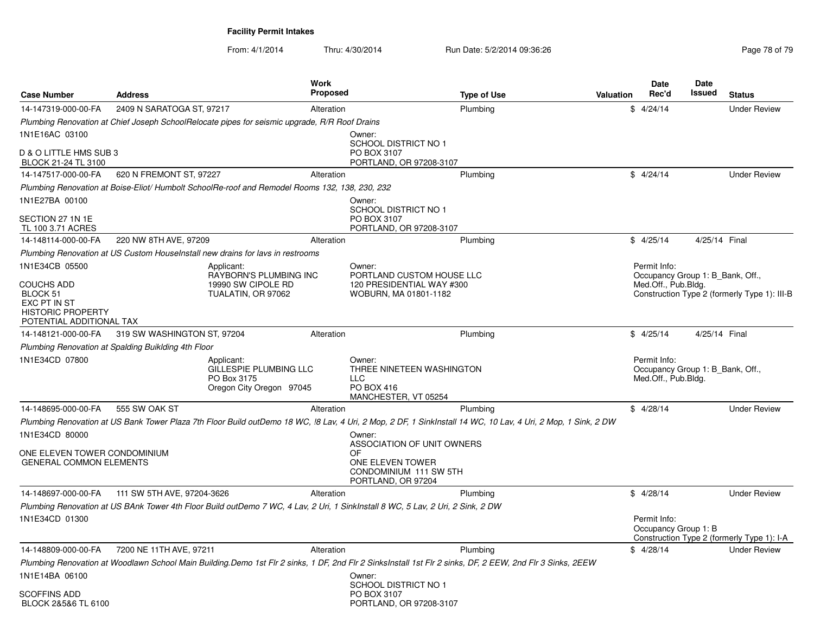| <b>Case Number</b>                                                   | <b>Address</b>                                                                                                                  | <b>Work</b><br><b>Proposed</b>                                                           | <b>Type of Use</b>                                                                                                                                            | Date<br>Rec'd<br>Valuation           | Date<br><b>Issued</b><br><b>Status</b>                                           |
|----------------------------------------------------------------------|---------------------------------------------------------------------------------------------------------------------------------|------------------------------------------------------------------------------------------|---------------------------------------------------------------------------------------------------------------------------------------------------------------|--------------------------------------|----------------------------------------------------------------------------------|
| 14-147319-000-00-FA                                                  | 2409 N SARATOGA ST, 97217                                                                                                       | Alteration                                                                               | Plumbing                                                                                                                                                      | \$4/24/14                            | <b>Under Review</b>                                                              |
|                                                                      | Plumbing Renovation at Chief Joseph SchoolRelocate pipes for seismic upgrade, R/R Roof Drains                                   |                                                                                          |                                                                                                                                                               |                                      |                                                                                  |
| 1N1E16AC 03100                                                       |                                                                                                                                 | Owner:                                                                                   |                                                                                                                                                               |                                      |                                                                                  |
| D & O LITTLE HMS SUB 3<br>BLOCK 21-24 TL 3100                        |                                                                                                                                 | PO BOX 3107                                                                              | <b>SCHOOL DISTRICT NO 1</b><br>PORTLAND, OR 97208-3107                                                                                                        |                                      |                                                                                  |
| 14-147517-000-00-FA                                                  | 620 N FREMONT ST, 97227                                                                                                         | Alteration                                                                               | Plumbing                                                                                                                                                      | \$4/24/14                            | <b>Under Review</b>                                                              |
|                                                                      | Plumbing Renovation at Boise-Eliot/Humbolt SchoolRe-roof and Remodel Rooms 132, 138, 230, 232                                   |                                                                                          |                                                                                                                                                               |                                      |                                                                                  |
| 1N1E27BA 00100                                                       |                                                                                                                                 | Owner:                                                                                   |                                                                                                                                                               |                                      |                                                                                  |
| SECTION 27 1N 1E<br>TL 100 3.71 ACRES                                |                                                                                                                                 | PO BOX 3107                                                                              | <b>SCHOOL DISTRICT NO 1</b><br>PORTLAND, OR 97208-3107                                                                                                        |                                      |                                                                                  |
| 14-148114-000-00-FA                                                  | 220 NW 8TH AVE, 97209                                                                                                           | Alteration                                                                               | Plumbing                                                                                                                                                      | \$4/25/14                            | 4/25/14 Final                                                                    |
|                                                                      | Plumbing Renovation at US Custom HouseInstall new drains for lavs in restrooms                                                  |                                                                                          |                                                                                                                                                               |                                      |                                                                                  |
| 1N1E34CB 05500<br>COUCHS ADD<br>BLOCK 51                             | Applicant:<br>19990 SW CIPOLE RD<br>TUALATIN, OR 97062                                                                          | Owner:<br>RAYBORN'S PLUMBING INC                                                         | PORTLAND CUSTOM HOUSE LLC<br>120 PRESIDENTIAL WAY #300<br>WOBURN, MA 01801-1182                                                                               | Permit Info:<br>Med.Off., Pub.Bldg.  | Occupancy Group 1: B Bank, Off.,<br>Construction Type 2 (formerly Type 1): III-B |
| EXC PT IN ST<br><b>HISTORIC PROPERTY</b><br>POTENTIAL ADDITIONAL TAX |                                                                                                                                 |                                                                                          |                                                                                                                                                               |                                      |                                                                                  |
| 14-148121-000-00-FA                                                  | 319 SW WASHINGTON ST, 97204                                                                                                     | Alteration                                                                               | Plumbing                                                                                                                                                      | \$4/25/14                            | 4/25/14 Final                                                                    |
|                                                                      | Plumbing Renovation at Spalding Buiklding 4th Floor                                                                             |                                                                                          |                                                                                                                                                               |                                      |                                                                                  |
| 1N1E34CD 07800                                                       | Applicant:<br>PO Box 3175                                                                                                       | Owner:<br>GILLESPIE PLUMBING LLC<br><b>LLC</b><br>Oregon City Oregon 97045<br>PO BOX 416 | THREE NINETEEN WASHINGTON<br>MANCHESTER, VT 05254                                                                                                             | Permit Info:<br>Med.Off., Pub.Bldg.  | Occupancy Group 1: B Bank, Off.,                                                 |
| 14-148695-000-00-FA                                                  | 555 SW OAK ST                                                                                                                   | Alteration                                                                               | Plumbing                                                                                                                                                      | \$4/28/14                            | <b>Under Review</b>                                                              |
|                                                                      |                                                                                                                                 |                                                                                          | Plumbing Renovation at US Bank Tower Plaza 7th Floor Build outDemo 18 WC, !8 Lav, 4 Uri, 2 Mop, 2 DF, 1 SinkInstall 14 WC, 10 Lav, 4 Uri, 2 Mop, 1 Sink, 2 DW |                                      |                                                                                  |
| 1N1E34CD 80000<br>ONE ELEVEN TOWER CONDOMINIUM                       |                                                                                                                                 | Owner:<br>OF                                                                             | ASSOCIATION OF UNIT OWNERS                                                                                                                                    |                                      |                                                                                  |
| <b>GENERAL COMMON ELEMENTS</b>                                       |                                                                                                                                 |                                                                                          | ONE ELEVEN TOWER<br>CONDOMINIUM 111 SW 5TH<br>PORTLAND, OR 97204                                                                                              |                                      |                                                                                  |
| 14-148697-000-00-FA                                                  | 111 SW 5TH AVE, 97204-3626                                                                                                      | Alteration                                                                               | Plumbing                                                                                                                                                      | \$4/28/14                            | <b>Under Review</b>                                                              |
| 1N1E34CD 01300                                                       | Plumbing Renovation at US BAnk Tower 4th Floor Build outDemo 7 WC, 4 Lav, 2 Uri, 1 SinkInstall 8 WC, 5 Lav, 2 Uri, 2 Sink, 2 DW |                                                                                          |                                                                                                                                                               | Permit Info:<br>Occupancy Group 1: B |                                                                                  |
|                                                                      |                                                                                                                                 |                                                                                          |                                                                                                                                                               |                                      | Construction Type 2 (formerly Type 1): I-A                                       |
| 14-148809-000-00-FA                                                  | 7200 NE 11TH AVE, 97211                                                                                                         | Alteration                                                                               | Plumbing                                                                                                                                                      | \$4/28/14                            | <b>Under Review</b>                                                              |
|                                                                      |                                                                                                                                 |                                                                                          | Plumbing Renovation at Woodlawn School Main Building.Demo 1st Flr 2 sinks, 1 DF, 2nd Flr 2 SinksInstall 1st Flr 2 sinks, DF, 2 EEW, 2nd Flr 3 Sinks, 2EEW     |                                      |                                                                                  |
| 1N1E14BA 06100                                                       |                                                                                                                                 | Owner:                                                                                   | SCHOOL DISTRICT NO 1                                                                                                                                          |                                      |                                                                                  |
| SCOFFINS ADD<br>BLOCK 2&5&6 TL 6100                                  |                                                                                                                                 |                                                                                          | PO BOX 3107<br>PORTLAND, OR 97208-3107                                                                                                                        |                                      |                                                                                  |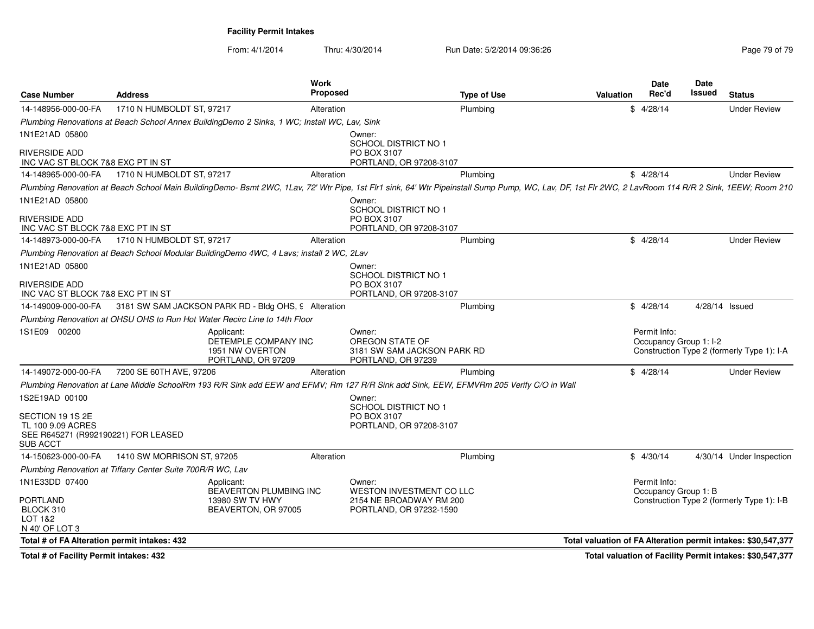From: 4/1/2014Thru: 4/30/2014 Run Date: 5/2/2014 09:36:26 Run Date: 5/2/2014 09:36:26

| <b>Case Number</b>                                      | <b>Address</b>                                             | Work                                                                                                                                                                                                  | <b>Proposed</b>                                                                 | <b>Type of Use</b> | <b>Valuation</b>                                              | Date<br>Rec'd                          | Date<br>Issued | <b>Status</b>                              |
|---------------------------------------------------------|------------------------------------------------------------|-------------------------------------------------------------------------------------------------------------------------------------------------------------------------------------------------------|---------------------------------------------------------------------------------|--------------------|---------------------------------------------------------------|----------------------------------------|----------------|--------------------------------------------|
| 14-148956-000-00-FA                                     | 1710 N HUMBOLDT ST, 97217                                  |                                                                                                                                                                                                       | Alteration                                                                      | Plumbing           |                                                               | \$4/28/14                              |                | <b>Under Review</b>                        |
|                                                         |                                                            | Plumbing Renovations at Beach School Annex BuildingDemo 2 Sinks, 1 WC; Install WC, Lav, Sink                                                                                                          |                                                                                 |                    |                                                               |                                        |                |                                            |
| 1N1E21AD 05800                                          |                                                            |                                                                                                                                                                                                       | Owner:<br>SCHOOL DISTRICT NO 1                                                  |                    |                                                               |                                        |                |                                            |
| RIVERSIDE ADD<br>INC VAC ST BLOCK 7&8 EXC PT IN ST      |                                                            |                                                                                                                                                                                                       | PO BOX 3107<br>PORTLAND, OR 97208-3107                                          |                    |                                                               |                                        |                |                                            |
| 14-148965-000-00-FA                                     | 1710 N HUMBOLDT ST, 97217                                  |                                                                                                                                                                                                       | Alteration                                                                      | Plumbing           |                                                               | \$4/28/14                              |                | <b>Under Review</b>                        |
|                                                         |                                                            | Plumbing Renovation at Beach School Main BuildingDemo- Bsmt 2WC, 1Lav, 72' Wtr Pipe, 1st Flr1 sink, 64' Wtr Pipeinstall Sump Pump, WC, Lav, DF, 1st Flr 2WC, 2 LavRoom 114 R/R 2 Sink, 1EEW; Room 210 |                                                                                 |                    |                                                               |                                        |                |                                            |
| 1N1E21AD 05800<br>RIVERSIDE ADD                         |                                                            |                                                                                                                                                                                                       | Owner:<br>SCHOOL DISTRICT NO 1<br>PO BOX 3107                                   |                    |                                                               |                                        |                |                                            |
| INC VAC ST BLOCK 7&8 EXC PT IN ST                       |                                                            |                                                                                                                                                                                                       | PORTLAND, OR 97208-3107                                                         |                    |                                                               |                                        |                |                                            |
| 14-148973-000-00-FA                                     | 1710 N HUMBOLDT ST, 97217                                  |                                                                                                                                                                                                       | Alteration                                                                      | Plumbing           |                                                               | \$4/28/14                              |                | <b>Under Review</b>                        |
|                                                         |                                                            | Plumbing Renovation at Beach School Modular BuildingDemo 4WC, 4 Lavs; install 2 WC, 2Lav                                                                                                              |                                                                                 |                    |                                                               |                                        |                |                                            |
| 1N1E21AD 05800                                          |                                                            |                                                                                                                                                                                                       | Owner:<br>SCHOOL DISTRICT NO 1                                                  |                    |                                                               |                                        |                |                                            |
| RIVERSIDE ADD<br>INC VAC ST BLOCK 7&8 EXC PT IN ST      |                                                            |                                                                                                                                                                                                       | PO BOX 3107<br>PORTLAND, OR 97208-3107                                          |                    |                                                               |                                        |                |                                            |
| 14-149009-000-00-FA                                     |                                                            | 3181 SW SAM JACKSON PARK RD - Bldg OHS, 9 Alteration                                                                                                                                                  |                                                                                 | Plumbing           |                                                               | \$4/28/14                              |                | 4/28/14 Issued                             |
|                                                         |                                                            | Plumbing Renovation at OHSU OHS to Run Hot Water Recirc Line to 14th Floor                                                                                                                            |                                                                                 |                    |                                                               |                                        |                |                                            |
| 1S1E09 00200                                            |                                                            | Applicant:<br>DETEMPLE COMPANY INC<br>1951 NW OVERTON<br>PORTLAND, OR 97209                                                                                                                           | Owner:<br>OREGON STATE OF<br>3181 SW SAM JACKSON PARK RD<br>PORTLAND, OR 97239  |                    |                                                               | Permit Info:<br>Occupancy Group 1: I-2 |                | Construction Type 2 (formerly Type 1): I-A |
| 14-149072-000-00-FA                                     | 7200 SE 60TH AVE, 97206                                    |                                                                                                                                                                                                       | Alteration                                                                      | Plumbing           |                                                               | \$4/28/14                              |                | <b>Under Review</b>                        |
|                                                         |                                                            | Plumbing Renovation at Lane Middle SchoolRm 193 R/R Sink add EEW and EFMV; Rm 127 R/R Sink add Sink, EEW, EFMVRm 205 Verify C/O in Wall                                                               |                                                                                 |                    |                                                               |                                        |                |                                            |
| 1S2E19AD 00100<br>SECTION 19 1S 2E<br>TL 100 9.09 ACRES |                                                            |                                                                                                                                                                                                       | Owner:<br><b>SCHOOL DISTRICT NO 1</b><br>PO BOX 3107<br>PORTLAND, OR 97208-3107 |                    |                                                               |                                        |                |                                            |
| SEE R645271 (R992190221) FOR LEASED<br>SUB ACCT         |                                                            |                                                                                                                                                                                                       |                                                                                 |                    |                                                               |                                        |                |                                            |
| 14-150623-000-00-FA                                     | 1410 SW MORRISON ST, 97205                                 |                                                                                                                                                                                                       | Alteration                                                                      | Plumbing           |                                                               | \$4/30/14                              |                | 4/30/14 Under Inspection                   |
|                                                         | Plumbing Renovation at Tiffany Center Suite 700R/R WC, Lav |                                                                                                                                                                                                       |                                                                                 |                    |                                                               |                                        |                |                                            |
| 1N1E33DD 07400<br>PORTLAND                              |                                                            | Applicant:<br>BEAVERTON PLUMBING INC<br>13980 SW TV HWY                                                                                                                                               | Owner:<br><b>WESTON INVESTMENT CO LLC</b><br>2154 NE BROADWAY RM 200            |                    |                                                               | Permit Info:<br>Occupancy Group 1: B   |                | Construction Type 2 (formerly Type 1): I-B |
| BLOCK 310<br>LOT 1&2<br>N 40' OF LOT 3                  |                                                            | BEAVERTON, OR 97005                                                                                                                                                                                   | PORTLAND, OR 97232-1590                                                         |                    |                                                               |                                        |                |                                            |
| Total # of FA Alteration permit intakes: 432            |                                                            |                                                                                                                                                                                                       |                                                                                 |                    | Total valuation of FA Alteration permit intakes: \$30,547,377 |                                        |                |                                            |
|                                                         |                                                            |                                                                                                                                                                                                       |                                                                                 |                    |                                                               |                                        |                |                                            |

**Total # of Facility Permit intakes: 432**

**Total valuation of Facility Permit intakes: \$30,547,377**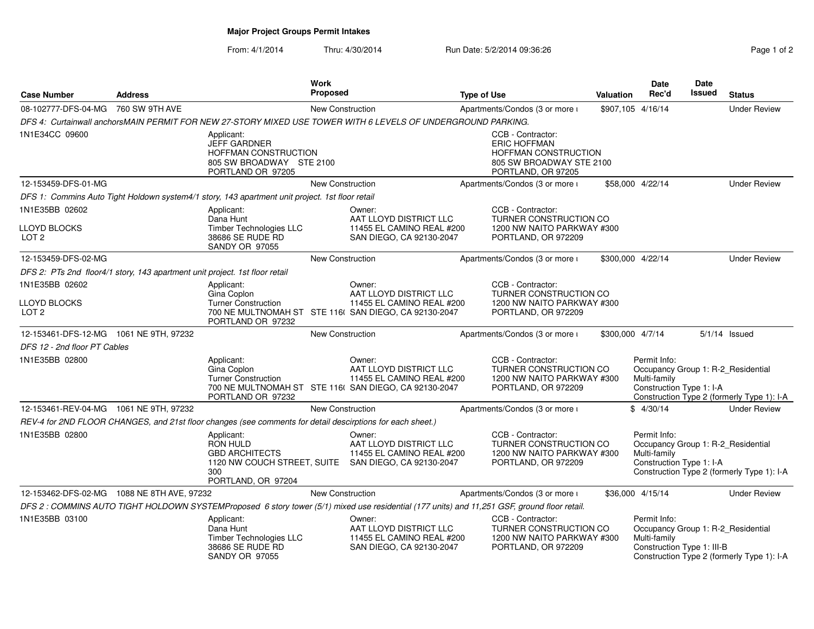**Major Project Groups Permit Intakes**

From: 4/1/2014Thru: 4/30/2014 Run Date: 5/2/2014 09:36:26

| Page 1 of 2 |  |  |
|-------------|--|--|

| <b>Case Number</b>                                                          | <b>Address</b> |                                                                                                            | <b>Work</b><br>Proposed |                                                                                                                                              | <b>Type of Use</b> |                                                                                                                    | <b>Valuation</b> | Date<br>Rec'd                                                                                    | Date<br>Issued | <b>Status</b>                              |
|-----------------------------------------------------------------------------|----------------|------------------------------------------------------------------------------------------------------------|-------------------------|----------------------------------------------------------------------------------------------------------------------------------------------|--------------------|--------------------------------------------------------------------------------------------------------------------|------------------|--------------------------------------------------------------------------------------------------|----------------|--------------------------------------------|
| 08-102777-DFS-04-MG 760 SW 9TH AVE                                          |                |                                                                                                            | New Construction        |                                                                                                                                              |                    | Apartments/Condos (3 or more i                                                                                     |                  | \$907,105 4/16/14                                                                                |                | <b>Under Review</b>                        |
|                                                                             |                |                                                                                                            |                         | DFS 4: Curtainwall anchorsMAIN PERMIT FOR NEW 27-STORY MIXED USE TOWER WITH 6 LEVELS OF UNDERGROUND PARKING.                                 |                    |                                                                                                                    |                  |                                                                                                  |                |                                            |
| 1N1E34CC 09600                                                              |                | Applicant:<br><b>JEFF GARDNER</b><br>HOFFMAN CONSTRUCTION<br>805 SW BROADWAY STE 2100<br>PORTLAND OR 97205 |                         |                                                                                                                                              |                    | CCB - Contractor:<br><b>ERIC HOFFMAN</b><br>HOFFMAN CONSTRUCTION<br>805 SW BROADWAY STE 2100<br>PORTLAND, OR 97205 |                  |                                                                                                  |                |                                            |
| 12-153459-DFS-01-MG                                                         |                |                                                                                                            | New Construction        |                                                                                                                                              |                    | Apartments/Condos (3 or more i                                                                                     |                  | \$58,000 4/22/14                                                                                 |                | <b>Under Review</b>                        |
|                                                                             |                | DFS 1: Commins Auto Tight Holdown system4/1 story, 143 apartment unit project. 1st floor retail            |                         |                                                                                                                                              |                    |                                                                                                                    |                  |                                                                                                  |                |                                            |
| 1N1E35BB 02602<br>LLOYD BLOCKS<br>LOT <sub>2</sub>                          |                | Applicant:<br>Dana Hunt<br>Timber Technologies LLC<br>38686 SE RUDE RD<br><b>SANDY OR 97055</b>            |                         | Owner:<br>AAT LLOYD DISTRICT LLC<br>11455 EL CAMINO REAL #200<br>SAN DIEGO, CA 92130-2047                                                    |                    | CCB - Contractor:<br>TURNER CONSTRUCTION CO<br>1200 NW NAITO PARKWAY #300<br>PORTLAND, OR 972209                   |                  |                                                                                                  |                |                                            |
| 12-153459-DFS-02-MG                                                         |                |                                                                                                            | New Construction        |                                                                                                                                              |                    | Apartments/Condos (3 or more i                                                                                     |                  | \$300,000 4/22/14                                                                                |                | <b>Under Review</b>                        |
| DFS 2: PTs 2nd floor4/1 story, 143 apartment unit project. 1st floor retail |                |                                                                                                            |                         |                                                                                                                                              |                    |                                                                                                                    |                  |                                                                                                  |                |                                            |
| 1N1E35BB 02602<br>LLOYD BLOCKS<br>LOT <sub>2</sub>                          |                | Applicant:<br>Gina Coplon<br><b>Turner Construction</b><br>PORTLAND OR 97232                               |                         | Owner:<br>AAT LLOYD DISTRICT LLC<br>11455 EL CAMINO REAL #200<br>700 NE MULTNOMAH ST STE 116( SAN DIEGO, CA 92130-2047                       |                    | CCB - Contractor:<br>TURNER CONSTRUCTION CO<br>1200 NW NAITO PARKWAY #300<br>PORTLAND, OR 972209                   |                  |                                                                                                  |                |                                            |
| 12-153461-DFS-12-MG 1061 NE 9TH, 97232                                      |                |                                                                                                            | New Construction        |                                                                                                                                              |                    | Apartments/Condos (3 or more i                                                                                     | \$300,000 4/7/14 |                                                                                                  |                | $5/1/14$ Issued                            |
| DFS 12 - 2nd floor PT Cables                                                |                |                                                                                                            |                         |                                                                                                                                              |                    |                                                                                                                    |                  |                                                                                                  |                |                                            |
| 1N1E35BB 02800                                                              |                | Applicant:<br>Gina Coplon<br><b>Turner Construction</b><br>PORTLAND OR 97232                               |                         | Owner:<br>AAT LLOYD DISTRICT LLC<br>11455 EL CAMINO REAL #200<br>700 NE MULTNOMAH ST STE 116( SAN DIEGO, CA 92130-2047                       |                    | CCB - Contractor:<br>TURNER CONSTRUCTION CO<br>1200 NW NAITO PARKWAY #300<br>PORTLAND, OR 972209                   |                  | Permit Info:<br>Occupancy Group 1: R-2_Residential<br>Multi-family<br>Construction Type 1: I-A   |                | Construction Type 2 (formerly Type 1): I-A |
| 12-153461-REV-04-MG 1061 NE 9TH, 97232                                      |                |                                                                                                            | New Construction        |                                                                                                                                              |                    | Apartments/Condos (3 or more i                                                                                     |                  | \$4/30/14                                                                                        |                | <b>Under Review</b>                        |
|                                                                             |                | REV-4 for 2ND FLOOR CHANGES, and 21st floor changes (see comments for detail descirptions for each sheet.) |                         |                                                                                                                                              |                    |                                                                                                                    |                  |                                                                                                  |                |                                            |
| 1N1E35BB 02800                                                              |                | Applicant:<br>RON HULD<br><b>GBD ARCHITECTS</b><br>300<br>PORTLAND, OR 97204                               |                         | Owner:<br>AAT LLOYD DISTRICT LLC<br>11455 EL CAMINO REAL #200<br>1120 NW COUCH STREET, SUITE SAN DIEGO, CA 92130-2047                        |                    | CCB - Contractor:<br>TURNER CONSTRUCTION CO<br>1200 NW NAITO PARKWAY #300<br>PORTLAND, OR 972209                   |                  | Permit Info:<br>Occupancy Group 1: R-2_Residential<br>Multi-family<br>Construction Type 1: I-A   |                | Construction Type 2 (formerly Type 1): I-A |
| 12-153462-DFS-02-MG 1088 NE 8TH AVE, 97232                                  |                |                                                                                                            | New Construction        |                                                                                                                                              |                    | Apartments/Condos (3 or more i                                                                                     |                  | \$36,000 4/15/14                                                                                 |                | <b>Under Review</b>                        |
|                                                                             |                |                                                                                                            |                         | DFS 2 : COMMINS AUTO TIGHT HOLDOWN SYSTEMProposed 6 story tower (5/1) mixed use residential (177 units) and 11,251 GSF, ground floor retail. |                    |                                                                                                                    |                  |                                                                                                  |                |                                            |
| 1N1E35BB 03100                                                              |                | Applicant:<br>Dana Hunt<br>Timber Technologies LLC<br>38686 SE RUDE RD<br><b>SANDY OR 97055</b>            |                         | Owner:<br>AAT LLOYD DISTRICT LLC<br>11455 EL CAMINO REAL #200<br>SAN DIEGO, CA 92130-2047                                                    |                    | CCB - Contractor:<br>TURNER CONSTRUCTION CO<br>1200 NW NAITO PARKWAY #300<br>PORTLAND, OR 972209                   |                  | Permit Info:<br>Occupancy Group 1: R-2_Residential<br>Multi-family<br>Construction Type 1: III-B |                | Construction Type 2 (formerly Type 1): I-A |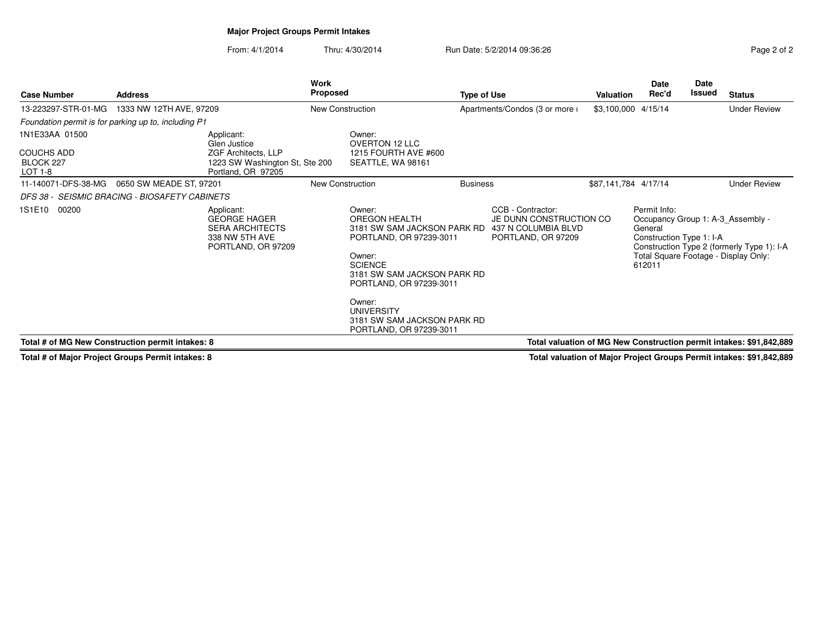## **Major Project Groups Permit Intakes**

From: 4/1/2014Thru: 4/30/2014 Run Date: 5/2/2014 09:36:26

| Page 2 of 2 |  |  |
|-------------|--|--|
|             |  |  |

| <b>Case Number</b>                                                   | <b>Address</b>          |                                                                                                     | <b>Work</b><br><b>Proposed</b> |                                                                                                                                                                                                                                                                  | <b>Type of Use</b> |                                                                                           | Valuation            | Date<br>Rec'd                                                 | <b>Date</b><br>Issued | <b>Status</b>                                                                                                           |
|----------------------------------------------------------------------|-------------------------|-----------------------------------------------------------------------------------------------------|--------------------------------|------------------------------------------------------------------------------------------------------------------------------------------------------------------------------------------------------------------------------------------------------------------|--------------------|-------------------------------------------------------------------------------------------|----------------------|---------------------------------------------------------------|-----------------------|-------------------------------------------------------------------------------------------------------------------------|
| 13-223297-STR-01-MG                                                  | 1333 NW 12TH AVE, 97209 |                                                                                                     |                                | <b>New Construction</b>                                                                                                                                                                                                                                          |                    | Apartments/Condos (3 or more i                                                            | \$3,100,000 4/15/14  |                                                               |                       | <b>Under Review</b>                                                                                                     |
| Foundation permit is for parking up to, including P1                 |                         |                                                                                                     |                                |                                                                                                                                                                                                                                                                  |                    |                                                                                           |                      |                                                               |                       |                                                                                                                         |
| 1N1E33AA 01500<br><b>COUCHS ADD</b><br>BLOCK 227                     |                         | Applicant:<br>Glen Justice<br>ZGF Architects, LLP<br>1223 SW Washington St, Ste 200                 |                                | Owner:<br><b>OVERTON 12 LLC</b><br>1215 FOURTH AVE #600<br>SEATTLE, WA 98161                                                                                                                                                                                     |                    |                                                                                           |                      |                                                               |                       |                                                                                                                         |
| LOT 1-8                                                              |                         | Portland, OR 97205                                                                                  |                                |                                                                                                                                                                                                                                                                  |                    |                                                                                           |                      |                                                               |                       |                                                                                                                         |
| 11-140071-DFS-38-MG<br>DFS 38 - SEISMIC BRACING - BIOSAFETY CABINETS | 0650 SW MEADE ST, 97201 |                                                                                                     |                                | New Construction                                                                                                                                                                                                                                                 | <b>Business</b>    |                                                                                           | \$87,141,784 4/17/14 |                                                               |                       | <b>Under Review</b>                                                                                                     |
| 1S1E10<br>00200                                                      |                         | Applicant:<br><b>GEORGE HAGER</b><br><b>SERA ARCHITECTS</b><br>338 NW 5TH AVE<br>PORTLAND, OR 97209 |                                | Owner:<br>OREGON HEALTH<br>3181 SW SAM JACKSON PARK RD<br>PORTLAND, OR 97239-3011<br>Owner:<br><b>SCIENCE</b><br>3181 SW SAM JACKSON PARK RD<br>PORTLAND, OR 97239-3011<br>Owner:<br><b>UNIVERSITY</b><br>3181 SW SAM JACKSON PARK RD<br>PORTLAND, OR 97239-3011 |                    | CCB - Contractor:<br>JE DUNN CONSTRUCTION CO<br>437 N COLUMBIA BLVD<br>PORTLAND, OR 97209 |                      | Permit Info:<br>General<br>Construction Type 1: I-A<br>612011 |                       | Occupancy Group 1: A-3 Assembly -<br>Construction Type 2 (formerly Type 1): I-A<br>Total Square Footage - Display Only: |
| Total # of MG New Construction permit intakes: 8                     |                         |                                                                                                     |                                |                                                                                                                                                                                                                                                                  |                    |                                                                                           |                      |                                                               |                       | Total valuation of MG New Construction permit intakes: \$91,842,889                                                     |

**Total # of Major Project Groups Permit intakes: 8**

**Total valuation of Major Project Groups Permit intakes: \$91,842,889**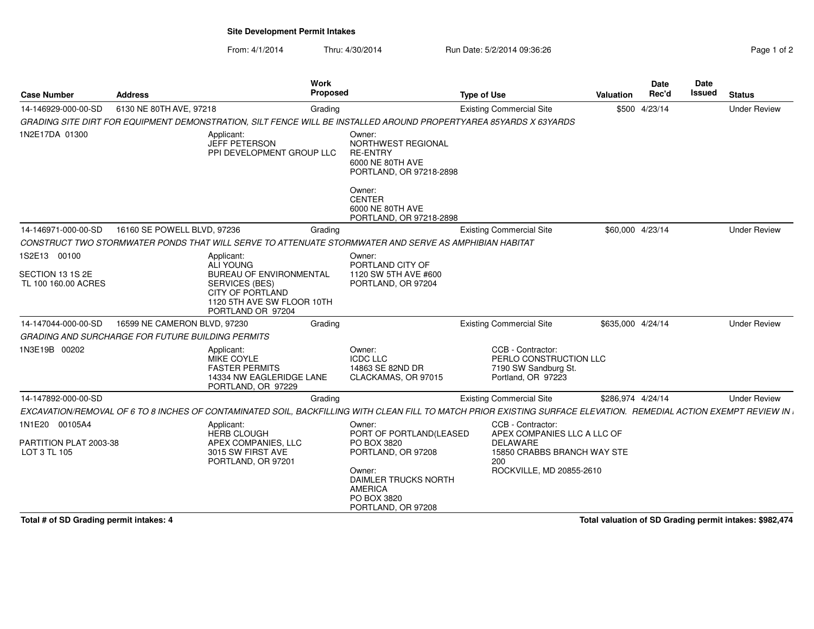### **Site Development Permit Intakes**

From: 4/1/2014Thru: 4/30/2014 Run Date: 5/2/2014 09:36:26 Run Date: 5/2/2014 09:36:26

| <b>Case Number</b>                                       | <b>Address</b>               | Work<br>Proposed                                                                                                                                                  |                                                                                                | <b>Type of Use</b>                                                                        | <b>Valuation</b>  | Date<br>Rec'd | <b>Date</b><br>Issued | <b>Status</b>       |
|----------------------------------------------------------|------------------------------|-------------------------------------------------------------------------------------------------------------------------------------------------------------------|------------------------------------------------------------------------------------------------|-------------------------------------------------------------------------------------------|-------------------|---------------|-----------------------|---------------------|
| 14-146929-000-00-SD                                      | 6130 NE 80TH AVE, 97218      | Grading                                                                                                                                                           |                                                                                                | <b>Existing Commercial Site</b>                                                           |                   | \$500 4/23/14 |                       | <b>Under Review</b> |
|                                                          |                              | GRADING SITE DIRT FOR EQUIPMENT DEMONSTRATION, SILT FENCE WILL BE INSTALLED AROUND PROPERTYAREA 85YARDS X 63YARDS                                                 |                                                                                                |                                                                                           |                   |               |                       |                     |
| 1N2E17DA 01300                                           |                              | Applicant:<br><b>JEFF PETERSON</b><br>PPI DEVELOPMENT GROUP LLC                                                                                                   | Owner:<br>NORTHWEST REGIONAL<br><b>RE-ENTRY</b><br>6000 NE 80TH AVE<br>PORTLAND, OR 97218-2898 |                                                                                           |                   |               |                       |                     |
|                                                          |                              |                                                                                                                                                                   | Owner:<br><b>CENTER</b><br>6000 NE 80TH AVE<br>PORTLAND, OR 97218-2898                         |                                                                                           |                   |               |                       |                     |
| 14-146971-000-00-SD                                      | 16160 SE POWELL BLVD, 97236  | Grading                                                                                                                                                           |                                                                                                | <b>Existing Commercial Site</b>                                                           | \$60,000 4/23/14  |               |                       | <b>Under Review</b> |
|                                                          |                              | CONSTRUCT TWO STORMWATER PONDS THAT WILL SERVE TO ATTENUATE STORMWATER AND SERVE AS AMPHIBIAN HABITAT                                                             |                                                                                                |                                                                                           |                   |               |                       |                     |
| 1S2E13 00100                                             |                              | Applicant:<br>ALI YOUNG                                                                                                                                           | Owner:<br>PORTLAND CITY OF                                                                     |                                                                                           |                   |               |                       |                     |
| SECTION 13 1S 2E                                         |                              | <b>BUREAU OF ENVIRONMENTAL</b>                                                                                                                                    | 1120 SW 5TH AVE #600                                                                           |                                                                                           |                   |               |                       |                     |
| TL 100 160.00 ACRES                                      |                              | <b>SERVICES (BES)</b><br><b>CITY OF PORTLAND</b><br>1120 5TH AVE SW FLOOR 10TH<br>PORTLAND OR 97204                                                               | PORTLAND, OR 97204                                                                             |                                                                                           |                   |               |                       |                     |
| 14-147044-000-00-SD                                      | 16599 NE CAMERON BLVD, 97230 | Grading                                                                                                                                                           |                                                                                                | <b>Existing Commercial Site</b>                                                           | \$635,000 4/24/14 |               |                       | <b>Under Review</b> |
| <b>GRADING AND SURCHARGE FOR FUTURE BUILDING PERMITS</b> |                              |                                                                                                                                                                   |                                                                                                |                                                                                           |                   |               |                       |                     |
| 1N3E19B 00202                                            |                              | Applicant:<br><b>MIKE COYLE</b><br><b>FASTER PERMITS</b><br>14334 NW EAGLERIDGE LANE<br>PORTLAND, OR 97229                                                        | Owner:<br><b>ICDC LLC</b><br>14863 SE 82ND DR<br>CLACKAMAS, OR 97015                           | CCB - Contractor:<br>PERLO CONSTRUCTION LLC<br>7190 SW Sandburg St.<br>Portland, OR 97223 |                   |               |                       |                     |
| 14-147892-000-00-SD                                      |                              | Grading                                                                                                                                                           |                                                                                                | <b>Existing Commercial Site</b>                                                           | \$286.974 4/24/14 |               |                       | <b>Under Review</b> |
|                                                          |                              | EXCAVATION/REMOVAL OF 6 TO 8 INCHES OF CONTAMINATED SOIL, BACKFILLING WITH CLEAN FILL TO MATCH PRIOR EXISTING SURFACE ELEVATION. REMEDIAL ACTION EXEMPT REVIEW IN |                                                                                                |                                                                                           |                   |               |                       |                     |
| 1N1E20 00105A4                                           |                              | Applicant:                                                                                                                                                        | Owner:                                                                                         | CCB - Contractor:                                                                         |                   |               |                       |                     |
| PARTITION PLAT 2003-38<br>LOT 3 TL 105                   |                              | <b>HERB CLOUGH</b><br>APEX COMPANIES, LLC<br>3015 SW FIRST AVE<br>PORTLAND, OR 97201                                                                              | PORT OF PORTLAND(LEASED<br>PO BOX 3820<br>PORTLAND, OR 97208                                   | APEX COMPANIES LLC A LLC OF<br><b>DELAWARE</b><br>15850 CRABBS BRANCH WAY STE<br>200      |                   |               |                       |                     |
|                                                          |                              |                                                                                                                                                                   | Owner:<br>DAIMLER TRUCKS NORTH<br><b>AMERICA</b><br>PO BOX 3820<br>PORTLAND, OR 97208          | ROCKVILLE, MD 20855-2610                                                                  |                   |               |                       |                     |

**Total # of SD Grading permit intakes: 4**

**Total valuation of SD Grading permit intakes: \$982,474**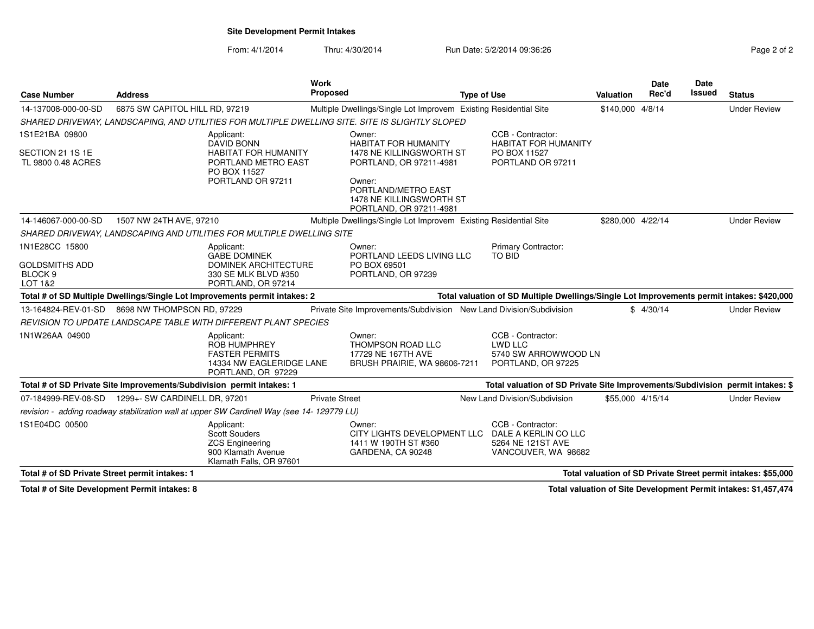### **Site Development Permit Intakes**

**Work Proposed**

From: 4/1/2014Thru: 4/30/2014 **Run Date: 5/2/2014 09:36:26** Run Date: 5/2/2014 09:36:26

**Type of Use**

|                |                  | <b>Date</b> | Date          |                     |
|----------------|------------------|-------------|---------------|---------------------|
| е              | <b>Valuation</b> | Rec'd       | <b>Issued</b> | <b>Status</b>       |
| sidential Site | \$140,000 4/8/14 |             |               | <b>Under Review</b> |

| 14-137008-000-00-SD                                      | 6875 SW CAPITOL HILL RD, 97219                                                                                | Multiple Dwellings/Single Lot Improvem Existing Residential Site                             |                                                                                                                   | \$140,000 4/8/14  | <b>Under Review</b>                                           |
|----------------------------------------------------------|---------------------------------------------------------------------------------------------------------------|----------------------------------------------------------------------------------------------|-------------------------------------------------------------------------------------------------------------------|-------------------|---------------------------------------------------------------|
|                                                          | SHARED DRIVEWAY, LANDSCAPING, AND UTILITIES FOR MULTIPLE DWELLING SITE. SITE IS SLIGHTLY SLOPED               |                                                                                              |                                                                                                                   |                   |                                                               |
| 1S1E21BA 09800<br>SECTION 21 1S 1E<br>TL 9800 0.48 ACRES | Applicant:<br><b>DAVID BONN</b><br><b>HABITAT FOR HUMANITY</b><br>PORTLAND METRO EAST<br>PO BOX 11527         | Owner:<br><b>HABITAT FOR HUMANITY</b><br>1478 NE KILLINGSWORTH ST<br>PORTLAND, OR 97211-4981 | CCB - Contractor:<br><b>HABITAT FOR HUMANITY</b><br>PO BOX 11527<br>PORTLAND OR 97211                             |                   |                                                               |
|                                                          | PORTLAND OR 97211                                                                                             | Owner:<br>PORTLAND/METRO EAST<br>1478 NE KILLINGSWORTH ST<br>PORTLAND, OR 97211-4981         |                                                                                                                   |                   |                                                               |
| 14-146067-000-00-SD                                      | 1507 NW 24TH AVE, 97210                                                                                       | Multiple Dwellings/Single Lot Improvem Existing Residential Site                             |                                                                                                                   | \$280,000 4/22/14 | <b>Under Review</b>                                           |
|                                                          | SHARED DRIVEWAY, LANDSCAPING AND UTILITIES FOR MULTIPLE DWELLING SITE                                         |                                                                                              |                                                                                                                   |                   |                                                               |
| 1N1E28CC 15800<br><b>GOLDSMITHS ADD</b>                  | Applicant:<br><b>GABE DOMINEK</b><br><b>DOMINEK ARCHITECTURE</b>                                              | Owner:<br>PORTLAND LEEDS LIVING LLC<br>PO BOX 69501                                          | Primary Contractor:<br>TO BID                                                                                     |                   |                                                               |
| BLOCK <sub>9</sub><br>LOT 1&2                            | 330 SE MLK BLVD #350<br>PORTLAND, OR 97214                                                                    | PORTLAND, OR 97239                                                                           |                                                                                                                   |                   |                                                               |
|                                                          | Total # of SD Multiple Dwellings/Single Lot Improvements permit intakes: 2                                    |                                                                                              | Total valuation of SD Multiple Dwellings/Single Lot Improvements permit intakes: \$420,000                        |                   |                                                               |
| 13-164824-REV-01-SD                                      | 8698 NW THOMPSON RD, 97229                                                                                    | Private Site Improvements/Subdivision New Land Division/Subdivision                          |                                                                                                                   | \$4/30/14         | <b>Under Review</b>                                           |
|                                                          | REVISION TO UPDATE LANDSCAPE TABLE WITH DIFFERENT PLANT SPECIES                                               |                                                                                              |                                                                                                                   |                   |                                                               |
| 1N1W26AA 04900                                           | Applicant:<br><b>ROB HUMPHREY</b><br><b>FASTER PERMITS</b><br>14334 NW EAGLERIDGE LANE<br>PORTLAND, OR 97229  | Owner:<br>THOMPSON ROAD LLC<br>17729 NE 167TH AVE<br>BRUSH PRAIRIE, WA 98606-7211            | CCB - Contractor:<br>LWD LLC<br>5740 SW ARROWWOOD LN<br>PORTLAND, OR 97225                                        |                   |                                                               |
|                                                          | Total # of SD Private Site Improvements/Subdivision permit intakes: 1                                         |                                                                                              | Total valuation of SD Private Site Improvements/Subdivision permit intakes: \$                                    |                   |                                                               |
|                                                          | 07-184999-REV-08-SD  1299+- SW CARDINELL DR, 97201                                                            | <b>Private Street</b>                                                                        | New Land Division/Subdivision                                                                                     | \$55,000 4/15/14  | <b>Under Review</b>                                           |
|                                                          | revision - adding roadway stabilization wall at upper SW Cardinell Way (see 14-129779 LU)                     |                                                                                              |                                                                                                                   |                   |                                                               |
| 1S1E04DC 00500                                           | Applicant:<br><b>Scott Souders</b><br><b>ZCS Engineering</b><br>900 Klamath Avenue<br>Klamath Falls, OR 97601 | Owner:<br>1411 W 190TH ST #360<br>GARDENA, CA 90248                                          | CCB - Contractor:<br>CITY LIGHTS DEVELOPMENT LLC DALE A KERLIN CO LLC<br>5264 NE 121ST AVE<br>VANCOUVER, WA 98682 |                   |                                                               |
| Total # of SD Private Street permit intakes: 1           |                                                                                                               |                                                                                              |                                                                                                                   |                   | Total valuation of SD Private Street permit intakes: \$55,000 |
|                                                          |                                                                                                               |                                                                                              |                                                                                                                   |                   |                                                               |

**Total # of Site Development Permit intakes: 8**

**Case Number**

**Address**

**Total valuation of Site Development Permit intakes: \$1,457,474**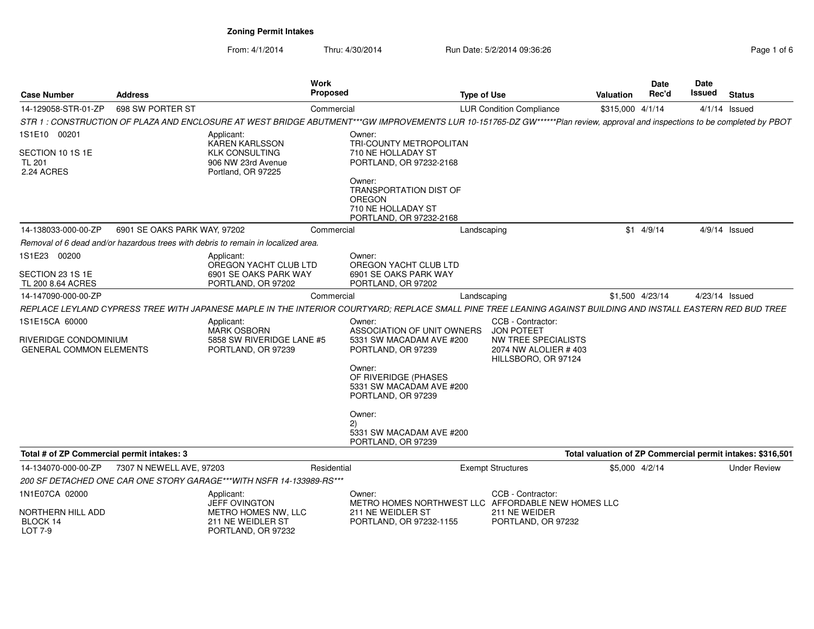| Page 1 of 6 |  |  |
|-------------|--|--|
|             |  |  |

| <b>Case Number</b>                                                        | <b>Address</b>               |                                                                                     | Work<br>Proposed                                                                                                                                                             | <b>Type of Use</b>                                                                                    | <b>Valuation</b> | Date<br>Rec'd | Date<br>Issued | <b>Status</b>                                              |
|---------------------------------------------------------------------------|------------------------------|-------------------------------------------------------------------------------------|------------------------------------------------------------------------------------------------------------------------------------------------------------------------------|-------------------------------------------------------------------------------------------------------|------------------|---------------|----------------|------------------------------------------------------------|
| 14-129058-STR-01-ZP                                                       | 698 SW PORTER ST             |                                                                                     | Commercial                                                                                                                                                                   | <b>LUR Condition Compliance</b>                                                                       | \$315,000 4/1/14 |               |                | $4/1/14$ Issued                                            |
|                                                                           |                              |                                                                                     | STR 1 : CONSTRUCTION OF PLAZA AND ENCLOSURE AT WEST BRIDGE ABUTMENT***GW IMPROVEMENTS LUR 10-151765-DZ GW******Plan review, approval and inspections to be completed by PBOT |                                                                                                       |                  |               |                |                                                            |
| 1S1E10 00201                                                              |                              | Applicant:<br>KAREN KARLSSON                                                        | Owner:<br>TRI-COUNTY METROPOLITAN                                                                                                                                            |                                                                                                       |                  |               |                |                                                            |
| SECTION 10 1S 1E<br><b>TL 201</b><br>2.24 ACRES                           |                              | <b>KLK CONSULTING</b><br>906 NW 23rd Avenue<br>Portland, OR 97225                   | 710 NE HOLLADAY ST<br>PORTLAND, OR 97232-2168                                                                                                                                |                                                                                                       |                  |               |                |                                                            |
|                                                                           |                              |                                                                                     | Owner:<br><b>TRANSPORTATION DIST OF</b><br>OREGON<br>710 NE HOLLADAY ST<br>PORTLAND, OR 97232-2168                                                                           |                                                                                                       |                  |               |                |                                                            |
| 14-138033-000-00-ZP                                                       | 6901 SE OAKS PARK WAY, 97202 |                                                                                     | Commercial                                                                                                                                                                   | Landscaping                                                                                           |                  | $$1$ 4/9/14   |                | 4/9/14 Issued                                              |
|                                                                           |                              | Removal of 6 dead and/or hazardous trees with debris to remain in localized area.   |                                                                                                                                                                              |                                                                                                       |                  |               |                |                                                            |
| 1S1E23 00200                                                              |                              | Applicant:<br>OREGON YACHT CLUB LTD                                                 | Owner:<br>OREGON YACHT CLUB LTD                                                                                                                                              |                                                                                                       |                  |               |                |                                                            |
| SECTION 23 1S 1E<br>TL 200 8.64 ACRES                                     |                              | 6901 SE OAKS PARK WAY<br>PORTLAND, OR 97202                                         | 6901 SE OAKS PARK WAY<br>PORTLAND, OR 97202                                                                                                                                  |                                                                                                       |                  |               |                |                                                            |
| 14-147090-000-00-ZP                                                       |                              |                                                                                     | Commercial                                                                                                                                                                   | Landscaping                                                                                           | \$1,500 4/23/14  |               |                | 4/23/14 Issued                                             |
|                                                                           |                              |                                                                                     | REPLACE LEYLAND CYPRESS TREE WITH JAPANESE MAPLE IN THE INTERIOR COURTYARD; REPLACE SMALL PINE TREE LEANING AGAINST BUILDING AND INSTALL EASTERN RED BUD TREE                |                                                                                                       |                  |               |                |                                                            |
| 1S1E15CA 60000<br>RIVERIDGE CONDOMINIUM<br><b>GENERAL COMMON ELEMENTS</b> |                              | Applicant:<br><b>MARK OSBORN</b><br>5858 SW RIVERIDGE LANE #5<br>PORTLAND, OR 97239 | Owner:<br>ASSOCIATION OF UNIT OWNERS<br>5331 SW MACADAM AVE #200<br>PORTLAND, OR 97239                                                                                       | CCB - Contractor:<br>JON POTEET<br>NW TREE SPECIALISTS<br>2074 NW ALOLIER #403<br>HILLSBORO, OR 97124 |                  |               |                |                                                            |
|                                                                           |                              |                                                                                     | Owner:<br>OF RIVERIDGE (PHASES<br>5331 SW MACADAM AVE #200<br>PORTLAND, OR 97239                                                                                             |                                                                                                       |                  |               |                |                                                            |
|                                                                           |                              |                                                                                     | Owner:<br>(2)<br>5331 SW MACADAM AVE #200<br>PORTLAND, OR 97239                                                                                                              |                                                                                                       |                  |               |                |                                                            |
| Total # of ZP Commercial permit intakes: 3                                |                              |                                                                                     |                                                                                                                                                                              |                                                                                                       |                  |               |                | Total valuation of ZP Commercial permit intakes: \$316,501 |
| 14-134070-000-00-ZP                                                       | 7307 N NEWELL AVE, 97203     |                                                                                     | Residential                                                                                                                                                                  | <b>Exempt Structures</b>                                                                              | \$5,000 4/2/14   |               |                | <b>Under Review</b>                                        |
|                                                                           |                              | 200 SF DETACHED ONE CAR ONE STORY GARAGE***WITH NSFR 14-133989-RS***                |                                                                                                                                                                              |                                                                                                       |                  |               |                |                                                            |
| 1N1E07CA 02000                                                            |                              | Applicant:<br><b>JEFF OVINGTON</b>                                                  | Owner:                                                                                                                                                                       | CCB - Contractor:<br>METRO HOMES NORTHWEST LLC AFFORDABLE NEW HOMES LLC                               |                  |               |                |                                                            |
| NORTHERN HILL ADD<br>BLOCK 14<br>LOT 7-9                                  |                              | METRO HOMES NW, LLC<br>211 NE WEIDLER ST<br>PORTLAND, OR 97232                      | 211 NE WEIDLER ST<br>PORTLAND, OR 97232-1155                                                                                                                                 | 211 NE WEIDER<br>PORTLAND, OR 97232                                                                   |                  |               |                |                                                            |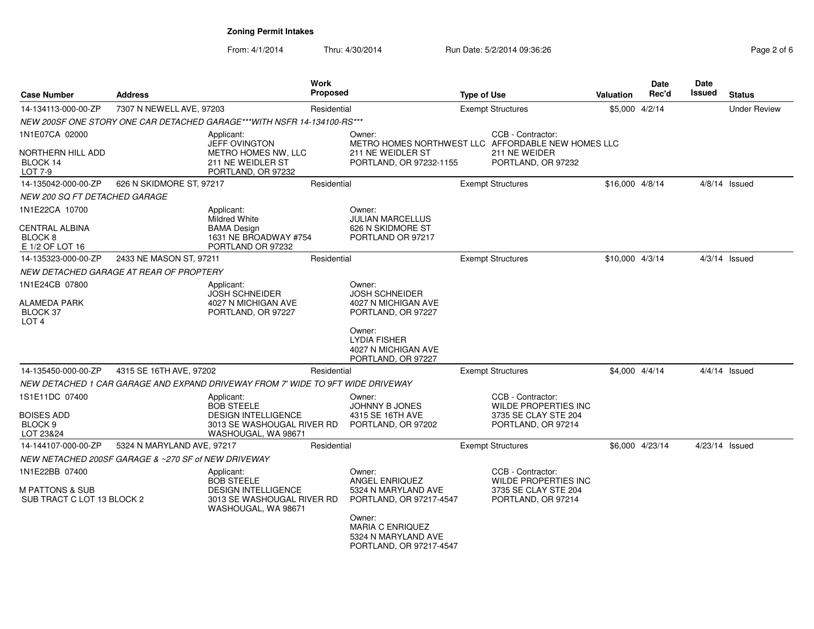| <b>Case Number</b>                                       | <b>Address</b>                                      |                                                                                          | <b>Work</b><br>Proposed |                                                                            | <b>Type of Use</b> |                                                  | <b>Valuation</b> | Date<br>Rec'd   | Date<br>Issued | <b>Status</b>       |
|----------------------------------------------------------|-----------------------------------------------------|------------------------------------------------------------------------------------------|-------------------------|----------------------------------------------------------------------------|--------------------|--------------------------------------------------|------------------|-----------------|----------------|---------------------|
| 14-134113-000-00-ZP                                      | 7307 N NEWELL AVE, 97203                            |                                                                                          | Residential             |                                                                            |                    | <b>Exempt Structures</b>                         | \$5,000 4/2/14   |                 |                | <b>Under Review</b> |
|                                                          |                                                     | NEW 200SF ONE STORY ONE CAR DETACHED GARAGE***WITH NSFR 14-134100-RS***                  |                         |                                                                            |                    |                                                  |                  |                 |                |                     |
| 1N1E07CA 02000                                           |                                                     | Applicant:<br><b>JEFF OVINGTON</b>                                                       |                         | Owner:<br>METRO HOMES NORTHWEST LLC AFFORDABLE NEW HOMES LLC               |                    | CCB - Contractor:                                |                  |                 |                |                     |
| <b>NORTHERN HILL ADD</b><br>BLOCK 14<br>LOT 7-9          |                                                     | METRO HOMES NW, LLC<br>211 NE WEIDLER ST<br>PORTLAND, OR 97232                           |                         | 211 NE WEIDLER ST<br>PORTLAND, OR 97232-1155                               |                    | 211 NE WEIDER<br>PORTLAND, OR 97232              |                  |                 |                |                     |
| 14-135042-000-00-ZP                                      | 626 N SKIDMORE ST, 97217                            |                                                                                          | Residential             |                                                                            |                    | <b>Exempt Structures</b>                         | \$16,000 4/8/14  |                 |                | $4/8/14$ Issued     |
| <b>NEW 200 SQ FT DETACHED GARAGE</b>                     |                                                     |                                                                                          |                         |                                                                            |                    |                                                  |                  |                 |                |                     |
| 1N1E22CA 10700                                           |                                                     | Applicant:                                                                               |                         | Owner:                                                                     |                    |                                                  |                  |                 |                |                     |
| <b>CENTRAL ALBINA</b><br>BLOCK 8<br>E 1/2 OF LOT 16      |                                                     | <b>Mildred White</b><br><b>BAMA Design</b><br>1631 NE BROADWAY #754<br>PORTLAND OR 97232 |                         | <b>JULIAN MARCELLUS</b><br>626 N SKIDMORE ST<br>PORTLAND OR 97217          |                    |                                                  |                  |                 |                |                     |
| 14-135323-000-00-ZP                                      | 2433 NE MASON ST, 97211                             |                                                                                          | Residential             |                                                                            |                    | <b>Exempt Structures</b>                         | \$10,000 4/3/14  |                 |                | $4/3/14$ Issued     |
|                                                          | NEW DETACHED GARAGE AT REAR OF PROPTERY             |                                                                                          |                         |                                                                            |                    |                                                  |                  |                 |                |                     |
| 1N1E24CB 07800                                           |                                                     | Applicant:                                                                               |                         | Owner:                                                                     |                    |                                                  |                  |                 |                |                     |
| <b>ALAMEDA PARK</b><br>BLOCK 37<br>LOT <sub>4</sub>      |                                                     | <b>JOSH SCHNEIDER</b><br>4027 N MICHIGAN AVE<br>PORTLAND, OR 97227                       |                         | <b>JOSH SCHNEIDER</b><br>4027 N MICHIGAN AVE<br>PORTLAND, OR 97227         |                    |                                                  |                  |                 |                |                     |
|                                                          |                                                     |                                                                                          |                         | Owner:<br><b>LYDIA FISHER</b><br>4027 N MICHIGAN AVE<br>PORTLAND, OR 97227 |                    |                                                  |                  |                 |                |                     |
| 14-135450-000-00-ZP                                      | 4315 SE 16TH AVE, 97202                             |                                                                                          | Residential             |                                                                            |                    | <b>Exempt Structures</b>                         |                  | \$4,000 4/4/14  |                | $4/4/14$ Issued     |
|                                                          |                                                     | NEW DETACHED 1 CAR GARAGE AND EXPAND DRIVEWAY FROM 7' WIDE TO 9FT WIDE DRIVEWAY          |                         |                                                                            |                    |                                                  |                  |                 |                |                     |
| 1S1E11DC 07400                                           |                                                     | Applicant:<br><b>BOB STEELE</b>                                                          |                         | Owner:<br>JOHNNY B JONES                                                   |                    | CCB - Contractor:<br><b>WILDE PROPERTIES INC</b> |                  |                 |                |                     |
| <b>BOISES ADD</b><br>BLOCK <sub>9</sub><br>LOT 23&24     |                                                     | <b>DESIGN INTELLIGENCE</b><br>3013 SE WASHOUGAL RIVER RD<br>WASHOUGAL, WA 98671          |                         | 4315 SE 16TH AVE<br>PORTLAND, OR 97202                                     |                    | 3735 SE CLAY STE 204<br>PORTLAND, OR 97214       |                  |                 |                |                     |
| 14-144107-000-00-ZP                                      | 5324 N MARYLAND AVE, 97217                          |                                                                                          | Residential             |                                                                            |                    | <b>Exempt Structures</b>                         |                  | \$6,000 4/23/14 | 4/23/14 Issued |                     |
|                                                          | NEW NETACHED 200SF GARAGE & ~270 SF of NEW DRIVEWAY |                                                                                          |                         |                                                                            |                    |                                                  |                  |                 |                |                     |
| 1N1E22BB 07400                                           |                                                     | Applicant:<br><b>BOB STEELE</b>                                                          |                         | Owner:<br><b>ANGEL ENRIQUEZ</b>                                            |                    | CCB - Contractor:<br><b>WILDE PROPERTIES INC</b> |                  |                 |                |                     |
| <b>M PATTONS &amp; SUB</b><br>SUB TRACT C LOT 13 BLOCK 2 |                                                     | <b>DESIGN INTELLIGENCE</b><br>3013 SE WASHOUGAL RIVER RD<br>WASHOUGAL, WA 98671          |                         | 5324 N MARYLAND AVE<br>PORTLAND, OR 97217-4547<br>Owner:                   |                    | 3735 SE CLAY STE 204<br>PORTLAND, OR 97214       |                  |                 |                |                     |
|                                                          |                                                     |                                                                                          |                         | <b>MARIA C ENRIQUEZ</b><br>5324 N MARYLAND AVE<br>PORTLAND, OR 97217-4547  |                    |                                                  |                  |                 |                |                     |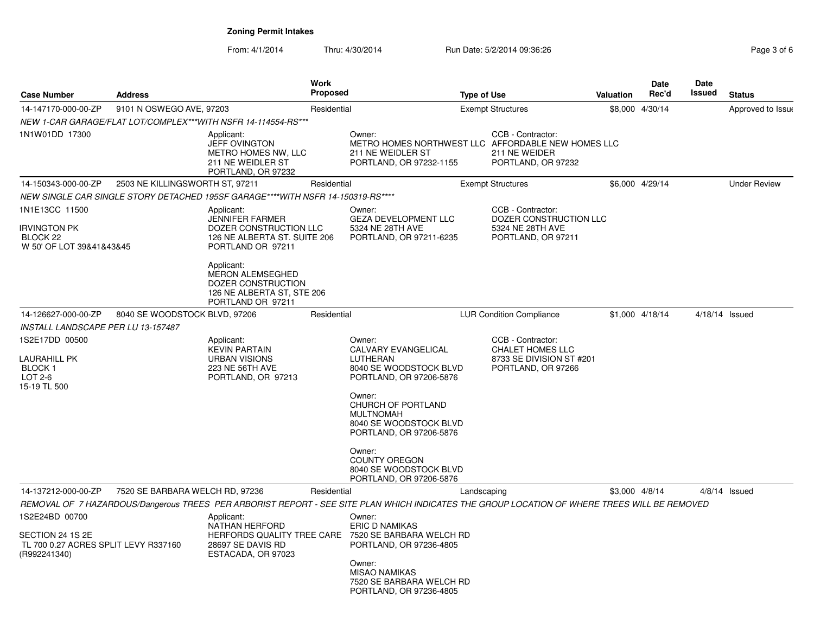| <b>Case Number</b>                                                                         | <b>Address</b>                  |                                                                                                                                                                             | Work<br>Proposed |                                                                                                                                              | <b>Type of Use</b> |                                                                                                | <b>Valuation</b> | <b>Date</b><br>Rec'd | <b>Date</b><br><b>Issued</b> | <b>Status</b>       |
|--------------------------------------------------------------------------------------------|---------------------------------|-----------------------------------------------------------------------------------------------------------------------------------------------------------------------------|------------------|----------------------------------------------------------------------------------------------------------------------------------------------|--------------------|------------------------------------------------------------------------------------------------|------------------|----------------------|------------------------------|---------------------|
| 14-147170-000-00-ZP                                                                        | 9101 N OSWEGO AVE, 97203        |                                                                                                                                                                             | Residential      |                                                                                                                                              |                    | <b>Exempt Structures</b>                                                                       |                  | \$8,000 4/30/14      |                              | Approved to Issue   |
|                                                                                            |                                 | NEW 1-CAR GARAGE/FLAT LOT/COMPLEX***WITH NSFR 14-114554-RS***                                                                                                               |                  |                                                                                                                                              |                    |                                                                                                |                  |                      |                              |                     |
| 1N1W01DD 17300                                                                             |                                 | Applicant:<br>JEFF OVINGTON<br>METRO HOMES NW, LLC<br>211 NE WEIDLER ST<br>PORTLAND, OR 97232                                                                               |                  | Owner:<br>METRO HOMES NORTHWEST LLC AFFORDABLE NEW HOMES LLC<br>211 NE WEIDLER ST<br>PORTLAND, OR 97232-1155                                 |                    | CCB - Contractor:<br>211 NE WEIDER<br>PORTLAND, OR 97232                                       |                  |                      |                              |                     |
| 14-150343-000-00-ZP                                                                        | 2503 NE KILLINGSWORTH ST, 97211 |                                                                                                                                                                             | Residential      |                                                                                                                                              |                    | <b>Exempt Structures</b>                                                                       |                  | \$6,000 4/29/14      |                              | <b>Under Review</b> |
|                                                                                            |                                 | NEW SINGLE CAR SINGLE STORY DETACHED 195SF GARAGE****WITH NSFR 14-150319-RS****                                                                                             |                  |                                                                                                                                              |                    |                                                                                                |                  |                      |                              |                     |
| 1N1E13CC 11500<br>Irvington PK<br>BLOCK 22<br>W 50' OF LOT 39&41&43&45                     |                                 | Applicant:<br>JENNIFER FARMER<br>DOZER CONSTRUCTION LLC<br>126 NE ALBERTA ST. SUITE 206<br>PORTLAND OR 97211<br>Applicant:<br><b>MERON ALEMSEGHED</b><br>DOZER CONSTRUCTION |                  | Owner:<br><b>GEZA DEVELOPMENT LLC</b><br>5324 NE 28TH AVE<br>PORTLAND, OR 97211-6235                                                         |                    | CCB - Contractor:<br>DOZER CONSTRUCTION LLC<br>5324 NE 28TH AVE<br>PORTLAND, OR 97211          |                  |                      |                              |                     |
|                                                                                            |                                 | 126 NE ALBERTA ST, STE 206<br>PORTLAND OR 97211                                                                                                                             |                  |                                                                                                                                              |                    |                                                                                                |                  |                      |                              |                     |
| 14-126627-000-00-ZP                                                                        | 8040 SE WOODSTOCK BLVD, 97206   |                                                                                                                                                                             | Residential      |                                                                                                                                              |                    | <b>LUR Condition Compliance</b>                                                                |                  | \$1,000 4/18/14      | $4/18/14$ Issued             |                     |
| INSTALL LANDSCAPE PER LU 13-157487                                                         |                                 |                                                                                                                                                                             |                  |                                                                                                                                              |                    |                                                                                                |                  |                      |                              |                     |
| 1S2E17DD 00500<br>LAURAHILL PK<br>BLOCK 1<br>LOT 2-6<br>15-19 TL 500                       |                                 | Applicant:<br><b>KEVIN PARTAIN</b><br><b>URBAN VISIONS</b><br>223 NE 56TH AVE<br>PORTLAND, OR 97213                                                                         |                  | Owner:<br>CALVARY EVANGELICAL<br>LUTHERAN<br>8040 SE WOODSTOCK BLVD<br>PORTLAND, OR 97206-5876                                               |                    | CCB - Contractor:<br><b>CHALET HOMES LLC</b><br>8733 SE DIVISION ST #201<br>PORTLAND, OR 97266 |                  |                      |                              |                     |
|                                                                                            |                                 |                                                                                                                                                                             |                  | Owner:<br>CHURCH OF PORTLAND<br><b>MULTNOMAH</b><br>8040 SE WOODSTOCK BLVD<br>PORTLAND, OR 97206-5876                                        |                    |                                                                                                |                  |                      |                              |                     |
|                                                                                            |                                 |                                                                                                                                                                             |                  | Owner:<br><b>COUNTY OREGON</b><br>8040 SE WOODSTOCK BLVD<br>PORTLAND, OR 97206-5876                                                          |                    |                                                                                                |                  |                      |                              |                     |
| 14-137212-000-00-ZP                                                                        | 7520 SE BARBARA WELCH RD, 97236 |                                                                                                                                                                             | Residential      |                                                                                                                                              | Landscaping        |                                                                                                |                  | \$3,000 4/8/14       |                              | $4/8/14$ Issued     |
|                                                                                            |                                 |                                                                                                                                                                             |                  | REMOVAL OF 7 HAZARDOUS/Dangerous TREES PER ARBORIST REPORT - SEE SITE PLAN WHICH INDICATES THE GROUP LOCATION OF WHERE TREES WILL BE REMOVED |                    |                                                                                                |                  |                      |                              |                     |
| 1S2E24BD 00700<br>SECTION 24 1S 2E<br>TL 700 0.27 ACRES SPLIT LEVY R337160<br>(R992241340) |                                 | Applicant:<br>NATHAN HERFORD<br>HERFORDS QUALITY TREE CARE<br>28697 SE DAVIS RD<br>ESTACADA, OR 97023                                                                       |                  | Owner:<br><b>ERIC D NAMIKAS</b><br>7520 SE BARBARA WELCH RD<br>PORTLAND, OR 97236-4805<br>Owner:<br><b>MISAO NAMIKAS</b>                     |                    |                                                                                                |                  |                      |                              |                     |
|                                                                                            |                                 |                                                                                                                                                                             |                  | 7520 SE BARBARA WELCH RD<br>PORTLAND, OR 97236-4805                                                                                          |                    |                                                                                                |                  |                      |                              |                     |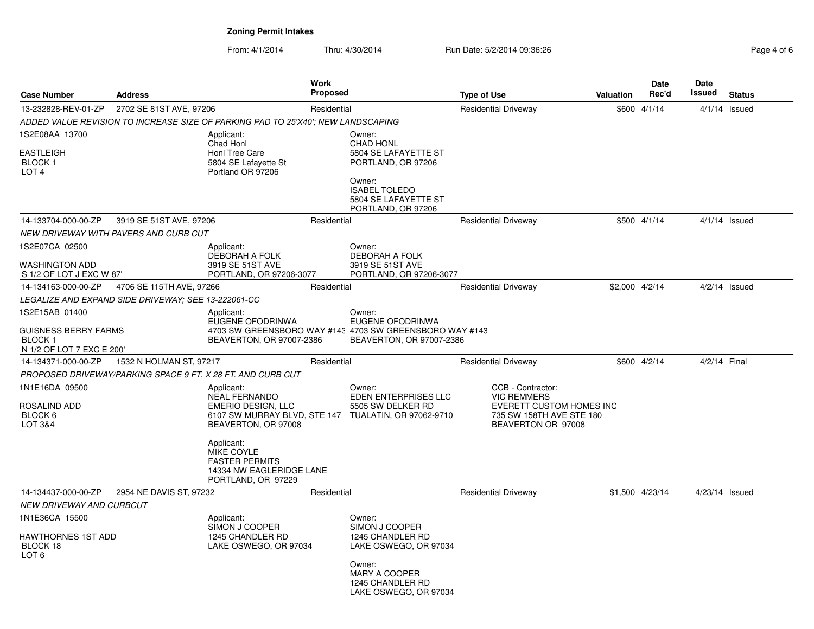| <b>Case Number</b>                                                                          | <b>Address</b>                                                   |                                                                                                                                                                                               | <b>Work</b><br><b>Proposed</b> |                                                                                                                                    | <b>Type of Use</b> |                                                                                                                       | Valuation      | Date<br>Rec'd   | Date<br><b>Issued</b> | <b>Status</b>   |
|---------------------------------------------------------------------------------------------|------------------------------------------------------------------|-----------------------------------------------------------------------------------------------------------------------------------------------------------------------------------------------|--------------------------------|------------------------------------------------------------------------------------------------------------------------------------|--------------------|-----------------------------------------------------------------------------------------------------------------------|----------------|-----------------|-----------------------|-----------------|
| 13-232828-REV-01-ZP                                                                         | 2702 SE 81ST AVE, 97206                                          |                                                                                                                                                                                               | Residential                    |                                                                                                                                    |                    | <b>Residential Driveway</b>                                                                                           |                | \$600 4/1/14    | $4/1/14$ Issued       |                 |
|                                                                                             |                                                                  | ADDED VALUE REVISION TO INCREASE SIZE OF PARKING PAD TO 25'X40': NEW LANDSCAPING                                                                                                              |                                |                                                                                                                                    |                    |                                                                                                                       |                |                 |                       |                 |
| 1S2E08AA 13700<br><b>EASTLEIGH</b><br>BLOCK <sub>1</sub><br>LOT <sub>4</sub>                |                                                                  | Applicant:<br>Chad Honl<br>Honl Tree Care<br>5804 SE Lafayette St<br>Portland OR 97206                                                                                                        |                                | Owner:<br><b>CHAD HONL</b><br>5804 SE LAFAYETTE ST<br>PORTLAND, OR 97206<br>Owner:<br><b>ISABEL TOLEDO</b><br>5804 SE LAFAYETTE ST |                    |                                                                                                                       |                |                 |                       |                 |
| 14-133704-000-00-ZP                                                                         |                                                                  |                                                                                                                                                                                               | Residential                    | PORTLAND, OR 97206                                                                                                                 |                    |                                                                                                                       |                | \$500 4/1/14    |                       |                 |
|                                                                                             | 3919 SE 51ST AVE, 97206<br>NEW DRIVEWAY WITH PAVERS AND CURB CUT |                                                                                                                                                                                               |                                |                                                                                                                                    |                    | <b>Residential Driveway</b>                                                                                           |                |                 |                       | $4/1/14$ Issued |
| 1S2E07CA 02500                                                                              |                                                                  | Applicant:<br><b>DEBORAH A FOLK</b>                                                                                                                                                           |                                | Owner:<br><b>DEBORAH A FOLK</b>                                                                                                    |                    |                                                                                                                       |                |                 |                       |                 |
| <b>WASHINGTON ADD</b><br>S 1/2 OF LOT J EXC W 87                                            |                                                                  | 3919 SE 51ST AVE<br>PORTLAND, OR 97206-3077                                                                                                                                                   |                                | 3919 SE 51ST AVE<br>PORTLAND, OR 97206-3077                                                                                        |                    |                                                                                                                       |                |                 |                       |                 |
| 14-134163-000-00-ZP                                                                         | 4706 SE 115TH AVE, 97266                                         |                                                                                                                                                                                               | Residential                    |                                                                                                                                    |                    | <b>Residential Driveway</b>                                                                                           | \$2,000 4/2/14 |                 |                       | $4/2/14$ Issued |
|                                                                                             | LEGALIZE AND EXPAND SIDE DRIVEWAY; SEE 13-222061-CC              |                                                                                                                                                                                               |                                |                                                                                                                                    |                    |                                                                                                                       |                |                 |                       |                 |
| 1S2E15AB 01400<br><b>GUISNESS BERRY FARMS</b><br><b>BLOCK1</b><br>N 1/2 OF LOT 7 EXC E 200' |                                                                  | Applicant:<br>EUGENE OFODRINWA<br>BEAVERTON, OR 97007-2386                                                                                                                                    |                                | Owner:<br><b>EUGENE OFODRINWA</b><br>4703 SW GREENSBORO WAY #143 4703 SW GREENSBORO WAY #143<br>BEAVERTON, OR 97007-2386           |                    |                                                                                                                       |                |                 |                       |                 |
| 14-134371-000-00-ZP                                                                         | 1532 N HOLMAN ST, 97217                                          |                                                                                                                                                                                               | Residential                    |                                                                                                                                    |                    | <b>Residential Driveway</b>                                                                                           |                | \$600 4/2/14    | 4/2/14 Final          |                 |
|                                                                                             |                                                                  | PROPOSED DRIVEWAY/PARKING SPACE 9 FT. X 28 FT. AND CURB CUT                                                                                                                                   |                                |                                                                                                                                    |                    |                                                                                                                       |                |                 |                       |                 |
| 1N1E16DA 09500<br><b>ROSALIND ADD</b><br>BLOCK 6<br><b>LOT 3&amp;4</b>                      |                                                                  | Applicant:<br><b>NEAL FERNANDO</b><br><b>EMERIO DESIGN, LLC</b><br>BEAVERTON, OR 97008<br>Applicant:<br>MIKE COYLE<br><b>FASTER PERMITS</b><br>14334 NW EAGLERIDGE LANE<br>PORTLAND, OR 97229 |                                | Owner:<br>EDEN ENTERPRISES LLC<br>5505 SW DELKER RD<br>6107 SW MURRAY BLVD, STE 147 TUALATIN, OR 97062-9710                        |                    | CCB - Contractor:<br><b>VIC REMMERS</b><br>EVERETT CUSTOM HOMES INC<br>735 SW 158TH AVE STE 180<br>BEAVERTON OR 97008 |                |                 |                       |                 |
| 14-134437-000-00-ZP                                                                         | 2954 NE DAVIS ST, 97232                                          |                                                                                                                                                                                               | Residential                    |                                                                                                                                    |                    | <b>Residential Driveway</b>                                                                                           |                | \$1,500 4/23/14 | 4/23/14 Issued        |                 |
| NEW DRIVEWAY AND CURBCUT                                                                    |                                                                  |                                                                                                                                                                                               |                                |                                                                                                                                    |                    |                                                                                                                       |                |                 |                       |                 |
| 1N1E36CA 15500<br>HAWTHORNES 1ST ADD<br>BLOCK 18                                            |                                                                  | Applicant:<br>SIMON J COOPER<br>1245 CHANDLER RD<br>LAKE OSWEGO, OR 97034                                                                                                                     |                                | Owner:<br>SIMON J COOPER<br>1245 CHANDLER RD<br>LAKE OSWEGO, OR 97034                                                              |                    |                                                                                                                       |                |                 |                       |                 |
| LOT <sub>6</sub>                                                                            |                                                                  |                                                                                                                                                                                               |                                | Owner:<br><b>MARY A COOPER</b><br>1245 CHANDLER RD<br>LAKE OSWEGO, OR 97034                                                        |                    |                                                                                                                       |                |                 |                       |                 |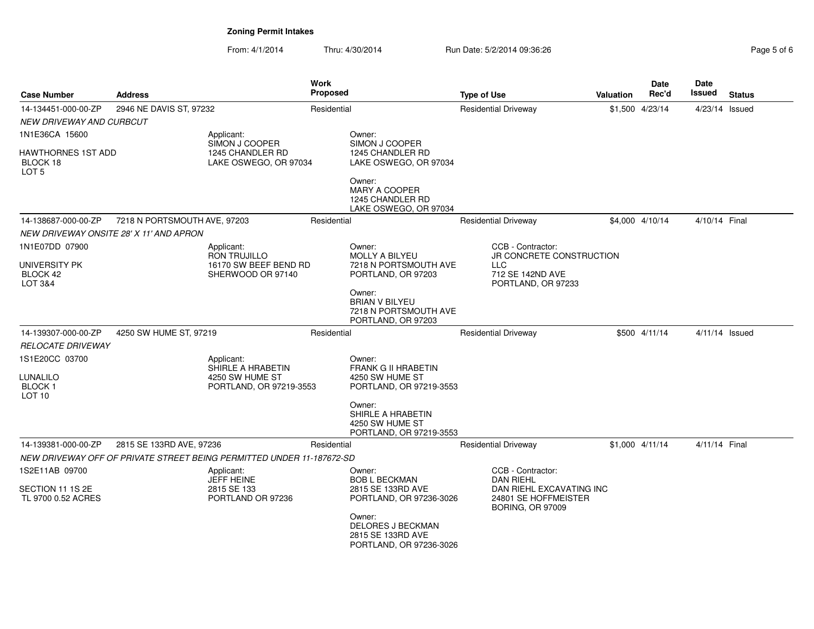| <b>Case Number</b>                                       | <b>Address</b>               |                                                                               | <b>Work</b><br><b>Proposed</b> |                                                                                                                      | <b>Type of Use</b>                                                                                                   | Valuation | <b>Date</b><br>Rec'd | <b>Date</b><br>Issued | <b>Status</b> |
|----------------------------------------------------------|------------------------------|-------------------------------------------------------------------------------|--------------------------------|----------------------------------------------------------------------------------------------------------------------|----------------------------------------------------------------------------------------------------------------------|-----------|----------------------|-----------------------|---------------|
| 14-134451-000-00-ZP                                      | 2946 NE DAVIS ST, 97232      |                                                                               | Residential                    |                                                                                                                      | <b>Residential Driveway</b>                                                                                          |           | \$1,500 4/23/14      | $4/23/14$ Issued      |               |
| NEW DRIVEWAY AND CURBCUT                                 |                              |                                                                               |                                |                                                                                                                      |                                                                                                                      |           |                      |                       |               |
| 1N1E36CA 15600                                           |                              | Applicant:<br>SIMON J COOPER                                                  |                                | Owner:<br>SIMON J COOPER                                                                                             |                                                                                                                      |           |                      |                       |               |
| HAWTHORNES 1ST ADD<br>BLOCK 18<br>LOT 5                  |                              | 1245 CHANDLER RD<br>LAKE OSWEGO, OR 97034                                     |                                | 1245 CHANDLER RD<br>LAKE OSWEGO, OR 97034                                                                            |                                                                                                                      |           |                      |                       |               |
|                                                          |                              |                                                                               |                                | Owner:<br><b>MARY A COOPER</b><br>1245 CHANDLER RD<br>LAKE OSWEGO, OR 97034                                          |                                                                                                                      |           |                      |                       |               |
| 14-138687-000-00-ZP                                      | 7218 N PORTSMOUTH AVE, 97203 |                                                                               | Residential                    |                                                                                                                      | <b>Residential Driveway</b>                                                                                          |           | \$4,000 4/10/14      | 4/10/14 Final         |               |
| NEW DRIVEWAY ONSITE 28' X 11' AND APRON                  |                              |                                                                               |                                |                                                                                                                      |                                                                                                                      |           |                      |                       |               |
| 1N1E07DD 07900<br>UNIVERSITY PK<br>BLOCK 42<br>LOT 3&4   |                              | Applicant:<br>RON TRUJILLO<br>16170 SW BEEF BEND RD<br>SHERWOOD OR 97140      |                                | Owner:<br><b>MOLLY A BILYEU</b><br>7218 N PORTSMOUTH AVE<br>PORTLAND, OR 97203                                       | CCB - Contractor:<br>JR CONCRETE CONSTRUCTION<br><b>LLC</b><br>712 SE 142ND AVE<br>PORTLAND, OR 97233                |           |                      |                       |               |
|                                                          |                              |                                                                               |                                | Owner:<br><b>BRIAN V BILYEU</b><br>7218 N PORTSMOUTH AVE<br>PORTLAND, OR 97203                                       |                                                                                                                      |           |                      |                       |               |
| 14-139307-000-00-ZP                                      | 4250 SW HUME ST, 97219       |                                                                               | Residential                    |                                                                                                                      | <b>Residential Driveway</b>                                                                                          |           | \$500 4/11/14        | $4/11/14$ Issued      |               |
| <b>RELOCATE DRIVEWAY</b>                                 |                              |                                                                               |                                |                                                                                                                      |                                                                                                                      |           |                      |                       |               |
| 1S1E20CC 03700<br>LUNALILO<br><b>BLOCK1</b>              |                              | Applicant:<br>SHIRLE A HRABETIN<br>4250 SW HUME ST<br>PORTLAND, OR 97219-3553 |                                | Owner:<br>FRANK G II HRABETIN<br>4250 SW HUME ST<br>PORTLAND, OR 97219-3553                                          |                                                                                                                      |           |                      |                       |               |
| LOT <sub>10</sub>                                        |                              |                                                                               |                                | Owner:<br>SHIRLE A HRABETIN<br>4250 SW HUME ST<br>PORTLAND, OR 97219-3553                                            |                                                                                                                      |           |                      |                       |               |
| 14-139381-000-00-ZP                                      | 2815 SE 133RD AVE, 97236     |                                                                               | Residential                    |                                                                                                                      | <b>Residential Driveway</b>                                                                                          |           | $$1,000$ 4/11/14     | 4/11/14 Final         |               |
|                                                          |                              | NEW DRIVEWAY OFF OF PRIVATE STREET BEING PERMITTED UNDER 11-187672-SD         |                                |                                                                                                                      |                                                                                                                      |           |                      |                       |               |
| 1S2E11AB 09700<br>SECTION 11 1S 2E<br>TL 9700 0.52 ACRES |                              | Applicant:<br><b>JEFF HEINE</b><br>2815 SE 133<br>PORTLAND OR 97236           |                                | Owner:<br><b>BOB L BECKMAN</b><br>2815 SE 133RD AVE<br>PORTLAND, OR 97236-3026<br>Owner:<br><b>DELORES J BECKMAN</b> | CCB - Contractor:<br><b>DAN RIEHL</b><br>DAN RIEHL EXCAVATING INC<br>24801 SE HOFFMEISTER<br><b>BORING, OR 97009</b> |           |                      |                       |               |